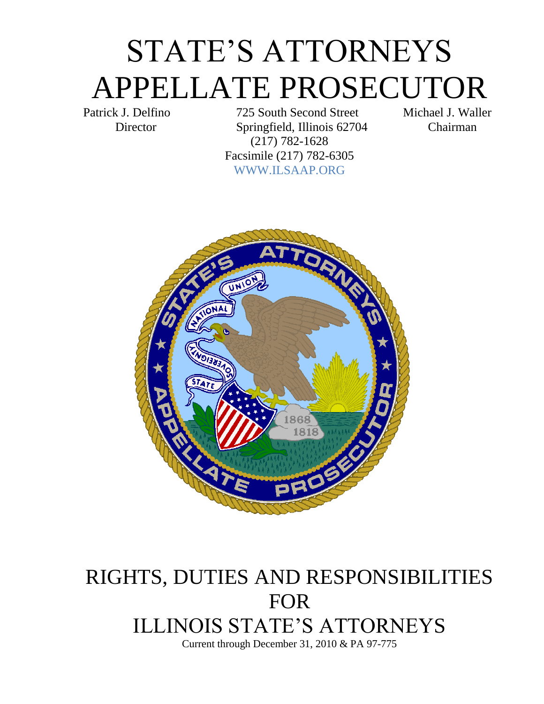# STATE'S ATTORNEYS APPELLATE PROSECUTOR

Patrick J. Delfino 725 South Second Street Michael J. Waller Director Springfield, Illinois 62704 Chairman (217) 782-1628 Facsimile (217) 782-6305 WWW.ILSAAP.ORG



## RIGHTS, DUTIES AND RESPONSIBILITIES FOR ILLINOIS STATE'S ATTORNEYS Current through December 31, 2010 & PA 97-775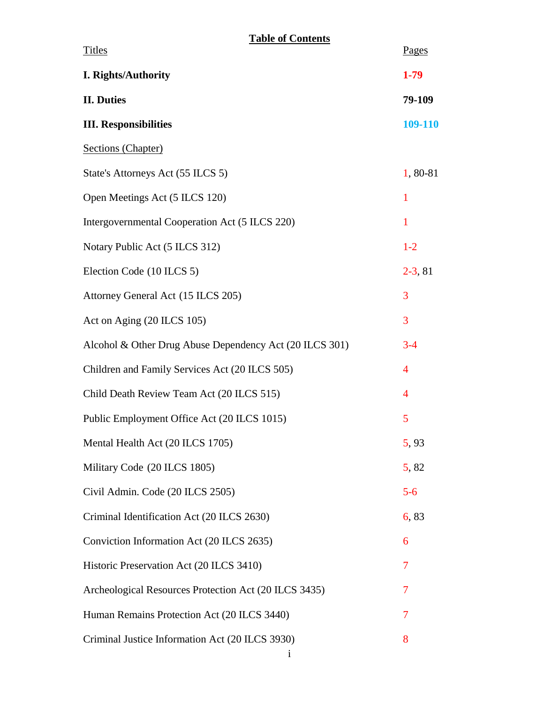#### **Table of Contents**

| <b>Titles</b>                                           | Pages          |
|---------------------------------------------------------|----------------|
| I. Rights/Authority                                     | $1-79$         |
| <b>II. Duties</b>                                       | 79-109         |
| <b>III. Responsibilities</b>                            | 109-110        |
| Sections (Chapter)                                      |                |
| State's Attorneys Act (55 ILCS 5)                       | 1,80-81        |
| Open Meetings Act (5 ILCS 120)                          | 1              |
| Intergovernmental Cooperation Act (5 ILCS 220)          | $\mathbf{1}$   |
| Notary Public Act (5 ILCS 312)                          | $1-2$          |
| Election Code (10 ILCS 5)                               | $2-3, 81$      |
| Attorney General Act (15 ILCS 205)                      | 3              |
| Act on Aging (20 ILCS 105)                              | 3              |
| Alcohol & Other Drug Abuse Dependency Act (20 ILCS 301) | $3 - 4$        |
| Children and Family Services Act (20 ILCS 505)          | 4              |
| Child Death Review Team Act (20 ILCS 515)               | $\overline{4}$ |
| Public Employment Office Act (20 ILCS 1015)             | 5              |
| Mental Health Act (20 ILCS 1705)                        | 5,93           |
| Military Code (20 ILCS 1805)                            | 5,82           |
| Civil Admin. Code (20 ILCS 2505)                        | $5 - 6$        |
| Criminal Identification Act (20 ILCS 2630)              | 6,83           |
| Conviction Information Act (20 ILCS 2635)               | 6              |
| Historic Preservation Act (20 ILCS 3410)                | 7              |
| Archeological Resources Protection Act (20 ILCS 3435)   | 7              |
| Human Remains Protection Act (20 ILCS 3440)             | 7              |
| Criminal Justice Information Act (20 ILCS 3930)         | 8              |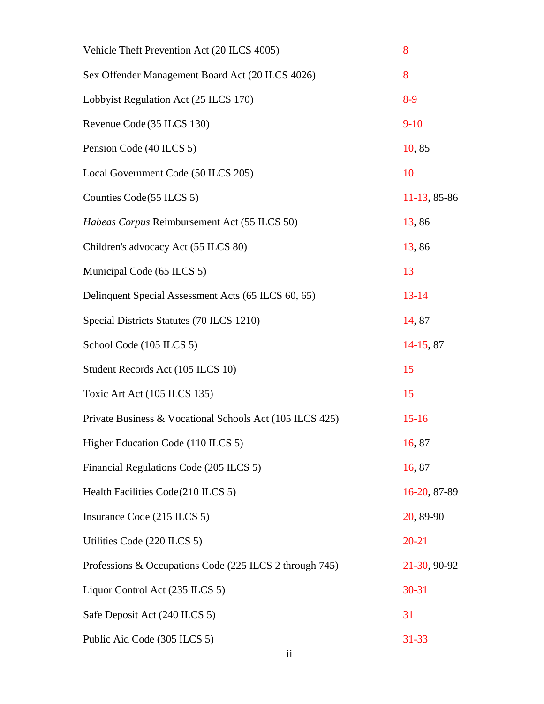| Vehicle Theft Prevention Act (20 ILCS 4005)              | 8            |
|----------------------------------------------------------|--------------|
| Sex Offender Management Board Act (20 ILCS 4026)         | 8            |
| Lobbyist Regulation Act (25 ILCS 170)                    | $8-9$        |
| Revenue Code (35 ILCS 130)                               | $9-10$       |
| Pension Code (40 ILCS 5)                                 | 10,85        |
| Local Government Code (50 ILCS 205)                      | 10           |
| Counties Code (55 ILCS 5)                                | 11-13, 85-86 |
| Habeas Corpus Reimbursement Act (55 ILCS 50)             | 13,86        |
| Children's advocacy Act (55 ILCS 80)                     | 13,86        |
| Municipal Code (65 ILCS 5)                               | 13           |
| Delinquent Special Assessment Acts (65 ILCS 60, 65)      | $13 - 14$    |
| Special Districts Statutes (70 ILCS 1210)                | 14,87        |
| School Code (105 ILCS 5)                                 | 14-15, 87    |
| Student Records Act (105 ILCS 10)                        | 15           |
| Toxic Art Act (105 ILCS 135)                             | 15           |
| Private Business & Vocational Schools Act (105 ILCS 425) | $15-16$      |
| Higher Education Code (110 ILCS 5)                       | 16,87        |
| Financial Regulations Code (205 ILCS 5)                  | 16,87        |
| Health Facilities Code(210 ILCS 5)                       | 16-20, 87-89 |
| Insurance Code (215 ILCS 5)                              | 20, 89-90    |
| Utilities Code (220 ILCS 5)                              | $20 - 21$    |
| Professions & Occupations Code (225 ILCS 2 through 745)  | 21-30, 90-92 |
| Liquor Control Act (235 ILCS 5)                          | 30-31        |
| Safe Deposit Act (240 ILCS 5)                            | 31           |
| Public Aid Code (305 ILCS 5)                             | $31 - 33$    |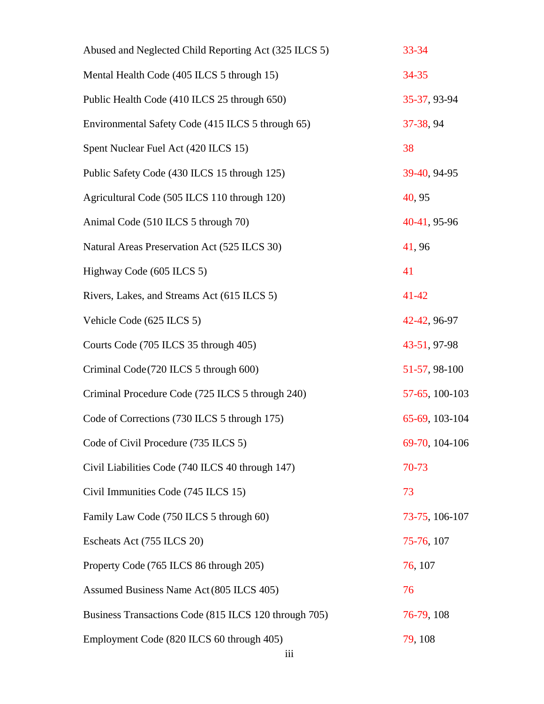| Abused and Neglected Child Reporting Act (325 ILCS 5) | 33-34          |
|-------------------------------------------------------|----------------|
| Mental Health Code (405 ILCS 5 through 15)            | 34-35          |
| Public Health Code (410 ILCS 25 through 650)          | 35-37, 93-94   |
| Environmental Safety Code (415 ILCS 5 through 65)     | 37-38, 94      |
| Spent Nuclear Fuel Act (420 ILCS 15)                  | 38             |
| Public Safety Code (430 ILCS 15 through 125)          | 39-40, 94-95   |
| Agricultural Code (505 ILCS 110 through 120)          | 40, 95         |
| Animal Code (510 ILCS 5 through 70)                   | 40-41, 95-96   |
| Natural Areas Preservation Act (525 ILCS 30)          | 41,96          |
| Highway Code (605 ILCS 5)                             | 41             |
| Rivers, Lakes, and Streams Act (615 ILCS 5)           | $41 - 42$      |
| Vehicle Code (625 ILCS 5)                             | 42-42, 96-97   |
| Courts Code (705 ILCS 35 through 405)                 | 43-51, 97-98   |
| Criminal Code (720 ILCS 5 through 600)                | 51-57, 98-100  |
| Criminal Procedure Code (725 ILCS 5 through 240)      | 57-65, 100-103 |
| Code of Corrections (730 ILCS 5 through 175)          | 65-69, 103-104 |
| Code of Civil Procedure (735 ILCS 5)                  | 69-70, 104-106 |
| Civil Liabilities Code (740 ILCS 40 through 147)      | 70-73          |
| Civil Immunities Code (745 ILCS 15)                   | 73             |
| Family Law Code (750 ILCS 5 through 60)               | 73-75, 106-107 |
| Escheats Act (755 ILCS 20)                            | 75-76, 107     |
| Property Code (765 ILCS 86 through 205)               | 76, 107        |
| Assumed Business Name Act (805 ILCS 405)              | 76             |
| Business Transactions Code (815 ILCS 120 through 705) | 76-79, 108     |
| Employment Code (820 ILCS 60 through 405)             | 79, 108        |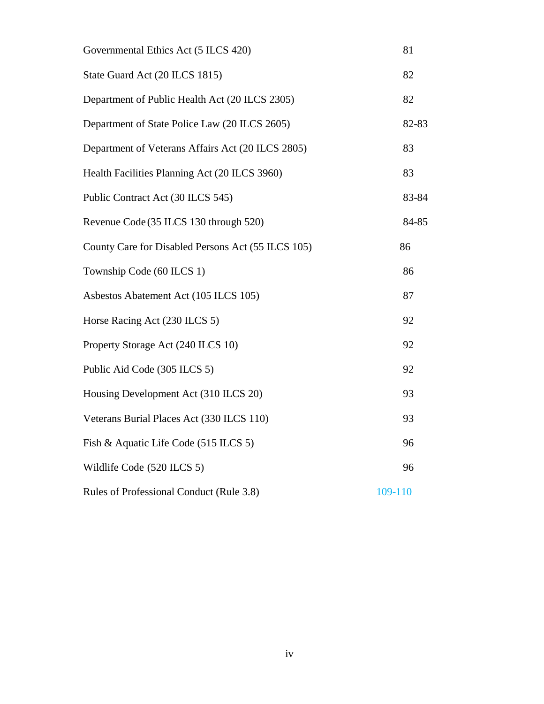| Governmental Ethics Act (5 ILCS 420)               | 81      |  |
|----------------------------------------------------|---------|--|
| State Guard Act (20 ILCS 1815)                     | 82      |  |
| Department of Public Health Act (20 ILCS 2305)     | 82      |  |
| Department of State Police Law (20 ILCS 2605)      | 82-83   |  |
| Department of Veterans Affairs Act (20 ILCS 2805)  | 83      |  |
| Health Facilities Planning Act (20 ILCS 3960)      | 83      |  |
| Public Contract Act (30 ILCS 545)                  | 83-84   |  |
| Revenue Code (35 ILCS 130 through 520)             | 84-85   |  |
| County Care for Disabled Persons Act (55 ILCS 105) | 86      |  |
| Township Code (60 ILCS 1)                          | 86      |  |
| Asbestos Abatement Act (105 ILCS 105)              | 87      |  |
| Horse Racing Act (230 ILCS 5)                      | 92      |  |
| Property Storage Act (240 ILCS 10)                 | 92      |  |
| Public Aid Code (305 ILCS 5)                       | 92      |  |
| Housing Development Act (310 ILCS 20)              | 93      |  |
| Veterans Burial Places Act (330 ILCS 110)          | 93      |  |
| Fish & Aquatic Life Code (515 ILCS 5)              | 96      |  |
| Wildlife Code (520 ILCS 5)                         | 96      |  |
| Rules of Professional Conduct (Rule 3.8)           | 109-110 |  |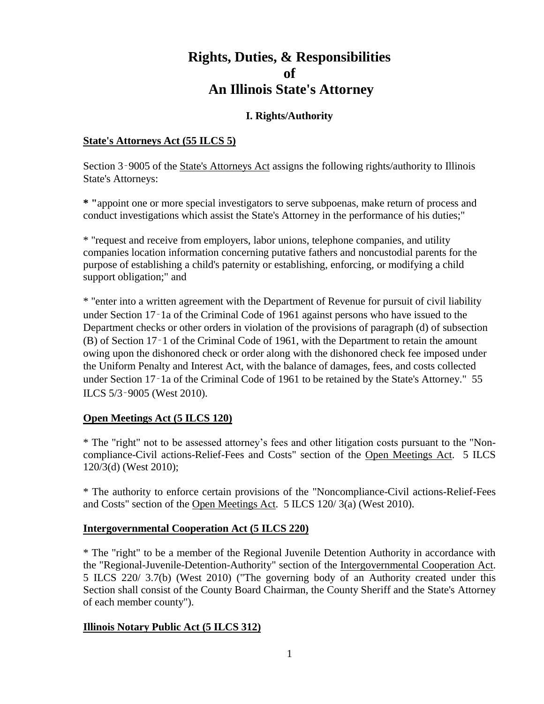### **Rights, Duties, & Responsibilities of An Illinois State's Attorney**

#### **I. Rights/Authority**

#### **State's Attorneys Act (55 ILCS 5)**

Section 3–9005 of the State's Attorneys Act assigns the following rights/authority to Illinois State's Attorneys:

**\* "**appoint one or more special investigators to serve subpoenas, make return of process and conduct investigations which assist the State's Attorney in the performance of his duties;"

\* "request and receive from employers, labor unions, telephone companies, and utility companies location information concerning putative fathers and noncustodial parents for the purpose of establishing a child's paternity or establishing, enforcing, or modifying a child support obligation;" and

\* "enter into a written agreement with the Department of Revenue for pursuit of civil liability under Section 17‑1a of the Criminal Code of 1961 against persons who have issued to the Department checks or other orders in violation of the provisions of paragraph (d) of subsection (B) of Section 17‑1 of the Criminal Code of 1961, with the Department to retain the amount owing upon the dishonored check or order along with the dishonored check fee imposed under the Uniform Penalty and Interest Act, with the balance of damages, fees, and costs collected under Section 17‑1a of the Criminal Code of 1961 to be retained by the State's Attorney." 55 ILCS 5/3‑9005 (West 2010).

#### **Open Meetings Act (5 ILCS 120)**

\* The "right" not to be assessed attorney's fees and other litigation costs pursuant to the "Noncompliance-Civil actions-Relief-Fees and Costs" section of the Open Meetings Act. 5 ILCS 120/3(d) (West 2010);

\* The authority to enforce certain provisions of the "Noncompliance-Civil actions-Relief-Fees and Costs" section of the Open Meetings Act. 5 ILCS 120/ 3(a) (West 2010).

#### **Intergovernmental Cooperation Act (5 ILCS 220)**

\* The "right" to be a member of the Regional Juvenile Detention Authority in accordance with the "Regional-Juvenile-Detention-Authority" section of the Intergovernmental Cooperation Act. 5 ILCS 220/ 3.7(b) (West 2010) ("The governing body of an Authority created under this Section shall consist of the County Board Chairman, the County Sheriff and the State's Attorney of each member county").

#### **Illinois Notary Public Act (5 ILCS 312)**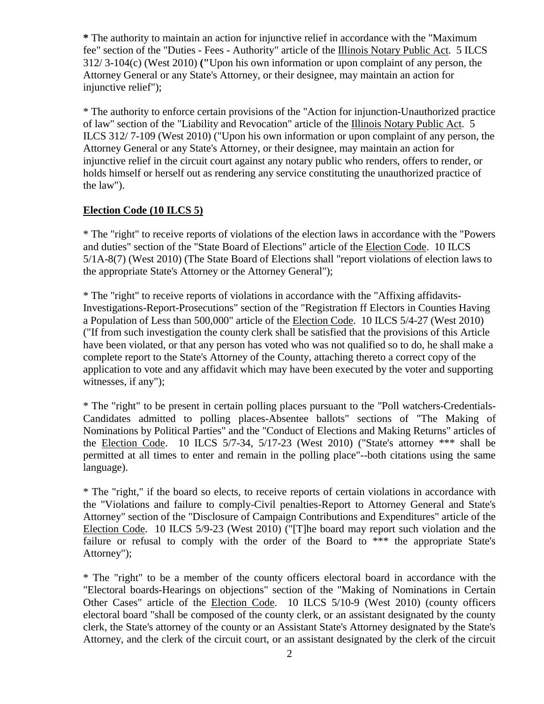**\*** The authority to maintain an action for injunctive relief in accordance with the "Maximum fee" section of the "Duties - Fees - Authority" article of the Illinois Notary Public Act. 5 ILCS 312/ 3-104(c) (West 2010) **("**Upon his own information or upon complaint of any person, the Attorney General or any State's Attorney, or their designee, may maintain an action for injunctive relief");

\* The authority to enforce certain provisions of the "Action for injunction-Unauthorized practice of law" section of the "Liability and Revocation" article of the Illinois Notary Public Act. 5 ILCS 312/ 7-109 (West 2010) ("Upon his own information or upon complaint of any person, the Attorney General or any State's Attorney, or their designee, may maintain an action for injunctive relief in the circuit court against any notary public who renders, offers to render, or holds himself or herself out as rendering any service constituting the unauthorized practice of the law").

#### **Election Code (10 ILCS 5)**

\* The "right" to receive reports of violations of the election laws in accordance with the "Powers and duties" section of the "State Board of Elections" article of the Election Code. 10 ILCS 5/1A-8(7) (West 2010) (The State Board of Elections shall "report violations of election laws to the appropriate State's Attorney or the Attorney General");

\* The "right" to receive reports of violations in accordance with the "Affixing affidavits-Investigations-Report-Prosecutions" section of the "Registration ff Electors in Counties Having a Population of Less than 500,000" article of the Election Code. 10 ILCS 5/4-27 (West 2010) ("If from such investigation the county clerk shall be satisfied that the provisions of this Article have been violated, or that any person has voted who was not qualified so to do, he shall make a complete report to the State's Attorney of the County, attaching thereto a correct copy of the application to vote and any affidavit which may have been executed by the voter and supporting witnesses, if any");

\* The "right" to be present in certain polling places pursuant to the "Poll watchers-Credentials-Candidates admitted to polling places-Absentee ballots" sections of "The Making of Nominations by Political Parties" and the "Conduct of Elections and Making Returns" articles of the Election Code. 10 ILCS 5/7-34, 5/17-23 (West 2010) ("State's attorney \*\*\* shall be permitted at all times to enter and remain in the polling place"--both citations using the same language).

\* The "right," if the board so elects, to receive reports of certain violations in accordance with the "Violations and failure to comply-Civil penalties-Report to Attorney General and State's Attorney" section of the "Disclosure of Campaign Contributions and Expenditures" article of the Election Code. 10 ILCS 5/9-23 (West 2010) ("[T]he board may report such violation and the failure or refusal to comply with the order of the Board to \*\*\* the appropriate State's Attorney");

\* The "right" to be a member of the county officers electoral board in accordance with the "Electoral boards-Hearings on objections" section of the "Making of Nominations in Certain Other Cases" article of the Election Code. 10 ILCS 5/10-9 (West 2010) (county officers electoral board "shall be composed of the county clerk, or an assistant designated by the county clerk, the State's attorney of the county or an Assistant State's Attorney designated by the State's Attorney, and the clerk of the circuit court, or an assistant designated by the clerk of the circuit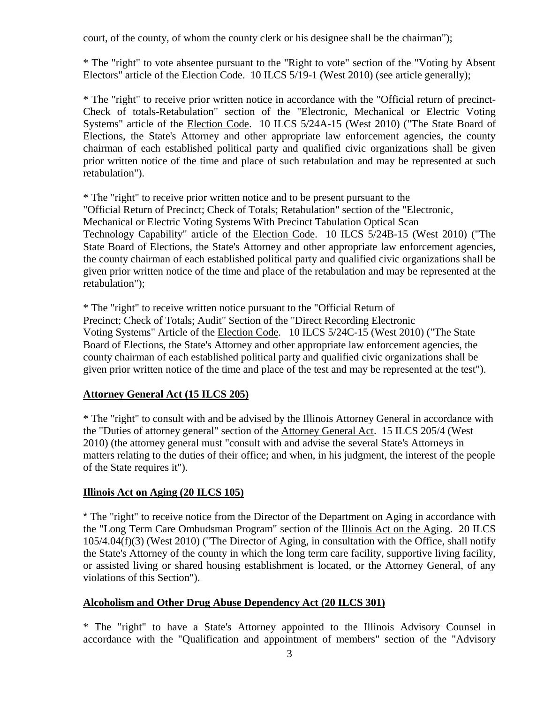court, of the county, of whom the county clerk or his designee shall be the chairman");

\* The "right" to vote absentee pursuant to the "Right to vote" section of the "Voting by Absent Electors" article of the Election Code. 10 ILCS 5/19-1 (West 2010) (see article generally);

\* The "right" to receive prior written notice in accordance with the "Official return of precinct-Check of totals-Retabulation" section of the "Electronic, Mechanical or Electric Voting Systems" article of the Election Code. 10 ILCS 5/24A-15 (West 2010) ("The State Board of Elections, the State's Attorney and other appropriate law enforcement agencies, the county chairman of each established political party and qualified civic organizations shall be given prior written notice of the time and place of such retabulation and may be represented at such retabulation").

\* The "right" to receive prior written notice and to be present pursuant to the "Official Return of Precinct; Check of Totals; Retabulation" section of the "Electronic, Mechanical or Electric Voting Systems With Precinct Tabulation Optical Scan Technology Capability" article of the Election Code. 10 ILCS 5/24B-15 (West 2010) ("The State Board of Elections, the State's Attorney and other appropriate law enforcement agencies, the county chairman of each established political party and qualified civic organizations shall be given prior written notice of the time and place of the retabulation and may be represented at the retabulation");

\* The "right" to receive written notice pursuant to the "Official Return of Precinct; Check of Totals; Audit" Section of the "Direct Recording Electronic Voting Systems" Article of the Election Code. 10 ILCS 5/24C-15 (West 2010) ("The State Board of Elections, the State's Attorney and other appropriate law enforcement agencies, the county chairman of each established political party and qualified civic organizations shall be given prior written notice of the time and place of the test and may be represented at the test").

#### **Attorney General Act (15 ILCS 205)**

\* The "right" to consult with and be advised by the Illinois Attorney General in accordance with the "Duties of attorney general" section of the Attorney General Act. 15 ILCS 205/4 (West 2010) (the attorney general must "consult with and advise the several State's Attorneys in matters relating to the duties of their office; and when, in his judgment, the interest of the people of the State requires it").

#### **Illinois Act on Aging (20 ILCS 105)**

\* The "right" to receive notice from the Director of the Department on Aging in accordance with the "Long Term Care Ombudsman Program" section of the Illinois Act on the Aging. 20 ILCS 105/4.04(f)(3) (West 2010) ("The Director of Aging, in consultation with the Office, shall notify the State's Attorney of the county in which the long term care facility, supportive living facility, or assisted living or shared housing establishment is located, or the Attorney General, of any violations of this Section").

#### **Alcoholism and Other Drug Abuse Dependency Act (20 ILCS 301)**

\* The "right" to have a State's Attorney appointed to the Illinois Advisory Counsel in accordance with the "Qualification and appointment of members" section of the "Advisory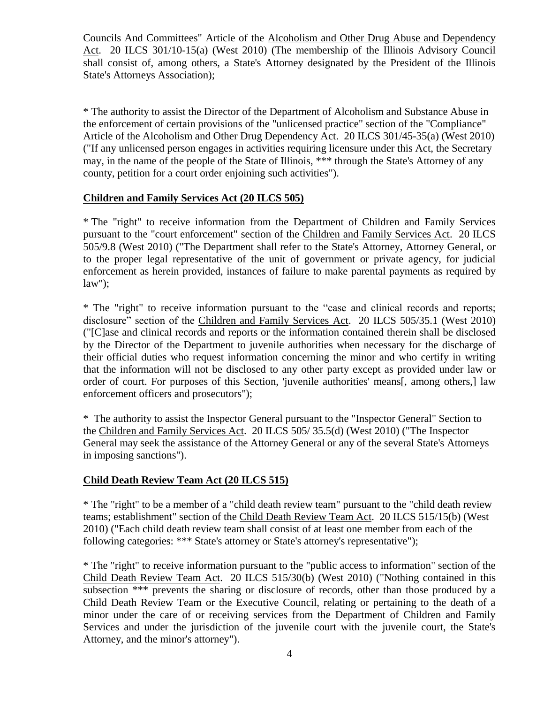Councils And Committees" Article of the Alcoholism and Other Drug Abuse and Dependency Act. 20 ILCS 301/10-15(a) (West 2010) (The membership of the Illinois Advisory Council shall consist of, among others, a State's Attorney designated by the President of the Illinois State's Attorneys Association);

\* The authority to assist the Director of the Department of Alcoholism and Substance Abuse in the enforcement of certain provisions of the "unlicensed practice" section of the "Compliance" Article of the Alcoholism and Other Drug Dependency Act. 20 ILCS 301/45-35(a) (West 2010) ("If any unlicensed person engages in activities requiring licensure under this Act, the Secretary may, in the name of the people of the State of Illinois, \*\*\* through the State's Attorney of any county, petition for a court order enjoining such activities").

#### **Children and Family Services Act (20 ILCS 505)**

\* The "right" to receive information from the Department of Children and Family Services pursuant to the "court enforcement" section of the Children and Family Services Act. 20 ILCS 505/9.8 (West 2010) ("The Department shall refer to the State's Attorney, Attorney General, or to the proper legal representative of the unit of government or private agency, for judicial enforcement as herein provided, instances of failure to make parental payments as required by law");

\* The "right" to receive information pursuant to the "case and clinical records and reports; disclosure" section of the Children and Family Services Act. 20 ILCS 505/35.1 (West 2010) ("[C]ase and clinical records and reports or the information contained therein shall be disclosed by the Director of the Department to juvenile authorities when necessary for the discharge of their official duties who request information concerning the minor and who certify in writing that the information will not be disclosed to any other party except as provided under law or order of court. For purposes of this Section, 'juvenile authorities' means[, among others,] law enforcement officers and prosecutors");

\* The authority to assist the Inspector General pursuant to the "Inspector General" Section to the Children and Family Services Act. 20 ILCS 505/ 35.5(d) (West 2010) ("The Inspector General may seek the assistance of the Attorney General or any of the several State's Attorneys in imposing sanctions").

#### **Child Death Review Team Act (20 ILCS 515)**

\* The "right" to be a member of a "child death review team" pursuant to the "child death review teams; establishment" section of the Child Death Review Team Act. 20 ILCS 515/15(b) (West 2010) ("Each child death review team shall consist of at least one member from each of the following categories: \*\*\* State's attorney or State's attorney's representative");

\* The "right" to receive information pursuant to the "public access to information" section of the Child Death Review Team Act. 20 ILCS 515/30(b) (West 2010) ("Nothing contained in this subsection \*\*\* prevents the sharing or disclosure of records, other than those produced by a Child Death Review Team or the Executive Council, relating or pertaining to the death of a minor under the care of or receiving services from the Department of Children and Family Services and under the jurisdiction of the juvenile court with the juvenile court, the State's Attorney, and the minor's attorney").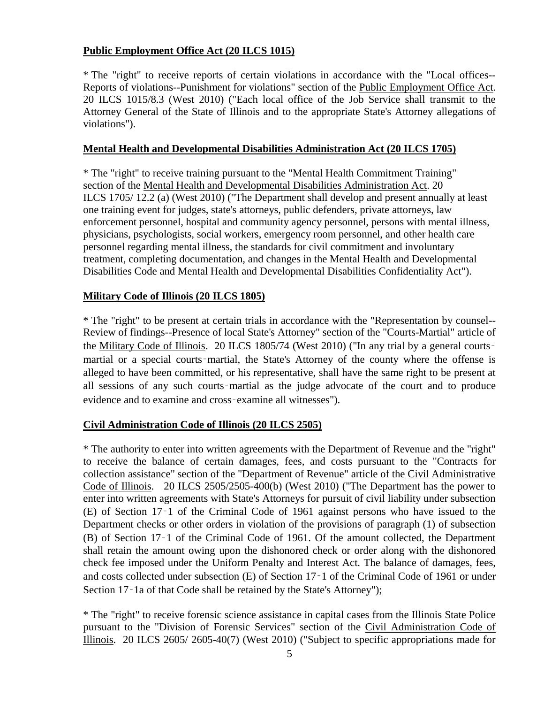#### **Public Employment Office Act (20 ILCS 1015)**

\* The "right" to receive reports of certain violations in accordance with the "Local offices-- Reports of violations--Punishment for violations" section of the Public Employment Office Act. 20 ILCS 1015/8.3 (West 2010) ("Each local office of the Job Service shall transmit to the Attorney General of the State of Illinois and to the appropriate State's Attorney allegations of violations").

#### **Mental Health and Developmental Disabilities Administration Act (20 ILCS 1705)**

\* The "right" to receive training pursuant to the "Mental Health Commitment Training" section of the Mental Health and Developmental Disabilities Administration Act. 20 ILCS 1705/ 12.2 (a) (West 2010) ("The Department shall develop and present annually at least one training event for judges, state's attorneys, public defenders, private attorneys, law enforcement personnel, hospital and community agency personnel, persons with mental illness, physicians, psychologists, social workers, emergency room personnel, and other health care personnel regarding mental illness, the standards for civil commitment and involuntary treatment, completing documentation, and changes in the Mental Health and Developmental Disabilities Code and Mental Health and Developmental Disabilities Confidentiality Act").

#### **Military Code of Illinois (20 ILCS 1805)**

\* The "right" to be present at certain trials in accordance with the "Representation by counsel-- Review of findings--Presence of local State's Attorney" section of the "Courts-Martial" article of the Military Code of Illinois. 20 ILCS 1805/74 (West 2010) ("In any trial by a general courtsmartial or a special courts-martial, the State's Attorney of the county where the offense is alleged to have been committed, or his representative, shall have the same right to be present at all sessions of any such courts‑martial as the judge advocate of the court and to produce evidence and to examine and cross‑examine all witnesses").

#### **Civil Administration Code of Illinois (20 ILCS 2505)**

\* The authority to enter into written agreements with the Department of Revenue and the "right" to receive the balance of certain damages, fees, and costs pursuant to the "Contracts for collection assistance" section of the "Department of Revenue" article of the Civil Administrative Code of Illinois. 20 ILCS 2505/2505-400(b) (West 2010) ("The Department has the power to enter into written agreements with State's Attorneys for pursuit of civil liability under subsection (E) of Section 17‑1 of the Criminal Code of 1961 against persons who have issued to the Department checks or other orders in violation of the provisions of paragraph (1) of subsection (B) of Section 17‑1 of the Criminal Code of 1961. Of the amount collected, the Department shall retain the amount owing upon the dishonored check or order along with the dishonored check fee imposed under the Uniform Penalty and Interest Act. The balance of damages, fees, and costs collected under subsection (E) of Section 17‑1 of the Criminal Code of 1961 or under Section 17–1a of that Code shall be retained by the State's Attorney");

\* The "right" to receive forensic science assistance in capital cases from the Illinois State Police pursuant to the "Division of Forensic Services" section of the Civil Administration Code of Illinois. 20 ILCS 2605/ 2605-40(7) (West 2010) ("Subject to specific appropriations made for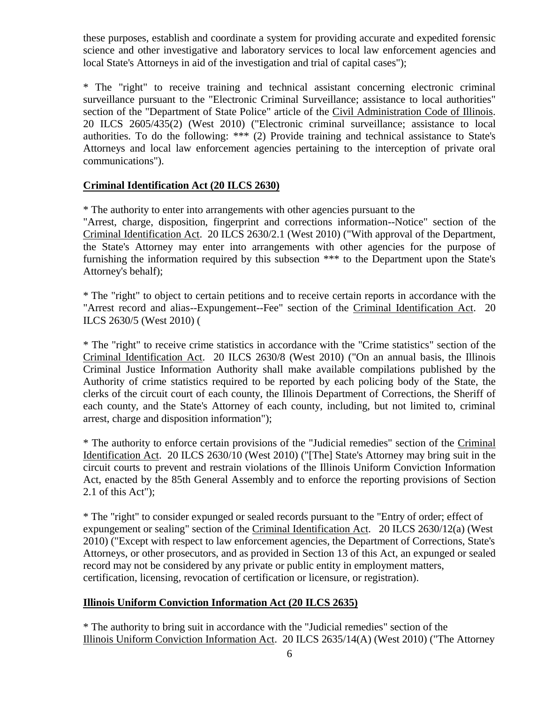these purposes, establish and coordinate a system for providing accurate and expedited forensic science and other investigative and laboratory services to local law enforcement agencies and local State's Attorneys in aid of the investigation and trial of capital cases");

\* The "right" to receive training and technical assistant concerning electronic criminal surveillance pursuant to the "Electronic Criminal Surveillance; assistance to local authorities" section of the "Department of State Police" article of the Civil Administration Code of Illinois. 20 ILCS 2605/435(2) (West 2010) ("Electronic criminal surveillance; assistance to local authorities. To do the following: \*\*\* (2) Provide training and technical assistance to State's Attorneys and local law enforcement agencies pertaining to the interception of private oral communications").

#### **Criminal Identification Act (20 ILCS 2630)**

\* The authority to enter into arrangements with other agencies pursuant to the

"Arrest, charge, disposition, fingerprint and corrections information--Notice" section of the Criminal Identification Act. 20 ILCS 2630/2.1 (West 2010) ("With approval of the Department, the State's Attorney may enter into arrangements with other agencies for the purpose of furnishing the information required by this subsection \*\*\* to the Department upon the State's Attorney's behalf);

\* The "right" to object to certain petitions and to receive certain reports in accordance with the "Arrest record and alias--Expungement--Fee" section of the Criminal Identification Act. 20 ILCS 2630/5 (West 2010) (

\* The "right" to receive crime statistics in accordance with the "Crime statistics" section of the Criminal Identification Act. 20 ILCS 2630/8 (West 2010) ("On an annual basis, the Illinois Criminal Justice Information Authority shall make available compilations published by the Authority of crime statistics required to be reported by each policing body of the State, the clerks of the circuit court of each county, the Illinois Department of Corrections, the Sheriff of each county, and the State's Attorney of each county, including, but not limited to, criminal arrest, charge and disposition information");

\* The authority to enforce certain provisions of the "Judicial remedies" section of the Criminal Identification Act. 20 ILCS 2630/10 (West 2010) ("[The] State's Attorney may bring suit in the circuit courts to prevent and restrain violations of the Illinois Uniform Conviction Information Act, enacted by the 85th General Assembly and to enforce the reporting provisions of Section 2.1 of this Act");

\* The "right" to consider expunged or sealed records pursuant to the "Entry of order; effect of expungement or sealing" section of the Criminal Identification Act. 20 ILCS 2630/12(a) (West 2010) ("Except with respect to law enforcement agencies, the Department of Corrections, State's Attorneys, or other prosecutors, and as provided in Section 13 of this Act, an expunged or sealed record may not be considered by any private or public entity in employment matters, certification, licensing, revocation of certification or licensure, or registration).

#### **Illinois Uniform Conviction Information Act (20 ILCS 2635)**

\* The authority to bring suit in accordance with the "Judicial remedies" section of the Illinois Uniform Conviction Information Act. 20 ILCS 2635/14(A) (West 2010) ("The Attorney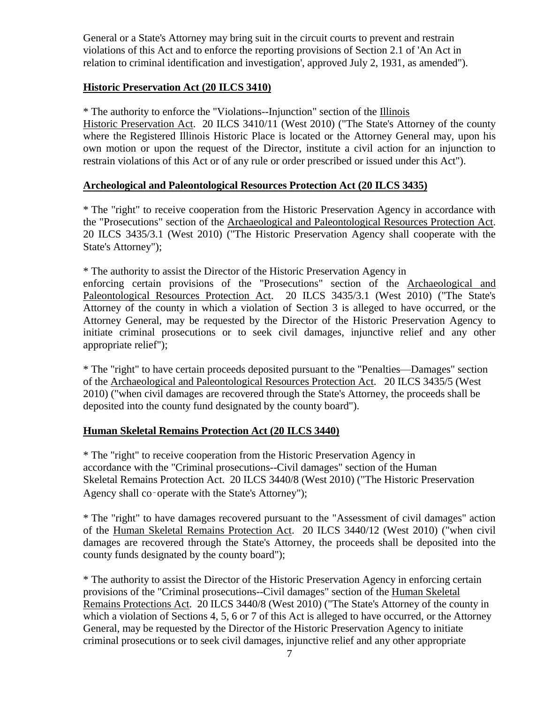General or a State's Attorney may bring suit in the circuit courts to prevent and restrain violations of this Act and to enforce the reporting provisions of Section 2.1 of 'An Act in relation to criminal identification and investigation', approved July 2, 1931, as amended").

#### **Historic Preservation Act (20 ILCS 3410)**

\* The authority to enforce the "Violations--Injunction" section of the Illinois

Historic Preservation Act. 20 ILCS 3410/11 (West 2010) ("The State's Attorney of the county where the Registered Illinois Historic Place is located or the Attorney General may, upon his own motion or upon the request of the Director, institute a civil action for an injunction to restrain violations of this Act or of any rule or order prescribed or issued under this Act").

#### **Archeological and Paleontological Resources Protection Act (20 ILCS 3435)**

\* The "right" to receive cooperation from the Historic Preservation Agency in accordance with the "Prosecutions" section of the Archaeological and Paleontological Resources Protection Act. 20 ILCS 3435/3.1 (West 2010) ("The Historic Preservation Agency shall cooperate with the State's Attorney");

\* The authority to assist the Director of the Historic Preservation Agency in enforcing certain provisions of the "Prosecutions" section of the Archaeological and Paleontological Resources Protection Act. 20 ILCS 3435/3.1 (West 2010) ("The State's Attorney of the county in which a violation of Section 3 is alleged to have occurred, or the Attorney General, may be requested by the Director of the Historic Preservation Agency to initiate criminal prosecutions or to seek civil damages, injunctive relief and any other appropriate relief");

\* The "right" to have certain proceeds deposited pursuant to the "Penalties—Damages" section of the Archaeological and Paleontological Resources Protection Act. 20 ILCS 3435/5 (West 2010) ("when civil damages are recovered through the State's Attorney, the proceeds shall be deposited into the county fund designated by the county board").

#### **Human Skeletal Remains Protection Act (20 ILCS 3440)**

\* The "right" to receive cooperation from the Historic Preservation Agency in accordance with the "Criminal prosecutions--Civil damages" section of the Human Skeletal Remains Protection Act. 20 ILCS 3440/8 (West 2010) ("The Historic Preservation Agency shall co‑operate with the State's Attorney");

\* The "right" to have damages recovered pursuant to the "Assessment of civil damages" action of the Human Skeletal Remains Protection Act. 20 ILCS 3440/12 (West 2010) ("when civil damages are recovered through the State's Attorney, the proceeds shall be deposited into the county funds designated by the county board");

\* The authority to assist the Director of the Historic Preservation Agency in enforcing certain provisions of the "Criminal prosecutions--Civil damages" section of the Human Skeletal Remains Protections Act. 20 ILCS 3440/8 (West 2010) ("The State's Attorney of the county in which a violation of Sections 4, 5, 6 or 7 of this Act is alleged to have occurred, or the Attorney General, may be requested by the Director of the Historic Preservation Agency to initiate criminal prosecutions or to seek civil damages, injunctive relief and any other appropriate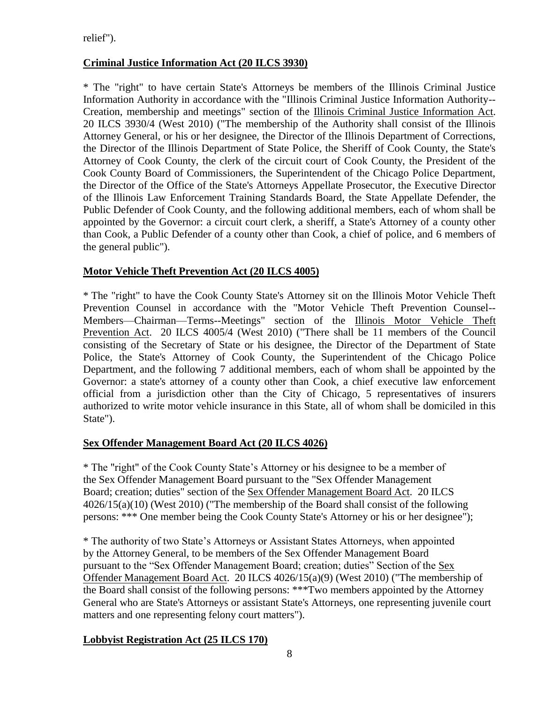relief").

#### **Criminal Justice Information Act (20 ILCS 3930)**

\* The "right" to have certain State's Attorneys be members of the Illinois Criminal Justice Information Authority in accordance with the "Illinois Criminal Justice Information Authority-- Creation, membership and meetings" section of the Illinois Criminal Justice Information Act. 20 ILCS 3930/4 (West 2010) ("The membership of the Authority shall consist of the Illinois Attorney General, or his or her designee, the Director of the Illinois Department of Corrections, the Director of the Illinois Department of State Police, the Sheriff of Cook County, the State's Attorney of Cook County, the clerk of the circuit court of Cook County, the President of the Cook County Board of Commissioners, the Superintendent of the Chicago Police Department, the Director of the Office of the State's Attorneys Appellate Prosecutor, the Executive Director of the Illinois Law Enforcement Training Standards Board, the State Appellate Defender, the Public Defender of Cook County, and the following additional members, each of whom shall be appointed by the Governor: a circuit court clerk, a sheriff, a State's Attorney of a county other than Cook, a Public Defender of a county other than Cook, a chief of police, and 6 members of the general public").

#### **Motor Vehicle Theft Prevention Act (20 ILCS 4005)**

\* The "right" to have the Cook County State's Attorney sit on the Illinois Motor Vehicle Theft Prevention Counsel in accordance with the "Motor Vehicle Theft Prevention Counsel-- Members—Chairman—Terms--Meetings" section of the Illinois Motor Vehicle Theft Prevention Act. 20 ILCS 4005/4 (West 2010) ("There shall be 11 members of the Council consisting of the Secretary of State or his designee, the Director of the Department of State Police, the State's Attorney of Cook County, the Superintendent of the Chicago Police Department, and the following 7 additional members, each of whom shall be appointed by the Governor: a state's attorney of a county other than Cook, a chief executive law enforcement official from a jurisdiction other than the City of Chicago, 5 representatives of insurers authorized to write motor vehicle insurance in this State, all of whom shall be domiciled in this State").

#### **Sex Offender Management Board Act (20 ILCS 4026)**

\* The "right" of the Cook County State's Attorney or his designee to be a member of the Sex Offender Management Board pursuant to the "Sex Offender Management Board; creation; duties" section of the Sex Offender Management Board Act. 20 ILCS 4026/15(a)(10) (West 2010) ("The membership of the Board shall consist of the following persons: \*\*\* One member being the Cook County State's Attorney or his or her designee");

\* The authority of two State's Attorneys or Assistant States Attorneys, when appointed by the Attorney General, to be members of the Sex Offender Management Board pursuant to the "Sex Offender Management Board; creation; duties" Section of the Sex Offender Management Board Act. 20 ILCS 4026/15(a)(9) (West 2010) ("The membership of the Board shall consist of the following persons: \*\*\*Two members appointed by the Attorney General who are State's Attorneys or assistant State's Attorneys, one representing juvenile court matters and one representing felony court matters").

#### **Lobbyist Registration Act (25 ILCS 170)**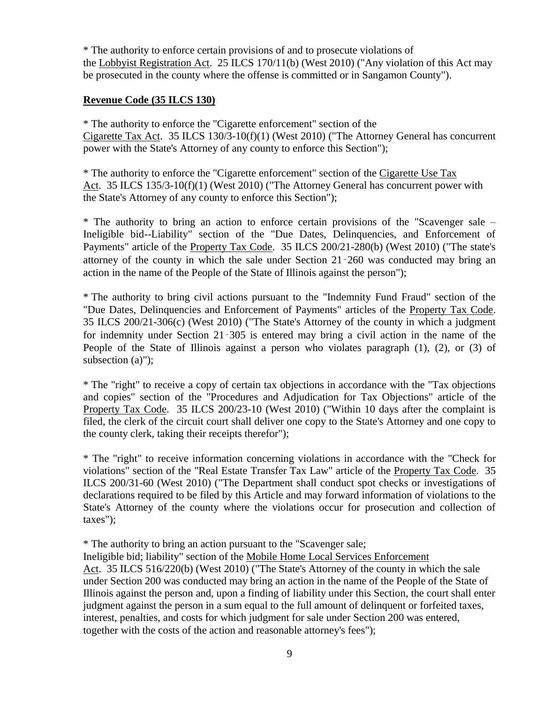\* The authority to enforce certain provisions of and to prosecute violations of the Lobbyist Registration Act. 25 ILCS 170/11(b) (West 2010) ("Any violation of this Act may be prosecuted in the county where the offense is committed or in Sangamon County").

#### **Revenue Code (35 ILCS 130)**

\* The authority to enforce the "Cigarette enforcement" section of the Cigarette Tax Act. 35 ILCS 130/3-10(f)(1) (West 2010) ("The Attorney General has concurrent power with the State's Attorney of any county to enforce this Section");

\* The authority to enforce the "Cigarette enforcement" section of the Cigarette Use Tax Act. 35 ILCS 135/3-10(f)(1) (West 2010) ("The Attorney General has concurrent power with the State's Attorney of any county to enforce this Section");

\* The authority to bring an action to enforce certain provisions of the "Scavenger sale – Ineligible bid--Liability" section of the "Due Dates, Delinquencies, and Enforcement of Payments" article of the Property Tax Code. 35 ILCS 200/21-280(b) (West 2010) ("The state's attorney of the county in which the sale under Section 21‑260 was conducted may bring an action in the name of the People of the State of Illinois against the person");

\* The authority to bring civil actions pursuant to the "Indemnity Fund Fraud" section of the "Due Dates, Delinquencies and Enforcement of Payments" articles of the Property Tax Code. 35 ILCS 200/21-306(c) (West 2010) ("The State's Attorney of the county in which a judgment for indemnity under Section 21‑305 is entered may bring a civil action in the name of the People of the State of Illinois against a person who violates paragraph (1), (2), or (3) of subsection (a)");

\* The "right" to receive a copy of certain tax objections in accordance with the "Tax objections and copies" section of the "Procedures and Adjudication for Tax Objections" article of the Property Tax Code. 35 ILCS 200/23-10 (West 2010) ("Within 10 days after the complaint is filed, the clerk of the circuit court shall deliver one copy to the State's Attorney and one copy to the county clerk, taking their receipts therefor");

\* The "right" to receive information concerning violations in accordance with the "Check for violations" section of the "Real Estate Transfer Tax Law" article of the Property Tax Code. 35 ILCS 200/31-60 (West 2010) ("The Department shall conduct spot checks or investigations of declarations required to be filed by this Article and may forward information of violations to the State's Attorney of the county where the violations occur for prosecution and collection of taxes");

\* The authority to bring an action pursuant to the "Scavenger sale;

Ineligible bid; liability" section of the Mobile Home Local Services Enforcement Act. 35 ILCS 516/220(b) (West 2010) ("The State's Attorney of the county in which the sale under Section 200 was conducted may bring an action in the name of the People of the State of Illinois against the person and, upon a finding of liability under this Section, the court shall enter judgment against the person in a sum equal to the full amount of delinquent or forfeited taxes, interest, penalties, and costs for which judgment for sale under Section 200 was entered, together with the costs of the action and reasonable attorney's fees");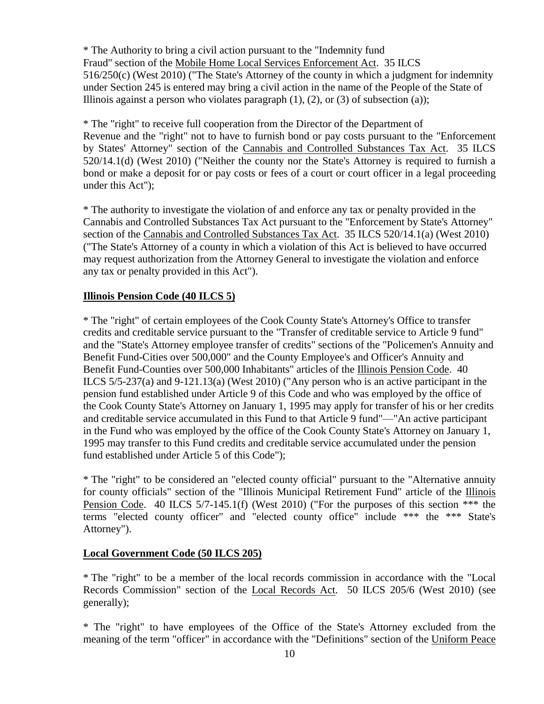\* The Authority to bring a civil action pursuant to the "Indemnity fund Fraud" section of the Mobile Home Local Services Enforcement Act. 35 ILCS 516/250(c) (West 2010) ("The State's Attorney of the county in which a judgment for indemnity under Section 245 is entered may bring a civil action in the name of the People of the State of Illinois against a person who violates paragraph  $(1)$ ,  $(2)$ , or  $(3)$  of subsection  $(a)$ );

\* The "right" to receive full cooperation from the Director of the Department of Revenue and the "right" not to have to furnish bond or pay costs pursuant to the "Enforcement by States' Attorney" section of the Cannabis and Controlled Substances Tax Act. 35 ILCS 520/14.1(d) (West 2010) ("Neither the county nor the State's Attorney is required to furnish a bond or make a deposit for or pay costs or fees of a court or court officer in a legal proceeding under this Act");

\* The authority to investigate the violation of and enforce any tax or penalty provided in the Cannabis and Controlled Substances Tax Act pursuant to the "Enforcement by State's Attorney" section of the Cannabis and Controlled Substances Tax Act. 35 ILCS 520/14.1(a) (West 2010) ("The State's Attorney of a county in which a violation of this Act is believed to have occurred may request authorization from the Attorney General to investigate the violation and enforce any tax or penalty provided in this Act").

#### **Illinois Pension Code (40 ILCS 5)**

\* The "right" of certain employees of the Cook County State's Attorney's Office to transfer credits and creditable service pursuant to the "Transfer of creditable service to Article 9 fund" and the "State's Attorney employee transfer of credits" sections of the "Policemen's Annuity and Benefit Fund-Cities over 500,000" and the County Employee's and Officer's Annuity and Benefit Fund-Counties over 500,000 Inhabitants" articles of the Illinois Pension Code. 40 ILCS 5/5-237(a) and 9-121.13(a) (West 2010) ("Any person who is an active participant in the pension fund established under Article 9 of this Code and who was employed by the office of the Cook County State's Attorney on January 1, 1995 may apply for transfer of his or her credits and creditable service accumulated in this Fund to that Article 9 fund"—"An active participant in the Fund who was employed by the office of the Cook County State's Attorney on January 1, 1995 may transfer to this Fund credits and creditable service accumulated under the pension fund established under Article 5 of this Code");

\* The "right" to be considered an "elected county official" pursuant to the "Alternative annuity for county officials" section of the "Illinois Municipal Retirement Fund" article of the Illinois Pension Code. 40 ILCS 5/7-145.1(f) (West 2010) ("For the purposes of this section \*\*\* the terms "elected county officer" and "elected county office" include \*\*\* the \*\*\* State's Attorney").

#### **Local Government Code (50 ILCS 205)**

\* The "right" to be a member of the local records commission in accordance with the "Local Records Commission" section of the Local Records Act. 50 ILCS 205/6 (West 2010) (see generally);

\* The "right" to have employees of the Office of the State's Attorney excluded from the meaning of the term "officer" in accordance with the "Definitions" section of the Uniform Peace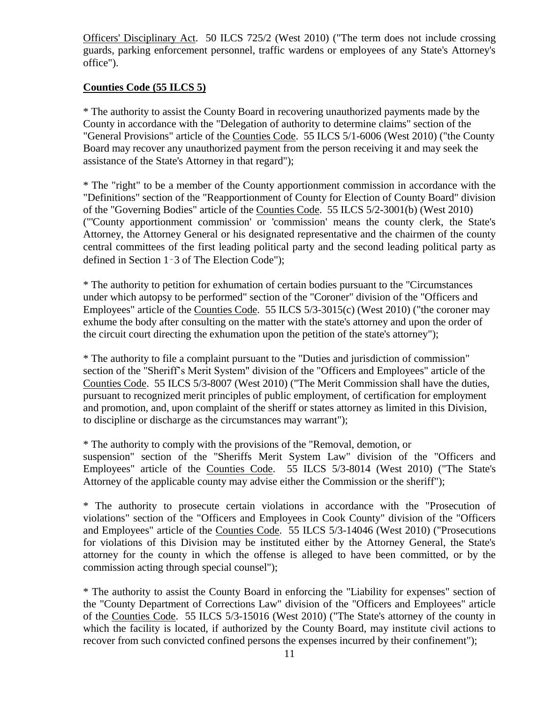Officers' Disciplinary Act. 50 ILCS 725/2 (West 2010) ("The term does not include crossing guards, parking enforcement personnel, traffic wardens or employees of any State's Attorney's office").

#### **Counties Code (55 ILCS 5)**

\* The authority to assist the County Board in recovering unauthorized payments made by the County in accordance with the "Delegation of authority to determine claims" section of the "General Provisions" article of the Counties Code. 55 ILCS 5/1-6006 (West 2010) ("the County Board may recover any unauthorized payment from the person receiving it and may seek the assistance of the State's Attorney in that regard");

\* The "right" to be a member of the County apportionment commission in accordance with the "Definitions" section of the "Reapportionment of County for Election of County Board" division of the "Governing Bodies" article of the Counties Code. 55 ILCS 5/2-3001(b) (West 2010) ("'County apportionment commission' or 'commission' means the county clerk, the State's Attorney, the Attorney General or his designated representative and the chairmen of the county central committees of the first leading political party and the second leading political party as defined in Section 1‑3 of The Election Code");

\* The authority to petition for exhumation of certain bodies pursuant to the "Circumstances under which autopsy to be performed" section of the "Coroner" division of the "Officers and Employees" article of the Counties Code. 55 ILCS 5/3-3015(c) (West 2010) ("the coroner may exhume the body after consulting on the matter with the state's attorney and upon the order of the circuit court directing the exhumation upon the petition of the state's attorney");

\* The authority to file a complaint pursuant to the "Duties and jurisdiction of commission" section of the "Sheriff's Merit System" division of the "Officers and Employees" article of the Counties Code. 55 ILCS 5/3-8007 (West 2010) ("The Merit Commission shall have the duties, pursuant to recognized merit principles of public employment, of certification for employment and promotion, and, upon complaint of the sheriff or states attorney as limited in this Division, to discipline or discharge as the circumstances may warrant");

\* The authority to comply with the provisions of the "Removal, demotion, or suspension" section of the "Sheriffs Merit System Law" division of the "Officers and Employees" article of the Counties Code. 55 ILCS 5/3-8014 (West 2010) ("The State's Attorney of the applicable county may advise either the Commission or the sheriff");

\* The authority to prosecute certain violations in accordance with the "Prosecution of violations" section of the "Officers and Employees in Cook County" division of the "Officers and Employees" article of the Counties Code. 55 ILCS 5/3-14046 (West 2010) ("Prosecutions for violations of this Division may be instituted either by the Attorney General, the State's attorney for the county in which the offense is alleged to have been committed, or by the commission acting through special counsel");

\* The authority to assist the County Board in enforcing the "Liability for expenses" section of the "County Department of Corrections Law" division of the "Officers and Employees" article of the Counties Code. 55 ILCS 5/3-15016 (West 2010) ("The State's attorney of the county in which the facility is located, if authorized by the County Board, may institute civil actions to recover from such convicted confined persons the expenses incurred by their confinement");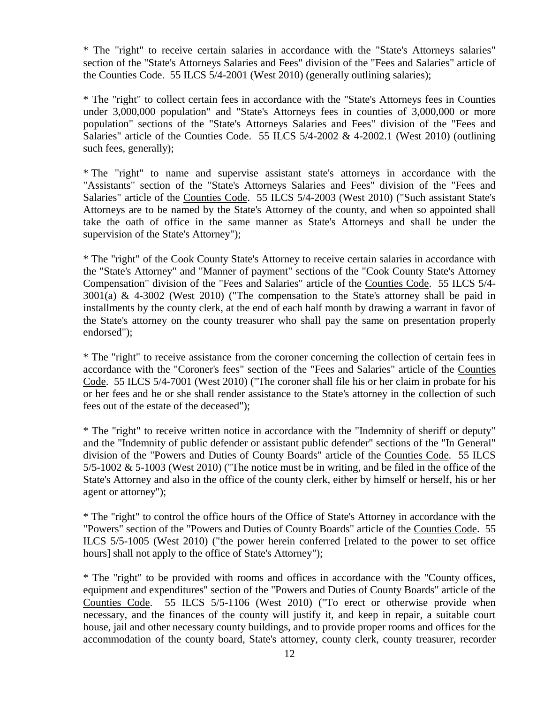\* The "right" to receive certain salaries in accordance with the "State's Attorneys salaries" section of the "State's Attorneys Salaries and Fees" division of the "Fees and Salaries" article of the Counties Code. 55 ILCS 5/4-2001 (West 2010) (generally outlining salaries);

\* The "right" to collect certain fees in accordance with the "State's Attorneys fees in Counties under 3,000,000 population" and "State's Attorneys fees in counties of 3,000,000 or more population" sections of the "State's Attorneys Salaries and Fees" division of the "Fees and Salaries" article of the Counties Code. 55 ILCS  $5/4$ -2002 & 4-2002.1 (West 2010) (outlining such fees, generally);

\* The "right" to name and supervise assistant state's attorneys in accordance with the "Assistants" section of the "State's Attorneys Salaries and Fees" division of the "Fees and Salaries" article of the Counties Code. 55 ILCS 5/4-2003 (West 2010) ("Such assistant State's Attorneys are to be named by the State's Attorney of the county, and when so appointed shall take the oath of office in the same manner as State's Attorneys and shall be under the supervision of the State's Attorney");

\* The "right" of the Cook County State's Attorney to receive certain salaries in accordance with the "State's Attorney" and "Manner of payment" sections of the "Cook County State's Attorney Compensation" division of the "Fees and Salaries" article of the Counties Code. 55 ILCS 5/4- 3001(a) & 4-3002 (West 2010) ("The compensation to the State's attorney shall be paid in installments by the county clerk, at the end of each half month by drawing a warrant in favor of the State's attorney on the county treasurer who shall pay the same on presentation properly endorsed");

\* The "right" to receive assistance from the coroner concerning the collection of certain fees in accordance with the "Coroner's fees" section of the "Fees and Salaries" article of the Counties Code. 55 ILCS 5/4-7001 (West 2010) ("The coroner shall file his or her claim in probate for his or her fees and he or she shall render assistance to the State's attorney in the collection of such fees out of the estate of the deceased");

\* The "right" to receive written notice in accordance with the "Indemnity of sheriff or deputy" and the "Indemnity of public defender or assistant public defender" sections of the "In General" division of the "Powers and Duties of County Boards" article of the Counties Code. 55 ILCS  $5/5$ -1002 &  $5$ -1003 (West 2010) ("The notice must be in writing, and be filed in the office of the State's Attorney and also in the office of the county clerk, either by himself or herself, his or her agent or attorney");

\* The "right" to control the office hours of the Office of State's Attorney in accordance with the "Powers" section of the "Powers and Duties of County Boards" article of the Counties Code. 55 ILCS 5/5-1005 (West 2010) ("the power herein conferred [related to the power to set office hours] shall not apply to the office of State's Attorney");

\* The "right" to be provided with rooms and offices in accordance with the "County offices, equipment and expenditures" section of the "Powers and Duties of County Boards" article of the Counties Code. 55 ILCS 5/5-1106 (West 2010) ("To erect or otherwise provide when necessary, and the finances of the county will justify it, and keep in repair, a suitable court house, jail and other necessary county buildings, and to provide proper rooms and offices for the accommodation of the county board, State's attorney, county clerk, county treasurer, recorder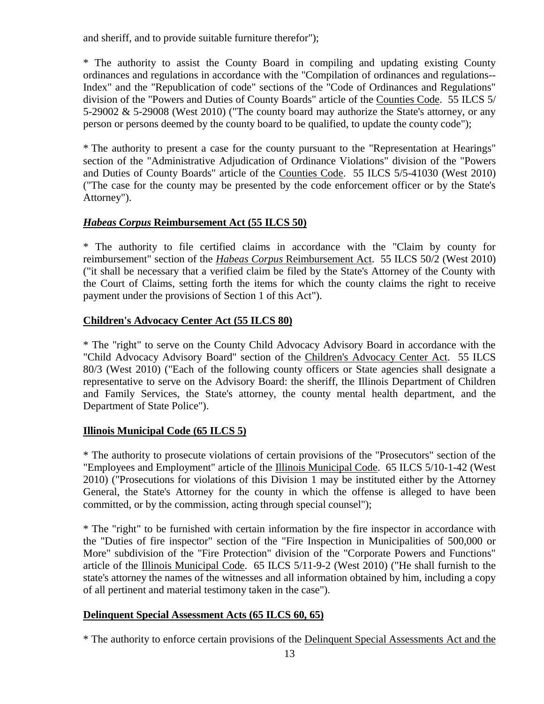and sheriff, and to provide suitable furniture therefor");

\* The authority to assist the County Board in compiling and updating existing County ordinances and regulations in accordance with the "Compilation of ordinances and regulations-- Index" and the "Republication of code" sections of the "Code of Ordinances and Regulations" division of the "Powers and Duties of County Boards" article of the Counties Code. 55 ILCS 5/ 5-29002 & 5-29008 (West 2010) ("The county board may authorize the State's attorney, or any person or persons deemed by the county board to be qualified, to update the county code");

\* The authority to present a case for the county pursuant to the "Representation at Hearings" section of the "Administrative Adjudication of Ordinance Violations" division of the "Powers and Duties of County Boards" article of the Counties Code. 55 ILCS 5/5-41030 (West 2010) ("The case for the county may be presented by the code enforcement officer or by the State's Attorney").

#### *Habeas Corpus* **Reimbursement Act (55 ILCS 50)**

\* The authority to file certified claims in accordance with the "Claim by county for reimbursement" section of the *Habeas Corpus* Reimbursement Act. 55 ILCS 50/2 (West 2010) ("it shall be necessary that a verified claim be filed by the State's Attorney of the County with the Court of Claims, setting forth the items for which the county claims the right to receive payment under the provisions of Section 1 of this Act").

#### **Children's Advocacy Center Act (55 ILCS 80)**

\* The "right" to serve on the County Child Advocacy Advisory Board in accordance with the "Child Advocacy Advisory Board" section of the Children's Advocacy Center Act. 55 ILCS 80/3 (West 2010) ("Each of the following county officers or State agencies shall designate a representative to serve on the Advisory Board: the sheriff, the Illinois Department of Children and Family Services, the State's attorney, the county mental health department, and the Department of State Police").

#### **Illinois Municipal Code (65 ILCS 5)**

\* The authority to prosecute violations of certain provisions of the "Prosecutors" section of the "Employees and Employment" article of the Illinois Municipal Code. 65 ILCS 5/10-1-42 (West 2010) ("Prosecutions for violations of this Division 1 may be instituted either by the Attorney General, the State's Attorney for the county in which the offense is alleged to have been committed, or by the commission, acting through special counsel");

\* The "right" to be furnished with certain information by the fire inspector in accordance with the "Duties of fire inspector" section of the "Fire Inspection in Municipalities of 500,000 or More" subdivision of the "Fire Protection" division of the "Corporate Powers and Functions" article of the Illinois Municipal Code. 65 ILCS 5/11-9-2 (West 2010) ("He shall furnish to the state's attorney the names of the witnesses and all information obtained by him, including a copy of all pertinent and material testimony taken in the case").

#### **Delinquent Special Assessment Acts (65 ILCS 60, 65)**

\* The authority to enforce certain provisions of the Delinquent Special Assessments Act and the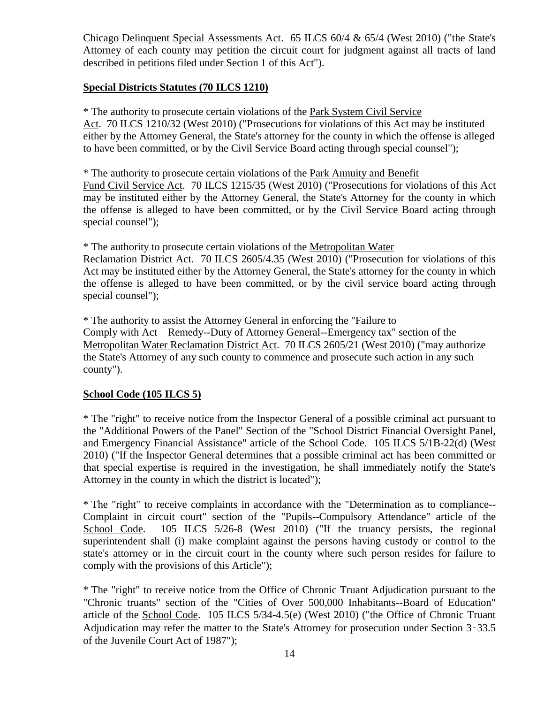Chicago Delinquent Special Assessments Act. 65 ILCS 60/4 & 65/4 (West 2010) ("the State's Attorney of each county may petition the circuit court for judgment against all tracts of land described in petitions filed under Section 1 of this Act").

#### **Special Districts Statutes (70 ILCS 1210)**

\* The authority to prosecute certain violations of the Park System Civil Service Act. 70 ILCS 1210/32 (West 2010) ("Prosecutions for violations of this Act may be instituted either by the Attorney General, the State's attorney for the county in which the offense is alleged to have been committed, or by the Civil Service Board acting through special counsel");

\* The authority to prosecute certain violations of the Park Annuity and Benefit Fund Civil Service Act. 70 ILCS 1215/35 (West 2010) ("Prosecutions for violations of this Act may be instituted either by the Attorney General, the State's Attorney for the county in which the offense is alleged to have been committed, or by the Civil Service Board acting through special counsel");

\* The authority to prosecute certain violations of the Metropolitan Water

Reclamation District Act. 70 ILCS 2605/4.35 (West 2010) ("Prosecution for violations of this Act may be instituted either by the Attorney General, the State's attorney for the county in which the offense is alleged to have been committed, or by the civil service board acting through special counsel");

\* The authority to assist the Attorney General in enforcing the "Failure to Comply with Act—Remedy--Duty of Attorney General--Emergency tax" section of the Metropolitan Water Reclamation District Act. 70 ILCS 2605/21 (West 2010) ("may authorize the State's Attorney of any such county to commence and prosecute such action in any such county").

#### **School Code (105 ILCS 5)**

\* The "right" to receive notice from the Inspector General of a possible criminal act pursuant to the "Additional Powers of the Panel" Section of the "School District Financial Oversight Panel, and Emergency Financial Assistance" article of the School Code. 105 ILCS 5/1B-22(d) (West 2010) ("If the Inspector General determines that a possible criminal act has been committed or that special expertise is required in the investigation, he shall immediately notify the State's Attorney in the county in which the district is located");

\* The "right" to receive complaints in accordance with the "Determination as to compliance-- Complaint in circuit court" section of the "Pupils--Compulsory Attendance" article of the School Code. 105 ILCS 5/26-8 (West 2010) ("If the truancy persists, the regional superintendent shall (i) make complaint against the persons having custody or control to the state's attorney or in the circuit court in the county where such person resides for failure to comply with the provisions of this Article");

\* The "right" to receive notice from the Office of Chronic Truant Adjudication pursuant to the "Chronic truants" section of the "Cities of Over 500,000 Inhabitants--Board of Education" article of the School Code. 105 ILCS 5/34-4.5(e) (West 2010) ("the Office of Chronic Truant Adjudication may refer the matter to the State's Attorney for prosecution under Section 3‑33.5 of the Juvenile Court Act of 1987");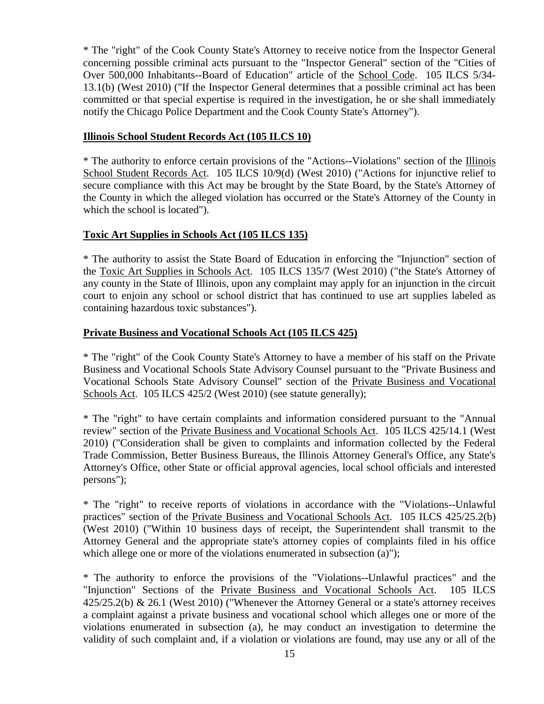\* The "right" of the Cook County State's Attorney to receive notice from the Inspector General concerning possible criminal acts pursuant to the "Inspector General" section of the "Cities of Over 500,000 Inhabitants--Board of Education" article of the School Code. 105 ILCS 5/34- 13.1(b) (West 2010) ("If the Inspector General determines that a possible criminal act has been committed or that special expertise is required in the investigation, he or she shall immediately notify the Chicago Police Department and the Cook County State's Attorney").

#### **Illinois School Student Records Act (105 ILCS 10)**

\* The authority to enforce certain provisions of the "Actions--Violations" section of the Illinois School Student Records Act. 105 ILCS 10/9(d) (West 2010) ("Actions for injunctive relief to secure compliance with this Act may be brought by the State Board, by the State's Attorney of the County in which the alleged violation has occurred or the State's Attorney of the County in which the school is located").

#### **Toxic Art Supplies in Schools Act (105 ILCS 135)**

\* The authority to assist the State Board of Education in enforcing the "Injunction" section of the Toxic Art Supplies in Schools Act. 105 ILCS 135/7 (West 2010) ("the State's Attorney of any county in the State of Illinois, upon any complaint may apply for an injunction in the circuit court to enjoin any school or school district that has continued to use art supplies labeled as containing hazardous toxic substances").

#### **Private Business and Vocational Schools Act (105 ILCS 425)**

\* The "right" of the Cook County State's Attorney to have a member of his staff on the Private Business and Vocational Schools State Advisory Counsel pursuant to the "Private Business and Vocational Schools State Advisory Counsel" section of the Private Business and Vocational Schools Act. 105 ILCS 425/2 (West 2010) (see statute generally);

\* The "right" to have certain complaints and information considered pursuant to the "Annual review" section of the Private Business and Vocational Schools Act. 105 ILCS 425/14.1 (West 2010) ("Consideration shall be given to complaints and information collected by the Federal Trade Commission, Better Business Bureaus, the Illinois Attorney General's Office, any State's Attorney's Office, other State or official approval agencies, local school officials and interested persons");

\* The "right" to receive reports of violations in accordance with the "Violations--Unlawful practices" section of the Private Business and Vocational Schools Act. 105 ILCS 425/25.2(b) (West 2010) ("Within 10 business days of receipt, the Superintendent shall transmit to the Attorney General and the appropriate state's attorney copies of complaints filed in his office which allege one or more of the violations enumerated in subsection (a)");

\* The authority to enforce the provisions of the "Violations--Unlawful practices" and the "Injunction" Sections of the Private Business and Vocational Schools Act. 105 ILCS 425/25.2(b) & 26.1 (West 2010) ("Whenever the Attorney General or a state's attorney receives a complaint against a private business and vocational school which alleges one or more of the violations enumerated in subsection (a), he may conduct an investigation to determine the validity of such complaint and, if a violation or violations are found, may use any or all of the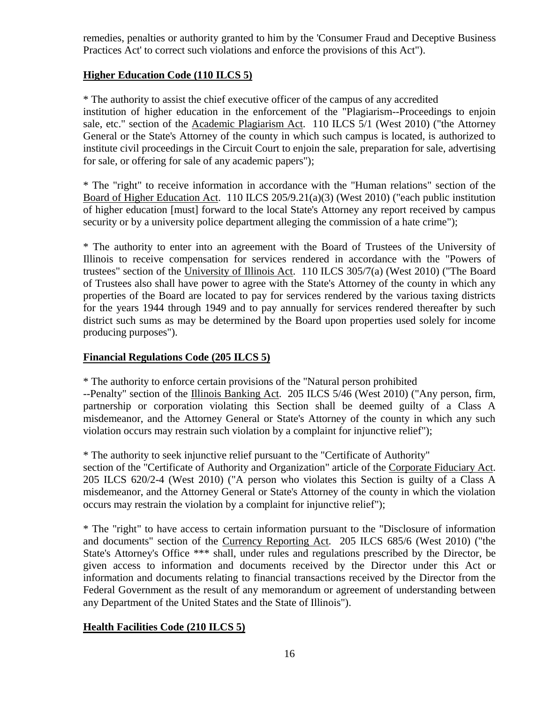remedies, penalties or authority granted to him by the 'Consumer Fraud and Deceptive Business Practices Act' to correct such violations and enforce the provisions of this Act").

#### **Higher Education Code (110 ILCS 5)**

\* The authority to assist the chief executive officer of the campus of any accredited institution of higher education in the enforcement of the "Plagiarism--Proceedings to enjoin sale, etc." section of the Academic Plagiarism Act. 110 ILCS 5/1 (West 2010) ("the Attorney General or the State's Attorney of the county in which such campus is located, is authorized to institute civil proceedings in the Circuit Court to enjoin the sale, preparation for sale, advertising for sale, or offering for sale of any academic papers");

\* The "right" to receive information in accordance with the "Human relations" section of the Board of Higher Education Act. 110 ILCS 205/9.21(a)(3) (West 2010) ("each public institution of higher education [must] forward to the local State's Attorney any report received by campus security or by a university police department alleging the commission of a hate crime");

\* The authority to enter into an agreement with the Board of Trustees of the University of Illinois to receive compensation for services rendered in accordance with the "Powers of trustees" section of the University of Illinois Act. 110 ILCS 305/7(a) (West 2010) ("The Board of Trustees also shall have power to agree with the State's Attorney of the county in which any properties of the Board are located to pay for services rendered by the various taxing districts for the years 1944 through 1949 and to pay annually for services rendered thereafter by such district such sums as may be determined by the Board upon properties used solely for income producing purposes").

#### **Financial Regulations Code (205 ILCS 5)**

\* The authority to enforce certain provisions of the "Natural person prohibited

--Penalty" section of the Illinois Banking Act. 205 ILCS 5/46 (West 2010) ("Any person, firm, partnership or corporation violating this Section shall be deemed guilty of a Class A misdemeanor, and the Attorney General or State's Attorney of the county in which any such violation occurs may restrain such violation by a complaint for injunctive relief");

\* The authority to seek injunctive relief pursuant to the "Certificate of Authority"

section of the "Certificate of Authority and Organization" article of the Corporate Fiduciary Act. 205 ILCS 620/2-4 (West 2010) ("A person who violates this Section is guilty of a Class A misdemeanor, and the Attorney General or State's Attorney of the county in which the violation occurs may restrain the violation by a complaint for injunctive relief");

\* The "right" to have access to certain information pursuant to the "Disclosure of information and documents" section of the Currency Reporting Act. 205 ILCS 685/6 (West 2010) ("the State's Attorney's Office \*\*\* shall, under rules and regulations prescribed by the Director, be given access to information and documents received by the Director under this Act or information and documents relating to financial transactions received by the Director from the Federal Government as the result of any memorandum or agreement of understanding between any Department of the United States and the State of Illinois").

#### **Health Facilities Code (210 ILCS 5)**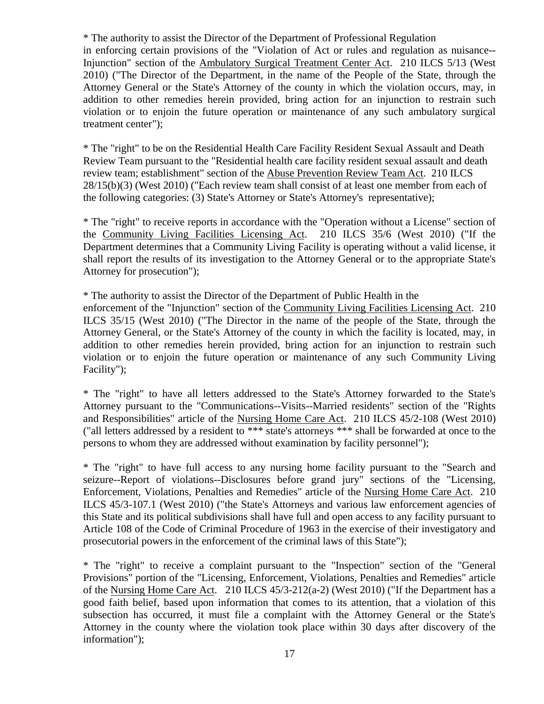\* The authority to assist the Director of the Department of Professional Regulation in enforcing certain provisions of the "Violation of Act or rules and regulation as nuisance-- Injunction" section of the Ambulatory Surgical Treatment Center Act. 210 ILCS 5/13 (West 2010) ("The Director of the Department, in the name of the People of the State, through the Attorney General or the State's Attorney of the county in which the violation occurs, may, in addition to other remedies herein provided, bring action for an injunction to restrain such violation or to enjoin the future operation or maintenance of any such ambulatory surgical treatment center");

\* The "right" to be on the Residential Health Care Facility Resident Sexual Assault and Death Review Team pursuant to the "Residential health care facility resident sexual assault and death review team; establishment" section of the Abuse Prevention Review Team Act. 210 ILCS 28/15(b)(3) (West 2010) ("Each review team shall consist of at least one member from each of the following categories: (3) State's Attorney or State's Attorney's representative);

\* The "right" to receive reports in accordance with the "Operation without a License" section of the Community Living Facilities Licensing Act. 210 ILCS 35/6 (West 2010) ("If the Department determines that a Community Living Facility is operating without a valid license, it shall report the results of its investigation to the Attorney General or to the appropriate State's Attorney for prosecution");

\* The authority to assist the Director of the Department of Public Health in the enforcement of the "Injunction" section of the Community Living Facilities Licensing Act. 210 ILCS 35/15 (West 2010) ("The Director in the name of the people of the State, through the Attorney General, or the State's Attorney of the county in which the facility is located, may, in addition to other remedies herein provided, bring action for an injunction to restrain such violation or to enjoin the future operation or maintenance of any such Community Living Facility");

\* The "right" to have all letters addressed to the State's Attorney forwarded to the State's Attorney pursuant to the "Communications--Visits--Married residents" section of the "Rights and Responsibilities" article of the Nursing Home Care Act. 210 ILCS 45/2-108 (West 2010) ("all letters addressed by a resident to \*\*\* state's attorneys \*\*\* shall be forwarded at once to the persons to whom they are addressed without examination by facility personnel");

\* The "right" to have full access to any nursing home facility pursuant to the "Search and seizure--Report of violations--Disclosures before grand jury" sections of the "Licensing, Enforcement, Violations, Penalties and Remedies" article of the Nursing Home Care Act. 210 ILCS 45/3-107.1 (West 2010) ("the State's Attorneys and various law enforcement agencies of this State and its political subdivisions shall have full and open access to any facility pursuant to Article 108 of the Code of Criminal Procedure of 1963 in the exercise of their investigatory and prosecutorial powers in the enforcement of the criminal laws of this State");

\* The "right" to receive a complaint pursuant to the "Inspection" section of the "General Provisions" portion of the "Licensing, Enforcement, Violations, Penalties and Remedies" article of the Nursing Home Care Act. 210 ILCS 45/3-212(a-2) (West 2010) ("If the Department has a good faith belief, based upon information that comes to its attention, that a violation of this subsection has occurred, it must file a complaint with the Attorney General or the State's Attorney in the county where the violation took place within 30 days after discovery of the information");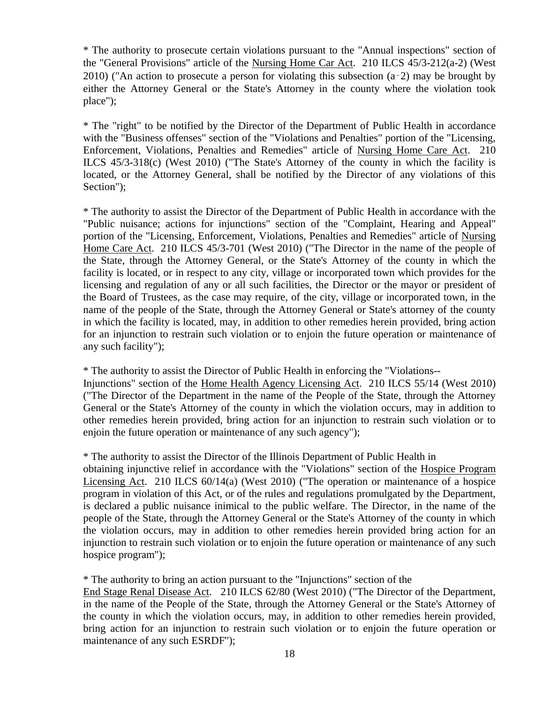\* The authority to prosecute certain violations pursuant to the "Annual inspections" section of the "General Provisions" article of the Nursing Home Car Act. 210 ILCS 45/3-212(a-2) (West 2010) ("An action to prosecute a person for violating this subsection  $(a-2)$  may be brought by either the Attorney General or the State's Attorney in the county where the violation took place");

\* The "right" to be notified by the Director of the Department of Public Health in accordance with the "Business offenses" section of the "Violations and Penalties" portion of the "Licensing, Enforcement, Violations, Penalties and Remedies" article of Nursing Home Care Act. 210 ILCS 45/3-318(c) (West 2010) ("The State's Attorney of the county in which the facility is located, or the Attorney General, shall be notified by the Director of any violations of this Section");

\* The authority to assist the Director of the Department of Public Health in accordance with the "Public nuisance; actions for injunctions" section of the "Complaint, Hearing and Appeal" portion of the "Licensing, Enforcement, Violations, Penalties and Remedies" article of Nursing Home Care Act. 210 ILCS 45/3-701 (West 2010) ("The Director in the name of the people of the State, through the Attorney General, or the State's Attorney of the county in which the facility is located, or in respect to any city, village or incorporated town which provides for the licensing and regulation of any or all such facilities, the Director or the mayor or president of the Board of Trustees, as the case may require, of the city, village or incorporated town, in the name of the people of the State, through the Attorney General or State's attorney of the county in which the facility is located, may, in addition to other remedies herein provided, bring action for an injunction to restrain such violation or to enjoin the future operation or maintenance of any such facility");

\* The authority to assist the Director of Public Health in enforcing the "Violations--

Injunctions" section of the Home Health Agency Licensing Act. 210 ILCS 55/14 (West 2010) ("The Director of the Department in the name of the People of the State, through the Attorney General or the State's Attorney of the county in which the violation occurs, may in addition to other remedies herein provided, bring action for an injunction to restrain such violation or to enjoin the future operation or maintenance of any such agency");

\* The authority to assist the Director of the Illinois Department of Public Health in

obtaining injunctive relief in accordance with the "Violations" section of the Hospice Program Licensing Act. 210 ILCS 60/14(a) (West 2010) ("The operation or maintenance of a hospice program in violation of this Act, or of the rules and regulations promulgated by the Department, is declared a public nuisance inimical to the public welfare. The Director, in the name of the people of the State, through the Attorney General or the State's Attorney of the county in which the violation occurs, may in addition to other remedies herein provided bring action for an injunction to restrain such violation or to enjoin the future operation or maintenance of any such hospice program");

\* The authority to bring an action pursuant to the "Injunctions" section of the

End Stage Renal Disease Act. 210 ILCS 62/80 (West 2010) ("The Director of the Department, in the name of the People of the State, through the Attorney General or the State's Attorney of the county in which the violation occurs, may, in addition to other remedies herein provided, bring action for an injunction to restrain such violation or to enjoin the future operation or maintenance of any such ESRDF");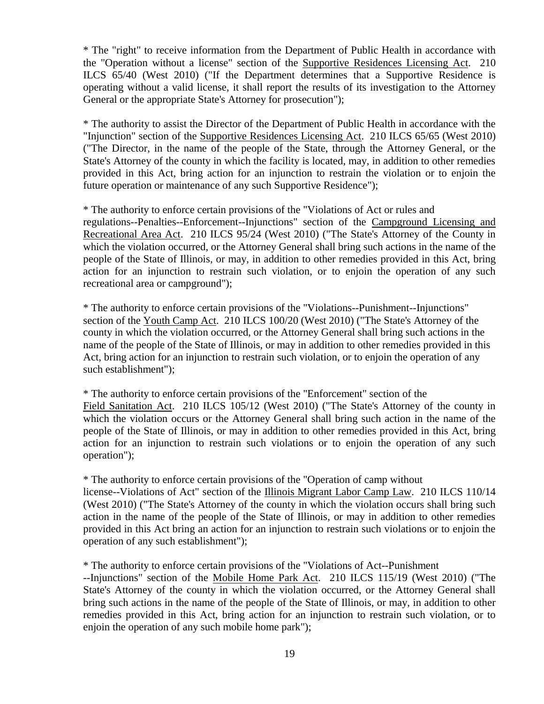\* The "right" to receive information from the Department of Public Health in accordance with the "Operation without a license" section of the Supportive Residences Licensing Act. 210 ILCS 65/40 (West 2010) ("If the Department determines that a Supportive Residence is operating without a valid license, it shall report the results of its investigation to the Attorney General or the appropriate State's Attorney for prosecution");

\* The authority to assist the Director of the Department of Public Health in accordance with the "Injunction" section of the Supportive Residences Licensing Act. 210 ILCS 65/65 (West 2010) ("The Director, in the name of the people of the State, through the Attorney General, or the State's Attorney of the county in which the facility is located, may, in addition to other remedies provided in this Act, bring action for an injunction to restrain the violation or to enjoin the future operation or maintenance of any such Supportive Residence");

\* The authority to enforce certain provisions of the "Violations of Act or rules and regulations--Penalties--Enforcement--Injunctions" section of the Campground Licensing and Recreational Area Act. 210 ILCS 95/24 (West 2010) ("The State's Attorney of the County in which the violation occurred, or the Attorney General shall bring such actions in the name of the people of the State of Illinois, or may, in addition to other remedies provided in this Act, bring action for an injunction to restrain such violation, or to enjoin the operation of any such recreational area or campground");

\* The authority to enforce certain provisions of the "Violations--Punishment--Injunctions" section of the Youth Camp Act. 210 ILCS 100/20 (West 2010) ("The State's Attorney of the county in which the violation occurred, or the Attorney General shall bring such actions in the name of the people of the State of Illinois, or may in addition to other remedies provided in this Act, bring action for an injunction to restrain such violation, or to enjoin the operation of any such establishment");

\* The authority to enforce certain provisions of the "Enforcement" section of the Field Sanitation Act. 210 ILCS 105/12 (West 2010) ("The State's Attorney of the county in which the violation occurs or the Attorney General shall bring such action in the name of the people of the State of Illinois, or may in addition to other remedies provided in this Act, bring action for an injunction to restrain such violations or to enjoin the operation of any such operation");

\* The authority to enforce certain provisions of the "Operation of camp without license--Violations of Act" section of the Illinois Migrant Labor Camp Law. 210 ILCS 110/14 (West 2010) ("The State's Attorney of the county in which the violation occurs shall bring such action in the name of the people of the State of Illinois, or may in addition to other remedies provided in this Act bring an action for an injunction to restrain such violations or to enjoin the operation of any such establishment");

\* The authority to enforce certain provisions of the "Violations of Act--Punishment

--Injunctions" section of the Mobile Home Park Act. 210 ILCS 115/19 (West 2010) ("The State's Attorney of the county in which the violation occurred, or the Attorney General shall bring such actions in the name of the people of the State of Illinois, or may, in addition to other remedies provided in this Act, bring action for an injunction to restrain such violation, or to enjoin the operation of any such mobile home park");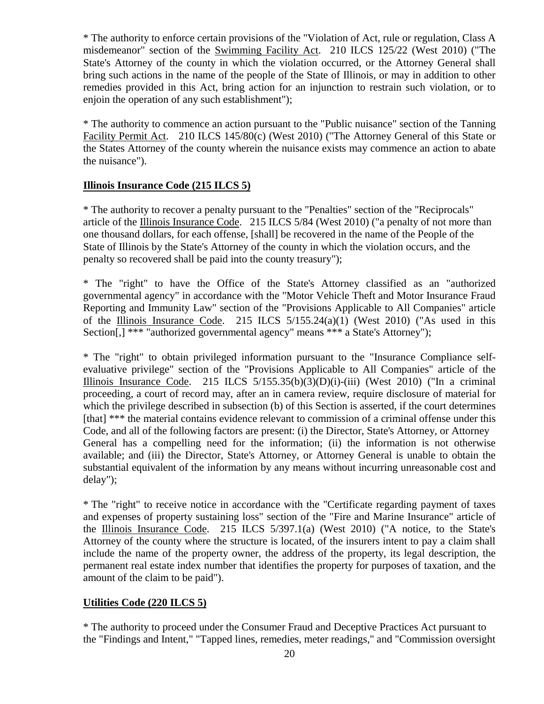\* The authority to enforce certain provisions of the "Violation of Act, rule or regulation, Class A misdemeanor" section of the Swimming Facility Act. 210 ILCS 125/22 (West 2010) ("The State's Attorney of the county in which the violation occurred, or the Attorney General shall bring such actions in the name of the people of the State of Illinois, or may in addition to other remedies provided in this Act, bring action for an injunction to restrain such violation, or to enjoin the operation of any such establishment");

\* The authority to commence an action pursuant to the "Public nuisance" section of the Tanning Facility Permit Act. 210 ILCS 145/80(c) (West 2010) ("The Attorney General of this State or the States Attorney of the county wherein the nuisance exists may commence an action to abate the nuisance").

#### **Illinois Insurance Code (215 ILCS 5)**

\* The authority to recover a penalty pursuant to the "Penalties" section of the "Reciprocals" article of the Illinois Insurance Code. 215 ILCS 5/84 (West 2010) ("a penalty of not more than one thousand dollars, for each offense, [shall] be recovered in the name of the People of the State of Illinois by the State's Attorney of the county in which the violation occurs, and the penalty so recovered shall be paid into the county treasury");

\* The "right" to have the Office of the State's Attorney classified as an "authorized governmental agency" in accordance with the "Motor Vehicle Theft and Motor Insurance Fraud Reporting and Immunity Law" section of the "Provisions Applicable to All Companies" article of the Illinois Insurance Code. 215 ILCS  $5/155.24(a)(1)$  (West 2010) ("As used in this Section[,] \*\*\* "authorized governmental agency" means \*\*\* a State's Attorney");

\* The "right" to obtain privileged information pursuant to the "Insurance Compliance selfevaluative privilege" section of the "Provisions Applicable to All Companies" article of the Illinois Insurance Code. 215 ILCS  $5/155.35(b)(3)(D)(i)$ -(iii) (West 2010) ("In a criminal proceeding, a court of record may, after an in camera review, require disclosure of material for which the privilege described in subsection (b) of this Section is asserted, if the court determines [that] \*\*\* the material contains evidence relevant to commission of a criminal offense under this Code, and all of the following factors are present: (i) the Director, State's Attorney, or Attorney General has a compelling need for the information; (ii) the information is not otherwise available; and (iii) the Director, State's Attorney, or Attorney General is unable to obtain the substantial equivalent of the information by any means without incurring unreasonable cost and delay");

\* The "right" to receive notice in accordance with the "Certificate regarding payment of taxes and expenses of property sustaining loss" section of the "Fire and Marine Insurance" article of the Illinois Insurance Code. 215 ILCS 5/397.1(a) (West 2010) ("A notice, to the State's Attorney of the county where the structure is located, of the insurers intent to pay a claim shall include the name of the property owner, the address of the property, its legal description, the permanent real estate index number that identifies the property for purposes of taxation, and the amount of the claim to be paid").

#### **Utilities Code (220 ILCS 5)**

\* The authority to proceed under the Consumer Fraud and Deceptive Practices Act pursuant to the "Findings and Intent," "Tapped lines, remedies, meter readings," and "Commission oversight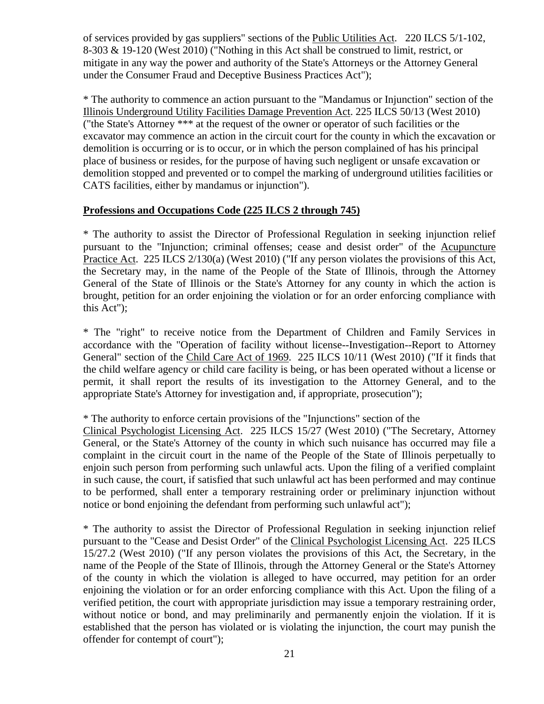of services provided by gas suppliers" sections of the Public Utilities Act. 220 ILCS 5/1-102, 8-303 & 19-120 (West 2010) ("Nothing in this Act shall be construed to limit, restrict, or mitigate in any way the power and authority of the State's Attorneys or the Attorney General under the Consumer Fraud and Deceptive Business Practices Act");

\* The authority to commence an action pursuant to the "Mandamus or Injunction" section of the Illinois Underground Utility Facilities Damage Prevention Act. 225 ILCS 50/13 (West 2010) ("the State's Attorney \*\*\* at the request of the owner or operator of such facilities or the excavator may commence an action in the circuit court for the county in which the excavation or demolition is occurring or is to occur, or in which the person complained of has his principal place of business or resides, for the purpose of having such negligent or unsafe excavation or demolition stopped and prevented or to compel the marking of underground utilities facilities or CATS facilities, either by mandamus or injunction").

#### **Professions and Occupations Code (225 ILCS 2 through 745)**

\* The authority to assist the Director of Professional Regulation in seeking injunction relief pursuant to the "Injunction; criminal offenses; cease and desist order" of the Acupuncture Practice Act. 225 ILCS 2/130(a) (West 2010) ("If any person violates the provisions of this Act, the Secretary may, in the name of the People of the State of Illinois, through the Attorney General of the State of Illinois or the State's Attorney for any county in which the action is brought, petition for an order enjoining the violation or for an order enforcing compliance with this Act");

\* The "right" to receive notice from the Department of Children and Family Services in accordance with the "Operation of facility without license--Investigation--Report to Attorney General" section of the Child Care Act of 1969. 225 ILCS 10/11 (West 2010) ("If it finds that the child welfare agency or child care facility is being, or has been operated without a license or permit, it shall report the results of its investigation to the Attorney General, and to the appropriate State's Attorney for investigation and, if appropriate, prosecution");

#### \* The authority to enforce certain provisions of the "Injunctions" section of the

Clinical Psychologist Licensing Act. 225 ILCS 15/27 (West 2010) ("The Secretary, Attorney General, or the State's Attorney of the county in which such nuisance has occurred may file a complaint in the circuit court in the name of the People of the State of Illinois perpetually to enjoin such person from performing such unlawful acts. Upon the filing of a verified complaint in such cause, the court, if satisfied that such unlawful act has been performed and may continue to be performed, shall enter a temporary restraining order or preliminary injunction without notice or bond enjoining the defendant from performing such unlawful act");

\* The authority to assist the Director of Professional Regulation in seeking injunction relief pursuant to the "Cease and Desist Order" of the Clinical Psychologist Licensing Act. 225 ILCS 15/27.2 (West 2010) ("If any person violates the provisions of this Act, the Secretary, in the name of the People of the State of Illinois, through the Attorney General or the State's Attorney of the county in which the violation is alleged to have occurred, may petition for an order enjoining the violation or for an order enforcing compliance with this Act. Upon the filing of a verified petition, the court with appropriate jurisdiction may issue a temporary restraining order, without notice or bond, and may preliminarily and permanently enjoin the violation. If it is established that the person has violated or is violating the injunction, the court may punish the offender for contempt of court");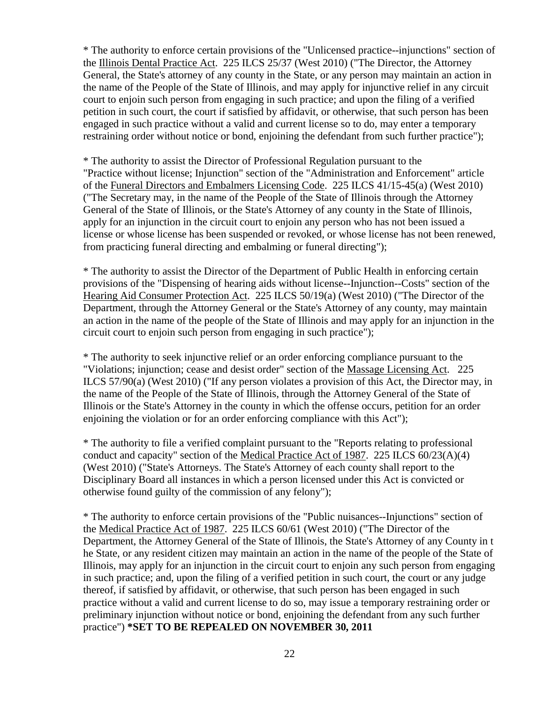\* The authority to enforce certain provisions of the "Unlicensed practice--injunctions" section of the Illinois Dental Practice Act. 225 ILCS 25/37 (West 2010) ("The Director, the Attorney General, the State's attorney of any county in the State, or any person may maintain an action in the name of the People of the State of Illinois, and may apply for injunctive relief in any circuit court to enjoin such person from engaging in such practice; and upon the filing of a verified petition in such court, the court if satisfied by affidavit, or otherwise, that such person has been engaged in such practice without a valid and current license so to do, may enter a temporary restraining order without notice or bond, enjoining the defendant from such further practice");

\* The authority to assist the Director of Professional Regulation pursuant to the "Practice without license; Injunction" section of the "Administration and Enforcement" article of the Funeral Directors and Embalmers Licensing Code. 225 ILCS 41/15-45(a) (West 2010) ("The Secretary may, in the name of the People of the State of Illinois through the Attorney General of the State of Illinois, or the State's Attorney of any county in the State of Illinois, apply for an injunction in the circuit court to enjoin any person who has not been issued a license or whose license has been suspended or revoked, or whose license has not been renewed, from practicing funeral directing and embalming or funeral directing");

\* The authority to assist the Director of the Department of Public Health in enforcing certain provisions of the "Dispensing of hearing aids without license--Injunction--Costs" section of the Hearing Aid Consumer Protection Act. 225 ILCS 50/19(a) (West 2010) ("The Director of the Department, through the Attorney General or the State's Attorney of any county, may maintain an action in the name of the people of the State of Illinois and may apply for an injunction in the circuit court to enjoin such person from engaging in such practice");

\* The authority to seek injunctive relief or an order enforcing compliance pursuant to the "Violations; injunction; cease and desist order" section of the Massage Licensing Act. 225 ILCS 57/90(a) (West 2010) ("If any person violates a provision of this Act, the Director may, in the name of the People of the State of Illinois, through the Attorney General of the State of Illinois or the State's Attorney in the county in which the offense occurs, petition for an order enjoining the violation or for an order enforcing compliance with this Act");

\* The authority to file a verified complaint pursuant to the "Reports relating to professional conduct and capacity" section of the Medical Practice Act of 1987. 225 ILCS 60/23(A)(4) (West 2010) ("State's Attorneys. The State's Attorney of each county shall report to the Disciplinary Board all instances in which a person licensed under this Act is convicted or otherwise found guilty of the commission of any felony");

\* The authority to enforce certain provisions of the "Public nuisances--Injunctions" section of the Medical Practice Act of 1987. 225 ILCS 60/61 (West 2010) ("The Director of the Department, the Attorney General of the State of Illinois, the State's Attorney of any County in t he State, or any resident citizen may maintain an action in the name of the people of the State of Illinois, may apply for an injunction in the circuit court to enjoin any such person from engaging in such practice; and, upon the filing of a verified petition in such court, the court or any judge thereof, if satisfied by affidavit, or otherwise, that such person has been engaged in such practice without a valid and current license to do so, may issue a temporary restraining order or preliminary injunction without notice or bond, enjoining the defendant from any such further practice") **\*SET TO BE REPEALED ON NOVEMBER 30, 2011**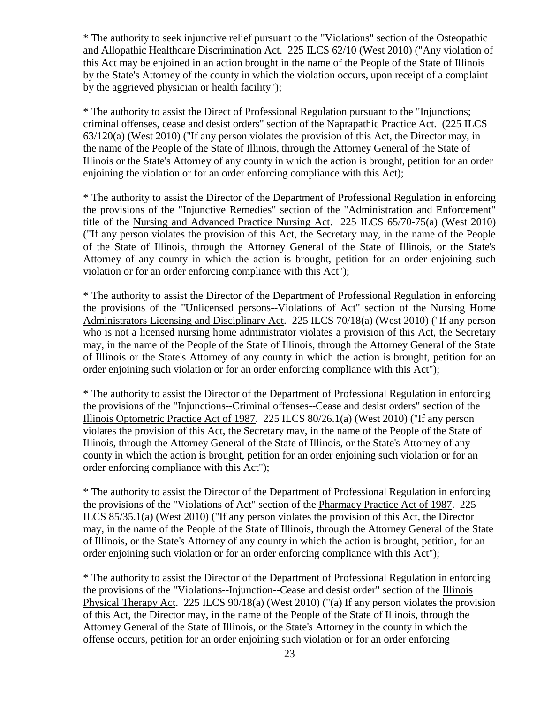\* The authority to seek injunctive relief pursuant to the "Violations" section of the Osteopathic and Allopathic Healthcare Discrimination Act. 225 ILCS 62/10 (West 2010) ("Any violation of this Act may be enjoined in an action brought in the name of the People of the State of Illinois by the State's Attorney of the county in which the violation occurs, upon receipt of a complaint by the aggrieved physician or health facility");

\* The authority to assist the Direct of Professional Regulation pursuant to the "Injunctions; criminal offenses, cease and desist orders" section of the Naprapathic Practice Act. (225 ILCS 63/120(a) (West 2010) ("If any person violates the provision of this Act, the Director may, in the name of the People of the State of Illinois, through the Attorney General of the State of Illinois or the State's Attorney of any county in which the action is brought, petition for an order enjoining the violation or for an order enforcing compliance with this Act);

\* The authority to assist the Director of the Department of Professional Regulation in enforcing the provisions of the "Injunctive Remedies" section of the "Administration and Enforcement" title of the Nursing and Advanced Practice Nursing Act. 225 ILCS 65/70-75(a) (West 2010) ("If any person violates the provision of this Act, the Secretary may, in the name of the People of the State of Illinois, through the Attorney General of the State of Illinois, or the State's Attorney of any county in which the action is brought, petition for an order enjoining such violation or for an order enforcing compliance with this Act");

\* The authority to assist the Director of the Department of Professional Regulation in enforcing the provisions of the "Unlicensed persons--Violations of Act" section of the Nursing Home Administrators Licensing and Disciplinary Act. 225 ILCS 70/18(a) (West 2010) ("If any person who is not a licensed nursing home administrator violates a provision of this Act, the Secretary may, in the name of the People of the State of Illinois, through the Attorney General of the State of Illinois or the State's Attorney of any county in which the action is brought, petition for an order enjoining such violation or for an order enforcing compliance with this Act");

\* The authority to assist the Director of the Department of Professional Regulation in enforcing the provisions of the "Injunctions--Criminal offenses--Cease and desist orders" section of the Illinois Optometric Practice Act of 1987. 225 ILCS 80/26.1(a) (West 2010) ("If any person violates the provision of this Act, the Secretary may, in the name of the People of the State of Illinois, through the Attorney General of the State of Illinois, or the State's Attorney of any county in which the action is brought, petition for an order enjoining such violation or for an order enforcing compliance with this Act");

\* The authority to assist the Director of the Department of Professional Regulation in enforcing the provisions of the "Violations of Act" section of the Pharmacy Practice Act of 1987. 225 ILCS 85/35.1(a) (West 2010) ("If any person violates the provision of this Act, the Director may, in the name of the People of the State of Illinois, through the Attorney General of the State of Illinois, or the State's Attorney of any county in which the action is brought, petition, for an order enjoining such violation or for an order enforcing compliance with this Act");

\* The authority to assist the Director of the Department of Professional Regulation in enforcing the provisions of the "Violations--Injunction--Cease and desist order" section of the Illinois Physical Therapy Act. 225 ILCS 90/18(a) (West 2010) ("(a) If any person violates the provision of this Act, the Director may, in the name of the People of the State of Illinois, through the Attorney General of the State of Illinois, or the State's Attorney in the county in which the offense occurs, petition for an order enjoining such violation or for an order enforcing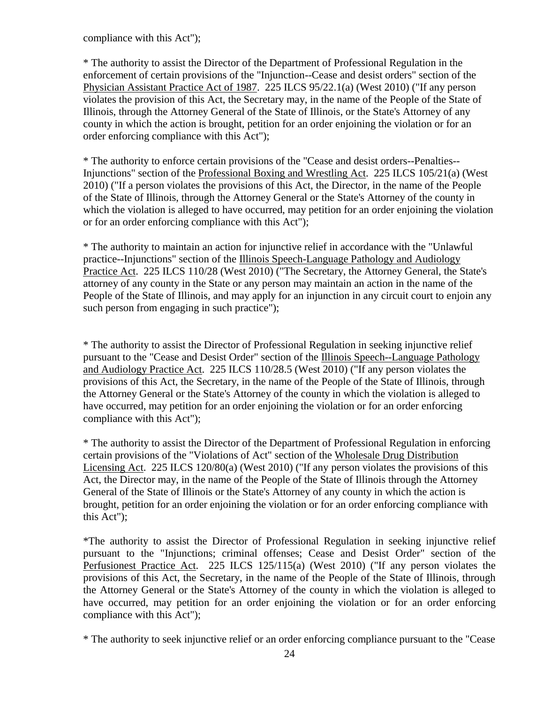compliance with this Act");

\* The authority to assist the Director of the Department of Professional Regulation in the enforcement of certain provisions of the "Injunction--Cease and desist orders" section of the Physician Assistant Practice Act of 1987. 225 ILCS 95/22.1(a) (West 2010) ("If any person violates the provision of this Act, the Secretary may, in the name of the People of the State of Illinois, through the Attorney General of the State of Illinois, or the State's Attorney of any county in which the action is brought, petition for an order enjoining the violation or for an order enforcing compliance with this Act");

\* The authority to enforce certain provisions of the "Cease and desist orders--Penalties-- Injunctions" section of the Professional Boxing and Wrestling Act. 225 ILCS 105/21(a) (West 2010) ("If a person violates the provisions of this Act, the Director, in the name of the People of the State of Illinois, through the Attorney General or the State's Attorney of the county in which the violation is alleged to have occurred, may petition for an order enjoining the violation or for an order enforcing compliance with this Act");

\* The authority to maintain an action for injunctive relief in accordance with the "Unlawful practice--Injunctions" section of the Illinois Speech-Language Pathology and Audiology Practice Act. 225 ILCS 110/28 (West 2010) ("The Secretary, the Attorney General, the State's attorney of any county in the State or any person may maintain an action in the name of the People of the State of Illinois, and may apply for an injunction in any circuit court to enjoin any such person from engaging in such practice");

\* The authority to assist the Director of Professional Regulation in seeking injunctive relief pursuant to the "Cease and Desist Order" section of the Illinois Speech--Language Pathology and Audiology Practice Act. 225 ILCS 110/28.5 (West 2010) ("If any person violates the provisions of this Act, the Secretary, in the name of the People of the State of Illinois, through the Attorney General or the State's Attorney of the county in which the violation is alleged to have occurred, may petition for an order enjoining the violation or for an order enforcing compliance with this Act");

\* The authority to assist the Director of the Department of Professional Regulation in enforcing certain provisions of the "Violations of Act" section of the Wholesale Drug Distribution Licensing Act. 225 ILCS 120/80(a) (West 2010) ("If any person violates the provisions of this Act, the Director may, in the name of the People of the State of Illinois through the Attorney General of the State of Illinois or the State's Attorney of any county in which the action is brought, petition for an order enjoining the violation or for an order enforcing compliance with this Act");

\*The authority to assist the Director of Professional Regulation in seeking injunctive relief pursuant to the "Injunctions; criminal offenses; Cease and Desist Order" section of the Perfusionest Practice Act. 225 ILCS 125/115(a) (West 2010) ("If any person violates the provisions of this Act, the Secretary, in the name of the People of the State of Illinois, through the Attorney General or the State's Attorney of the county in which the violation is alleged to have occurred, may petition for an order enjoining the violation or for an order enforcing compliance with this Act");

\* The authority to seek injunctive relief or an order enforcing compliance pursuant to the "Cease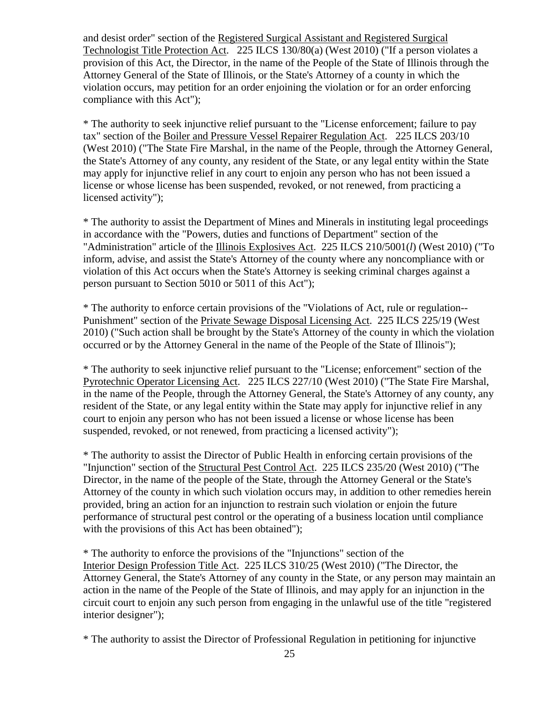and desist order" section of the Registered Surgical Assistant and Registered Surgical Technologist Title Protection Act. 225 ILCS 130/80(a) (West 2010) ("If a person violates a provision of this Act, the Director, in the name of the People of the State of Illinois through the Attorney General of the State of Illinois, or the State's Attorney of a county in which the violation occurs, may petition for an order enjoining the violation or for an order enforcing compliance with this Act");

\* The authority to seek injunctive relief pursuant to the "License enforcement; failure to pay tax" section of the Boiler and Pressure Vessel Repairer Regulation Act. 225 ILCS 203/10 (West 2010) ("The State Fire Marshal, in the name of the People, through the Attorney General, the State's Attorney of any county, any resident of the State, or any legal entity within the State may apply for injunctive relief in any court to enjoin any person who has not been issued a license or whose license has been suspended, revoked, or not renewed, from practicing a licensed activity");

\* The authority to assist the Department of Mines and Minerals in instituting legal proceedings in accordance with the "Powers, duties and functions of Department" section of the "Administration" article of the Illinois Explosives Act. 225 ILCS 210/5001(*l*) (West 2010) ("To inform, advise, and assist the State's Attorney of the county where any noncompliance with or violation of this Act occurs when the State's Attorney is seeking criminal charges against a person pursuant to Section 5010 or 5011 of this Act");

\* The authority to enforce certain provisions of the "Violations of Act, rule or regulation-- Punishment" section of the Private Sewage Disposal Licensing Act. 225 ILCS 225/19 (West 2010) ("Such action shall be brought by the State's Attorney of the county in which the violation occurred or by the Attorney General in the name of the People of the State of Illinois");

\* The authority to seek injunctive relief pursuant to the "License; enforcement" section of the Pyrotechnic Operator Licensing Act. 225 ILCS 227/10 (West 2010) ("The State Fire Marshal, in the name of the People, through the Attorney General, the State's Attorney of any county, any resident of the State, or any legal entity within the State may apply for injunctive relief in any court to enjoin any person who has not been issued a license or whose license has been suspended, revoked, or not renewed, from practicing a licensed activity");

\* The authority to assist the Director of Public Health in enforcing certain provisions of the "Injunction" section of the Structural Pest Control Act. 225 ILCS 235/20 (West 2010) ("The Director, in the name of the people of the State, through the Attorney General or the State's Attorney of the county in which such violation occurs may, in addition to other remedies herein provided, bring an action for an injunction to restrain such violation or enjoin the future performance of structural pest control or the operating of a business location until compliance with the provisions of this Act has been obtained");

\* The authority to enforce the provisions of the "Injunctions" section of the Interior Design Profession Title Act. 225 ILCS 310/25 (West 2010) ("The Director, the Attorney General, the State's Attorney of any county in the State, or any person may maintain an action in the name of the People of the State of Illinois, and may apply for an injunction in the circuit court to enjoin any such person from engaging in the unlawful use of the title "registered interior designer");

\* The authority to assist the Director of Professional Regulation in petitioning for injunctive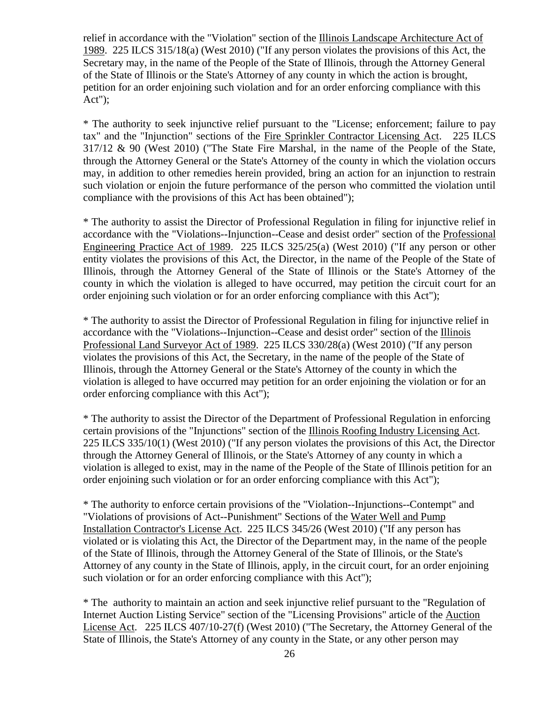relief in accordance with the "Violation" section of the Illinois Landscape Architecture Act of 1989. 225 ILCS 315/18(a) (West 2010) ("If any person violates the provisions of this Act, the Secretary may, in the name of the People of the State of Illinois, through the Attorney General of the State of Illinois or the State's Attorney of any county in which the action is brought, petition for an order enjoining such violation and for an order enforcing compliance with this Act");

\* The authority to seek injunctive relief pursuant to the "License; enforcement; failure to pay tax" and the "Injunction" sections of the Fire Sprinkler Contractor Licensing Act. 225 ILCS 317/12 & 90 (West 2010) ("The State Fire Marshal, in the name of the People of the State, through the Attorney General or the State's Attorney of the county in which the violation occurs may, in addition to other remedies herein provided, bring an action for an injunction to restrain such violation or enjoin the future performance of the person who committed the violation until compliance with the provisions of this Act has been obtained");

\* The authority to assist the Director of Professional Regulation in filing for injunctive relief in accordance with the "Violations--Injunction--Cease and desist order" section of the Professional Engineering Practice Act of 1989. 225 ILCS 325/25(a) (West 2010) ("If any person or other entity violates the provisions of this Act, the Director, in the name of the People of the State of Illinois, through the Attorney General of the State of Illinois or the State's Attorney of the county in which the violation is alleged to have occurred, may petition the circuit court for an order enjoining such violation or for an order enforcing compliance with this Act");

\* The authority to assist the Director of Professional Regulation in filing for injunctive relief in accordance with the "Violations--Injunction--Cease and desist order" section of the Illinois Professional Land Surveyor Act of 1989. 225 ILCS 330/28(a) (West 2010) ("If any person violates the provisions of this Act, the Secretary, in the name of the people of the State of Illinois, through the Attorney General or the State's Attorney of the county in which the violation is alleged to have occurred may petition for an order enjoining the violation or for an order enforcing compliance with this Act");

\* The authority to assist the Director of the Department of Professional Regulation in enforcing certain provisions of the "Injunctions" section of the Illinois Roofing Industry Licensing Act. 225 ILCS 335/10(1) (West 2010) ("If any person violates the provisions of this Act, the Director through the Attorney General of Illinois, or the State's Attorney of any county in which a violation is alleged to exist, may in the name of the People of the State of Illinois petition for an order enjoining such violation or for an order enforcing compliance with this Act");

\* The authority to enforce certain provisions of the "Violation--Injunctions--Contempt" and "Violations of provisions of Act--Punishment" Sections of the Water Well and Pump Installation Contractor's License Act. 225 ILCS 345/26 (West 2010) ("If any person has violated or is violating this Act, the Director of the Department may, in the name of the people of the State of Illinois, through the Attorney General of the State of Illinois, or the State's Attorney of any county in the State of Illinois, apply, in the circuit court, for an order enjoining such violation or for an order enforcing compliance with this Act");

\* The authority to maintain an action and seek injunctive relief pursuant to the "Regulation of Internet Auction Listing Service" section of the "Licensing Provisions" article of the Auction License Act. 225 ILCS 407/10-27(f) (West 2010) ("The Secretary, the Attorney General of the State of Illinois, the State's Attorney of any county in the State, or any other person may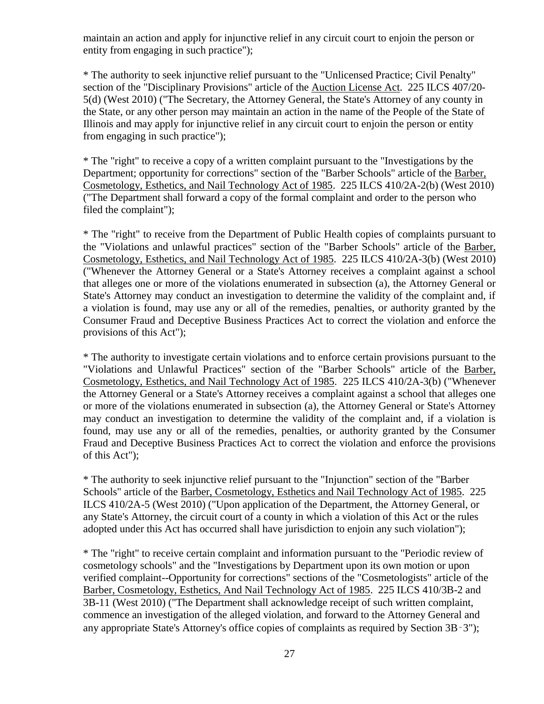maintain an action and apply for injunctive relief in any circuit court to enjoin the person or entity from engaging in such practice");

\* The authority to seek injunctive relief pursuant to the "Unlicensed Practice; Civil Penalty" section of the "Disciplinary Provisions" article of the Auction License Act. 225 ILCS 407/20- 5(d) (West 2010) ("The Secretary, the Attorney General, the State's Attorney of any county in the State, or any other person may maintain an action in the name of the People of the State of Illinois and may apply for injunctive relief in any circuit court to enjoin the person or entity from engaging in such practice");

\* The "right" to receive a copy of a written complaint pursuant to the "Investigations by the Department; opportunity for corrections" section of the "Barber Schools" article of the Barber, Cosmetology, Esthetics, and Nail Technology Act of 1985. 225 ILCS 410/2A-2(b) (West 2010) ("The Department shall forward a copy of the formal complaint and order to the person who filed the complaint");

\* The "right" to receive from the Department of Public Health copies of complaints pursuant to the "Violations and unlawful practices" section of the "Barber Schools" article of the Barber, Cosmetology, Esthetics, and Nail Technology Act of 1985. 225 ILCS 410/2A-3(b) (West 2010) ("Whenever the Attorney General or a State's Attorney receives a complaint against a school that alleges one or more of the violations enumerated in subsection (a), the Attorney General or State's Attorney may conduct an investigation to determine the validity of the complaint and, if a violation is found, may use any or all of the remedies, penalties, or authority granted by the Consumer Fraud and Deceptive Business Practices Act to correct the violation and enforce the provisions of this Act");

\* The authority to investigate certain violations and to enforce certain provisions pursuant to the "Violations and Unlawful Practices" section of the "Barber Schools" article of the Barber, Cosmetology, Esthetics, and Nail Technology Act of 1985. 225 ILCS 410/2A-3(b) ("Whenever the Attorney General or a State's Attorney receives a complaint against a school that alleges one or more of the violations enumerated in subsection (a), the Attorney General or State's Attorney may conduct an investigation to determine the validity of the complaint and, if a violation is found, may use any or all of the remedies, penalties, or authority granted by the Consumer Fraud and Deceptive Business Practices Act to correct the violation and enforce the provisions of this Act");

\* The authority to seek injunctive relief pursuant to the "Injunction" section of the "Barber Schools" article of the Barber, Cosmetology, Esthetics and Nail Technology Act of 1985. 225 ILCS 410/2A-5 (West 2010) ("Upon application of the Department, the Attorney General, or any State's Attorney, the circuit court of a county in which a violation of this Act or the rules adopted under this Act has occurred shall have jurisdiction to enjoin any such violation");

\* The "right" to receive certain complaint and information pursuant to the "Periodic review of cosmetology schools" and the "Investigations by Department upon its own motion or upon verified complaint--Opportunity for corrections" sections of the "Cosmetologists" article of the Barber, Cosmetology, Esthetics, And Nail Technology Act of 1985. 225 ILCS 410/3B-2 and 3B-11 (West 2010) ("The Department shall acknowledge receipt of such written complaint, commence an investigation of the alleged violation, and forward to the Attorney General and any appropriate State's Attorney's office copies of complaints as required by Section 3B‑3");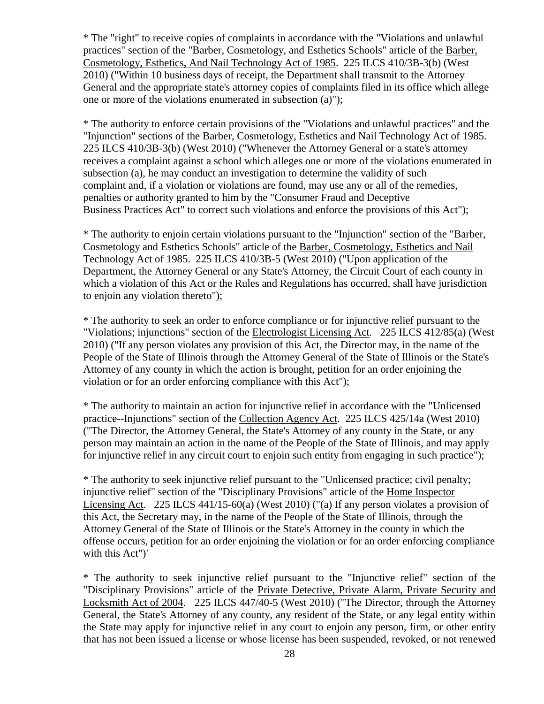\* The "right" to receive copies of complaints in accordance with the "Violations and unlawful practices" section of the "Barber, Cosmetology, and Esthetics Schools" article of the Barber, Cosmetology, Esthetics, And Nail Technology Act of 1985. 225 ILCS 410/3B-3(b) (West 2010) ("Within 10 business days of receipt, the Department shall transmit to the Attorney General and the appropriate state's attorney copies of complaints filed in its office which allege one or more of the violations enumerated in subsection (a)");

\* The authority to enforce certain provisions of the "Violations and unlawful practices" and the "Injunction" sections of the Barber, Cosmetology, Esthetics and Nail Technology Act of 1985. 225 ILCS 410/3B-3(b) (West 2010) ("Whenever the Attorney General or a state's attorney receives a complaint against a school which alleges one or more of the violations enumerated in subsection (a), he may conduct an investigation to determine the validity of such complaint and, if a violation or violations are found, may use any or all of the remedies, penalties or authority granted to him by the "Consumer Fraud and Deceptive Business Practices Act" to correct such violations and enforce the provisions of this Act");

\* The authority to enjoin certain violations pursuant to the "Injunction" section of the "Barber, Cosmetology and Esthetics Schools" article of the Barber, Cosmetology, Esthetics and Nail Technology Act of 1985. 225 ILCS 410/3B-5 (West 2010) ("Upon application of the Department, the Attorney General or any State's Attorney, the Circuit Court of each county in which a violation of this Act or the Rules and Regulations has occurred, shall have jurisdiction to enjoin any violation thereto");

\* The authority to seek an order to enforce compliance or for injunctive relief pursuant to the "Violations; injunctions" section of the Electrologist Licensing Act. 225 ILCS 412/85(a) (West 2010) ("If any person violates any provision of this Act, the Director may, in the name of the People of the State of Illinois through the Attorney General of the State of Illinois or the State's Attorney of any county in which the action is brought, petition for an order enjoining the violation or for an order enforcing compliance with this Act");

\* The authority to maintain an action for injunctive relief in accordance with the "Unlicensed practice--Injunctions" section of the Collection Agency Act. 225 ILCS 425/14a (West 2010) ("The Director, the Attorney General, the State's Attorney of any county in the State, or any person may maintain an action in the name of the People of the State of Illinois, and may apply for injunctive relief in any circuit court to enjoin such entity from engaging in such practice");

\* The authority to seek injunctive relief pursuant to the "Unlicensed practice; civil penalty; injunctive relief" section of the "Disciplinary Provisions" article of the Home Inspector Licensing Act. 225 ILCS 441/15-60(a) (West 2010) ("(a) If any person violates a provision of this Act, the Secretary may, in the name of the People of the State of Illinois, through the Attorney General of the State of Illinois or the State's Attorney in the county in which the offense occurs, petition for an order enjoining the violation or for an order enforcing compliance with this Act")'

\* The authority to seek injunctive relief pursuant to the "Injunctive relief" section of the "Disciplinary Provisions" article of the Private Detective, Private Alarm, Private Security and Locksmith Act of 2004. 225 ILCS 447/40-5 (West 2010) ("The Director, through the Attorney General, the State's Attorney of any county, any resident of the State, or any legal entity within the State may apply for injunctive relief in any court to enjoin any person, firm, or other entity that has not been issued a license or whose license has been suspended, revoked, or not renewed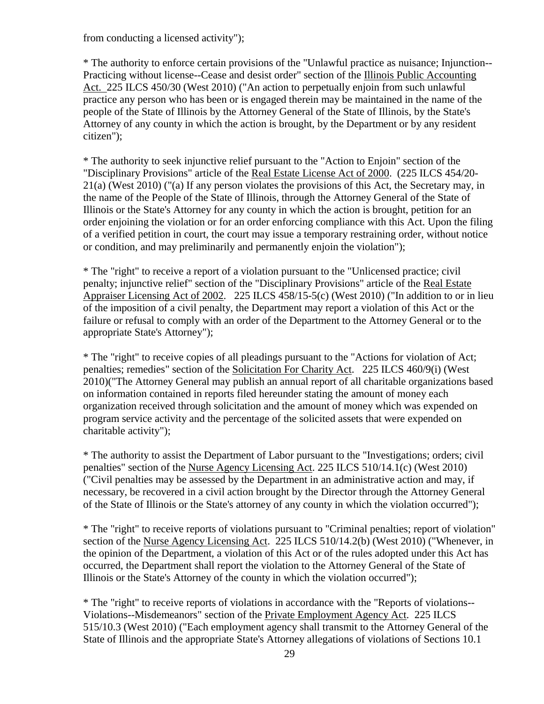from conducting a licensed activity");

\* The authority to enforce certain provisions of the "Unlawful practice as nuisance; Injunction-- Practicing without license--Cease and desist order" section of the Illinois Public Accounting Act. 225 ILCS 450/30 (West 2010) ("An action to perpetually enjoin from such unlawful practice any person who has been or is engaged therein may be maintained in the name of the people of the State of Illinois by the Attorney General of the State of Illinois, by the State's Attorney of any county in which the action is brought, by the Department or by any resident citizen");

\* The authority to seek injunctive relief pursuant to the "Action to Enjoin" section of the "Disciplinary Provisions" article of the Real Estate License Act of 2000. (225 ILCS 454/20- 21(a) (West 2010) ("(a) If any person violates the provisions of this Act, the Secretary may, in the name of the People of the State of Illinois, through the Attorney General of the State of Illinois or the State's Attorney for any county in which the action is brought, petition for an order enjoining the violation or for an order enforcing compliance with this Act. Upon the filing of a verified petition in court, the court may issue a temporary restraining order, without notice or condition, and may preliminarily and permanently enjoin the violation");

\* The "right" to receive a report of a violation pursuant to the "Unlicensed practice; civil penalty; injunctive relief" section of the "Disciplinary Provisions" article of the Real Estate Appraiser Licensing Act of 2002. 225 ILCS 458/15-5(c) (West 2010) ("In addition to or in lieu of the imposition of a civil penalty, the Department may report a violation of this Act or the failure or refusal to comply with an order of the Department to the Attorney General or to the appropriate State's Attorney");

\* The "right" to receive copies of all pleadings pursuant to the "Actions for violation of Act; penalties; remedies" section of the Solicitation For Charity Act. 225 ILCS 460/9(i) (West 2010)("The Attorney General may publish an annual report of all charitable organizations based on information contained in reports filed hereunder stating the amount of money each organization received through solicitation and the amount of money which was expended on program service activity and the percentage of the solicited assets that were expended on charitable activity");

\* The authority to assist the Department of Labor pursuant to the "Investigations; orders; civil penalties" section of the Nurse Agency Licensing Act. 225 ILCS 510/14.1(c) (West 2010) ("Civil penalties may be assessed by the Department in an administrative action and may, if necessary, be recovered in a civil action brought by the Director through the Attorney General of the State of Illinois or the State's attorney of any county in which the violation occurred");

\* The "right" to receive reports of violations pursuant to "Criminal penalties; report of violation" section of the Nurse Agency Licensing Act. 225 ILCS 510/14.2(b) (West 2010) ("Whenever, in the opinion of the Department, a violation of this Act or of the rules adopted under this Act has occurred, the Department shall report the violation to the Attorney General of the State of Illinois or the State's Attorney of the county in which the violation occurred");

\* The "right" to receive reports of violations in accordance with the "Reports of violations-- Violations--Misdemeanors" section of the Private Employment Agency Act. 225 ILCS 515/10.3 (West 2010) ("Each employment agency shall transmit to the Attorney General of the State of Illinois and the appropriate State's Attorney allegations of violations of Sections 10.1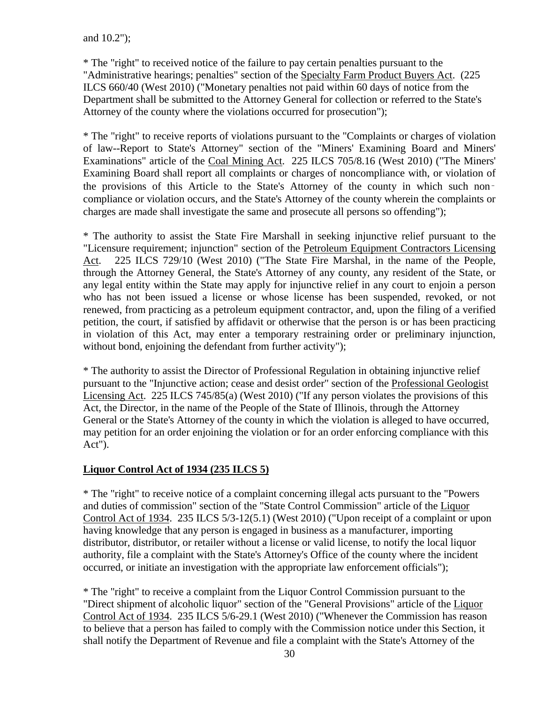\* The "right" to received notice of the failure to pay certain penalties pursuant to the "Administrative hearings; penalties" section of the Specialty Farm Product Buyers Act. (225 ILCS 660/40 (West 2010) ("Monetary penalties not paid within 60 days of notice from the Department shall be submitted to the Attorney General for collection or referred to the State's Attorney of the county where the violations occurred for prosecution");

\* The "right" to receive reports of violations pursuant to the "Complaints or charges of violation of law--Report to State's Attorney" section of the "Miners' Examining Board and Miners' Examinations" article of the Coal Mining Act. 225 ILCS 705/8.16 (West 2010) ("The Miners' Examining Board shall report all complaints or charges of noncompliance with, or violation of the provisions of this Article to the State's Attorney of the county in which such non‑ compliance or violation occurs, and the State's Attorney of the county wherein the complaints or charges are made shall investigate the same and prosecute all persons so offending");

\* The authority to assist the State Fire Marshall in seeking injunctive relief pursuant to the "Licensure requirement; injunction" section of the Petroleum Equipment Contractors Licensing Act. 225 ILCS 729/10 (West 2010) ("The State Fire Marshal, in the name of the People, through the Attorney General, the State's Attorney of any county, any resident of the State, or any legal entity within the State may apply for injunctive relief in any court to enjoin a person who has not been issued a license or whose license has been suspended, revoked, or not renewed, from practicing as a petroleum equipment contractor, and, upon the filing of a verified petition, the court, if satisfied by affidavit or otherwise that the person is or has been practicing in violation of this Act, may enter a temporary restraining order or preliminary injunction, without bond, enjoining the defendant from further activity");

\* The authority to assist the Director of Professional Regulation in obtaining injunctive relief pursuant to the "Injunctive action; cease and desist order" section of the Professional Geologist Licensing Act. 225 ILCS 745/85(a) (West 2010) ("If any person violates the provisions of this Act, the Director, in the name of the People of the State of Illinois, through the Attorney General or the State's Attorney of the county in which the violation is alleged to have occurred, may petition for an order enjoining the violation or for an order enforcing compliance with this Act").

#### **Liquor Control Act of 1934 (235 ILCS 5)**

\* The "right" to receive notice of a complaint concerning illegal acts pursuant to the "Powers and duties of commission" section of the "State Control Commission" article of the Liquor Control Act of 1934. 235 ILCS 5/3-12(5.1) (West 2010) ("Upon receipt of a complaint or upon having knowledge that any person is engaged in business as a manufacturer, importing distributor, distributor, or retailer without a license or valid license, to notify the local liquor authority, file a complaint with the State's Attorney's Office of the county where the incident occurred, or initiate an investigation with the appropriate law enforcement officials");

\* The "right" to receive a complaint from the Liquor Control Commission pursuant to the "Direct shipment of alcoholic liquor" section of the "General Provisions" article of the Liquor Control Act of 1934. 235 ILCS 5/6-29.1 (West 2010) ("Whenever the Commission has reason to believe that a person has failed to comply with the Commission notice under this Section, it shall notify the Department of Revenue and file a complaint with the State's Attorney of the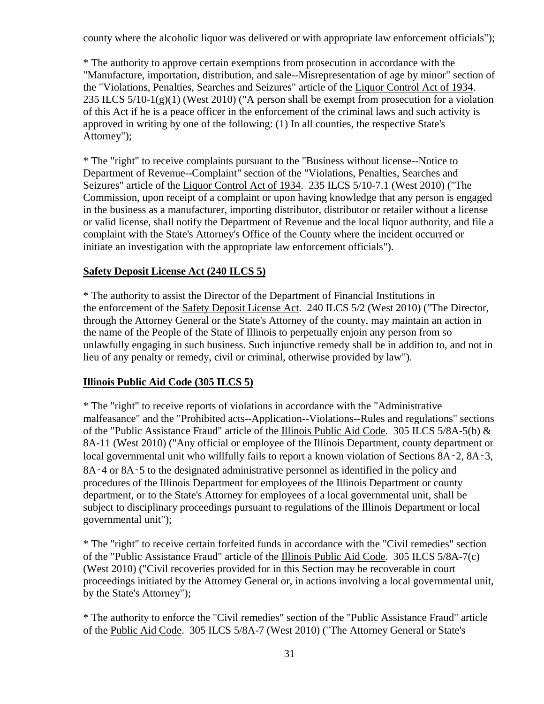county where the alcoholic liquor was delivered or with appropriate law enforcement officials");

\* The authority to approve certain exemptions from prosecution in accordance with the "Manufacture, importation, distribution, and sale--Misrepresentation of age by minor" section of the "Violations, Penalties, Searches and Seizures" article of the Liquor Control Act of 1934. 235 ILCS 5/10-1(g)(1) (West 2010) ("A person shall be exempt from prosecution for a violation of this Act if he is a peace officer in the enforcement of the criminal laws and such activity is approved in writing by one of the following: (1) In all counties, the respective State's Attorney");

\* The "right" to receive complaints pursuant to the "Business without license--Notice to Department of Revenue--Complaint" section of the "Violations, Penalties, Searches and Seizures" article of the Liquor Control Act of 1934. 235 ILCS 5/10-7.1 (West 2010) ("The Commission, upon receipt of a complaint or upon having knowledge that any person is engaged in the business as a manufacturer, importing distributor, distributor or retailer without a license or valid license, shall notify the Department of Revenue and the local liquor authority, and file a complaint with the State's Attorney's Office of the County where the incident occurred or initiate an investigation with the appropriate law enforcement officials").

#### **Safety Deposit License Act (240 ILCS 5)**

\* The authority to assist the Director of the Department of Financial Institutions in the enforcement of the Safety Deposit License Act. 240 ILCS 5/2 (West 2010) ("The Director, through the Attorney General or the State's Attorney of the county, may maintain an action in the name of the People of the State of Illinois to perpetually enjoin any person from so unlawfully engaging in such business. Such injunctive remedy shall be in addition to, and not in lieu of any penalty or remedy, civil or criminal, otherwise provided by law").

#### **Illinois Public Aid Code (305 ILCS 5)**

\* The "right" to receive reports of violations in accordance with the "Administrative malfeasance" and the "Prohibited acts--Application--Violations--Rules and regulations" sections of the "Public Assistance Fraud" article of the Illinois Public Aid Code. 305 ILCS 5/8A-5(b) & 8A-11 (West 2010) ("Any official or employee of the Illinois Department, county department or local governmental unit who willfully fails to report a known violation of Sections 8A–2, 8A–3, 8A–4 or 8A–5 to the designated administrative personnel as identified in the policy and procedures of the Illinois Department for employees of the Illinois Department or county department, or to the State's Attorney for employees of a local governmental unit, shall be subject to disciplinary proceedings pursuant to regulations of the Illinois Department or local governmental unit");

\* The "right" to receive certain forfeited funds in accordance with the "Civil remedies" section of the "Public Assistance Fraud" article of the Illinois Public Aid Code. 305 ILCS 5/8A-7(c) (West 2010) ("Civil recoveries provided for in this Section may be recoverable in court proceedings initiated by the Attorney General or, in actions involving a local governmental unit, by the State's Attorney");

\* The authority to enforce the "Civil remedies" section of the "Public Assistance Fraud" article of the Public Aid Code. 305 ILCS 5/8A-7 (West 2010) ("The Attorney General or State's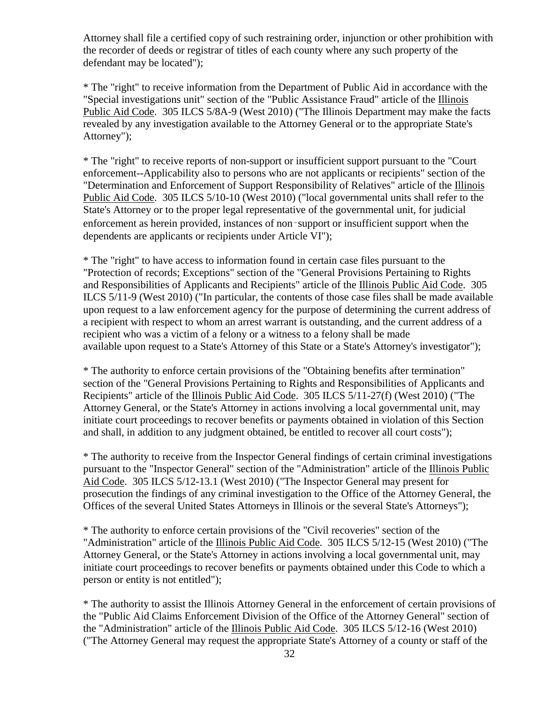Attorney shall file a certified copy of such restraining order, injunction or other prohibition with the recorder of deeds or registrar of titles of each county where any such property of the defendant may be located");

\* The "right" to receive information from the Department of Public Aid in accordance with the "Special investigations unit" section of the "Public Assistance Fraud" article of the Illinois Public Aid Code. 305 ILCS 5/8A-9 (West 2010) ("The Illinois Department may make the facts revealed by any investigation available to the Attorney General or to the appropriate State's Attorney");

\* The "right" to receive reports of non-support or insufficient support pursuant to the "Court enforcement--Applicability also to persons who are not applicants or recipients" section of the "Determination and Enforcement of Support Responsibility of Relatives" article of the Illinois Public Aid Code. 305 ILCS 5/10-10 (West 2010) ("local governmental units shall refer to the State's Attorney or to the proper legal representative of the governmental unit, for judicial enforcement as herein provided, instances of non‑support or insufficient support when the dependents are applicants or recipients under Article VI");

\* The "right" to have access to information found in certain case files pursuant to the "Protection of records; Exceptions" section of the "General Provisions Pertaining to Rights and Responsibilities of Applicants and Recipients" article of the Illinois Public Aid Code. 305 ILCS 5/11-9 (West 2010) ("In particular, the contents of those case files shall be made available upon request to a law enforcement agency for the purpose of determining the current address of a recipient with respect to whom an arrest warrant is outstanding, and the current address of a recipient who was a victim of a felony or a witness to a felony shall be made available upon request to a State's Attorney of this State or a State's Attorney's investigator");

\* The authority to enforce certain provisions of the "Obtaining benefits after termination" section of the "General Provisions Pertaining to Rights and Responsibilities of Applicants and Recipients" article of the Illinois Public Aid Code. 305 ILCS 5/11-27(f) (West 2010) ("The Attorney General, or the State's Attorney in actions involving a local governmental unit, may initiate court proceedings to recover benefits or payments obtained in violation of this Section and shall, in addition to any judgment obtained, be entitled to recover all court costs");

\* The authority to receive from the Inspector General findings of certain criminal investigations pursuant to the "Inspector General" section of the "Administration" article of the Illinois Public Aid Code. 305 ILCS 5/12-13.1 (West 2010) ("The Inspector General may present for prosecution the findings of any criminal investigation to the Office of the Attorney General, the Offices of the several United States Attorneys in Illinois or the several State's Attorneys");

\* The authority to enforce certain provisions of the "Civil recoveries" section of the "Administration" article of the Illinois Public Aid Code. 305 ILCS 5/12-15 (West 2010) ("The Attorney General, or the State's Attorney in actions involving a local governmental unit, may initiate court proceedings to recover benefits or payments obtained under this Code to which a person or entity is not entitled");

\* The authority to assist the Illinois Attorney General in the enforcement of certain provisions of the "Public Aid Claims Enforcement Division of the Office of the Attorney General" section of the "Administration" article of the Illinois Public Aid Code. 305 ILCS 5/12-16 (West 2010) ("The Attorney General may request the appropriate State's Attorney of a county or staff of the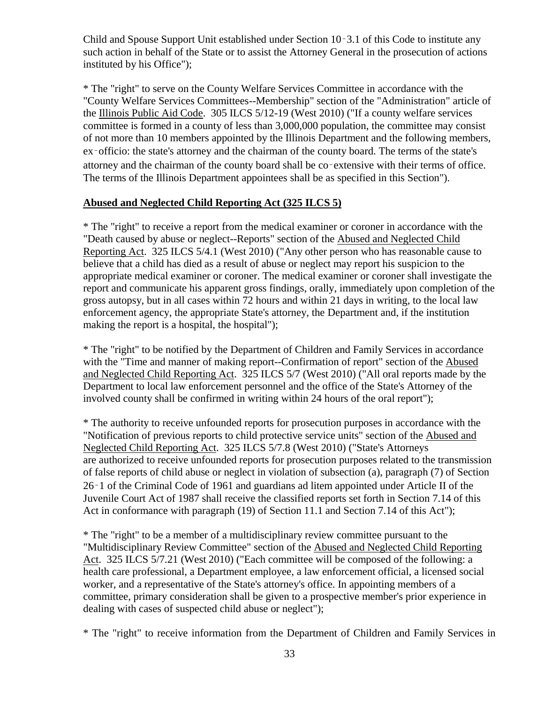Child and Spouse Support Unit established under Section 10‑3.1 of this Code to institute any such action in behalf of the State or to assist the Attorney General in the prosecution of actions instituted by his Office");

\* The "right" to serve on the County Welfare Services Committee in accordance with the "County Welfare Services Committees--Membership" section of the "Administration" article of the Illinois Public Aid Code. 305 ILCS 5/12-19 (West 2010) ("If a county welfare services committee is formed in a county of less than 3,000,000 population, the committee may consist of not more than 10 members appointed by the Illinois Department and the following members, ex‑officio: the state's attorney and the chairman of the county board. The terms of the state's attorney and the chairman of the county board shall be co‑extensive with their terms of office. The terms of the Illinois Department appointees shall be as specified in this Section").

### **Abused and Neglected Child Reporting Act (325 ILCS 5)**

\* The "right" to receive a report from the medical examiner or coroner in accordance with the "Death caused by abuse or neglect--Reports" section of the Abused and Neglected Child Reporting Act. 325 ILCS 5/4.1 (West 2010) ("Any other person who has reasonable cause to believe that a child has died as a result of abuse or neglect may report his suspicion to the appropriate medical examiner or coroner. The medical examiner or coroner shall investigate the report and communicate his apparent gross findings, orally, immediately upon completion of the gross autopsy, but in all cases within 72 hours and within 21 days in writing, to the local law enforcement agency, the appropriate State's attorney, the Department and, if the institution making the report is a hospital, the hospital");

\* The "right" to be notified by the Department of Children and Family Services in accordance with the "Time and manner of making report--Confirmation of report" section of the Abused and Neglected Child Reporting Act. 325 ILCS 5/7 (West 2010) ("All oral reports made by the Department to local law enforcement personnel and the office of the State's Attorney of the involved county shall be confirmed in writing within 24 hours of the oral report");

\* The authority to receive unfounded reports for prosecution purposes in accordance with the "Notification of previous reports to child protective service units" section of the Abused and Neglected Child Reporting Act. 325 ILCS 5/7.8 (West 2010) ("State's Attorneys are authorized to receive unfounded reports for prosecution purposes related to the transmission of false reports of child abuse or neglect in violation of subsection (a), paragraph (7) of Section 26‑1 of the Criminal Code of 1961 and guardians ad litem appointed under Article II of the Juvenile Court Act of 1987 shall receive the classified reports set forth in Section 7.14 of this Act in conformance with paragraph (19) of Section 11.1 and Section 7.14 of this Act");

\* The "right" to be a member of a multidisciplinary review committee pursuant to the "Multidisciplinary Review Committee" section of the Abused and Neglected Child Reporting Act. 325 ILCS 5/7.21 (West 2010) ("Each committee will be composed of the following: a health care professional, a Department employee, a law enforcement official, a licensed social worker, and a representative of the State's attorney's office. In appointing members of a committee, primary consideration shall be given to a prospective member's prior experience in dealing with cases of suspected child abuse or neglect");

\* The "right" to receive information from the Department of Children and Family Services in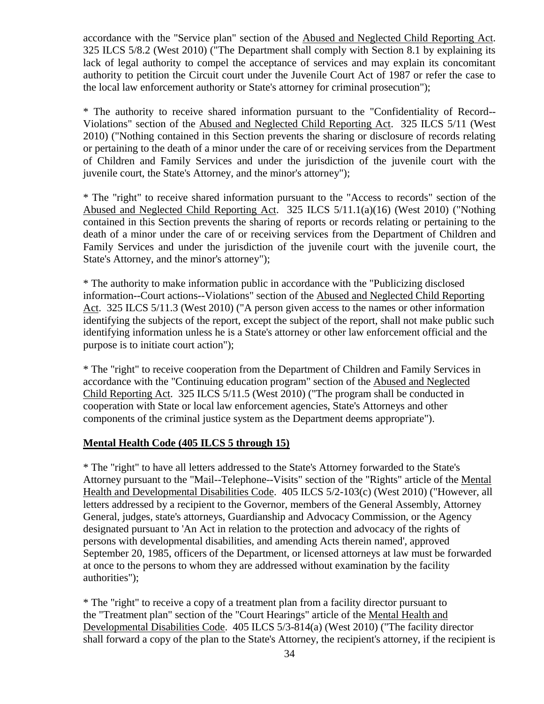accordance with the "Service plan" section of the Abused and Neglected Child Reporting Act. 325 ILCS 5/8.2 (West 2010) ("The Department shall comply with Section 8.1 by explaining its lack of legal authority to compel the acceptance of services and may explain its concomitant authority to petition the Circuit court under the Juvenile Court Act of 1987 or refer the case to the local law enforcement authority or State's attorney for criminal prosecution");

\* The authority to receive shared information pursuant to the "Confidentiality of Record-- Violations" section of the Abused and Neglected Child Reporting Act. 325 ILCS 5/11 (West 2010) ("Nothing contained in this Section prevents the sharing or disclosure of records relating or pertaining to the death of a minor under the care of or receiving services from the Department of Children and Family Services and under the jurisdiction of the juvenile court with the juvenile court, the State's Attorney, and the minor's attorney");

\* The "right" to receive shared information pursuant to the "Access to records" section of the Abused and Neglected Child Reporting Act. 325 ILCS 5/11.1(a)(16) (West 2010) ("Nothing contained in this Section prevents the sharing of reports or records relating or pertaining to the death of a minor under the care of or receiving services from the Department of Children and Family Services and under the jurisdiction of the juvenile court with the juvenile court, the State's Attorney, and the minor's attorney");

\* The authority to make information public in accordance with the "Publicizing disclosed information--Court actions--Violations" section of the Abused and Neglected Child Reporting Act. 325 ILCS 5/11.3 (West 2010) ("A person given access to the names or other information identifying the subjects of the report, except the subject of the report, shall not make public such identifying information unless he is a State's attorney or other law enforcement official and the purpose is to initiate court action");

\* The "right" to receive cooperation from the Department of Children and Family Services in accordance with the "Continuing education program" section of the Abused and Neglected Child Reporting Act. 325 ILCS 5/11.5 (West 2010) ("The program shall be conducted in cooperation with State or local law enforcement agencies, State's Attorneys and other components of the criminal justice system as the Department deems appropriate").

### **Mental Health Code (405 ILCS 5 through 15)**

\* The "right" to have all letters addressed to the State's Attorney forwarded to the State's Attorney pursuant to the "Mail--Telephone--Visits" section of the "Rights" article of the Mental Health and Developmental Disabilities Code. 405 ILCS 5/2-103(c) (West 2010) ("However, all letters addressed by a recipient to the Governor, members of the General Assembly, Attorney General, judges, state's attorneys, Guardianship and Advocacy Commission, or the Agency designated pursuant to 'An Act in relation to the protection and advocacy of the rights of persons with developmental disabilities, and amending Acts therein named', approved September 20, 1985, officers of the Department, or licensed attorneys at law must be forwarded at once to the persons to whom they are addressed without examination by the facility authorities");

\* The "right" to receive a copy of a treatment plan from a facility director pursuant to the "Treatment plan" section of the "Court Hearings" article of the Mental Health and Developmental Disabilities Code. 405 ILCS 5/3-814(a) (West 2010) ("The facility director shall forward a copy of the plan to the State's Attorney, the recipient's attorney, if the recipient is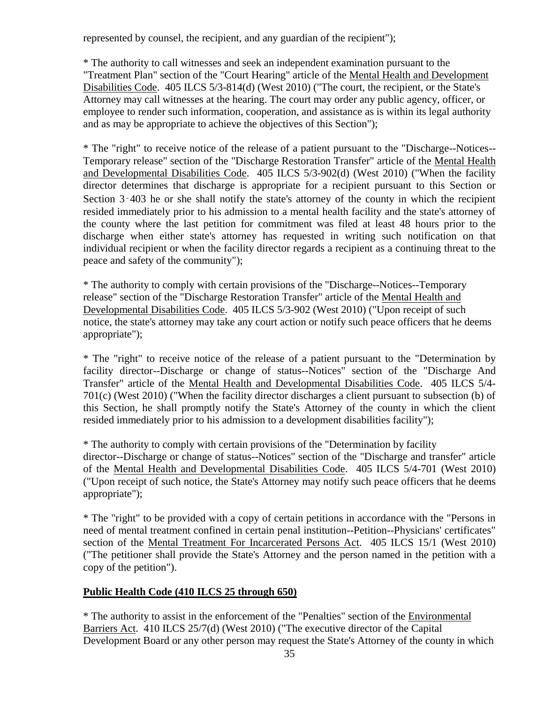represented by counsel, the recipient, and any guardian of the recipient");

\* The authority to call witnesses and seek an independent examination pursuant to the "Treatment Plan" section of the "Court Hearing" article of the Mental Health and Development Disabilities Code. 405 ILCS 5/3-814(d) (West 2010) ("The court, the recipient, or the State's Attorney may call witnesses at the hearing. The court may order any public agency, officer, or employee to render such information, cooperation, and assistance as is within its legal authority and as may be appropriate to achieve the objectives of this Section");

\* The "right" to receive notice of the release of a patient pursuant to the "Discharge--Notices-- Temporary release" section of the "Discharge Restoration Transfer" article of the Mental Health and Developmental Disabilities Code. 405 ILCS 5/3-902(d) (West 2010) ("When the facility director determines that discharge is appropriate for a recipient pursuant to this Section or Section 3–403 he or she shall notify the state's attorney of the county in which the recipient resided immediately prior to his admission to a mental health facility and the state's attorney of the county where the last petition for commitment was filed at least 48 hours prior to the discharge when either state's attorney has requested in writing such notification on that individual recipient or when the facility director regards a recipient as a continuing threat to the peace and safety of the community");

\* The authority to comply with certain provisions of the "Discharge--Notices--Temporary release" section of the "Discharge Restoration Transfer" article of the Mental Health and Developmental Disabilities Code. 405 ILCS 5/3-902 (West 2010) ("Upon receipt of such notice, the state's attorney may take any court action or notify such peace officers that he deems appropriate");

\* The "right" to receive notice of the release of a patient pursuant to the "Determination by facility director--Discharge or change of status--Notices" section of the "Discharge And Transfer" article of the Mental Health and Developmental Disabilities Code. 405 ILCS 5/4- 701(c) (West 2010) ("When the facility director discharges a client pursuant to subsection (b) of this Section, he shall promptly notify the State's Attorney of the county in which the client resided immediately prior to his admission to a development disabilities facility");

\* The authority to comply with certain provisions of the "Determination by facility director--Discharge or change of status--Notices" section of the "Discharge and transfer" article of the Mental Health and Developmental Disabilities Code. 405 ILCS 5/4-701 (West 2010) ("Upon receipt of such notice, the State's Attorney may notify such peace officers that he deems appropriate");

\* The "right" to be provided with a copy of certain petitions in accordance with the "Persons in need of mental treatment confined in certain penal institution--Petition--Physicians' certificates" section of the Mental Treatment For Incarcerated Persons Act. 405 ILCS 15/1 (West 2010) ("The petitioner shall provide the State's Attorney and the person named in the petition with a copy of the petition").

# **Public Health Code (410 ILCS 25 through 650)**

\* The authority to assist in the enforcement of the "Penalties" section of the Environmental Barriers Act. 410 ILCS 25/7(d) (West 2010) ("The executive director of the Capital Development Board or any other person may request the State's Attorney of the county in which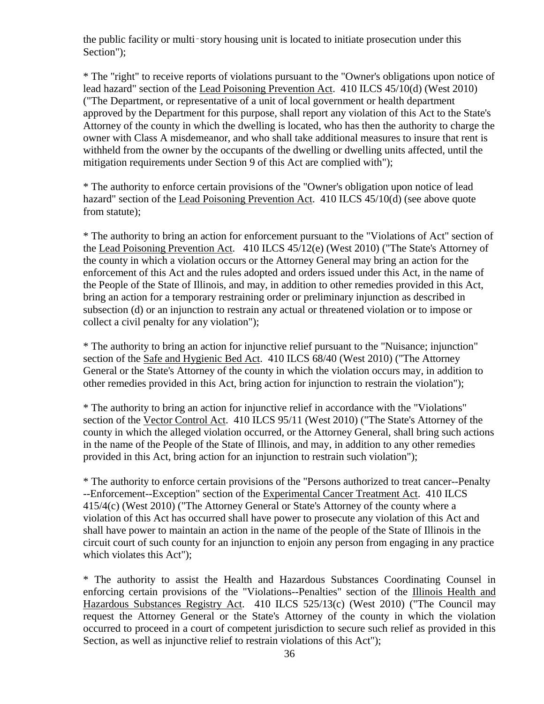the public facility or multi‑story housing unit is located to initiate prosecution under this Section");

\* The "right" to receive reports of violations pursuant to the "Owner's obligations upon notice of lead hazard" section of the Lead Poisoning Prevention Act. 410 ILCS 45/10(d) (West 2010) ("The Department, or representative of a unit of local government or health department approved by the Department for this purpose, shall report any violation of this Act to the State's Attorney of the county in which the dwelling is located, who has then the authority to charge the owner with Class A misdemeanor, and who shall take additional measures to insure that rent is withheld from the owner by the occupants of the dwelling or dwelling units affected, until the mitigation requirements under Section 9 of this Act are complied with");

\* The authority to enforce certain provisions of the "Owner's obligation upon notice of lead hazard" section of the Lead Poisoning Prevention Act. 410 ILCS 45/10(d) (see above quote from statute);

\* The authority to bring an action for enforcement pursuant to the "Violations of Act" section of the Lead Poisoning Prevention Act. 410 ILCS 45/12(e) (West 2010) ("The State's Attorney of the county in which a violation occurs or the Attorney General may bring an action for the enforcement of this Act and the rules adopted and orders issued under this Act, in the name of the People of the State of Illinois, and may, in addition to other remedies provided in this Act, bring an action for a temporary restraining order or preliminary injunction as described in subsection (d) or an injunction to restrain any actual or threatened violation or to impose or collect a civil penalty for any violation");

\* The authority to bring an action for injunctive relief pursuant to the "Nuisance; injunction" section of the Safe and Hygienic Bed Act. 410 ILCS 68/40 (West 2010) ("The Attorney General or the State's Attorney of the county in which the violation occurs may, in addition to other remedies provided in this Act, bring action for injunction to restrain the violation");

\* The authority to bring an action for injunctive relief in accordance with the "Violations" section of the Vector Control Act. 410 ILCS 95/11 (West 2010) ("The State's Attorney of the county in which the alleged violation occurred, or the Attorney General, shall bring such actions in the name of the People of the State of Illinois, and may, in addition to any other remedies provided in this Act, bring action for an injunction to restrain such violation");

\* The authority to enforce certain provisions of the "Persons authorized to treat cancer--Penalty --Enforcement--Exception" section of the Experimental Cancer Treatment Act. 410 ILCS 415/4(c) (West 2010) ("The Attorney General or State's Attorney of the county where a violation of this Act has occurred shall have power to prosecute any violation of this Act and shall have power to maintain an action in the name of the people of the State of Illinois in the circuit court of such county for an injunction to enjoin any person from engaging in any practice which violates this Act");

\* The authority to assist the Health and Hazardous Substances Coordinating Counsel in enforcing certain provisions of the "Violations--Penalties" section of the Illinois Health and Hazardous Substances Registry Act. 410 ILCS 525/13(c) (West 2010) ("The Council may request the Attorney General or the State's Attorney of the county in which the violation occurred to proceed in a court of competent jurisdiction to secure such relief as provided in this Section, as well as injunctive relief to restrain violations of this Act");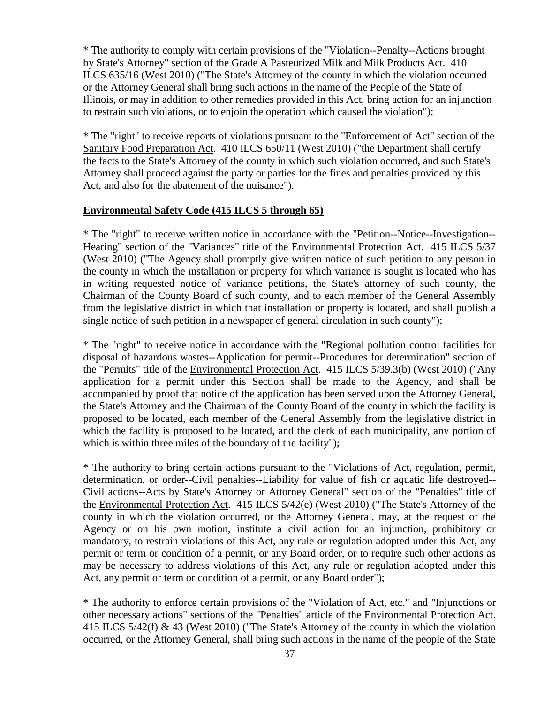\* The authority to comply with certain provisions of the "Violation--Penalty--Actions brought by State's Attorney" section of the Grade A Pasteurized Milk and Milk Products Act. 410 ILCS 635/16 (West 2010) ("The State's Attorney of the county in which the violation occurred or the Attorney General shall bring such actions in the name of the People of the State of Illinois, or may in addition to other remedies provided in this Act, bring action for an injunction to restrain such violations, or to enjoin the operation which caused the violation");

\* The "right" to receive reports of violations pursuant to the "Enforcement of Act" section of the Sanitary Food Preparation Act. 410 ILCS 650/11 (West 2010) ("the Department shall certify the facts to the State's Attorney of the county in which such violation occurred, and such State's Attorney shall proceed against the party or parties for the fines and penalties provided by this Act, and also for the abatement of the nuisance").

#### **Environmental Safety Code (415 ILCS 5 through 65)**

\* The "right" to receive written notice in accordance with the "Petition--Notice--Investigation-- Hearing" section of the "Variances" title of the Environmental Protection Act. 415 ILCS 5/37 (West 2010) ("The Agency shall promptly give written notice of such petition to any person in the county in which the installation or property for which variance is sought is located who has in writing requested notice of variance petitions, the State's attorney of such county, the Chairman of the County Board of such county, and to each member of the General Assembly from the legislative district in which that installation or property is located, and shall publish a single notice of such petition in a newspaper of general circulation in such county");

\* The "right" to receive notice in accordance with the "Regional pollution control facilities for disposal of hazardous wastes--Application for permit--Procedures for determination" section of the "Permits" title of the Environmental Protection Act. 415 ILCS 5/39.3(b) (West 2010) ("Any application for a permit under this Section shall be made to the Agency, and shall be accompanied by proof that notice of the application has been served upon the Attorney General, the State's Attorney and the Chairman of the County Board of the county in which the facility is proposed to be located, each member of the General Assembly from the legislative district in which the facility is proposed to be located, and the clerk of each municipality, any portion of which is within three miles of the boundary of the facility");

\* The authority to bring certain actions pursuant to the "Violations of Act, regulation, permit, determination, or order--Civil penalties--Liability for value of fish or aquatic life destroyed-- Civil actions--Acts by State's Attorney or Attorney General" section of the "Penalties" title of the Environmental Protection Act. 415 ILCS 5/42(e) (West 2010) ("The State's Attorney of the county in which the violation occurred, or the Attorney General, may, at the request of the Agency or on his own motion, institute a civil action for an injunction, prohibitory or mandatory, to restrain violations of this Act, any rule or regulation adopted under this Act, any permit or term or condition of a permit, or any Board order, or to require such other actions as may be necessary to address violations of this Act, any rule or regulation adopted under this Act, any permit or term or condition of a permit, or any Board order");

\* The authority to enforce certain provisions of the "Violation of Act, etc." and "Injunctions or other necessary actions" sections of the "Penalties" article of the Environmental Protection Act. 415 ILCS 5/42(f) & 43 (West 2010) ("The State's Attorney of the county in which the violation occurred, or the Attorney General, shall bring such actions in the name of the people of the State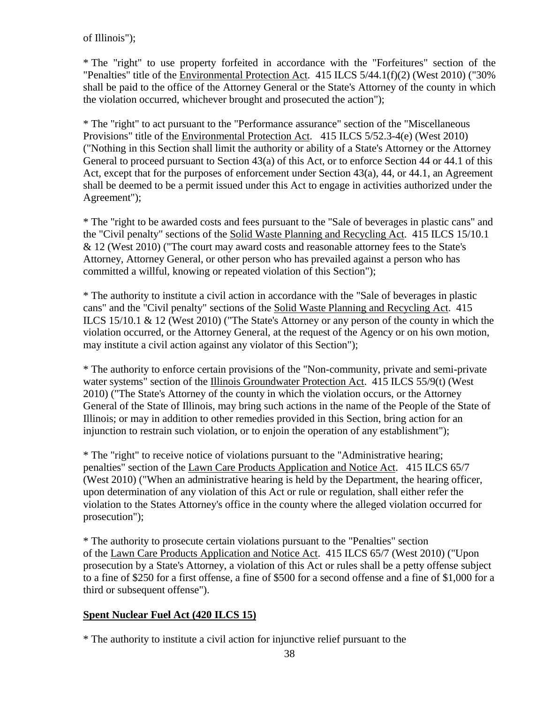of Illinois");

\* The "right" to use property forfeited in accordance with the "Forfeitures" section of the "Penalties" title of the Environmental Protection Act. 415 ILCS 5/44.1(f)(2) (West 2010) ("30% shall be paid to the office of the Attorney General or the State's Attorney of the county in which the violation occurred, whichever brought and prosecuted the action");

\* The "right" to act pursuant to the "Performance assurance" section of the "Miscellaneous Provisions" title of the Environmental Protection Act. 415 ILCS 5/52.3-4(e) (West 2010) ("Nothing in this Section shall limit the authority or ability of a State's Attorney or the Attorney General to proceed pursuant to Section 43(a) of this Act, or to enforce Section 44 or 44.1 of this Act, except that for the purposes of enforcement under Section 43(a), 44, or 44.1, an Agreement shall be deemed to be a permit issued under this Act to engage in activities authorized under the Agreement");

\* The "right to be awarded costs and fees pursuant to the "Sale of beverages in plastic cans" and the "Civil penalty" sections of the Solid Waste Planning and Recycling Act. 415 ILCS 15/10.1 & 12 (West 2010) ("The court may award costs and reasonable attorney fees to the State's Attorney, Attorney General, or other person who has prevailed against a person who has committed a willful, knowing or repeated violation of this Section");

\* The authority to institute a civil action in accordance with the "Sale of beverages in plastic cans" and the "Civil penalty" sections of the Solid Waste Planning and Recycling Act. 415 ILCS 15/10.1 & 12 (West 2010) ("The State's Attorney or any person of the county in which the violation occurred, or the Attorney General, at the request of the Agency or on his own motion, may institute a civil action against any violator of this Section");

\* The authority to enforce certain provisions of the "Non-community, private and semi-private water systems" section of the Illinois Groundwater Protection Act. 415 ILCS 55/9(t) (West 2010) ("The State's Attorney of the county in which the violation occurs, or the Attorney General of the State of Illinois, may bring such actions in the name of the People of the State of Illinois; or may in addition to other remedies provided in this Section, bring action for an injunction to restrain such violation, or to enjoin the operation of any establishment");

\* The "right" to receive notice of violations pursuant to the "Administrative hearing; penalties" section of the Lawn Care Products Application and Notice Act. 415 ILCS 65/7 (West 2010) ("When an administrative hearing is held by the Department, the hearing officer, upon determination of any violation of this Act or rule or regulation, shall either refer the violation to the States Attorney's office in the county where the alleged violation occurred for prosecution");

\* The authority to prosecute certain violations pursuant to the "Penalties" section of the Lawn Care Products Application and Notice Act. 415 ILCS 65/7 (West 2010) ("Upon prosecution by a State's Attorney, a violation of this Act or rules shall be a petty offense subject to a fine of \$250 for a first offense, a fine of \$500 for a second offense and a fine of \$1,000 for a third or subsequent offense").

# **Spent Nuclear Fuel Act (420 ILCS 15)**

\* The authority to institute a civil action for injunctive relief pursuant to the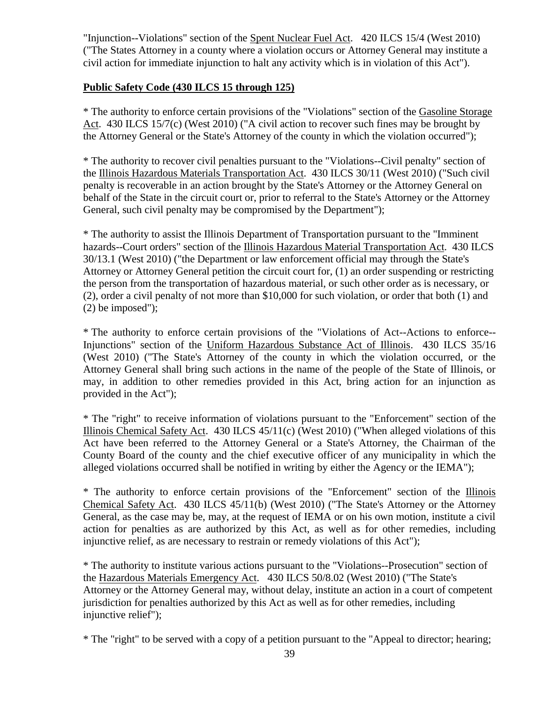"Injunction--Violations" section of the Spent Nuclear Fuel Act. 420 ILCS 15/4 (West 2010) ("The States Attorney in a county where a violation occurs or Attorney General may institute a civil action for immediate injunction to halt any activity which is in violation of this Act").

### **Public Safety Code (430 ILCS 15 through 125)**

\* The authority to enforce certain provisions of the "Violations" section of the Gasoline Storage Act. 430 ILCS 15/7(c) (West 2010) ("A civil action to recover such fines may be brought by the Attorney General or the State's Attorney of the county in which the violation occurred");

\* The authority to recover civil penalties pursuant to the "Violations--Civil penalty" section of the Illinois Hazardous Materials Transportation Act. 430 ILCS 30/11 (West 2010) ("Such civil penalty is recoverable in an action brought by the State's Attorney or the Attorney General on behalf of the State in the circuit court or, prior to referral to the State's Attorney or the Attorney General, such civil penalty may be compromised by the Department");

\* The authority to assist the Illinois Department of Transportation pursuant to the "Imminent hazards--Court orders" section of the Illinois Hazardous Material Transportation Act. 430 ILCS 30/13.1 (West 2010) ("the Department or law enforcement official may through the State's Attorney or Attorney General petition the circuit court for, (1) an order suspending or restricting the person from the transportation of hazardous material, or such other order as is necessary, or (2), order a civil penalty of not more than \$10,000 for such violation, or order that both (1) and (2) be imposed");

\* The authority to enforce certain provisions of the "Violations of Act--Actions to enforce-- Injunctions" section of the Uniform Hazardous Substance Act of Illinois. 430 ILCS 35/16 (West 2010) ("The State's Attorney of the county in which the violation occurred, or the Attorney General shall bring such actions in the name of the people of the State of Illinois, or may, in addition to other remedies provided in this Act, bring action for an injunction as provided in the Act");

\* The "right" to receive information of violations pursuant to the "Enforcement" section of the Illinois Chemical Safety Act. 430 ILCS 45/11(c) (West 2010) ("When alleged violations of this Act have been referred to the Attorney General or a State's Attorney, the Chairman of the County Board of the county and the chief executive officer of any municipality in which the alleged violations occurred shall be notified in writing by either the Agency or the IEMA");

\* The authority to enforce certain provisions of the "Enforcement" section of the Illinois Chemical Safety Act. 430 ILCS 45/11(b) (West 2010) ("The State's Attorney or the Attorney General, as the case may be, may, at the request of IEMA or on his own motion, institute a civil action for penalties as are authorized by this Act, as well as for other remedies, including injunctive relief, as are necessary to restrain or remedy violations of this Act");

\* The authority to institute various actions pursuant to the "Violations--Prosecution" section of the Hazardous Materials Emergency Act. 430 ILCS 50/8.02 (West 2010) ("The State's Attorney or the Attorney General may, without delay, institute an action in a court of competent jurisdiction for penalties authorized by this Act as well as for other remedies, including injunctive relief");

\* The "right" to be served with a copy of a petition pursuant to the "Appeal to director; hearing;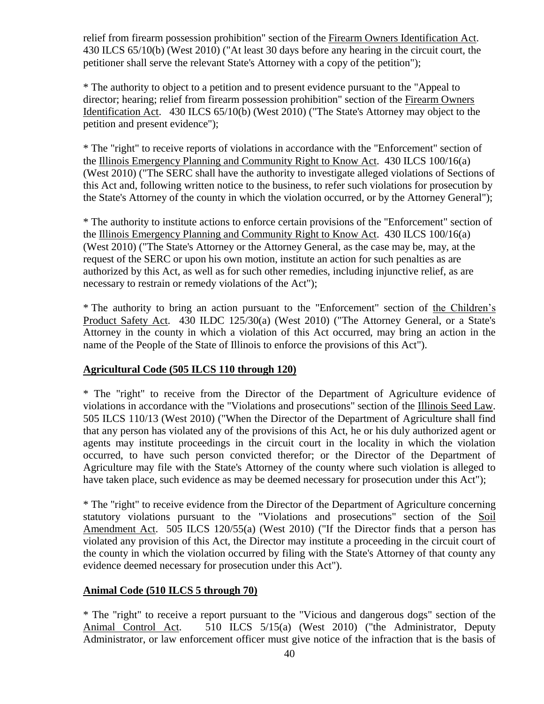relief from firearm possession prohibition" section of the Firearm Owners Identification Act. 430 ILCS 65/10(b) (West 2010) ("At least 30 days before any hearing in the circuit court, the petitioner shall serve the relevant State's Attorney with a copy of the petition");

\* The authority to object to a petition and to present evidence pursuant to the "Appeal to director; hearing; relief from firearm possession prohibition" section of the Firearm Owners Identification Act. 430 ILCS 65/10(b) (West 2010) ("The State's Attorney may object to the petition and present evidence");

\* The "right" to receive reports of violations in accordance with the "Enforcement" section of the Illinois Emergency Planning and Community Right to Know Act. 430 ILCS 100/16(a) (West 2010) ("The SERC shall have the authority to investigate alleged violations of Sections of this Act and, following written notice to the business, to refer such violations for prosecution by the State's Attorney of the county in which the violation occurred, or by the Attorney General");

\* The authority to institute actions to enforce certain provisions of the "Enforcement" section of the Illinois Emergency Planning and Community Right to Know Act. 430 ILCS 100/16(a) (West 2010) ("The State's Attorney or the Attorney General, as the case may be, may, at the request of the SERC or upon his own motion, institute an action for such penalties as are authorized by this Act, as well as for such other remedies, including injunctive relief, as are necessary to restrain or remedy violations of the Act");

\* The authority to bring an action pursuant to the "Enforcement" section of the Children's Product Safety Act. 430 ILDC 125/30(a) (West 2010) ("The Attorney General, or a State's Attorney in the county in which a violation of this Act occurred, may bring an action in the name of the People of the State of Illinois to enforce the provisions of this Act").

# **Agricultural Code (505 ILCS 110 through 120)**

\* The "right" to receive from the Director of the Department of Agriculture evidence of violations in accordance with the "Violations and prosecutions" section of the Illinois Seed Law. 505 ILCS 110/13 (West 2010) ("When the Director of the Department of Agriculture shall find that any person has violated any of the provisions of this Act, he or his duly authorized agent or agents may institute proceedings in the circuit court in the locality in which the violation occurred, to have such person convicted therefor; or the Director of the Department of Agriculture may file with the State's Attorney of the county where such violation is alleged to have taken place, such evidence as may be deemed necessary for prosecution under this Act");

\* The "right" to receive evidence from the Director of the Department of Agriculture concerning statutory violations pursuant to the "Violations and prosecutions" section of the Soil Amendment Act. 505 ILCS 120/55(a) (West 2010) ("If the Director finds that a person has violated any provision of this Act, the Director may institute a proceeding in the circuit court of the county in which the violation occurred by filing with the State's Attorney of that county any evidence deemed necessary for prosecution under this Act").

# **Animal Code (510 ILCS 5 through 70)**

\* The "right" to receive a report pursuant to the "Vicious and dangerous dogs" section of the Animal Control Act. 510 ILCS 5/15(a) (West 2010) ("the Administrator, Deputy Administrator, or law enforcement officer must give notice of the infraction that is the basis of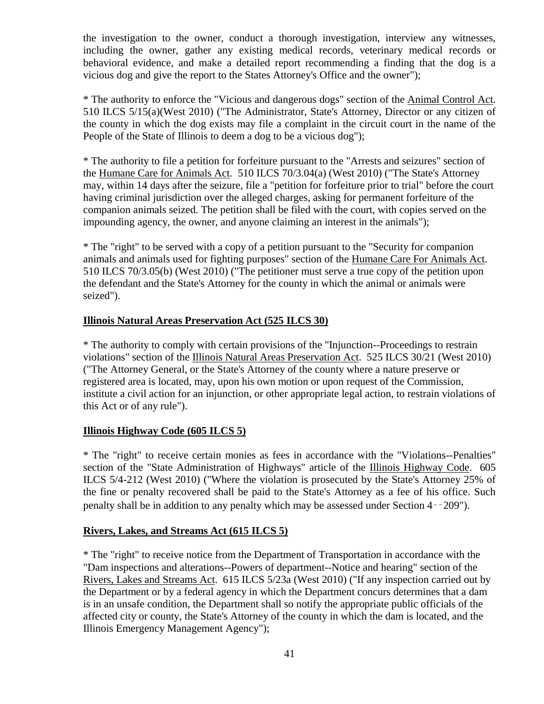the investigation to the owner, conduct a thorough investigation, interview any witnesses, including the owner, gather any existing medical records, veterinary medical records or behavioral evidence, and make a detailed report recommending a finding that the dog is a vicious dog and give the report to the States Attorney's Office and the owner");

\* The authority to enforce the "Vicious and dangerous dogs" section of the Animal Control Act. 510 ILCS 5/15(a)(West 2010) ("The Administrator, State's Attorney, Director or any citizen of the county in which the dog exists may file a complaint in the circuit court in the name of the People of the State of Illinois to deem a dog to be a vicious dog");

\* The authority to file a petition for forfeiture pursuant to the "Arrests and seizures" section of the Humane Care for Animals Act. 510 ILCS 70/3.04(a) (West 2010) ("The State's Attorney may, within 14 days after the seizure, file a "petition for forfeiture prior to trial" before the court having criminal jurisdiction over the alleged charges, asking for permanent forfeiture of the companion animals seized. The petition shall be filed with the court, with copies served on the impounding agency, the owner, and anyone claiming an interest in the animals");

\* The "right" to be served with a copy of a petition pursuant to the "Security for companion animals and animals used for fighting purposes" section of the Humane Care For Animals Act. 510 ILCS 70/3.05(b) (West 2010) ("The petitioner must serve a true copy of the petition upon the defendant and the State's Attorney for the county in which the animal or animals were seized").

# **Illinois Natural Areas Preservation Act (525 ILCS 30)**

\* The authority to comply with certain provisions of the "Injunction--Proceedings to restrain violations" section of the Illinois Natural Areas Preservation Act. 525 ILCS 30/21 (West 2010) ("The Attorney General, or the State's Attorney of the county where a nature preserve or registered area is located, may, upon his own motion or upon request of the Commission, institute a civil action for an injunction, or other appropriate legal action, to restrain violations of this Act or of any rule").

### **Illinois Highway Code (605 ILCS 5)**

\* The "right" to receive certain monies as fees in accordance with the "Violations--Penalties" section of the "State Administration of Highways" article of the Illinois Highway Code. 605 ILCS 5/4-212 (West 2010) ("Where the violation is prosecuted by the State's Attorney 25% of the fine or penalty recovered shall be paid to the State's Attorney as a fee of his office. Such penalty shall be in addition to any penalty which may be assessed under Section 4‑‑209").

### **Rivers, Lakes, and Streams Act (615 ILCS 5)**

\* The "right" to receive notice from the Department of Transportation in accordance with the "Dam inspections and alterations--Powers of department--Notice and hearing" section of the Rivers, Lakes and Streams Act. 615 ILCS 5/23a (West 2010) ("If any inspection carried out by the Department or by a federal agency in which the Department concurs determines that a dam is in an unsafe condition, the Department shall so notify the appropriate public officials of the affected city or county, the State's Attorney of the county in which the dam is located, and the Illinois Emergency Management Agency");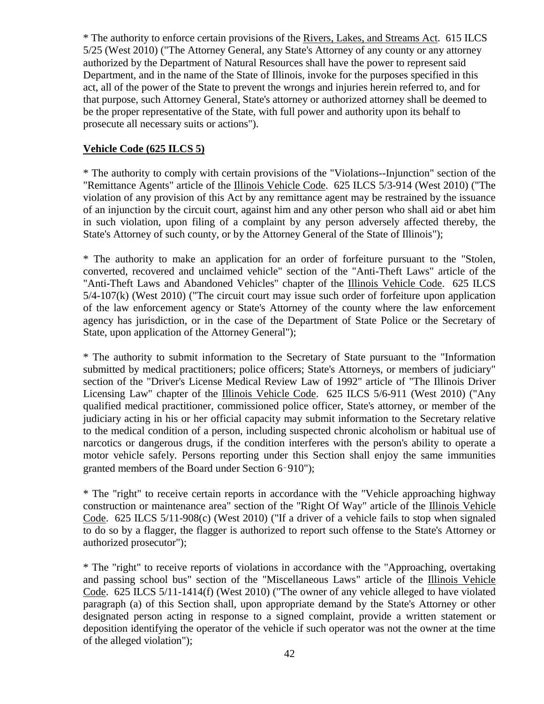\* The authority to enforce certain provisions of the Rivers, Lakes, and Streams Act. 615 ILCS 5/25 (West 2010) ("The Attorney General, any State's Attorney of any county or any attorney authorized by the Department of Natural Resources shall have the power to represent said Department, and in the name of the State of Illinois, invoke for the purposes specified in this act, all of the power of the State to prevent the wrongs and injuries herein referred to, and for that purpose, such Attorney General, State's attorney or authorized attorney shall be deemed to be the proper representative of the State, with full power and authority upon its behalf to prosecute all necessary suits or actions").

### **Vehicle Code (625 ILCS 5)**

\* The authority to comply with certain provisions of the "Violations--Injunction" section of the "Remittance Agents" article of the Illinois Vehicle Code. 625 ILCS 5/3-914 (West 2010) ("The violation of any provision of this Act by any remittance agent may be restrained by the issuance of an injunction by the circuit court, against him and any other person who shall aid or abet him in such violation, upon filing of a complaint by any person adversely affected thereby, the State's Attorney of such county, or by the Attorney General of the State of Illinois");

\* The authority to make an application for an order of forfeiture pursuant to the "Stolen, converted, recovered and unclaimed vehicle" section of the "Anti-Theft Laws" article of the "Anti-Theft Laws and Abandoned Vehicles" chapter of the Illinois Vehicle Code. 625 ILCS 5/4-107(k) (West 2010) ("The circuit court may issue such order of forfeiture upon application of the law enforcement agency or State's Attorney of the county where the law enforcement agency has jurisdiction, or in the case of the Department of State Police or the Secretary of State, upon application of the Attorney General");

\* The authority to submit information to the Secretary of State pursuant to the "Information submitted by medical practitioners; police officers; State's Attorneys, or members of judiciary" section of the "Driver's License Medical Review Law of 1992" article of "The Illinois Driver Licensing Law" chapter of the Illinois Vehicle Code. 625 ILCS 5/6-911 (West 2010) ("Any qualified medical practitioner, commissioned police officer, State's attorney, or member of the judiciary acting in his or her official capacity may submit information to the Secretary relative to the medical condition of a person, including suspected chronic alcoholism or habitual use of narcotics or dangerous drugs, if the condition interferes with the person's ability to operate a motor vehicle safely. Persons reporting under this Section shall enjoy the same immunities granted members of the Board under Section 6‑910");

\* The "right" to receive certain reports in accordance with the "Vehicle approaching highway construction or maintenance area" section of the "Right Of Way" article of the Illinois Vehicle Code. 625 ILCS 5/11-908(c) (West 2010) ("If a driver of a vehicle fails to stop when signaled to do so by a flagger, the flagger is authorized to report such offense to the State's Attorney or authorized prosecutor");

\* The "right" to receive reports of violations in accordance with the "Approaching, overtaking and passing school bus" section of the "Miscellaneous Laws" article of the Illinois Vehicle Code. 625 ILCS 5/11-1414(f) (West 2010) ("The owner of any vehicle alleged to have violated paragraph (a) of this Section shall, upon appropriate demand by the State's Attorney or other designated person acting in response to a signed complaint, provide a written statement or deposition identifying the operator of the vehicle if such operator was not the owner at the time of the alleged violation");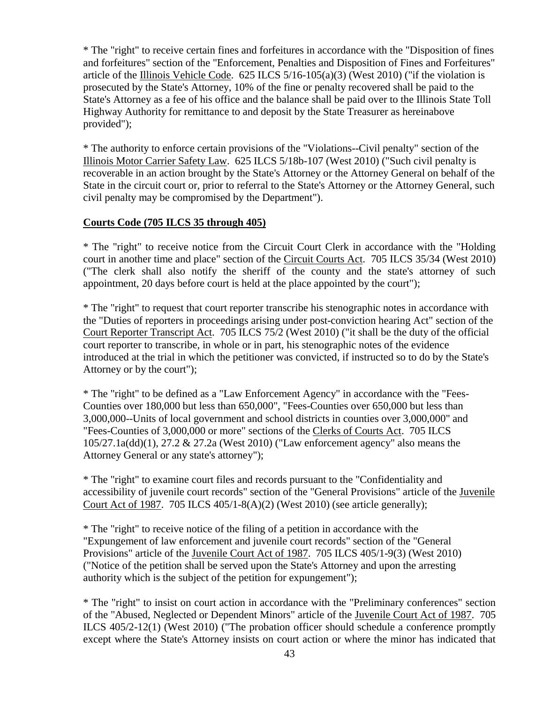\* The "right" to receive certain fines and forfeitures in accordance with the "Disposition of fines and forfeitures" section of the "Enforcement, Penalties and Disposition of Fines and Forfeitures" article of the Illinois Vehicle Code.  $625$  ILCS  $5/16-105(a)(3)$  (West 2010) ("if the violation is prosecuted by the State's Attorney, 10% of the fine or penalty recovered shall be paid to the State's Attorney as a fee of his office and the balance shall be paid over to the Illinois State Toll Highway Authority for remittance to and deposit by the State Treasurer as hereinabove provided");

\* The authority to enforce certain provisions of the "Violations--Civil penalty" section of the Illinois Motor Carrier Safety Law. 625 ILCS 5/18b-107 (West 2010) ("Such civil penalty is recoverable in an action brought by the State's Attorney or the Attorney General on behalf of the State in the circuit court or, prior to referral to the State's Attorney or the Attorney General, such civil penalty may be compromised by the Department").

### **Courts Code (705 ILCS 35 through 405)**

\* The "right" to receive notice from the Circuit Court Clerk in accordance with the "Holding court in another time and place" section of the Circuit Courts Act. 705 ILCS 35/34 (West 2010) ("The clerk shall also notify the sheriff of the county and the state's attorney of such appointment, 20 days before court is held at the place appointed by the court");

\* The "right" to request that court reporter transcribe his stenographic notes in accordance with the "Duties of reporters in proceedings arising under post-conviction hearing Act" section of the Court Reporter Transcript Act. 705 ILCS 75/2 (West 2010) ("it shall be the duty of the official court reporter to transcribe, in whole or in part, his stenographic notes of the evidence introduced at the trial in which the petitioner was convicted, if instructed so to do by the State's Attorney or by the court");

\* The "right" to be defined as a "Law Enforcement Agency" in accordance with the "Fees-Counties over 180,000 but less than 650,000", "Fees-Counties over 650,000 but less than 3,000,000--Units of local government and school districts in counties over 3,000,000" and "Fees-Counties of 3,000,000 or more" sections of the Clerks of Courts Act. 705 ILCS 105/27.1a(dd)(1), 27.2 & 27.2a (West 2010) ("Law enforcement agency" also means the Attorney General or any state's attorney");

\* The "right" to examine court files and records pursuant to the "Confidentiality and accessibility of juvenile court records" section of the "General Provisions" article of the Juvenile Court Act of 1987. 705 ILCS 405/1-8(A)(2) (West 2010) (see article generally);

\* The "right" to receive notice of the filing of a petition in accordance with the "Expungement of law enforcement and juvenile court records" section of the "General Provisions" article of the Juvenile Court Act of 1987. 705 ILCS 405/1-9(3) (West 2010) ("Notice of the petition shall be served upon the State's Attorney and upon the arresting authority which is the subject of the petition for expungement");

\* The "right" to insist on court action in accordance with the "Preliminary conferences" section of the "Abused, Neglected or Dependent Minors" article of the Juvenile Court Act of 1987. 705 ILCS 405/2-12(1) (West 2010) ("The probation officer should schedule a conference promptly except where the State's Attorney insists on court action or where the minor has indicated that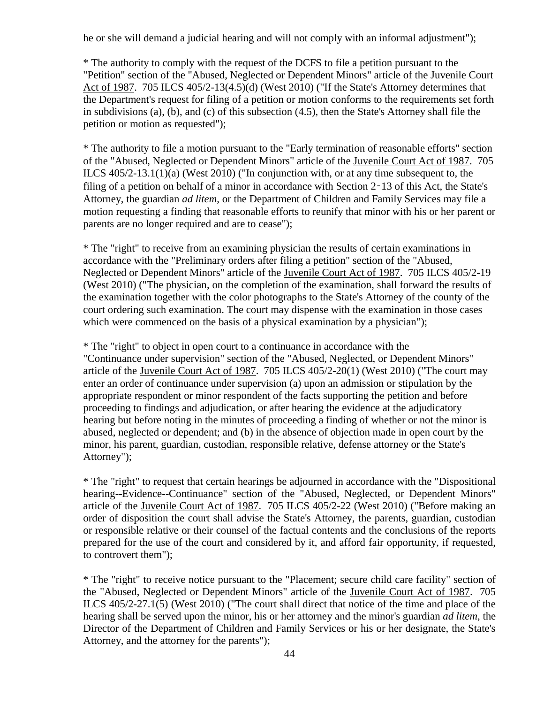he or she will demand a judicial hearing and will not comply with an informal adjustment");

\* The authority to comply with the request of the DCFS to file a petition pursuant to the "Petition" section of the "Abused, Neglected or Dependent Minors" article of the Juvenile Court Act of 1987. 705 ILCS 405/2-13(4.5)(d) (West 2010) ("If the State's Attorney determines that the Department's request for filing of a petition or motion conforms to the requirements set forth in subdivisions (a), (b), and (c) of this subsection (4.5), then the State's Attorney shall file the petition or motion as requested");

\* The authority to file a motion pursuant to the "Early termination of reasonable efforts" section of the "Abused, Neglected or Dependent Minors" article of the Juvenile Court Act of 1987. 705 ILCS 405/2-13.1(1)(a) (West 2010) ("In conjunction with, or at any time subsequent to, the filing of a petition on behalf of a minor in accordance with Section 2‑13 of this Act, the State's Attorney, the guardian *ad litem*, or the Department of Children and Family Services may file a motion requesting a finding that reasonable efforts to reunify that minor with his or her parent or parents are no longer required and are to cease");

\* The "right" to receive from an examining physician the results of certain examinations in accordance with the "Preliminary orders after filing a petition" section of the "Abused, Neglected or Dependent Minors" article of the Juvenile Court Act of 1987. 705 ILCS 405/2-19 (West 2010) ("The physician, on the completion of the examination, shall forward the results of the examination together with the color photographs to the State's Attorney of the county of the court ordering such examination. The court may dispense with the examination in those cases which were commenced on the basis of a physical examination by a physician");

\* The "right" to object in open court to a continuance in accordance with the "Continuance under supervision" section of the "Abused, Neglected, or Dependent Minors" article of the Juvenile Court Act of 1987. 705 ILCS 405/2-20(1) (West 2010) ("The court may enter an order of continuance under supervision (a) upon an admission or stipulation by the appropriate respondent or minor respondent of the facts supporting the petition and before proceeding to findings and adjudication, or after hearing the evidence at the adjudicatory hearing but before noting in the minutes of proceeding a finding of whether or not the minor is abused, neglected or dependent; and (b) in the absence of objection made in open court by the minor, his parent, guardian, custodian, responsible relative, defense attorney or the State's Attorney");

\* The "right" to request that certain hearings be adjourned in accordance with the "Dispositional hearing--Evidence--Continuance" section of the "Abused, Neglected, or Dependent Minors" article of the Juvenile Court Act of 1987. 705 ILCS 405/2-22 (West 2010) ("Before making an order of disposition the court shall advise the State's Attorney, the parents, guardian, custodian or responsible relative or their counsel of the factual contents and the conclusions of the reports prepared for the use of the court and considered by it, and afford fair opportunity, if requested, to controvert them");

\* The "right" to receive notice pursuant to the "Placement; secure child care facility" section of the "Abused, Neglected or Dependent Minors" article of the Juvenile Court Act of 1987. 705 ILCS 405/2-27.1(5) (West 2010) ("The court shall direct that notice of the time and place of the hearing shall be served upon the minor, his or her attorney and the minor's guardian *ad litem*, the Director of the Department of Children and Family Services or his or her designate, the State's Attorney, and the attorney for the parents");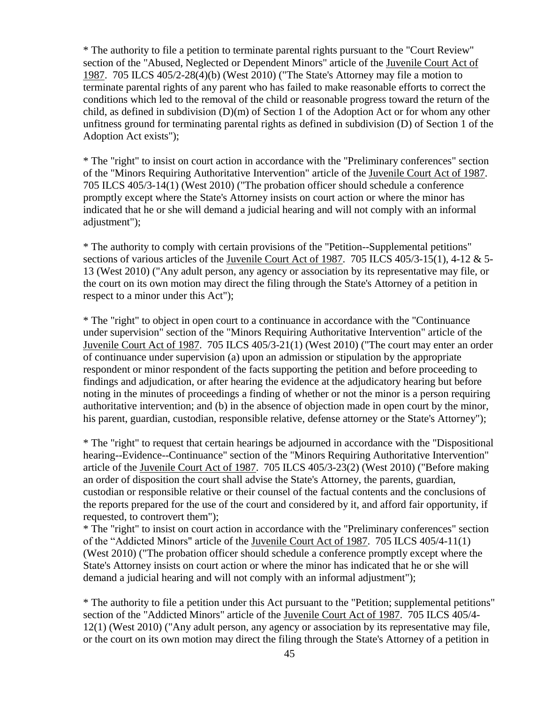\* The authority to file a petition to terminate parental rights pursuant to the "Court Review" section of the "Abused, Neglected or Dependent Minors" article of the Juvenile Court Act of 1987. 705 ILCS 405/2-28(4)(b) (West 2010) ("The State's Attorney may file a motion to terminate parental rights of any parent who has failed to make reasonable efforts to correct the conditions which led to the removal of the child or reasonable progress toward the return of the child, as defined in subdivision (D)(m) of Section 1 of the Adoption Act or for whom any other unfitness ground for terminating parental rights as defined in subdivision (D) of Section 1 of the Adoption Act exists");

\* The "right" to insist on court action in accordance with the "Preliminary conferences" section of the "Minors Requiring Authoritative Intervention" article of the Juvenile Court Act of 1987. 705 ILCS 405/3-14(1) (West 2010) ("The probation officer should schedule a conference promptly except where the State's Attorney insists on court action or where the minor has indicated that he or she will demand a judicial hearing and will not comply with an informal adjustment");

\* The authority to comply with certain provisions of the "Petition--Supplemental petitions" sections of various articles of the Juvenile Court Act of 1987. 705 ILCS 405/3-15(1), 4-12 & 5-13 (West 2010) ("Any adult person, any agency or association by its representative may file, or the court on its own motion may direct the filing through the State's Attorney of a petition in respect to a minor under this Act");

\* The "right" to object in open court to a continuance in accordance with the "Continuance under supervision" section of the "Minors Requiring Authoritative Intervention" article of the Juvenile Court Act of 1987. 705 ILCS 405/3-21(1) (West 2010) ("The court may enter an order of continuance under supervision (a) upon an admission or stipulation by the appropriate respondent or minor respondent of the facts supporting the petition and before proceeding to findings and adjudication, or after hearing the evidence at the adjudicatory hearing but before noting in the minutes of proceedings a finding of whether or not the minor is a person requiring authoritative intervention; and (b) in the absence of objection made in open court by the minor, his parent, guardian, custodian, responsible relative, defense attorney or the State's Attorney");

\* The "right" to request that certain hearings be adjourned in accordance with the "Dispositional hearing--Evidence--Continuance" section of the "Minors Requiring Authoritative Intervention" article of the Juvenile Court Act of 1987. 705 ILCS 405/3-23(2) (West 2010) ("Before making an order of disposition the court shall advise the State's Attorney, the parents, guardian, custodian or responsible relative or their counsel of the factual contents and the conclusions of the reports prepared for the use of the court and considered by it, and afford fair opportunity, if requested, to controvert them");

\* The "right" to insist on court action in accordance with the "Preliminary conferences" section of the "Addicted Minors" article of the Juvenile Court Act of 1987. 705 ILCS 405/4-11(1) (West 2010) ("The probation officer should schedule a conference promptly except where the State's Attorney insists on court action or where the minor has indicated that he or she will demand a judicial hearing and will not comply with an informal adjustment");

\* The authority to file a petition under this Act pursuant to the "Petition; supplemental petitions" section of the "Addicted Minors" article of the Juvenile Court Act of 1987. 705 ILCS 405/4- 12(1) (West 2010) ("Any adult person, any agency or association by its representative may file, or the court on its own motion may direct the filing through the State's Attorney of a petition in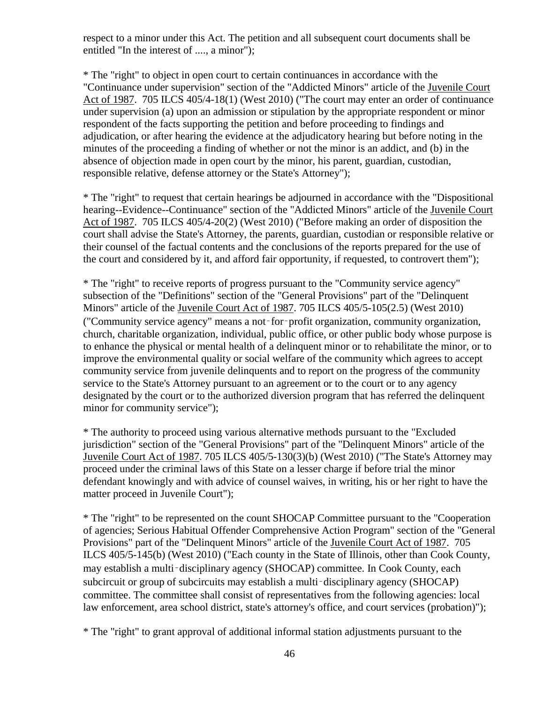respect to a minor under this Act. The petition and all subsequent court documents shall be entitled "In the interest of ...., a minor");

\* The "right" to object in open court to certain continuances in accordance with the "Continuance under supervision" section of the "Addicted Minors" article of the Juvenile Court Act of 1987. 705 ILCS 405/4-18(1) (West 2010) ("The court may enter an order of continuance under supervision (a) upon an admission or stipulation by the appropriate respondent or minor respondent of the facts supporting the petition and before proceeding to findings and adjudication, or after hearing the evidence at the adjudicatory hearing but before noting in the minutes of the proceeding a finding of whether or not the minor is an addict, and (b) in the absence of objection made in open court by the minor, his parent, guardian, custodian, responsible relative, defense attorney or the State's Attorney");

\* The "right" to request that certain hearings be adjourned in accordance with the "Dispositional hearing--Evidence--Continuance" section of the "Addicted Minors" article of the Juvenile Court Act of 1987. 705 ILCS 405/4-20(2) (West 2010) ("Before making an order of disposition the court shall advise the State's Attorney, the parents, guardian, custodian or responsible relative or their counsel of the factual contents and the conclusions of the reports prepared for the use of the court and considered by it, and afford fair opportunity, if requested, to controvert them");

\* The "right" to receive reports of progress pursuant to the "Community service agency" subsection of the "Definitions" section of the "General Provisions" part of the "Delinquent Minors" article of the Juvenile Court Act of 1987. 705 ILCS 405/5-105(2.5) (West 2010) ("Community service agency" means a not‑for‑profit organization, community organization, church, charitable organization, individual, public office, or other public body whose purpose is to enhance the physical or mental health of a delinquent minor or to rehabilitate the minor, or to improve the environmental quality or social welfare of the community which agrees to accept community service from juvenile delinquents and to report on the progress of the community service to the State's Attorney pursuant to an agreement or to the court or to any agency designated by the court or to the authorized diversion program that has referred the delinquent minor for community service");

\* The authority to proceed using various alternative methods pursuant to the "Excluded jurisdiction" section of the "General Provisions" part of the "Delinquent Minors" article of the Juvenile Court Act of 1987. 705 ILCS 405/5-130(3)(b) (West 2010) ("The State's Attorney may proceed under the criminal laws of this State on a lesser charge if before trial the minor defendant knowingly and with advice of counsel waives, in writing, his or her right to have the matter proceed in Juvenile Court");

\* The "right" to be represented on the count SHOCAP Committee pursuant to the "Cooperation of agencies; Serious Habitual Offender Comprehensive Action Program" section of the "General Provisions" part of the "Delinquent Minors" article of the Juvenile Court Act of 1987. 705 ILCS 405/5-145(b) (West 2010) ("Each county in the State of Illinois, other than Cook County, may establish a multi-disciplinary agency (SHOCAP) committee. In Cook County, each subcircuit or group of subcircuits may establish a multi-disciplinary agency (SHOCAP) committee. The committee shall consist of representatives from the following agencies: local law enforcement, area school district, state's attorney's office, and court services (probation)");

\* The "right" to grant approval of additional informal station adjustments pursuant to the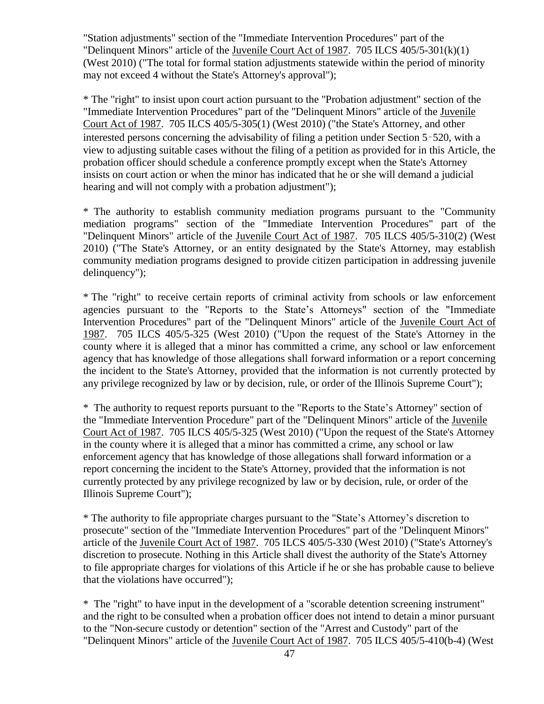"Station adjustments" section of the "Immediate Intervention Procedures" part of the "Delinquent Minors" article of the Juvenile Court Act of 1987. 705 ILCS 405/5-301(k)(1) (West 2010) ("The total for formal station adjustments statewide within the period of minority may not exceed 4 without the State's Attorney's approval");

\* The "right" to insist upon court action pursuant to the "Probation adjustment" section of the "Immediate Intervention Procedures" part of the "Delinquent Minors" article of the Juvenile Court Act of 1987. 705 ILCS 405/5-305(1) (West 2010) ("the State's Attorney, and other interested persons concerning the advisability of filing a petition under Section 5‑520, with a view to adjusting suitable cases without the filing of a petition as provided for in this Article, the probation officer should schedule a conference promptly except when the State's Attorney insists on court action or when the minor has indicated that he or she will demand a judicial hearing and will not comply with a probation adjustment");

\* The authority to establish community mediation programs pursuant to the "Community mediation programs" section of the "Immediate Intervention Procedures" part of the "Delinquent Minors" article of the Juvenile Court Act of 1987. 705 ILCS 405/5-310(2) (West 2010) ("The State's Attorney, or an entity designated by the State's Attorney, may establish community mediation programs designed to provide citizen participation in addressing juvenile delinquency");

\* The "right" to receive certain reports of criminal activity from schools or law enforcement agencies pursuant to the "Reports to the State's Attorneys" section of the "Immediate Intervention Procedures" part of the "Delinquent Minors" article of the Juvenile Court Act of 1987. 705 ILCS 405/5-325 (West 2010) ("Upon the request of the State's Attorney in the county where it is alleged that a minor has committed a crime, any school or law enforcement agency that has knowledge of those allegations shall forward information or a report concerning the incident to the State's Attorney, provided that the information is not currently protected by any privilege recognized by law or by decision, rule, or order of the Illinois Supreme Court");

\* The authority to request reports pursuant to the "Reports to the State's Attorney" section of the "Immediate Intervention Procedure" part of the "Delinquent Minors" article of the Juvenile Court Act of 1987. 705 ILCS 405/5-325 (West 2010) ("Upon the request of the State's Attorney in the county where it is alleged that a minor has committed a crime, any school or law enforcement agency that has knowledge of those allegations shall forward information or a report concerning the incident to the State's Attorney, provided that the information is not currently protected by any privilege recognized by law or by decision, rule, or order of the Illinois Supreme Court");

\* The authority to file appropriate charges pursuant to the "State's Attorney's discretion to prosecute" section of the "Immediate Intervention Procedures" part of the "Delinquent Minors" article of the Juvenile Court Act of 1987. 705 ILCS 405/5-330 (West 2010) ("State's Attorney's discretion to prosecute. Nothing in this Article shall divest the authority of the State's Attorney to file appropriate charges for violations of this Article if he or she has probable cause to believe that the violations have occurred");

\* The "right" to have input in the development of a "scorable detention screening instrument" and the right to be consulted when a probation officer does not intend to detain a minor pursuant to the "Non-secure custody or detention" section of the "Arrest and Custody" part of the "Delinquent Minors" article of the Juvenile Court Act of 1987. 705 ILCS 405/5-410(b-4) (West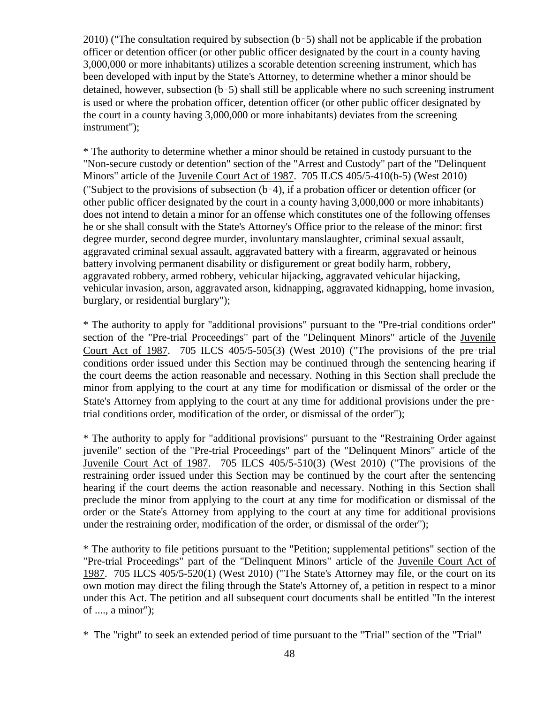2010) ("The consultation required by subsection (b‑5) shall not be applicable if the probation officer or detention officer (or other public officer designated by the court in a county having 3,000,000 or more inhabitants) utilizes a scorable detention screening instrument, which has been developed with input by the State's Attorney, to determine whether a minor should be detained, however, subsection (b‑5) shall still be applicable where no such screening instrument is used or where the probation officer, detention officer (or other public officer designated by the court in a county having 3,000,000 or more inhabitants) deviates from the screening instrument");

\* The authority to determine whether a minor should be retained in custody pursuant to the "Non-secure custody or detention" section of the "Arrest and Custody" part of the "Delinquent Minors" article of the Juvenile Court Act of 1987. 705 ILCS 405/5-410(b-5) (West 2010) ("Subject to the provisions of subsection (b‑4), if a probation officer or detention officer (or other public officer designated by the court in a county having 3,000,000 or more inhabitants) does not intend to detain a minor for an offense which constitutes one of the following offenses he or she shall consult with the State's Attorney's Office prior to the release of the minor: first degree murder, second degree murder, involuntary manslaughter, criminal sexual assault, aggravated criminal sexual assault, aggravated battery with a firearm, aggravated or heinous battery involving permanent disability or disfigurement or great bodily harm, robbery, aggravated robbery, armed robbery, vehicular hijacking, aggravated vehicular hijacking, vehicular invasion, arson, aggravated arson, kidnapping, aggravated kidnapping, home invasion, burglary, or residential burglary");

\* The authority to apply for "additional provisions" pursuant to the "Pre-trial conditions order" section of the "Pre-trial Proceedings" part of the "Delinquent Minors" article of the Juvenile Court Act of 1987. 705 ILCS 405/5-505(3) (West 2010) ("The provisions of the pre‑trial conditions order issued under this Section may be continued through the sentencing hearing if the court deems the action reasonable and necessary. Nothing in this Section shall preclude the minor from applying to the court at any time for modification or dismissal of the order or the State's Attorney from applying to the court at any time for additional provisions under the pre– trial conditions order, modification of the order, or dismissal of the order");

\* The authority to apply for "additional provisions" pursuant to the "Restraining Order against juvenile" section of the "Pre-trial Proceedings" part of the "Delinquent Minors" article of the Juvenile Court Act of 1987. 705 ILCS 405/5-510(3) (West 2010) ("The provisions of the restraining order issued under this Section may be continued by the court after the sentencing hearing if the court deems the action reasonable and necessary. Nothing in this Section shall preclude the minor from applying to the court at any time for modification or dismissal of the order or the State's Attorney from applying to the court at any time for additional provisions under the restraining order, modification of the order, or dismissal of the order");

\* The authority to file petitions pursuant to the "Petition; supplemental petitions" section of the "Pre-trial Proceedings" part of the "Delinquent Minors" article of the Juvenile Court Act of 1987. 705 ILCS 405/5-520(1) (West 2010) ("The State's Attorney may file, or the court on its own motion may direct the filing through the State's Attorney of, a petition in respect to a minor under this Act. The petition and all subsequent court documents shall be entitled "In the interest of ...., a minor");

\* The "right" to seek an extended period of time pursuant to the "Trial" section of the "Trial"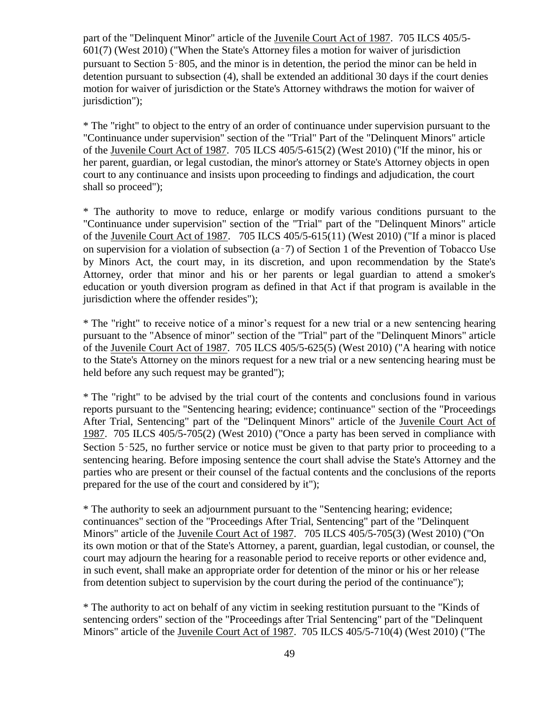part of the "Delinquent Minor" article of the Juvenile Court Act of 1987. 705 ILCS 405/5- 601(7) (West 2010) ("When the State's Attorney files a motion for waiver of jurisdiction pursuant to Section 5‑805, and the minor is in detention, the period the minor can be held in detention pursuant to subsection (4), shall be extended an additional 30 days if the court denies motion for waiver of jurisdiction or the State's Attorney withdraws the motion for waiver of jurisdiction");

\* The "right" to object to the entry of an order of continuance under supervision pursuant to the "Continuance under supervision" section of the "Trial" Part of the "Delinquent Minors" article of the Juvenile Court Act of 1987. 705 ILCS 405/5-615(2) (West 2010) ("If the minor, his or her parent, guardian, or legal custodian, the minor's attorney or State's Attorney objects in open court to any continuance and insists upon proceeding to findings and adjudication, the court shall so proceed");

\* The authority to move to reduce, enlarge or modify various conditions pursuant to the "Continuance under supervision" section of the "Trial" part of the "Delinquent Minors" article of the Juvenile Court Act of 1987. 705 ILCS 405/5-615(11) (West 2010) ("If a minor is placed on supervision for a violation of subsection (a‑7) of Section 1 of the Prevention of Tobacco Use by Minors Act, the court may, in its discretion, and upon recommendation by the State's Attorney, order that minor and his or her parents or legal guardian to attend a smoker's education or youth diversion program as defined in that Act if that program is available in the jurisdiction where the offender resides");

\* The "right" to receive notice of a minor's request for a new trial or a new sentencing hearing pursuant to the "Absence of minor" section of the "Trial" part of the "Delinquent Minors" article of the Juvenile Court Act of 1987. 705 ILCS 405/5-625(5) (West 2010) ("A hearing with notice to the State's Attorney on the minors request for a new trial or a new sentencing hearing must be held before any such request may be granted");

\* The "right" to be advised by the trial court of the contents and conclusions found in various reports pursuant to the "Sentencing hearing; evidence; continuance" section of the "Proceedings After Trial, Sentencing" part of the "Delinquent Minors" article of the Juvenile Court Act of 1987. 705 ILCS 405/5-705(2) (West 2010) ("Once a party has been served in compliance with Section 5–525, no further service or notice must be given to that party prior to proceeding to a sentencing hearing. Before imposing sentence the court shall advise the State's Attorney and the parties who are present or their counsel of the factual contents and the conclusions of the reports prepared for the use of the court and considered by it");

\* The authority to seek an adjournment pursuant to the "Sentencing hearing; evidence; continuances" section of the "Proceedings After Trial, Sentencing" part of the "Delinquent Minors" article of the Juvenile Court Act of 1987. 705 ILCS 405/5-705(3) (West 2010) ("On its own motion or that of the State's Attorney, a parent, guardian, legal custodian, or counsel, the court may adjourn the hearing for a reasonable period to receive reports or other evidence and, in such event, shall make an appropriate order for detention of the minor or his or her release from detention subject to supervision by the court during the period of the continuance");

\* The authority to act on behalf of any victim in seeking restitution pursuant to the "Kinds of sentencing orders" section of the "Proceedings after Trial Sentencing" part of the "Delinquent Minors" article of the Juvenile Court Act of 1987. 705 ILCS 405/5-710(4) (West 2010) ("The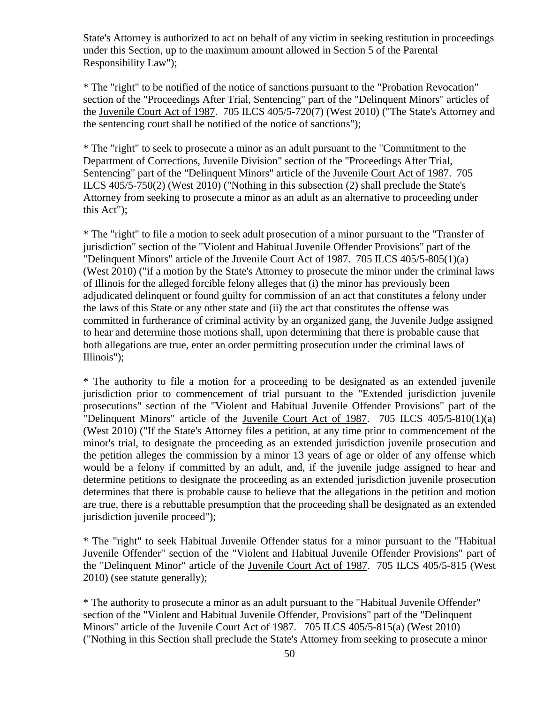State's Attorney is authorized to act on behalf of any victim in seeking restitution in proceedings under this Section, up to the maximum amount allowed in Section 5 of the Parental Responsibility Law");

\* The "right" to be notified of the notice of sanctions pursuant to the "Probation Revocation" section of the "Proceedings After Trial, Sentencing" part of the "Delinquent Minors" articles of the Juvenile Court Act of 1987. 705 ILCS 405/5-720(7) (West 2010) ("The State's Attorney and the sentencing court shall be notified of the notice of sanctions");

\* The "right" to seek to prosecute a minor as an adult pursuant to the "Commitment to the Department of Corrections, Juvenile Division" section of the "Proceedings After Trial, Sentencing" part of the "Delinquent Minors" article of the Juvenile Court Act of 1987. 705 ILCS 405/5-750(2) (West 2010) ("Nothing in this subsection (2) shall preclude the State's Attorney from seeking to prosecute a minor as an adult as an alternative to proceeding under this Act");

\* The "right" to file a motion to seek adult prosecution of a minor pursuant to the "Transfer of jurisdiction" section of the "Violent and Habitual Juvenile Offender Provisions" part of the "Delinquent Minors" article of the Juvenile Court Act of 1987. 705 ILCS 405/5-805(1)(a) (West 2010) ("if a motion by the State's Attorney to prosecute the minor under the criminal laws of Illinois for the alleged forcible felony alleges that (i) the minor has previously been adjudicated delinquent or found guilty for commission of an act that constitutes a felony under the laws of this State or any other state and (ii) the act that constitutes the offense was committed in furtherance of criminal activity by an organized gang, the Juvenile Judge assigned to hear and determine those motions shall, upon determining that there is probable cause that both allegations are true, enter an order permitting prosecution under the criminal laws of Illinois");

\* The authority to file a motion for a proceeding to be designated as an extended juvenile jurisdiction prior to commencement of trial pursuant to the "Extended jurisdiction juvenile prosecutions" section of the "Violent and Habitual Juvenile Offender Provisions" part of the "Delinquent Minors" article of the Juvenile Court Act of 1987. 705 ILCS 405/5-810(1)(a) (West 2010) ("If the State's Attorney files a petition, at any time prior to commencement of the minor's trial, to designate the proceeding as an extended jurisdiction juvenile prosecution and the petition alleges the commission by a minor 13 years of age or older of any offense which would be a felony if committed by an adult, and, if the juvenile judge assigned to hear and determine petitions to designate the proceeding as an extended jurisdiction juvenile prosecution determines that there is probable cause to believe that the allegations in the petition and motion are true, there is a rebuttable presumption that the proceeding shall be designated as an extended jurisdiction juvenile proceed");

\* The "right" to seek Habitual Juvenile Offender status for a minor pursuant to the "Habitual Juvenile Offender" section of the "Violent and Habitual Juvenile Offender Provisions" part of the "Delinquent Minor" article of the Juvenile Court Act of 1987. 705 ILCS 405/5-815 (West 2010) (see statute generally);

\* The authority to prosecute a minor as an adult pursuant to the "Habitual Juvenile Offender" section of the "Violent and Habitual Juvenile Offender, Provisions" part of the "Delinquent Minors" article of the Juvenile Court Act of 1987. 705 ILCS 405/5-815(a) (West 2010) ("Nothing in this Section shall preclude the State's Attorney from seeking to prosecute a minor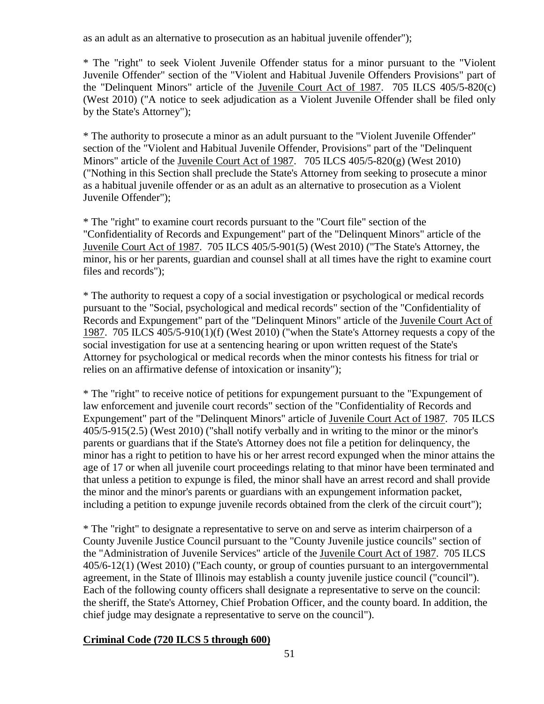as an adult as an alternative to prosecution as an habitual juvenile offender");

\* The "right" to seek Violent Juvenile Offender status for a minor pursuant to the "Violent Juvenile Offender" section of the "Violent and Habitual Juvenile Offenders Provisions" part of the "Delinquent Minors" article of the Juvenile Court Act of 1987. 705 ILCS 405/5-820(c) (West 2010) ("A notice to seek adjudication as a Violent Juvenile Offender shall be filed only by the State's Attorney");

\* The authority to prosecute a minor as an adult pursuant to the "Violent Juvenile Offender" section of the "Violent and Habitual Juvenile Offender, Provisions" part of the "Delinquent Minors" article of the Juvenile Court Act of 1987. 705 ILCS 405/5-820(g) (West 2010) ("Nothing in this Section shall preclude the State's Attorney from seeking to prosecute a minor as a habitual juvenile offender or as an adult as an alternative to prosecution as a Violent Juvenile Offender");

\* The "right" to examine court records pursuant to the "Court file" section of the "Confidentiality of Records and Expungement" part of the "Delinquent Minors" article of the Juvenile Court Act of 1987. 705 ILCS 405/5-901(5) (West 2010) ("The State's Attorney, the minor, his or her parents, guardian and counsel shall at all times have the right to examine court files and records");

\* The authority to request a copy of a social investigation or psychological or medical records pursuant to the "Social, psychological and medical records" section of the "Confidentiality of Records and Expungement" part of the "Delinquent Minors" article of the Juvenile Court Act of 1987. 705 ILCS 405/5-910(1)(f) (West 2010) ("when the State's Attorney requests a copy of the social investigation for use at a sentencing hearing or upon written request of the State's Attorney for psychological or medical records when the minor contests his fitness for trial or relies on an affirmative defense of intoxication or insanity");

\* The "right" to receive notice of petitions for expungement pursuant to the "Expungement of law enforcement and juvenile court records" section of the "Confidentiality of Records and Expungement" part of the "Delinquent Minors" article of Juvenile Court Act of 1987. 705 ILCS 405/5-915(2.5) (West 2010) ("shall notify verbally and in writing to the minor or the minor's parents or guardians that if the State's Attorney does not file a petition for delinquency, the minor has a right to petition to have his or her arrest record expunged when the minor attains the age of 17 or when all juvenile court proceedings relating to that minor have been terminated and that unless a petition to expunge is filed, the minor shall have an arrest record and shall provide the minor and the minor's parents or guardians with an expungement information packet, including a petition to expunge juvenile records obtained from the clerk of the circuit court");

\* The "right" to designate a representative to serve on and serve as interim chairperson of a County Juvenile Justice Council pursuant to the "County Juvenile justice councils" section of the "Administration of Juvenile Services" article of the Juvenile Court Act of 1987. 705 ILCS 405/6-12(1) (West 2010) ("Each county, or group of counties pursuant to an intergovernmental agreement, in the State of Illinois may establish a county juvenile justice council ("council"). Each of the following county officers shall designate a representative to serve on the council: the sheriff, the State's Attorney, Chief Probation Officer, and the county board. In addition, the chief judge may designate a representative to serve on the council").

# **Criminal Code (720 ILCS 5 through 600)**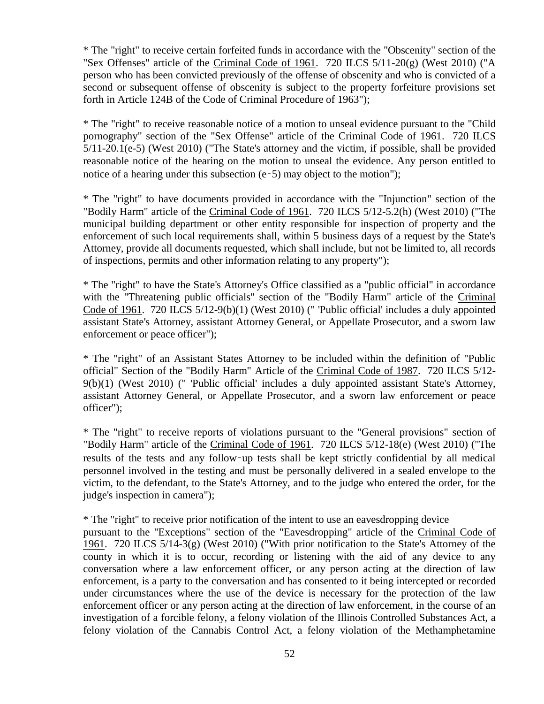\* The "right" to receive certain forfeited funds in accordance with the "Obscenity" section of the "Sex Offenses" article of the Criminal Code of 1961. 720 ILCS 5/11-20(g) (West 2010) ("A person who has been convicted previously of the offense of obscenity and who is convicted of a second or subsequent offense of obscenity is subject to the property forfeiture provisions set forth in Article 124B of the Code of Criminal Procedure of 1963");

\* The "right" to receive reasonable notice of a motion to unseal evidence pursuant to the "Child pornography" section of the "Sex Offense" article of the Criminal Code of 1961. 720 ILCS 5/11-20.1(e-5) (West 2010) ("The State's attorney and the victim, if possible, shall be provided reasonable notice of the hearing on the motion to unseal the evidence. Any person entitled to notice of a hearing under this subsection  $(e-5)$  may object to the motion"):

\* The "right" to have documents provided in accordance with the "Injunction" section of the "Bodily Harm" article of the Criminal Code of 1961. 720 ILCS 5/12-5.2(h) (West 2010) ("The municipal building department or other entity responsible for inspection of property and the enforcement of such local requirements shall, within 5 business days of a request by the State's Attorney, provide all documents requested, which shall include, but not be limited to, all records of inspections, permits and other information relating to any property");

\* The "right" to have the State's Attorney's Office classified as a "public official" in accordance with the "Threatening public officials" section of the "Bodily Harm" article of the Criminal Code of 1961. 720 ILCS 5/12-9(b)(1) (West 2010) (" 'Public official' includes a duly appointed assistant State's Attorney, assistant Attorney General, or Appellate Prosecutor, and a sworn law enforcement or peace officer");

\* The "right" of an Assistant States Attorney to be included within the definition of "Public official" Section of the "Bodily Harm" Article of the Criminal Code of 1987. 720 ILCS 5/12-  $9(b)(1)$  (West 2010) (" Public official' includes a duly appointed assistant State's Attorney, assistant Attorney General, or Appellate Prosecutor, and a sworn law enforcement or peace officer");

\* The "right" to receive reports of violations pursuant to the "General provisions" section of "Bodily Harm" article of the Criminal Code of 1961. 720 ILCS 5/12-18(e) (West 2010) ("The results of the tests and any follow‑up tests shall be kept strictly confidential by all medical personnel involved in the testing and must be personally delivered in a sealed envelope to the victim, to the defendant, to the State's Attorney, and to the judge who entered the order, for the judge's inspection in camera");

\* The "right" to receive prior notification of the intent to use an eavesdropping device pursuant to the "Exceptions" section of the "Eavesdropping" article of the Criminal Code of 1961. 720 ILCS 5/14-3(g) (West 2010) ("With prior notification to the State's Attorney of the county in which it is to occur, recording or listening with the aid of any device to any conversation where a law enforcement officer, or any person acting at the direction of law enforcement, is a party to the conversation and has consented to it being intercepted or recorded under circumstances where the use of the device is necessary for the protection of the law enforcement officer or any person acting at the direction of law enforcement, in the course of an investigation of a forcible felony, a felony violation of the Illinois Controlled Substances Act, a felony violation of the Cannabis Control Act, a felony violation of the Methamphetamine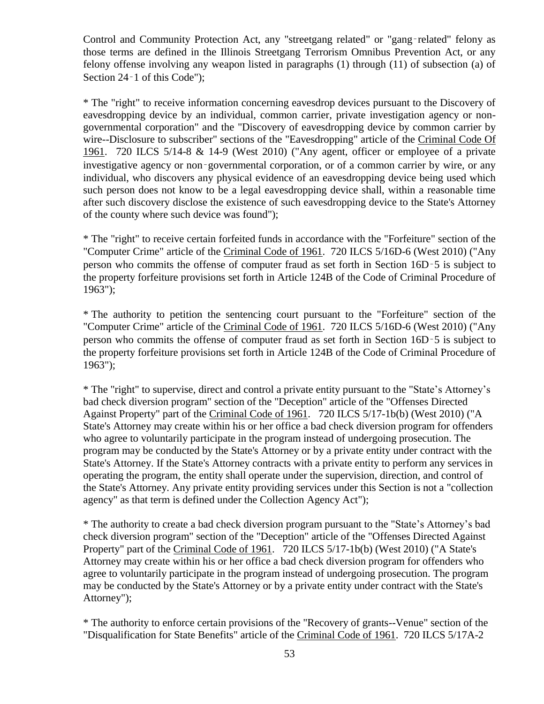Control and Community Protection Act, any "streetgang related" or "gang‑related" felony as those terms are defined in the Illinois Streetgang Terrorism Omnibus Prevention Act, or any felony offense involving any weapon listed in paragraphs (1) through (11) of subsection (a) of Section 24–1 of this Code");

\* The "right" to receive information concerning eavesdrop devices pursuant to the Discovery of eavesdropping device by an individual, common carrier, private investigation agency or nongovernmental corporation" and the "Discovery of eavesdropping device by common carrier by wire--Disclosure to subscriber" sections of the "Eavesdropping" article of the Criminal Code Of 1961. 720 ILCS 5/14-8 & 14-9 (West 2010) ("Any agent, officer or employee of a private investigative agency or non‑governmental corporation, or of a common carrier by wire, or any individual, who discovers any physical evidence of an eavesdropping device being used which such person does not know to be a legal eavesdropping device shall, within a reasonable time after such discovery disclose the existence of such eavesdropping device to the State's Attorney of the county where such device was found");

\* The "right" to receive certain forfeited funds in accordance with the "Forfeiture" section of the "Computer Crime" article of the Criminal Code of 1961. 720 ILCS 5/16D-6 (West 2010) ("Any person who commits the offense of computer fraud as set forth in Section 16D‑5 is subject to the property forfeiture provisions set forth in Article 124B of the Code of Criminal Procedure of 1963");

\* The authority to petition the sentencing court pursuant to the "Forfeiture" section of the "Computer Crime" article of the Criminal Code of 1961. 720 ILCS 5/16D-6 (West 2010) ("Any person who commits the offense of computer fraud as set forth in Section 16D‑5 is subject to the property forfeiture provisions set forth in Article 124B of the Code of Criminal Procedure of 1963");

\* The "right" to supervise, direct and control a private entity pursuant to the "State's Attorney's bad check diversion program" section of the "Deception" article of the "Offenses Directed Against Property" part of the Criminal Code of 1961. 720 ILCS 5/17-1b(b) (West 2010) ("A State's Attorney may create within his or her office a bad check diversion program for offenders who agree to voluntarily participate in the program instead of undergoing prosecution. The program may be conducted by the State's Attorney or by a private entity under contract with the State's Attorney. If the State's Attorney contracts with a private entity to perform any services in operating the program, the entity shall operate under the supervision, direction, and control of the State's Attorney. Any private entity providing services under this Section is not a "collection agency" as that term is defined under the Collection Agency Act");

\* The authority to create a bad check diversion program pursuant to the "State's Attorney's bad check diversion program" section of the "Deception" article of the "Offenses Directed Against Property" part of the Criminal Code of 1961. 720 ILCS 5/17-1b(b) (West 2010) ("A State's Attorney may create within his or her office a bad check diversion program for offenders who agree to voluntarily participate in the program instead of undergoing prosecution. The program may be conducted by the State's Attorney or by a private entity under contract with the State's Attorney");

\* The authority to enforce certain provisions of the "Recovery of grants--Venue" section of the "Disqualification for State Benefits" article of the Criminal Code of 1961. 720 ILCS 5/17A-2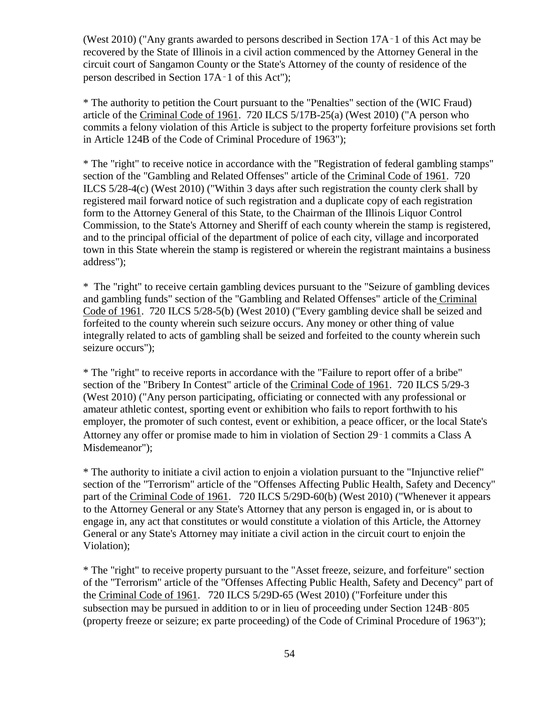(West 2010) ("Any grants awarded to persons described in Section 17A‑1 of this Act may be recovered by the State of Illinois in a civil action commenced by the Attorney General in the circuit court of Sangamon County or the State's Attorney of the county of residence of the person described in Section 17A‑1 of this Act");

\* The authority to petition the Court pursuant to the "Penalties" section of the (WIC Fraud) article of the Criminal Code of 1961. 720 ILCS 5/17B-25(a) (West 2010) ("A person who commits a felony violation of this Article is subject to the property forfeiture provisions set forth in Article 124B of the Code of Criminal Procedure of 1963");

\* The "right" to receive notice in accordance with the "Registration of federal gambling stamps" section of the "Gambling and Related Offenses" article of the Criminal Code of 1961. 720 ILCS 5/28-4(c) (West 2010) ("Within 3 days after such registration the county clerk shall by registered mail forward notice of such registration and a duplicate copy of each registration form to the Attorney General of this State, to the Chairman of the Illinois Liquor Control Commission, to the State's Attorney and Sheriff of each county wherein the stamp is registered, and to the principal official of the department of police of each city, village and incorporated town in this State wherein the stamp is registered or wherein the registrant maintains a business address");

\* The "right" to receive certain gambling devices pursuant to the "Seizure of gambling devices and gambling funds" section of the "Gambling and Related Offenses" article of the Criminal Code of 1961. 720 ILCS 5/28-5(b) (West 2010) ("Every gambling device shall be seized and forfeited to the county wherein such seizure occurs. Any money or other thing of value integrally related to acts of gambling shall be seized and forfeited to the county wherein such seizure occurs");

\* The "right" to receive reports in accordance with the "Failure to report offer of a bribe" section of the "Bribery In Contest" article of the Criminal Code of 1961. 720 ILCS 5/29-3 (West 2010) ("Any person participating, officiating or connected with any professional or amateur athletic contest, sporting event or exhibition who fails to report forthwith to his employer, the promoter of such contest, event or exhibition, a peace officer, or the local State's Attorney any offer or promise made to him in violation of Section 29‑1 commits a Class A Misdemeanor");

\* The authority to initiate a civil action to enjoin a violation pursuant to the "Injunctive relief" section of the "Terrorism" article of the "Offenses Affecting Public Health, Safety and Decency" part of the Criminal Code of 1961. 720 ILCS 5/29D-60(b) (West 2010) ("Whenever it appears to the Attorney General or any State's Attorney that any person is engaged in, or is about to engage in, any act that constitutes or would constitute a violation of this Article, the Attorney General or any State's Attorney may initiate a civil action in the circuit court to enjoin the Violation);

\* The "right" to receive property pursuant to the "Asset freeze, seizure, and forfeiture" section of the "Terrorism" article of the "Offenses Affecting Public Health, Safety and Decency" part of the Criminal Code of 1961. 720 ILCS 5/29D-65 (West 2010) ("Forfeiture under this subsection may be pursued in addition to or in lieu of proceeding under Section 124B–805 (property freeze or seizure; ex parte proceeding) of the Code of Criminal Procedure of 1963");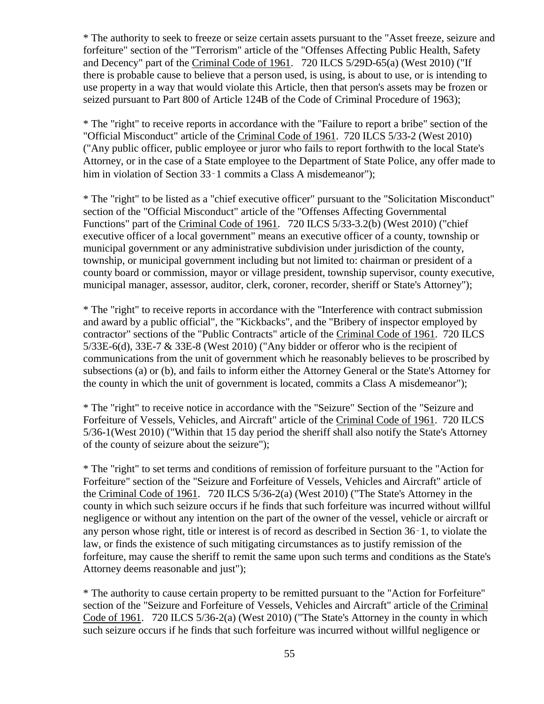\* The authority to seek to freeze or seize certain assets pursuant to the "Asset freeze, seizure and forfeiture" section of the "Terrorism" article of the "Offenses Affecting Public Health, Safety and Decency" part of the Criminal Code of 1961. 720 ILCS 5/29D-65(a) (West 2010) ("If there is probable cause to believe that a person used, is using, is about to use, or is intending to use property in a way that would violate this Article, then that person's assets may be frozen or seized pursuant to Part 800 of Article 124B of the Code of Criminal Procedure of 1963);

\* The "right" to receive reports in accordance with the "Failure to report a bribe" section of the "Official Misconduct" article of the Criminal Code of 1961. 720 ILCS 5/33-2 (West 2010) ("Any public officer, public employee or juror who fails to report forthwith to the local State's Attorney, or in the case of a State employee to the Department of State Police, any offer made to him in violation of Section 33<sup>-</sup>1 commits a Class A misdemeanor"):

\* The "right" to be listed as a "chief executive officer" pursuant to the "Solicitation Misconduct" section of the "Official Misconduct" article of the "Offenses Affecting Governmental Functions" part of the Criminal Code of 1961. 720 ILCS 5/33-3.2(b) (West 2010) ("chief executive officer of a local government" means an executive officer of a county, township or municipal government or any administrative subdivision under jurisdiction of the county, township, or municipal government including but not limited to: chairman or president of a county board or commission, mayor or village president, township supervisor, county executive, municipal manager, assessor, auditor, clerk, coroner, recorder, sheriff or State's Attorney");

\* The "right" to receive reports in accordance with the "Interference with contract submission and award by a public official", the "Kickbacks", and the "Bribery of inspector employed by contractor" sections of the "Public Contracts" article of the Criminal Code of 1961. 720 ILCS 5/33E-6(d), 33E-7 & 33E-8 (West 2010) ("Any bidder or offeror who is the recipient of communications from the unit of government which he reasonably believes to be proscribed by subsections (a) or (b), and fails to inform either the Attorney General or the State's Attorney for the county in which the unit of government is located, commits a Class A misdemeanor");

\* The "right" to receive notice in accordance with the "Seizure" Section of the "Seizure and Forfeiture of Vessels, Vehicles, and Aircraft" article of the Criminal Code of 1961. 720 ILCS 5/36-1(West 2010) ("Within that 15 day period the sheriff shall also notify the State's Attorney of the county of seizure about the seizure");

\* The "right" to set terms and conditions of remission of forfeiture pursuant to the "Action for Forfeiture" section of the "Seizure and Forfeiture of Vessels, Vehicles and Aircraft" article of the Criminal Code of 1961. 720 ILCS 5/36-2(a) (West 2010) ("The State's Attorney in the county in which such seizure occurs if he finds that such forfeiture was incurred without willful negligence or without any intention on the part of the owner of the vessel, vehicle or aircraft or any person whose right, title or interest is of record as described in Section 36‑1, to violate the law, or finds the existence of such mitigating circumstances as to justify remission of the forfeiture, may cause the sheriff to remit the same upon such terms and conditions as the State's Attorney deems reasonable and just");

\* The authority to cause certain property to be remitted pursuant to the "Action for Forfeiture" section of the "Seizure and Forfeiture of Vessels, Vehicles and Aircraft" article of the Criminal Code of 1961. 720 ILCS 5/36-2(a) (West 2010) ("The State's Attorney in the county in which such seizure occurs if he finds that such forfeiture was incurred without willful negligence or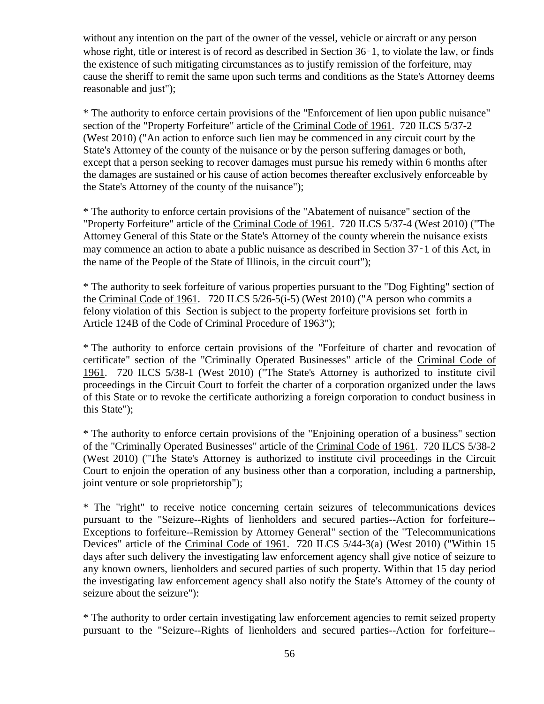without any intention on the part of the owner of the vessel, vehicle or aircraft or any person whose right, title or interest is of record as described in Section 36–1, to violate the law, or finds the existence of such mitigating circumstances as to justify remission of the forfeiture, may cause the sheriff to remit the same upon such terms and conditions as the State's Attorney deems reasonable and just");

\* The authority to enforce certain provisions of the "Enforcement of lien upon public nuisance" section of the "Property Forfeiture" article of the Criminal Code of 1961. 720 ILCS 5/37-2 (West 2010) ("An action to enforce such lien may be commenced in any circuit court by the State's Attorney of the county of the nuisance or by the person suffering damages or both, except that a person seeking to recover damages must pursue his remedy within 6 months after the damages are sustained or his cause of action becomes thereafter exclusively enforceable by the State's Attorney of the county of the nuisance");

\* The authority to enforce certain provisions of the "Abatement of nuisance" section of the "Property Forfeiture" article of the Criminal Code of 1961. 720 ILCS 5/37-4 (West 2010) ("The Attorney General of this State or the State's Attorney of the county wherein the nuisance exists may commence an action to abate a public nuisance as described in Section 37‑1 of this Act, in the name of the People of the State of Illinois, in the circuit court");

\* The authority to seek forfeiture of various properties pursuant to the "Dog Fighting" section of the Criminal Code of 1961. 720 ILCS 5/26-5(i-5) (West 2010) ("A person who commits a felony violation of this Section is subject to the property forfeiture provisions set forth in Article 124B of the Code of Criminal Procedure of 1963");

\* The authority to enforce certain provisions of the "Forfeiture of charter and revocation of certificate" section of the "Criminally Operated Businesses" article of the Criminal Code of 1961. 720 ILCS 5/38-1 (West 2010) ("The State's Attorney is authorized to institute civil proceedings in the Circuit Court to forfeit the charter of a corporation organized under the laws of this State or to revoke the certificate authorizing a foreign corporation to conduct business in this State");

\* The authority to enforce certain provisions of the "Enjoining operation of a business" section of the "Criminally Operated Businesses" article of the Criminal Code of 1961. 720 ILCS 5/38-2 (West 2010) ("The State's Attorney is authorized to institute civil proceedings in the Circuit Court to enjoin the operation of any business other than a corporation, including a partnership, joint venture or sole proprietorship");

\* The "right" to receive notice concerning certain seizures of telecommunications devices pursuant to the "Seizure--Rights of lienholders and secured parties--Action for forfeiture-- Exceptions to forfeiture--Remission by Attorney General" section of the "Telecommunications Devices" article of the Criminal Code of 1961. 720 ILCS 5/44-3(a) (West 2010) ("Within 15 days after such delivery the investigating law enforcement agency shall give notice of seizure to any known owners, lienholders and secured parties of such property. Within that 15 day period the investigating law enforcement agency shall also notify the State's Attorney of the county of seizure about the seizure"):

\* The authority to order certain investigating law enforcement agencies to remit seized property pursuant to the "Seizure--Rights of lienholders and secured parties--Action for forfeiture--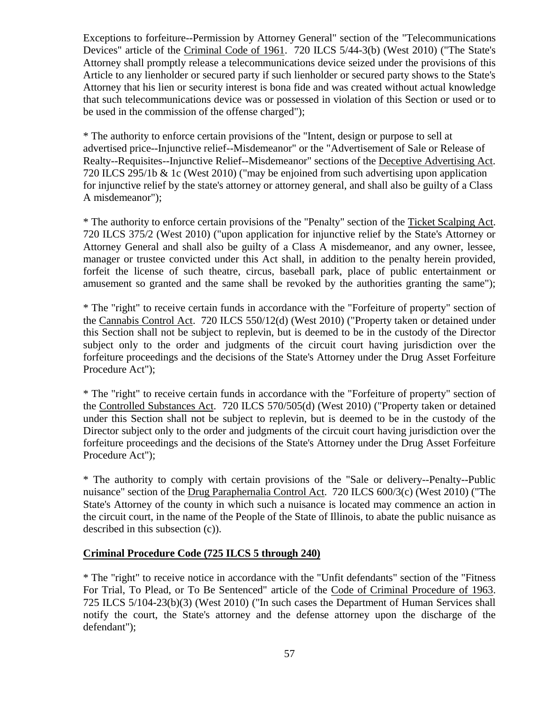Exceptions to forfeiture--Permission by Attorney General" section of the "Telecommunications Devices" article of the Criminal Code of 1961. 720 ILCS 5/44-3(b) (West 2010) ("The State's Attorney shall promptly release a telecommunications device seized under the provisions of this Article to any lienholder or secured party if such lienholder or secured party shows to the State's Attorney that his lien or security interest is bona fide and was created without actual knowledge that such telecommunications device was or possessed in violation of this Section or used or to be used in the commission of the offense charged");

\* The authority to enforce certain provisions of the "Intent, design or purpose to sell at advertised price--Injunctive relief--Misdemeanor" or the "Advertisement of Sale or Release of Realty--Requisites--Injunctive Relief--Misdemeanor" sections of the Deceptive Advertising Act. 720 ILCS 295/1b & 1c (West 2010) ("may be enjoined from such advertising upon application for injunctive relief by the state's attorney or attorney general, and shall also be guilty of a Class A misdemeanor");

\* The authority to enforce certain provisions of the "Penalty" section of the Ticket Scalping Act. 720 ILCS 375/2 (West 2010) ("upon application for injunctive relief by the State's Attorney or Attorney General and shall also be guilty of a Class A misdemeanor, and any owner, lessee, manager or trustee convicted under this Act shall, in addition to the penalty herein provided, forfeit the license of such theatre, circus, baseball park, place of public entertainment or amusement so granted and the same shall be revoked by the authorities granting the same");

\* The "right" to receive certain funds in accordance with the "Forfeiture of property" section of the Cannabis Control Act. 720 ILCS 550/12(d) (West 2010) ("Property taken or detained under this Section shall not be subject to replevin, but is deemed to be in the custody of the Director subject only to the order and judgments of the circuit court having jurisdiction over the forfeiture proceedings and the decisions of the State's Attorney under the Drug Asset Forfeiture Procedure Act");

\* The "right" to receive certain funds in accordance with the "Forfeiture of property" section of the Controlled Substances Act. 720 ILCS 570/505(d) (West 2010) ("Property taken or detained under this Section shall not be subject to replevin, but is deemed to be in the custody of the Director subject only to the order and judgments of the circuit court having jurisdiction over the forfeiture proceedings and the decisions of the State's Attorney under the Drug Asset Forfeiture Procedure Act");

\* The authority to comply with certain provisions of the "Sale or delivery--Penalty--Public nuisance" section of the Drug Paraphernalia Control Act. 720 ILCS 600/3(c) (West 2010) ("The State's Attorney of the county in which such a nuisance is located may commence an action in the circuit court, in the name of the People of the State of Illinois, to abate the public nuisance as described in this subsection (c)).

# **Criminal Procedure Code (725 ILCS 5 through 240)**

\* The "right" to receive notice in accordance with the "Unfit defendants" section of the "Fitness For Trial, To Plead, or To Be Sentenced" article of the Code of Criminal Procedure of 1963. 725 ILCS 5/104-23(b)(3) (West 2010) ("In such cases the Department of Human Services shall notify the court, the State's attorney and the defense attorney upon the discharge of the defendant");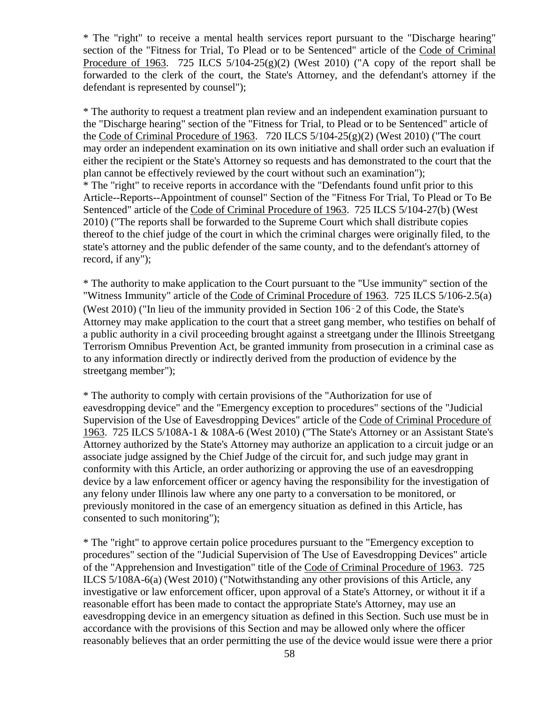\* The "right" to receive a mental health services report pursuant to the "Discharge hearing" section of the "Fitness for Trial, To Plead or to be Sentenced" article of the Code of Criminal Procedure of 1963. 725 ILCS  $5/104-25(g)(2)$  (West 2010) ("A copy of the report shall be forwarded to the clerk of the court, the State's Attorney, and the defendant's attorney if the defendant is represented by counsel");

\* The authority to request a treatment plan review and an independent examination pursuant to the "Discharge hearing" section of the "Fitness for Trial, to Plead or to be Sentenced" article of the Code of Criminal Procedure of 1963. 720 ILCS  $5/104-25(g)(2)$  (West 2010) ("The court may order an independent examination on its own initiative and shall order such an evaluation if either the recipient or the State's Attorney so requests and has demonstrated to the court that the plan cannot be effectively reviewed by the court without such an examination"); \* The "right" to receive reports in accordance with the "Defendants found unfit prior to this Article--Reports--Appointment of counsel" Section of the "Fitness For Trial, To Plead or To Be Sentenced" article of the Code of Criminal Procedure of 1963. 725 ILCS 5/104-27(b) (West 2010) ("The reports shall be forwarded to the Supreme Court which shall distribute copies thereof to the chief judge of the court in which the criminal charges were originally filed, to the state's attorney and the public defender of the same county, and to the defendant's attorney of record, if any");

\* The authority to make application to the Court pursuant to the "Use immunity" section of the "Witness Immunity" article of the Code of Criminal Procedure of 1963. 725 ILCS 5/106-2.5(a) (West 2010) ("In lieu of the immunity provided in Section 106‑2 of this Code, the State's Attorney may make application to the court that a street gang member, who testifies on behalf of a public authority in a civil proceeding brought against a streetgang under the Illinois Streetgang Terrorism Omnibus Prevention Act, be granted immunity from prosecution in a criminal case as to any information directly or indirectly derived from the production of evidence by the streetgang member");

\* The authority to comply with certain provisions of the "Authorization for use of eavesdropping device" and the "Emergency exception to procedures" sections of the "Judicial Supervision of the Use of Eavesdropping Devices" article of the Code of Criminal Procedure of 1963. 725 ILCS 5/108A-1 & 108A-6 (West 2010) ("The State's Attorney or an Assistant State's Attorney authorized by the State's Attorney may authorize an application to a circuit judge or an associate judge assigned by the Chief Judge of the circuit for, and such judge may grant in conformity with this Article, an order authorizing or approving the use of an eavesdropping device by a law enforcement officer or agency having the responsibility for the investigation of any felony under Illinois law where any one party to a conversation to be monitored, or previously monitored in the case of an emergency situation as defined in this Article, has consented to such monitoring");

\* The "right" to approve certain police procedures pursuant to the "Emergency exception to procedures" section of the "Judicial Supervision of The Use of Eavesdropping Devices" article of the "Apprehension and Investigation" title of the Code of Criminal Procedure of 1963. 725 ILCS 5/108A-6(a) (West 2010) ("Notwithstanding any other provisions of this Article, any investigative or law enforcement officer, upon approval of a State's Attorney, or without it if a reasonable effort has been made to contact the appropriate State's Attorney, may use an eavesdropping device in an emergency situation as defined in this Section. Such use must be in accordance with the provisions of this Section and may be allowed only where the officer reasonably believes that an order permitting the use of the device would issue were there a prior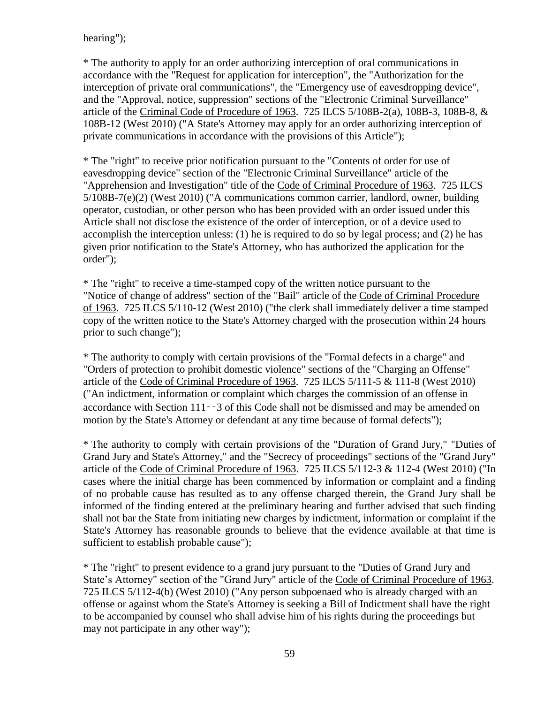# hearing");

\* The authority to apply for an order authorizing interception of oral communications in accordance with the "Request for application for interception", the "Authorization for the interception of private oral communications", the "Emergency use of eavesdropping device", and the "Approval, notice, suppression" sections of the "Electronic Criminal Surveillance" article of the Criminal Code of Procedure of 1963. 725 ILCS 5/108B-2(a), 108B-3, 108B-8, & 108B-12 (West 2010) ("A State's Attorney may apply for an order authorizing interception of private communications in accordance with the provisions of this Article");

\* The "right" to receive prior notification pursuant to the "Contents of order for use of eavesdropping device" section of the "Electronic Criminal Surveillance" article of the "Apprehension and Investigation" title of the Code of Criminal Procedure of 1963. 725 ILCS 5/108B-7(e)(2) (West 2010) ("A communications common carrier, landlord, owner, building operator, custodian, or other person who has been provided with an order issued under this Article shall not disclose the existence of the order of interception, or of a device used to accomplish the interception unless: (1) he is required to do so by legal process; and (2) he has given prior notification to the State's Attorney, who has authorized the application for the order");

\* The "right" to receive a time-stamped copy of the written notice pursuant to the "Notice of change of address" section of the "Bail" article of the Code of Criminal Procedure of 1963. 725 ILCS 5/110-12 (West 2010) ("the clerk shall immediately deliver a time stamped copy of the written notice to the State's Attorney charged with the prosecution within 24 hours prior to such change");

\* The authority to comply with certain provisions of the "Formal defects in a charge" and "Orders of protection to prohibit domestic violence" sections of the "Charging an Offense" article of the Code of Criminal Procedure of 1963. 725 ILCS 5/111-5 & 111-8 (West 2010) ("An indictment, information or complaint which charges the commission of an offense in accordance with Section 111‑‑3 of this Code shall not be dismissed and may be amended on motion by the State's Attorney or defendant at any time because of formal defects");

\* The authority to comply with certain provisions of the "Duration of Grand Jury," "Duties of Grand Jury and State's Attorney," and the "Secrecy of proceedings" sections of the "Grand Jury" article of the Code of Criminal Procedure of 1963. 725 ILCS 5/112-3 & 112-4 (West 2010) ("In cases where the initial charge has been commenced by information or complaint and a finding of no probable cause has resulted as to any offense charged therein, the Grand Jury shall be informed of the finding entered at the preliminary hearing and further advised that such finding shall not bar the State from initiating new charges by indictment, information or complaint if the State's Attorney has reasonable grounds to believe that the evidence available at that time is sufficient to establish probable cause");

\* The "right" to present evidence to a grand jury pursuant to the "Duties of Grand Jury and State's Attorney" section of the "Grand Jury" article of the Code of Criminal Procedure of 1963. 725 ILCS 5/112-4(b) (West 2010) ("Any person subpoenaed who is already charged with an offense or against whom the State's Attorney is seeking a Bill of Indictment shall have the right to be accompanied by counsel who shall advise him of his rights during the proceedings but may not participate in any other way");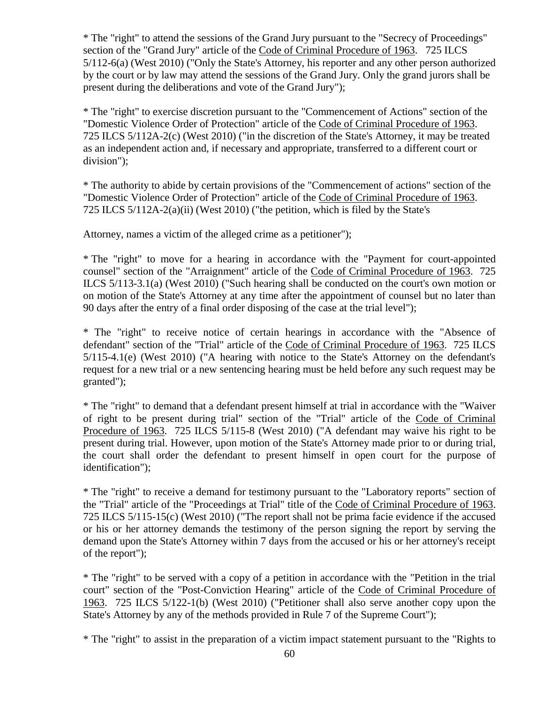\* The "right" to attend the sessions of the Grand Jury pursuant to the "Secrecy of Proceedings" section of the "Grand Jury" article of the Code of Criminal Procedure of 1963. 725 ILCS 5/112-6(a) (West 2010) ("Only the State's Attorney, his reporter and any other person authorized by the court or by law may attend the sessions of the Grand Jury. Only the grand jurors shall be present during the deliberations and vote of the Grand Jury");

\* The "right" to exercise discretion pursuant to the "Commencement of Actions" section of the "Domestic Violence Order of Protection" article of the Code of Criminal Procedure of 1963. 725 ILCS 5/112A-2(c) (West 2010) ("in the discretion of the State's Attorney, it may be treated as an independent action and, if necessary and appropriate, transferred to a different court or division");

\* The authority to abide by certain provisions of the "Commencement of actions" section of the "Domestic Violence Order of Protection" article of the Code of Criminal Procedure of 1963. 725 ILCS 5/112A-2(a)(ii) (West 2010) ("the petition, which is filed by the State's

Attorney, names a victim of the alleged crime as a petitioner");

\* The "right" to move for a hearing in accordance with the "Payment for court-appointed counsel" section of the "Arraignment" article of the Code of Criminal Procedure of 1963. 725 ILCS 5/113-3.1(a) (West 2010) ("Such hearing shall be conducted on the court's own motion or on motion of the State's Attorney at any time after the appointment of counsel but no later than 90 days after the entry of a final order disposing of the case at the trial level");

\* The "right" to receive notice of certain hearings in accordance with the "Absence of defendant" section of the "Trial" article of the Code of Criminal Procedure of 1963. 725 ILCS 5/115-4.1(e) (West 2010) ("A hearing with notice to the State's Attorney on the defendant's request for a new trial or a new sentencing hearing must be held before any such request may be granted");

\* The "right" to demand that a defendant present himself at trial in accordance with the "Waiver of right to be present during trial" section of the "Trial" article of the Code of Criminal Procedure of 1963. 725 ILCS 5/115-8 (West 2010) ("A defendant may waive his right to be present during trial. However, upon motion of the State's Attorney made prior to or during trial, the court shall order the defendant to present himself in open court for the purpose of identification");

\* The "right" to receive a demand for testimony pursuant to the "Laboratory reports" section of the "Trial" article of the "Proceedings at Trial" title of the Code of Criminal Procedure of 1963. 725 ILCS 5/115-15(c) (West 2010) ("The report shall not be prima facie evidence if the accused or his or her attorney demands the testimony of the person signing the report by serving the demand upon the State's Attorney within 7 days from the accused or his or her attorney's receipt of the report");

\* The "right" to be served with a copy of a petition in accordance with the "Petition in the trial court" section of the "Post-Conviction Hearing" article of the Code of Criminal Procedure of 1963. 725 ILCS 5/122-1(b) (West 2010) ("Petitioner shall also serve another copy upon the State's Attorney by any of the methods provided in Rule 7 of the Supreme Court");

\* The "right" to assist in the preparation of a victim impact statement pursuant to the "Rights to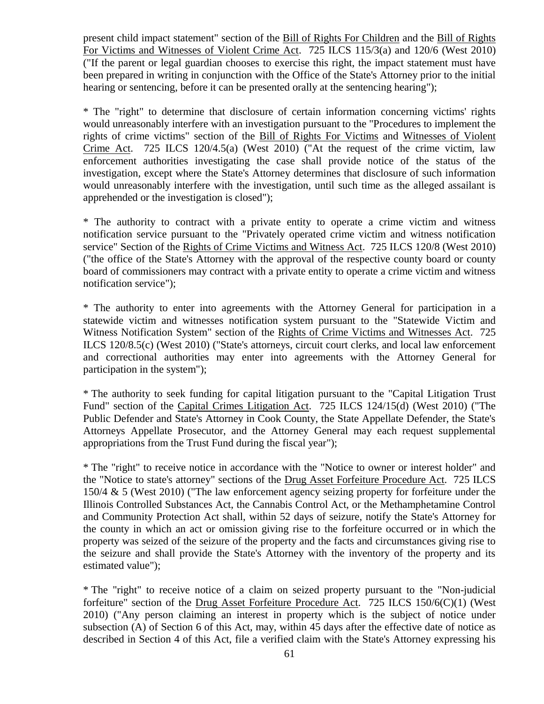present child impact statement" section of the Bill of Rights For Children and the Bill of Rights For Victims and Witnesses of Violent Crime Act. 725 ILCS 115/3(a) and 120/6 (West 2010) ("If the parent or legal guardian chooses to exercise this right, the impact statement must have been prepared in writing in conjunction with the Office of the State's Attorney prior to the initial hearing or sentencing, before it can be presented orally at the sentencing hearing");

\* The "right" to determine that disclosure of certain information concerning victims' rights would unreasonably interfere with an investigation pursuant to the "Procedures to implement the rights of crime victims" section of the Bill of Rights For Victims and Witnesses of Violent Crime Act. 725 ILCS 120/4.5(a) (West 2010) ("At the request of the crime victim, law enforcement authorities investigating the case shall provide notice of the status of the investigation, except where the State's Attorney determines that disclosure of such information would unreasonably interfere with the investigation, until such time as the alleged assailant is apprehended or the investigation is closed");

\* The authority to contract with a private entity to operate a crime victim and witness notification service pursuant to the "Privately operated crime victim and witness notification service" Section of the Rights of Crime Victims and Witness Act. 725 ILCS 120/8 (West 2010) ("the office of the State's Attorney with the approval of the respective county board or county board of commissioners may contract with a private entity to operate a crime victim and witness notification service");

\* The authority to enter into agreements with the Attorney General for participation in a statewide victim and witnesses notification system pursuant to the "Statewide Victim and Witness Notification System" section of the Rights of Crime Victims and Witnesses Act. 725 ILCS 120/8.5(c) (West 2010) ("State's attorneys, circuit court clerks, and local law enforcement and correctional authorities may enter into agreements with the Attorney General for participation in the system");

\* The authority to seek funding for capital litigation pursuant to the "Capital Litigation Trust Fund" section of the Capital Crimes Litigation Act. 725 ILCS 124/15(d) (West 2010) ("The Public Defender and State's Attorney in Cook County, the State Appellate Defender, the State's Attorneys Appellate Prosecutor, and the Attorney General may each request supplemental appropriations from the Trust Fund during the fiscal year");

\* The "right" to receive notice in accordance with the "Notice to owner or interest holder" and the "Notice to state's attorney" sections of the Drug Asset Forfeiture Procedure Act. 725 ILCS 150/4 & 5 (West 2010) ("The law enforcement agency seizing property for forfeiture under the Illinois Controlled Substances Act, the Cannabis Control Act, or the Methamphetamine Control and Community Protection Act shall, within 52 days of seizure, notify the State's Attorney for the county in which an act or omission giving rise to the forfeiture occurred or in which the property was seized of the seizure of the property and the facts and circumstances giving rise to the seizure and shall provide the State's Attorney with the inventory of the property and its estimated value");

\* The "right" to receive notice of a claim on seized property pursuant to the "Non-judicial forfeiture" section of the Drug Asset Forfeiture Procedure Act. 725 ILCS 150/6(C)(1) (West 2010) ("Any person claiming an interest in property which is the subject of notice under subsection (A) of Section 6 of this Act, may, within 45 days after the effective date of notice as described in Section 4 of this Act, file a verified claim with the State's Attorney expressing his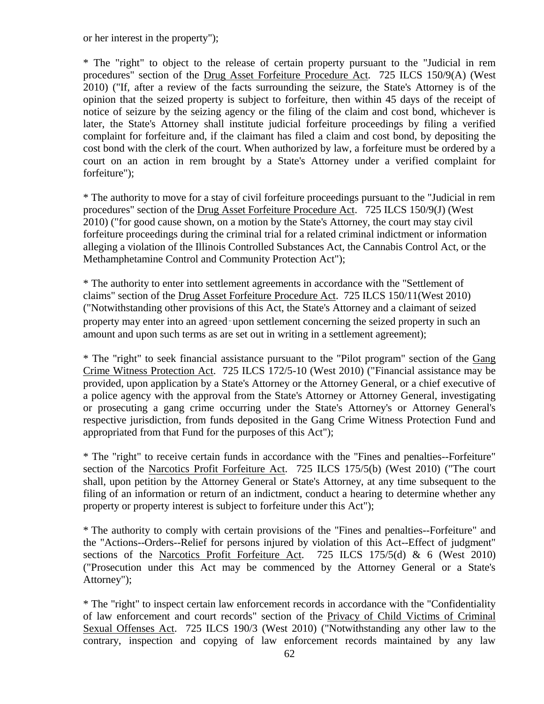or her interest in the property");

\* The "right" to object to the release of certain property pursuant to the "Judicial in rem procedures" section of the Drug Asset Forfeiture Procedure Act. 725 ILCS 150/9(A) (West 2010) ("If, after a review of the facts surrounding the seizure, the State's Attorney is of the opinion that the seized property is subject to forfeiture, then within 45 days of the receipt of notice of seizure by the seizing agency or the filing of the claim and cost bond, whichever is later, the State's Attorney shall institute judicial forfeiture proceedings by filing a verified complaint for forfeiture and, if the claimant has filed a claim and cost bond, by depositing the cost bond with the clerk of the court. When authorized by law, a forfeiture must be ordered by a court on an action in rem brought by a State's Attorney under a verified complaint for forfeiture");

\* The authority to move for a stay of civil forfeiture proceedings pursuant to the "Judicial in rem procedures" section of the Drug Asset Forfeiture Procedure Act. 725 ILCS 150/9(J) (West 2010) ("for good cause shown, on a motion by the State's Attorney, the court may stay civil forfeiture proceedings during the criminal trial for a related criminal indictment or information alleging a violation of the Illinois Controlled Substances Act, the Cannabis Control Act, or the Methamphetamine Control and Community Protection Act");

\* The authority to enter into settlement agreements in accordance with the "Settlement of claims" section of the Drug Asset Forfeiture Procedure Act. 725 ILCS 150/11(West 2010) ("Notwithstanding other provisions of this Act, the State's Attorney and a claimant of seized property may enter into an agreed‑upon settlement concerning the seized property in such an amount and upon such terms as are set out in writing in a settlement agreement);

\* The "right" to seek financial assistance pursuant to the "Pilot program" section of the Gang Crime Witness Protection Act. 725 ILCS 172/5-10 (West 2010) ("Financial assistance may be provided, upon application by a State's Attorney or the Attorney General, or a chief executive of a police agency with the approval from the State's Attorney or Attorney General, investigating or prosecuting a gang crime occurring under the State's Attorney's or Attorney General's respective jurisdiction, from funds deposited in the Gang Crime Witness Protection Fund and appropriated from that Fund for the purposes of this Act");

\* The "right" to receive certain funds in accordance with the "Fines and penalties--Forfeiture" section of the Narcotics Profit Forfeiture Act. 725 ILCS 175/5(b) (West 2010) ("The court shall, upon petition by the Attorney General or State's Attorney, at any time subsequent to the filing of an information or return of an indictment, conduct a hearing to determine whether any property or property interest is subject to forfeiture under this Act");

\* The authority to comply with certain provisions of the "Fines and penalties--Forfeiture" and the "Actions--Orders--Relief for persons injured by violation of this Act--Effect of judgment" sections of the Narcotics Profit Forfeiture Act. 725 ILCS 175/5(d) & 6 (West 2010) ("Prosecution under this Act may be commenced by the Attorney General or a State's Attorney");

\* The "right" to inspect certain law enforcement records in accordance with the "Confidentiality of law enforcement and court records" section of the Privacy of Child Victims of Criminal Sexual Offenses Act. 725 ILCS 190/3 (West 2010) ("Notwithstanding any other law to the contrary, inspection and copying of law enforcement records maintained by any law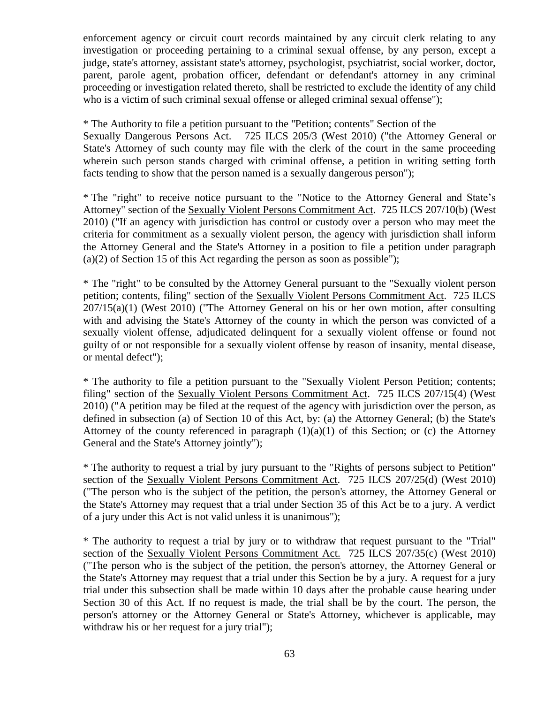enforcement agency or circuit court records maintained by any circuit clerk relating to any investigation or proceeding pertaining to a criminal sexual offense, by any person, except a judge, state's attorney, assistant state's attorney, psychologist, psychiatrist, social worker, doctor, parent, parole agent, probation officer, defendant or defendant's attorney in any criminal proceeding or investigation related thereto, shall be restricted to exclude the identity of any child who is a victim of such criminal sexual offense or alleged criminal sexual offense");

\* The Authority to file a petition pursuant to the "Petition; contents" Section of the

Sexually Dangerous Persons Act. 725 ILCS 205/3 (West 2010) ("the Attorney General or State's Attorney of such county may file with the clerk of the court in the same proceeding wherein such person stands charged with criminal offense, a petition in writing setting forth facts tending to show that the person named is a sexually dangerous person");

\* The "right" to receive notice pursuant to the "Notice to the Attorney General and State's Attorney" section of the Sexually Violent Persons Commitment Act. 725 ILCS 207/10(b) (West 2010) ("If an agency with jurisdiction has control or custody over a person who may meet the criteria for commitment as a sexually violent person, the agency with jurisdiction shall inform the Attorney General and the State's Attorney in a position to file a petition under paragraph (a)(2) of Section 15 of this Act regarding the person as soon as possible");

\* The "right" to be consulted by the Attorney General pursuant to the "Sexually violent person petition; contents, filing" section of the Sexually Violent Persons Commitment Act. 725 ILCS 207/15(a)(1) (West 2010) ("The Attorney General on his or her own motion, after consulting with and advising the State's Attorney of the county in which the person was convicted of a sexually violent offense, adjudicated delinquent for a sexually violent offense or found not guilty of or not responsible for a sexually violent offense by reason of insanity, mental disease, or mental defect");

\* The authority to file a petition pursuant to the "Sexually Violent Person Petition; contents; filing" section of the Sexually Violent Persons Commitment Act. 725 ILCS 207/15(4) (West 2010) ("A petition may be filed at the request of the agency with jurisdiction over the person, as defined in subsection (a) of Section 10 of this Act, by: (a) the Attorney General; (b) the State's Attorney of the county referenced in paragraph  $(1)(a)(1)$  of this Section; or (c) the Attorney General and the State's Attorney jointly");

\* The authority to request a trial by jury pursuant to the "Rights of persons subject to Petition" section of the Sexually Violent Persons Commitment Act. 725 ILCS 207/25(d) (West 2010) ("The person who is the subject of the petition, the person's attorney, the Attorney General or the State's Attorney may request that a trial under Section 35 of this Act be to a jury. A verdict of a jury under this Act is not valid unless it is unanimous");

\* The authority to request a trial by jury or to withdraw that request pursuant to the "Trial" section of the Sexually Violent Persons Commitment Act. 725 ILCS 207/35(c) (West 2010) ("The person who is the subject of the petition, the person's attorney, the Attorney General or the State's Attorney may request that a trial under this Section be by a jury. A request for a jury trial under this subsection shall be made within 10 days after the probable cause hearing under Section 30 of this Act. If no request is made, the trial shall be by the court. The person, the person's attorney or the Attorney General or State's Attorney, whichever is applicable, may withdraw his or her request for a jury trial");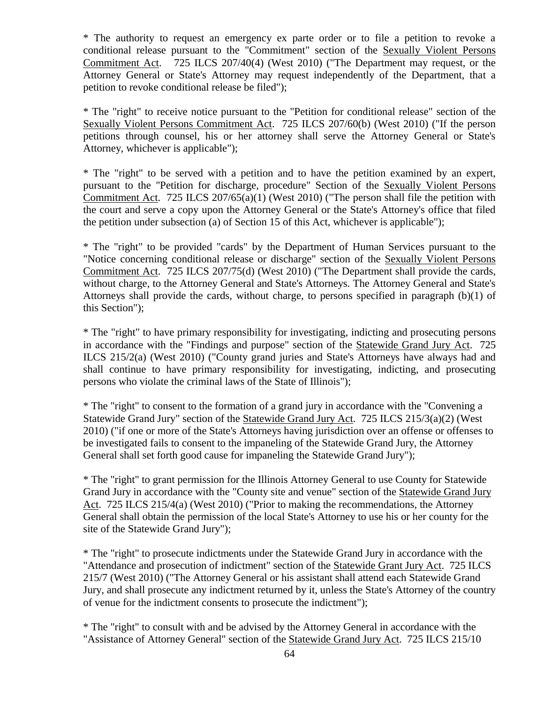\* The authority to request an emergency ex parte order or to file a petition to revoke a conditional release pursuant to the "Commitment" section of the Sexually Violent Persons Commitment Act. 725 ILCS 207/40(4) (West 2010) ("The Department may request, or the Attorney General or State's Attorney may request independently of the Department, that a petition to revoke conditional release be filed");

\* The "right" to receive notice pursuant to the "Petition for conditional release" section of the Sexually Violent Persons Commitment Act. 725 ILCS 207/60(b) (West 2010) ("If the person petitions through counsel, his or her attorney shall serve the Attorney General or State's Attorney, whichever is applicable");

\* The "right" to be served with a petition and to have the petition examined by an expert, pursuant to the "Petition for discharge, procedure" Section of the Sexually Violent Persons Commitment Act. 725 ILCS 207/65(a)(1) (West 2010) ("The person shall file the petition with the court and serve a copy upon the Attorney General or the State's Attorney's office that filed the petition under subsection (a) of Section 15 of this Act, whichever is applicable");

\* The "right" to be provided "cards" by the Department of Human Services pursuant to the "Notice concerning conditional release or discharge" section of the Sexually Violent Persons Commitment Act. 725 ILCS 207/75(d) (West 2010) ("The Department shall provide the cards, without charge, to the Attorney General and State's Attorneys. The Attorney General and State's Attorneys shall provide the cards, without charge, to persons specified in paragraph (b)(1) of this Section");

\* The "right" to have primary responsibility for investigating, indicting and prosecuting persons in accordance with the "Findings and purpose" section of the Statewide Grand Jury Act. 725 ILCS 215/2(a) (West 2010) ("County grand juries and State's Attorneys have always had and shall continue to have primary responsibility for investigating, indicting, and prosecuting persons who violate the criminal laws of the State of Illinois");

\* The "right" to consent to the formation of a grand jury in accordance with the "Convening a Statewide Grand Jury" section of the Statewide Grand Jury Act. 725 ILCS 215/3(a)(2) (West 2010) ("if one or more of the State's Attorneys having jurisdiction over an offense or offenses to be investigated fails to consent to the impaneling of the Statewide Grand Jury, the Attorney General shall set forth good cause for impaneling the Statewide Grand Jury");

\* The "right" to grant permission for the Illinois Attorney General to use County for Statewide Grand Jury in accordance with the "County site and venue" section of the Statewide Grand Jury Act. 725 ILCS 215/4(a) (West 2010) ("Prior to making the recommendations, the Attorney General shall obtain the permission of the local State's Attorney to use his or her county for the site of the Statewide Grand Jury");

\* The "right" to prosecute indictments under the Statewide Grand Jury in accordance with the "Attendance and prosecution of indictment" section of the Statewide Grant Jury Act. 725 ILCS 215/7 (West 2010) ("The Attorney General or his assistant shall attend each Statewide Grand Jury, and shall prosecute any indictment returned by it, unless the State's Attorney of the country of venue for the indictment consents to prosecute the indictment");

\* The "right" to consult with and be advised by the Attorney General in accordance with the "Assistance of Attorney General" section of the Statewide Grand Jury Act. 725 ILCS 215/10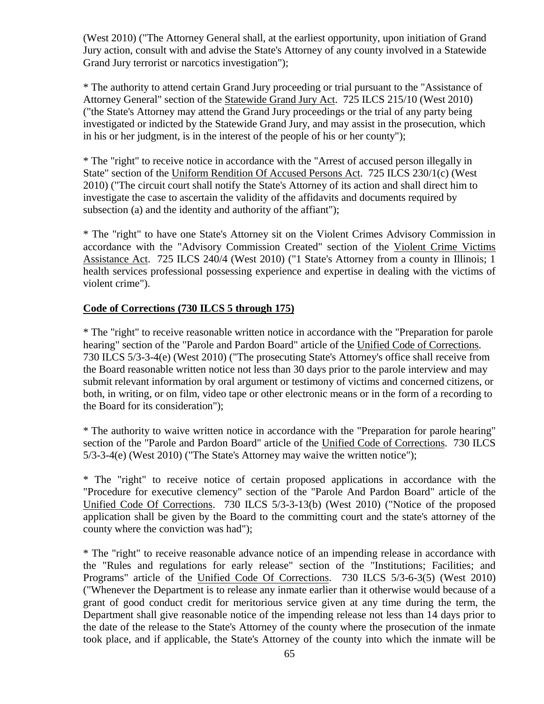(West 2010) ("The Attorney General shall, at the earliest opportunity, upon initiation of Grand Jury action, consult with and advise the State's Attorney of any county involved in a Statewide Grand Jury terrorist or narcotics investigation");

\* The authority to attend certain Grand Jury proceeding or trial pursuant to the "Assistance of Attorney General" section of the Statewide Grand Jury Act. 725 ILCS 215/10 (West 2010) ("the State's Attorney may attend the Grand Jury proceedings or the trial of any party being investigated or indicted by the Statewide Grand Jury, and may assist in the prosecution, which in his or her judgment, is in the interest of the people of his or her county");

\* The "right" to receive notice in accordance with the "Arrest of accused person illegally in State" section of the Uniform Rendition Of Accused Persons Act. 725 ILCS 230/1(c) (West 2010) ("The circuit court shall notify the State's Attorney of its action and shall direct him to investigate the case to ascertain the validity of the affidavits and documents required by subsection (a) and the identity and authority of the affiant");

\* The "right" to have one State's Attorney sit on the Violent Crimes Advisory Commission in accordance with the "Advisory Commission Created" section of the Violent Crime Victims Assistance Act. 725 ILCS 240/4 (West 2010) ("1 State's Attorney from a county in Illinois; 1 health services professional possessing experience and expertise in dealing with the victims of violent crime").

### **Code of Corrections (730 ILCS 5 through 175)**

\* The "right" to receive reasonable written notice in accordance with the "Preparation for parole hearing" section of the "Parole and Pardon Board" article of the Unified Code of Corrections. 730 ILCS 5/3-3-4(e) (West 2010) ("The prosecuting State's Attorney's office shall receive from the Board reasonable written notice not less than 30 days prior to the parole interview and may submit relevant information by oral argument or testimony of victims and concerned citizens, or both, in writing, or on film, video tape or other electronic means or in the form of a recording to the Board for its consideration");

\* The authority to waive written notice in accordance with the "Preparation for parole hearing" section of the "Parole and Pardon Board" article of the Unified Code of Corrections. 730 ILCS 5/3-3-4(e) (West 2010) ("The State's Attorney may waive the written notice");

\* The "right" to receive notice of certain proposed applications in accordance with the "Procedure for executive clemency" section of the "Parole And Pardon Board" article of the Unified Code Of Corrections. 730 ILCS 5/3-3-13(b) (West 2010) ("Notice of the proposed application shall be given by the Board to the committing court and the state's attorney of the county where the conviction was had");

\* The "right" to receive reasonable advance notice of an impending release in accordance with the "Rules and regulations for early release" section of the "Institutions; Facilities; and Programs" article of the Unified Code Of Corrections. 730 ILCS 5/3-6-3(5) (West 2010) ("Whenever the Department is to release any inmate earlier than it otherwise would because of a grant of good conduct credit for meritorious service given at any time during the term, the Department shall give reasonable notice of the impending release not less than 14 days prior to the date of the release to the State's Attorney of the county where the prosecution of the inmate took place, and if applicable, the State's Attorney of the county into which the inmate will be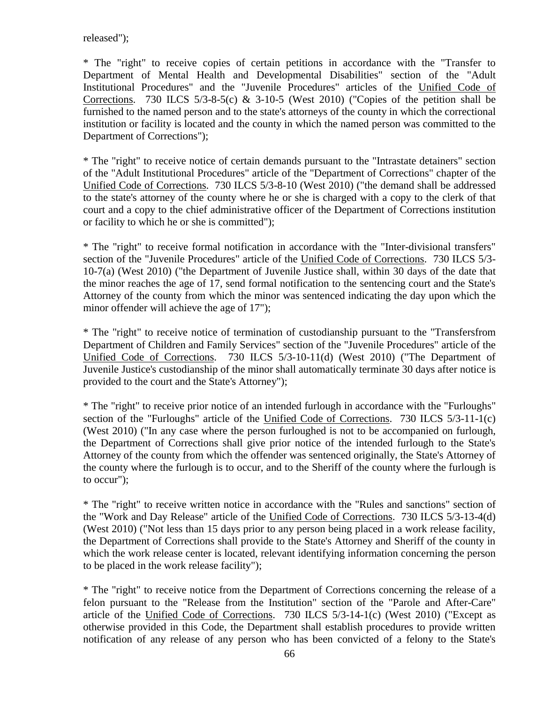released");

\* The "right" to receive copies of certain petitions in accordance with the "Transfer to Department of Mental Health and Developmental Disabilities" section of the "Adult Institutional Procedures" and the "Juvenile Procedures" articles of the Unified Code of Corrections. 730 ILCS  $5/3-8-5(c)$  &  $3-10-5$  (West 2010) ("Copies of the petition shall be furnished to the named person and to the state's attorneys of the county in which the correctional institution or facility is located and the county in which the named person was committed to the Department of Corrections");

\* The "right" to receive notice of certain demands pursuant to the "Intrastate detainers" section of the "Adult Institutional Procedures" article of the "Department of Corrections" chapter of the Unified Code of Corrections. 730 ILCS 5/3-8-10 (West 2010) ("the demand shall be addressed to the state's attorney of the county where he or she is charged with a copy to the clerk of that court and a copy to the chief administrative officer of the Department of Corrections institution or facility to which he or she is committed");

\* The "right" to receive formal notification in accordance with the "Inter-divisional transfers" section of the "Juvenile Procedures" article of the Unified Code of Corrections. 730 ILCS 5/3- 10-7(a) (West 2010) ("the Department of Juvenile Justice shall, within 30 days of the date that the minor reaches the age of 17, send formal notification to the sentencing court and the State's Attorney of the county from which the minor was sentenced indicating the day upon which the minor offender will achieve the age of 17");

\* The "right" to receive notice of termination of custodianship pursuant to the "Transfersfrom Department of Children and Family Services" section of the "Juvenile Procedures" article of the Unified Code of Corrections. 730 ILCS 5/3-10-11(d) (West 2010) ("The Department of Juvenile Justice's custodianship of the minor shall automatically terminate 30 days after notice is provided to the court and the State's Attorney");

\* The "right" to receive prior notice of an intended furlough in accordance with the "Furloughs" section of the "Furloughs" article of the Unified Code of Corrections. 730 ILCS 5/3-11-1(c) (West 2010) ("In any case where the person furloughed is not to be accompanied on furlough, the Department of Corrections shall give prior notice of the intended furlough to the State's Attorney of the county from which the offender was sentenced originally, the State's Attorney of the county where the furlough is to occur, and to the Sheriff of the county where the furlough is to occur");

\* The "right" to receive written notice in accordance with the "Rules and sanctions" section of the "Work and Day Release" article of the Unified Code of Corrections. 730 ILCS 5/3-13-4(d) (West 2010) ("Not less than 15 days prior to any person being placed in a work release facility, the Department of Corrections shall provide to the State's Attorney and Sheriff of the county in which the work release center is located, relevant identifying information concerning the person to be placed in the work release facility");

\* The "right" to receive notice from the Department of Corrections concerning the release of a felon pursuant to the "Release from the Institution" section of the "Parole and After-Care" article of the Unified Code of Corrections. 730 ILCS 5/3-14-1(c) (West 2010) ("Except as otherwise provided in this Code, the Department shall establish procedures to provide written notification of any release of any person who has been convicted of a felony to the State's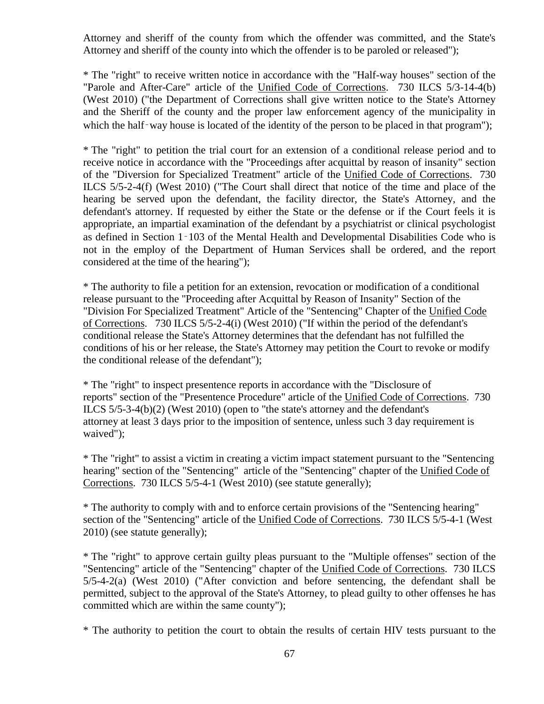Attorney and sheriff of the county from which the offender was committed, and the State's Attorney and sheriff of the county into which the offender is to be paroled or released");

\* The "right" to receive written notice in accordance with the "Half-way houses" section of the "Parole and After-Care" article of the Unified Code of Corrections. 730 ILCS 5/3-14-4(b) (West 2010) ("the Department of Corrections shall give written notice to the State's Attorney and the Sheriff of the county and the proper law enforcement agency of the municipality in which the half-way house is located of the identity of the person to be placed in that program");

\* The "right" to petition the trial court for an extension of a conditional release period and to receive notice in accordance with the "Proceedings after acquittal by reason of insanity" section of the "Diversion for Specialized Treatment" article of the Unified Code of Corrections. 730 ILCS 5/5-2-4(f) (West 2010) ("The Court shall direct that notice of the time and place of the hearing be served upon the defendant, the facility director, the State's Attorney, and the defendant's attorney. If requested by either the State or the defense or if the Court feels it is appropriate, an impartial examination of the defendant by a psychiatrist or clinical psychologist as defined in Section 1‑103 of the Mental Health and Developmental Disabilities Code who is not in the employ of the Department of Human Services shall be ordered, and the report considered at the time of the hearing");

\* The authority to file a petition for an extension, revocation or modification of a conditional release pursuant to the "Proceeding after Acquittal by Reason of Insanity" Section of the "Division For Specialized Treatment" Article of the "Sentencing" Chapter of the Unified Code of Corrections. 730 ILCS 5/5-2-4(i) (West 2010) ("If within the period of the defendant's conditional release the State's Attorney determines that the defendant has not fulfilled the conditions of his or her release, the State's Attorney may petition the Court to revoke or modify the conditional release of the defendant");

\* The "right" to inspect presentence reports in accordance with the "Disclosure of reports" section of the "Presentence Procedure" article of the Unified Code of Corrections. 730 ILCS 5/5-3-4(b)(2) (West 2010) (open to "the state's attorney and the defendant's attorney at least 3 days prior to the imposition of sentence, unless such 3 day requirement is waived");

\* The "right" to assist a victim in creating a victim impact statement pursuant to the "Sentencing hearing" section of the "Sentencing" article of the "Sentencing" chapter of the Unified Code of Corrections. 730 ILCS 5/5-4-1 (West 2010) (see statute generally);

\* The authority to comply with and to enforce certain provisions of the "Sentencing hearing" section of the "Sentencing" article of the Unified Code of Corrections. 730 ILCS 5/5-4-1 (West 2010) (see statute generally);

\* The "right" to approve certain guilty pleas pursuant to the "Multiple offenses" section of the "Sentencing" article of the "Sentencing" chapter of the Unified Code of Corrections. 730 ILCS 5/5-4-2(a) (West 2010) ("After conviction and before sentencing, the defendant shall be permitted, subject to the approval of the State's Attorney, to plead guilty to other offenses he has committed which are within the same county");

\* The authority to petition the court to obtain the results of certain HIV tests pursuant to the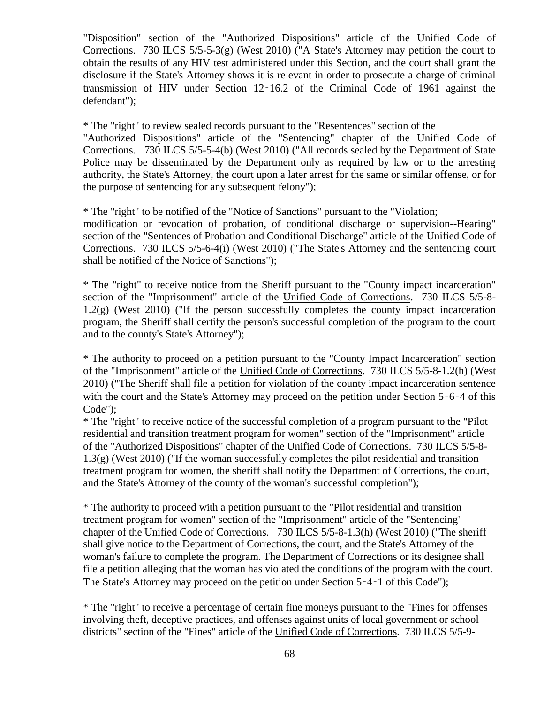"Disposition" section of the "Authorized Dispositions" article of the Unified Code of Corrections. 730 ILCS 5/5-5-3(g) (West 2010) ("A State's Attorney may petition the court to obtain the results of any HIV test administered under this Section, and the court shall grant the disclosure if the State's Attorney shows it is relevant in order to prosecute a charge of criminal transmission of HIV under Section 12‑16.2 of the Criminal Code of 1961 against the defendant");

\* The "right" to review sealed records pursuant to the "Resentences" section of the "Authorized Dispositions" article of the "Sentencing" chapter of the Unified Code of Corrections. 730 ILCS 5/5-5-4(b) (West 2010) ("All records sealed by the Department of State Police may be disseminated by the Department only as required by law or to the arresting authority, the State's Attorney, the court upon a later arrest for the same or similar offense, or for the purpose of sentencing for any subsequent felony");

\* The "right" to be notified of the "Notice of Sanctions" pursuant to the "Violation; modification or revocation of probation, of conditional discharge or supervision--Hearing" section of the "Sentences of Probation and Conditional Discharge" article of the Unified Code of Corrections. 730 ILCS 5/5-6-4(i) (West 2010) ("The State's Attorney and the sentencing court shall be notified of the Notice of Sanctions");

\* The "right" to receive notice from the Sheriff pursuant to the "County impact incarceration" section of the "Imprisonment" article of the Unified Code of Corrections. 730 ILCS 5/5-8- 1.2(g) (West 2010) ("If the person successfully completes the county impact incarceration program, the Sheriff shall certify the person's successful completion of the program to the court and to the county's State's Attorney");

\* The authority to proceed on a petition pursuant to the "County Impact Incarceration" section of the "Imprisonment" article of the Unified Code of Corrections. 730 ILCS 5/5-8-1.2(h) (West 2010) ("The Sheriff shall file a petition for violation of the county impact incarceration sentence with the court and the State's Attorney may proceed on the petition under Section 5–6–4 of this Code");

\* The "right" to receive notice of the successful completion of a program pursuant to the "Pilot residential and transition treatment program for women" section of the "Imprisonment" article of the "Authorized Dispositions" chapter of the Unified Code of Corrections. 730 ILCS 5/5-8- 1.3(g) (West 2010) ("If the woman successfully completes the pilot residential and transition treatment program for women, the sheriff shall notify the Department of Corrections, the court, and the State's Attorney of the county of the woman's successful completion");

\* The authority to proceed with a petition pursuant to the "Pilot residential and transition treatment program for women" section of the "Imprisonment" article of the "Sentencing" chapter of the Unified Code of Corrections. 730 ILCS 5/5-8-1.3(h) (West 2010) ("The sheriff shall give notice to the Department of Corrections, the court, and the State's Attorney of the woman's failure to complete the program. The Department of Corrections or its designee shall file a petition alleging that the woman has violated the conditions of the program with the court. The State's Attorney may proceed on the petition under Section 5–4–1 of this Code");

\* The "right" to receive a percentage of certain fine moneys pursuant to the "Fines for offenses involving theft, deceptive practices, and offenses against units of local government or school districts" section of the "Fines" article of the Unified Code of Corrections. 730 ILCS 5/5-9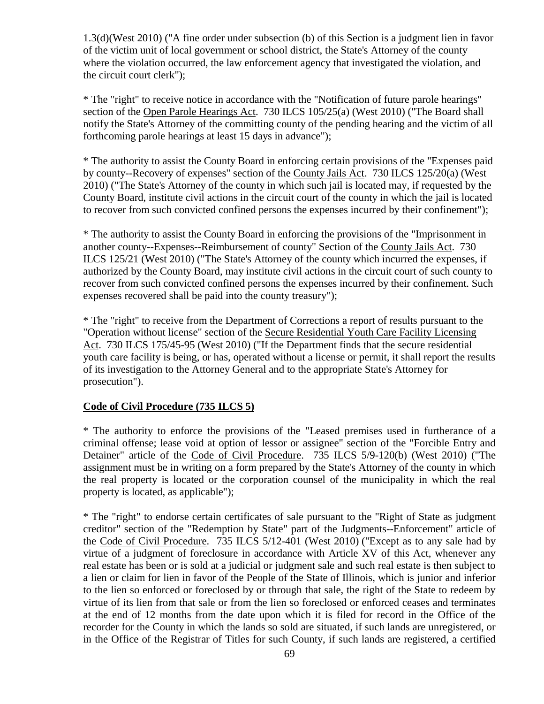1.3(d)(West 2010) ("A fine order under subsection (b) of this Section is a judgment lien in favor of the victim unit of local government or school district, the State's Attorney of the county where the violation occurred, the law enforcement agency that investigated the violation, and the circuit court clerk");

\* The "right" to receive notice in accordance with the "Notification of future parole hearings" section of the Open Parole Hearings Act. 730 ILCS 105/25(a) (West 2010) ("The Board shall notify the State's Attorney of the committing county of the pending hearing and the victim of all forthcoming parole hearings at least 15 days in advance");

\* The authority to assist the County Board in enforcing certain provisions of the "Expenses paid by county--Recovery of expenses" section of the County Jails Act. 730 ILCS 125/20(a) (West 2010) ("The State's Attorney of the county in which such jail is located may, if requested by the County Board, institute civil actions in the circuit court of the county in which the jail is located to recover from such convicted confined persons the expenses incurred by their confinement");

\* The authority to assist the County Board in enforcing the provisions of the "Imprisonment in another county--Expenses--Reimbursement of county" Section of the County Jails Act. 730 ILCS 125/21 (West 2010) ("The State's Attorney of the county which incurred the expenses, if authorized by the County Board, may institute civil actions in the circuit court of such county to recover from such convicted confined persons the expenses incurred by their confinement. Such expenses recovered shall be paid into the county treasury");

\* The "right" to receive from the Department of Corrections a report of results pursuant to the "Operation without license" section of the Secure Residential Youth Care Facility Licensing Act. 730 ILCS 175/45-95 (West 2010) ("If the Department finds that the secure residential youth care facility is being, or has, operated without a license or permit, it shall report the results of its investigation to the Attorney General and to the appropriate State's Attorney for prosecution").

### **Code of Civil Procedure (735 ILCS 5)**

\* The authority to enforce the provisions of the "Leased premises used in furtherance of a criminal offense; lease void at option of lessor or assignee" section of the "Forcible Entry and Detainer" article of the Code of Civil Procedure. 735 ILCS 5/9-120(b) (West 2010) ("The assignment must be in writing on a form prepared by the State's Attorney of the county in which the real property is located or the corporation counsel of the municipality in which the real property is located, as applicable");

\* The "right" to endorse certain certificates of sale pursuant to the "Right of State as judgment creditor" section of the "Redemption by State" part of the Judgments--Enforcement" article of the Code of Civil Procedure. 735 ILCS 5/12-401 (West 2010) ("Except as to any sale had by virtue of a judgment of foreclosure in accordance with Article XV of this Act, whenever any real estate has been or is sold at a judicial or judgment sale and such real estate is then subject to a lien or claim for lien in favor of the People of the State of Illinois, which is junior and inferior to the lien so enforced or foreclosed by or through that sale, the right of the State to redeem by virtue of its lien from that sale or from the lien so foreclosed or enforced ceases and terminates at the end of 12 months from the date upon which it is filed for record in the Office of the recorder for the County in which the lands so sold are situated, if such lands are unregistered, or in the Office of the Registrar of Titles for such County, if such lands are registered, a certified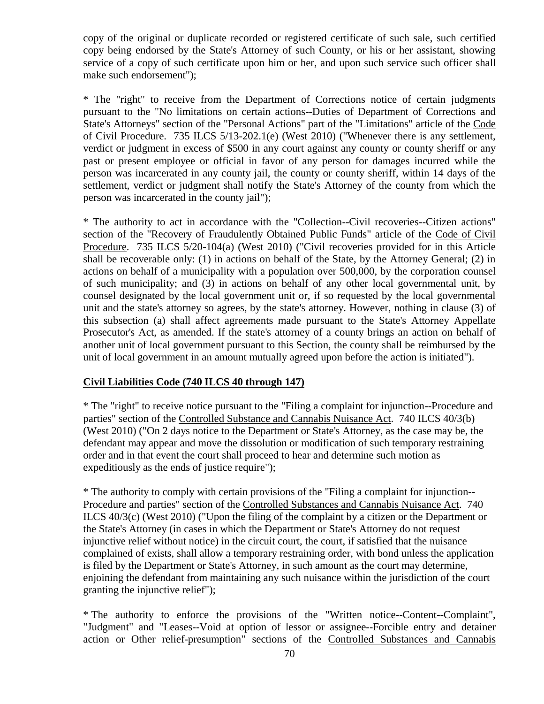copy of the original or duplicate recorded or registered certificate of such sale, such certified copy being endorsed by the State's Attorney of such County, or his or her assistant, showing service of a copy of such certificate upon him or her, and upon such service such officer shall make such endorsement");

\* The "right" to receive from the Department of Corrections notice of certain judgments pursuant to the "No limitations on certain actions--Duties of Department of Corrections and State's Attorneys" section of the "Personal Actions" part of the "Limitations" article of the Code of Civil Procedure. 735 ILCS 5/13-202.1(e) (West 2010) ("Whenever there is any settlement, verdict or judgment in excess of \$500 in any court against any county or county sheriff or any past or present employee or official in favor of any person for damages incurred while the person was incarcerated in any county jail, the county or county sheriff, within 14 days of the settlement, verdict or judgment shall notify the State's Attorney of the county from which the person was incarcerated in the county jail");

\* The authority to act in accordance with the "Collection--Civil recoveries--Citizen actions" section of the "Recovery of Fraudulently Obtained Public Funds" article of the Code of Civil Procedure. 735 ILCS 5/20-104(a) (West 2010) ("Civil recoveries provided for in this Article shall be recoverable only: (1) in actions on behalf of the State, by the Attorney General; (2) in actions on behalf of a municipality with a population over 500,000, by the corporation counsel of such municipality; and (3) in actions on behalf of any other local governmental unit, by counsel designated by the local government unit or, if so requested by the local governmental unit and the state's attorney so agrees, by the state's attorney. However, nothing in clause (3) of this subsection (a) shall affect agreements made pursuant to the State's Attorney Appellate Prosecutor's Act, as amended. If the state's attorney of a county brings an action on behalf of another unit of local government pursuant to this Section, the county shall be reimbursed by the unit of local government in an amount mutually agreed upon before the action is initiated").

### **Civil Liabilities Code (740 ILCS 40 through 147)**

\* The "right" to receive notice pursuant to the "Filing a complaint for injunction--Procedure and parties" section of the Controlled Substance and Cannabis Nuisance Act. 740 ILCS 40/3(b) (West 2010) ("On 2 days notice to the Department or State's Attorney, as the case may be, the defendant may appear and move the dissolution or modification of such temporary restraining order and in that event the court shall proceed to hear and determine such motion as expeditiously as the ends of justice require");

\* The authority to comply with certain provisions of the "Filing a complaint for injunction-- Procedure and parties" section of the Controlled Substances and Cannabis Nuisance Act. 740 ILCS 40/3(c) (West 2010) ("Upon the filing of the complaint by a citizen or the Department or the State's Attorney (in cases in which the Department or State's Attorney do not request injunctive relief without notice) in the circuit court, the court, if satisfied that the nuisance complained of exists, shall allow a temporary restraining order, with bond unless the application is filed by the Department or State's Attorney, in such amount as the court may determine, enjoining the defendant from maintaining any such nuisance within the jurisdiction of the court granting the injunctive relief");

\* The authority to enforce the provisions of the "Written notice--Content--Complaint", "Judgment" and "Leases--Void at option of lessor or assignee--Forcible entry and detainer action or Other relief-presumption" sections of the Controlled Substances and Cannabis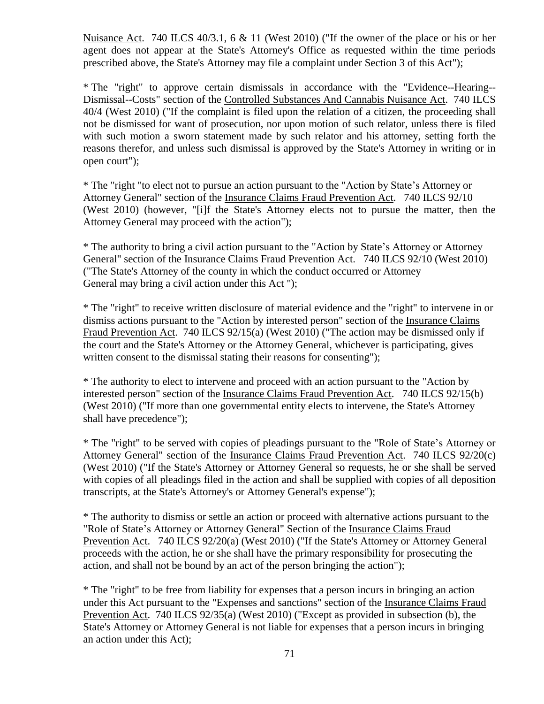Nuisance Act. 740 ILCS 40/3.1, 6 & 11 (West 2010) ("If the owner of the place or his or her agent does not appear at the State's Attorney's Office as requested within the time periods prescribed above, the State's Attorney may file a complaint under Section 3 of this Act");

\* The "right" to approve certain dismissals in accordance with the "Evidence--Hearing-- Dismissal--Costs" section of the Controlled Substances And Cannabis Nuisance Act. 740 ILCS 40/4 (West 2010) ("If the complaint is filed upon the relation of a citizen, the proceeding shall not be dismissed for want of prosecution, nor upon motion of such relator, unless there is filed with such motion a sworn statement made by such relator and his attorney, setting forth the reasons therefor, and unless such dismissal is approved by the State's Attorney in writing or in open court");

\* The "right "to elect not to pursue an action pursuant to the "Action by State's Attorney or Attorney General" section of the Insurance Claims Fraud Prevention Act. 740 ILCS 92/10 (West 2010) (however, "[i]f the State's Attorney elects not to pursue the matter, then the Attorney General may proceed with the action");

\* The authority to bring a civil action pursuant to the "Action by State's Attorney or Attorney General" section of the Insurance Claims Fraud Prevention Act. 740 ILCS 92/10 (West 2010) ("The State's Attorney of the county in which the conduct occurred or Attorney General may bring a civil action under this Act ");

\* The "right" to receive written disclosure of material evidence and the "right" to intervene in or dismiss actions pursuant to the "Action by interested person" section of the Insurance Claims Fraud Prevention Act. 740 ILCS 92/15(a) (West 2010) ("The action may be dismissed only if the court and the State's Attorney or the Attorney General, whichever is participating, gives written consent to the dismissal stating their reasons for consenting");

\* The authority to elect to intervene and proceed with an action pursuant to the "Action by interested person" section of the Insurance Claims Fraud Prevention Act. 740 ILCS 92/15(b) (West 2010) ("If more than one governmental entity elects to intervene, the State's Attorney shall have precedence");

\* The "right" to be served with copies of pleadings pursuant to the "Role of State's Attorney or Attorney General" section of the Insurance Claims Fraud Prevention Act. 740 ILCS 92/20(c) (West 2010) ("If the State's Attorney or Attorney General so requests, he or she shall be served with copies of all pleadings filed in the action and shall be supplied with copies of all deposition transcripts, at the State's Attorney's or Attorney General's expense");

\* The authority to dismiss or settle an action or proceed with alternative actions pursuant to the "Role of State's Attorney or Attorney General" Section of the Insurance Claims Fraud Prevention Act. 740 ILCS 92/20(a) (West 2010) ("If the State's Attorney or Attorney General proceeds with the action, he or she shall have the primary responsibility for prosecuting the action, and shall not be bound by an act of the person bringing the action");

\* The "right" to be free from liability for expenses that a person incurs in bringing an action under this Act pursuant to the "Expenses and sanctions" section of the Insurance Claims Fraud Prevention Act. 740 ILCS 92/35(a) (West 2010) ("Except as provided in subsection (b), the State's Attorney or Attorney General is not liable for expenses that a person incurs in bringing an action under this Act);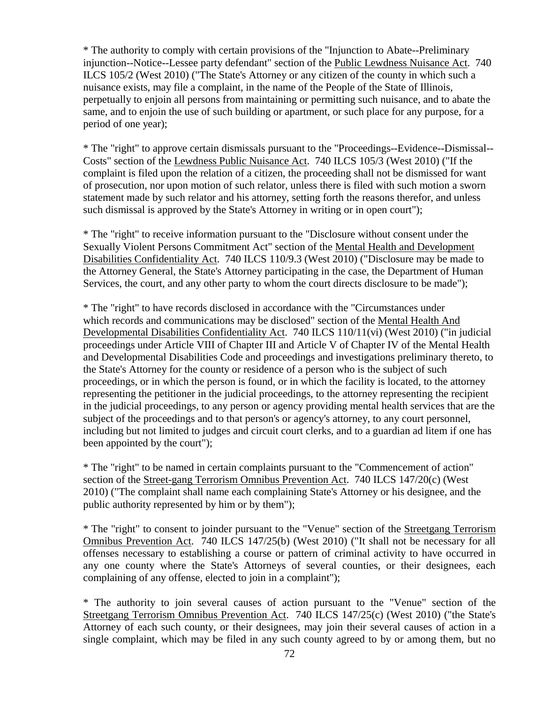\* The authority to comply with certain provisions of the "Injunction to Abate--Preliminary injunction--Notice--Lessee party defendant" section of the Public Lewdness Nuisance Act. 740 ILCS 105/2 (West 2010) ("The State's Attorney or any citizen of the county in which such a nuisance exists, may file a complaint, in the name of the People of the State of Illinois, perpetually to enjoin all persons from maintaining or permitting such nuisance, and to abate the same, and to enjoin the use of such building or apartment, or such place for any purpose, for a period of one year);

\* The "right" to approve certain dismissals pursuant to the "Proceedings--Evidence--Dismissal-- Costs" section of the Lewdness Public Nuisance Act. 740 ILCS 105/3 (West 2010) ("If the complaint is filed upon the relation of a citizen, the proceeding shall not be dismissed for want of prosecution, nor upon motion of such relator, unless there is filed with such motion a sworn statement made by such relator and his attorney, setting forth the reasons therefor, and unless such dismissal is approved by the State's Attorney in writing or in open court");

\* The "right" to receive information pursuant to the "Disclosure without consent under the Sexually Violent Persons Commitment Act" section of the Mental Health and Development Disabilities Confidentiality Act. 740 ILCS 110/9.3 (West 2010) ("Disclosure may be made to the Attorney General, the State's Attorney participating in the case, the Department of Human Services, the court, and any other party to whom the court directs disclosure to be made");

\* The "right" to have records disclosed in accordance with the "Circumstances under which records and communications may be disclosed" section of the Mental Health And Developmental Disabilities Confidentiality Act. 740 ILCS 110/11(vi) (West 2010) ("in judicial proceedings under Article VIII of Chapter III and Article V of Chapter IV of the Mental Health and Developmental Disabilities Code and proceedings and investigations preliminary thereto, to the State's Attorney for the county or residence of a person who is the subject of such proceedings, or in which the person is found, or in which the facility is located, to the attorney representing the petitioner in the judicial proceedings, to the attorney representing the recipient in the judicial proceedings, to any person or agency providing mental health services that are the subject of the proceedings and to that person's or agency's attorney, to any court personnel, including but not limited to judges and circuit court clerks, and to a guardian ad litem if one has been appointed by the court");

\* The "right" to be named in certain complaints pursuant to the "Commencement of action" section of the Street-gang Terrorism Omnibus Prevention Act. 740 ILCS 147/20(c) (West 2010) ("The complaint shall name each complaining State's Attorney or his designee, and the public authority represented by him or by them");

\* The "right" to consent to joinder pursuant to the "Venue" section of the Streetgang Terrorism Omnibus Prevention Act. 740 ILCS 147/25(b) (West 2010) ("It shall not be necessary for all offenses necessary to establishing a course or pattern of criminal activity to have occurred in any one county where the State's Attorneys of several counties, or their designees, each complaining of any offense, elected to join in a complaint");

\* The authority to join several causes of action pursuant to the "Venue" section of the Streetgang Terrorism Omnibus Prevention Act. 740 ILCS 147/25(c) (West 2010) ("the State's Attorney of each such county, or their designees, may join their several causes of action in a single complaint, which may be filed in any such county agreed to by or among them, but no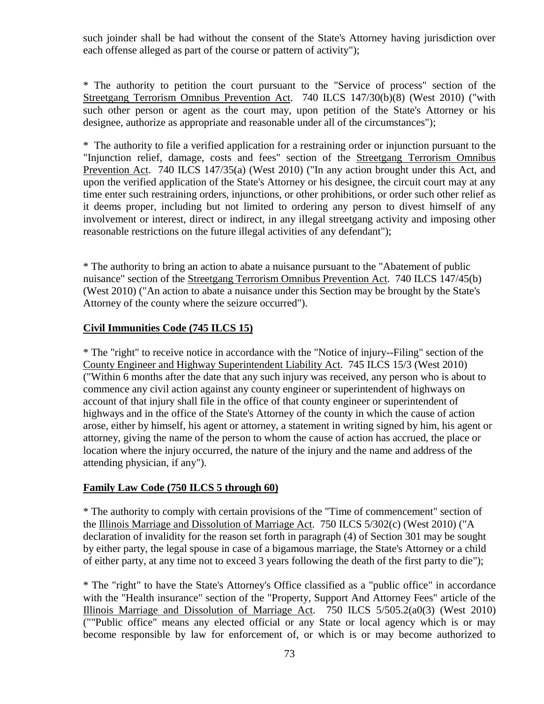such joinder shall be had without the consent of the State's Attorney having jurisdiction over each offense alleged as part of the course or pattern of activity");

\* The authority to petition the court pursuant to the "Service of process" section of the Streetgang Terrorism Omnibus Prevention Act. 740 ILCS 147/30(b)(8) (West 2010) ("with such other person or agent as the court may, upon petition of the State's Attorney or his designee, authorize as appropriate and reasonable under all of the circumstances");

\* The authority to file a verified application for a restraining order or injunction pursuant to the "Injunction relief, damage, costs and fees" section of the Streetgang Terrorism Omnibus Prevention Act. 740 ILCS 147/35(a) (West 2010) ("In any action brought under this Act, and upon the verified application of the State's Attorney or his designee, the circuit court may at any time enter such restraining orders, injunctions, or other prohibitions, or order such other relief as it deems proper, including but not limited to ordering any person to divest himself of any involvement or interest, direct or indirect, in any illegal streetgang activity and imposing other reasonable restrictions on the future illegal activities of any defendant");

\* The authority to bring an action to abate a nuisance pursuant to the "Abatement of public nuisance" section of the Streetgang Terrorism Omnibus Prevention Act. 740 ILCS 147/45(b) (West 2010) ("An action to abate a nuisance under this Section may be brought by the State's Attorney of the county where the seizure occurred").

### **Civil Immunities Code (745 ILCS 15)**

\* The "right" to receive notice in accordance with the "Notice of injury--Filing" section of the County Engineer and Highway Superintendent Liability Act. 745 ILCS 15/3 (West 2010) ("Within 6 months after the date that any such injury was received, any person who is about to commence any civil action against any county engineer or superintendent of highways on account of that injury shall file in the office of that county engineer or superintendent of highways and in the office of the State's Attorney of the county in which the cause of action arose, either by himself, his agent or attorney, a statement in writing signed by him, his agent or attorney, giving the name of the person to whom the cause of action has accrued, the place or location where the injury occurred, the nature of the injury and the name and address of the attending physician, if any").

### **Family Law Code (750 ILCS 5 through 60)**

\* The authority to comply with certain provisions of the "Time of commencement" section of the Illinois Marriage and Dissolution of Marriage Act. 750 ILCS 5/302(c) (West 2010) ("A declaration of invalidity for the reason set forth in paragraph (4) of Section 301 may be sought by either party, the legal spouse in case of a bigamous marriage, the State's Attorney or a child of either party, at any time not to exceed 3 years following the death of the first party to die");

\* The "right" to have the State's Attorney's Office classified as a "public office" in accordance with the "Health insurance" section of the "Property, Support And Attorney Fees" article of the Illinois Marriage and Dissolution of Marriage Act. 750 ILCS 5/505.2(a0(3) (West 2010) (""Public office" means any elected official or any State or local agency which is or may become responsible by law for enforcement of, or which is or may become authorized to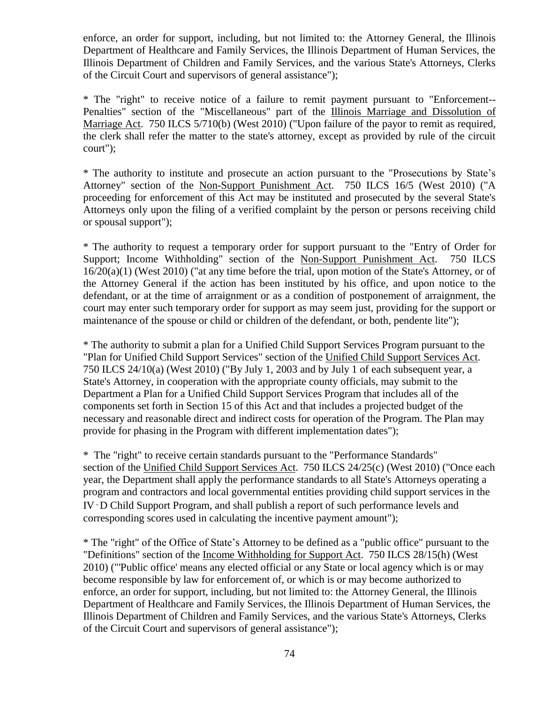enforce, an order for support, including, but not limited to: the Attorney General, the Illinois Department of Healthcare and Family Services, the Illinois Department of Human Services, the Illinois Department of Children and Family Services, and the various State's Attorneys, Clerks of the Circuit Court and supervisors of general assistance");

\* The "right" to receive notice of a failure to remit payment pursuant to "Enforcement-- Penalties" section of the "Miscellaneous" part of the Illinois Marriage and Dissolution of Marriage Act. 750 ILCS 5/710(b) (West 2010) ("Upon failure of the payor to remit as required, the clerk shall refer the matter to the state's attorney, except as provided by rule of the circuit court");

\* The authority to institute and prosecute an action pursuant to the "Prosecutions by State's Attorney" section of the Non-Support Punishment Act. 750 ILCS 16/5 (West 2010) ("A proceeding for enforcement of this Act may be instituted and prosecuted by the several State's Attorneys only upon the filing of a verified complaint by the person or persons receiving child or spousal support");

\* The authority to request a temporary order for support pursuant to the "Entry of Order for Support; Income Withholding" section of the Non-Support Punishment Act. 750 ILCS 16/20(a)(1) (West 2010) ("at any time before the trial, upon motion of the State's Attorney, or of the Attorney General if the action has been instituted by his office, and upon notice to the defendant, or at the time of arraignment or as a condition of postponement of arraignment, the court may enter such temporary order for support as may seem just, providing for the support or maintenance of the spouse or child or children of the defendant, or both, pendente lite");

\* The authority to submit a plan for a Unified Child Support Services Program pursuant to the "Plan for Unified Child Support Services" section of the Unified Child Support Services Act. 750 ILCS 24/10(a) (West 2010) ("By July 1, 2003 and by July 1 of each subsequent year, a State's Attorney, in cooperation with the appropriate county officials, may submit to the Department a Plan for a Unified Child Support Services Program that includes all of the components set forth in Section 15 of this Act and that includes a projected budget of the necessary and reasonable direct and indirect costs for operation of the Program. The Plan may provide for phasing in the Program with different implementation dates");

\* The "right" to receive certain standards pursuant to the "Performance Standards" section of the Unified Child Support Services Act. 750 ILCS 24/25(c) (West 2010) ("Once each year, the Department shall apply the performance standards to all State's Attorneys operating a program and contractors and local governmental entities providing child support services in the IV‑D Child Support Program, and shall publish a report of such performance levels and corresponding scores used in calculating the incentive payment amount");

\* The "right" of the Office of State's Attorney to be defined as a "public office" pursuant to the "Definitions" section of the Income Withholding for Support Act. 750 ILCS 28/15(h) (West 2010) ("'Public office' means any elected official or any State or local agency which is or may become responsible by law for enforcement of, or which is or may become authorized to enforce, an order for support, including, but not limited to: the Attorney General, the Illinois Department of Healthcare and Family Services, the Illinois Department of Human Services, the Illinois Department of Children and Family Services, and the various State's Attorneys, Clerks of the Circuit Court and supervisors of general assistance");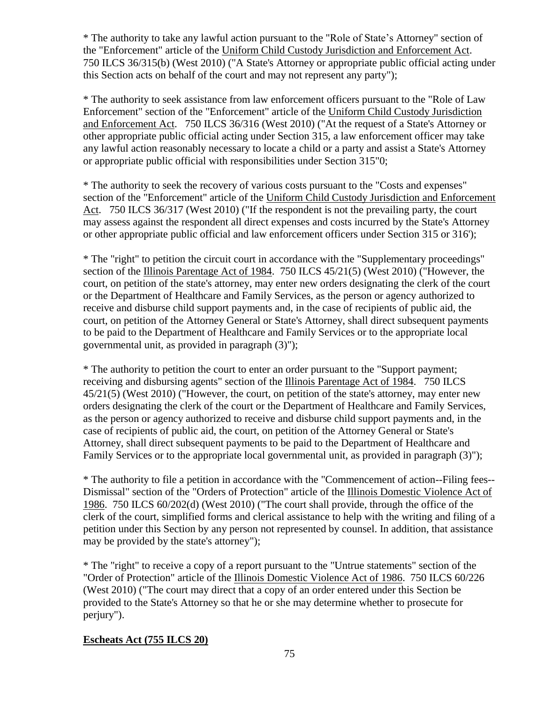\* The authority to take any lawful action pursuant to the "Role of State's Attorney" section of the "Enforcement" article of the Uniform Child Custody Jurisdiction and Enforcement Act. 750 ILCS 36/315(b) (West 2010) ("A State's Attorney or appropriate public official acting under this Section acts on behalf of the court and may not represent any party");

\* The authority to seek assistance from law enforcement officers pursuant to the "Role of Law Enforcement" section of the "Enforcement" article of the Uniform Child Custody Jurisdiction and Enforcement Act. 750 ILCS 36/316 (West 2010) ("At the request of a State's Attorney or other appropriate public official acting under Section 315, a law enforcement officer may take any lawful action reasonably necessary to locate a child or a party and assist a State's Attorney or appropriate public official with responsibilities under Section 315"0;

\* The authority to seek the recovery of various costs pursuant to the "Costs and expenses" section of the "Enforcement" article of the Uniform Child Custody Jurisdiction and Enforcement Act. 750 ILCS 36/317 (West 2010) ("If the respondent is not the prevailing party, the court may assess against the respondent all direct expenses and costs incurred by the State's Attorney or other appropriate public official and law enforcement officers under Section 315 or 316');

\* The "right" to petition the circuit court in accordance with the "Supplementary proceedings" section of the Illinois Parentage Act of 1984. 750 ILCS 45/21(5) (West 2010) ("However, the court, on petition of the state's attorney, may enter new orders designating the clerk of the court or the Department of Healthcare and Family Services, as the person or agency authorized to receive and disburse child support payments and, in the case of recipients of public aid, the court, on petition of the Attorney General or State's Attorney, shall direct subsequent payments to be paid to the Department of Healthcare and Family Services or to the appropriate local governmental unit, as provided in paragraph (3)");

\* The authority to petition the court to enter an order pursuant to the "Support payment; receiving and disbursing agents" section of the Illinois Parentage Act of 1984. 750 ILCS 45/21(5) (West 2010) ("However, the court, on petition of the state's attorney, may enter new orders designating the clerk of the court or the Department of Healthcare and Family Services, as the person or agency authorized to receive and disburse child support payments and, in the case of recipients of public aid, the court, on petition of the Attorney General or State's Attorney, shall direct subsequent payments to be paid to the Department of Healthcare and Family Services or to the appropriate local governmental unit, as provided in paragraph  $(3)$ ");

\* The authority to file a petition in accordance with the "Commencement of action--Filing fees-- Dismissal" section of the "Orders of Protection" article of the Illinois Domestic Violence Act of 1986. 750 ILCS 60/202(d) (West 2010) ("The court shall provide, through the office of the clerk of the court, simplified forms and clerical assistance to help with the writing and filing of a petition under this Section by any person not represented by counsel. In addition, that assistance may be provided by the state's attorney");

\* The "right" to receive a copy of a report pursuant to the "Untrue statements" section of the "Order of Protection" article of the Illinois Domestic Violence Act of 1986. 750 ILCS 60/226 (West 2010) ("The court may direct that a copy of an order entered under this Section be provided to the State's Attorney so that he or she may determine whether to prosecute for perjury").

### **Escheats Act (755 ILCS 20)**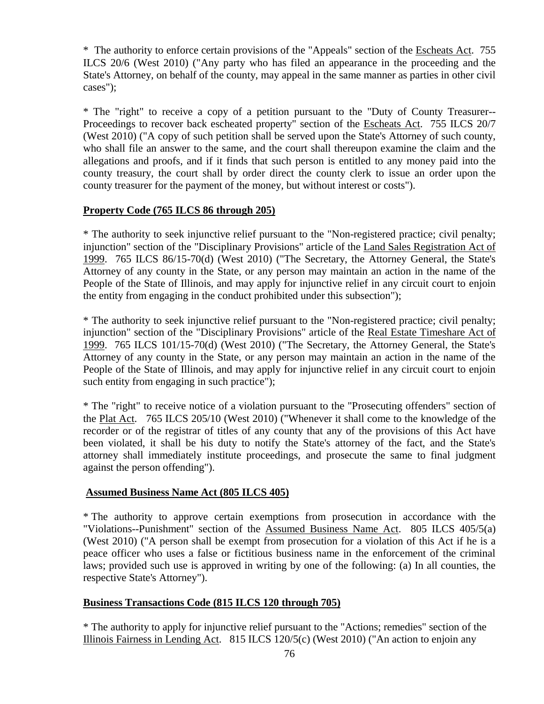\* The authority to enforce certain provisions of the "Appeals" section of the Escheats Act. 755 ILCS 20/6 (West 2010) ("Any party who has filed an appearance in the proceeding and the State's Attorney, on behalf of the county, may appeal in the same manner as parties in other civil cases");

\* The "right" to receive a copy of a petition pursuant to the "Duty of County Treasurer-- Proceedings to recover back escheated property" section of the Escheats Act. 755 ILCS 20/7 (West 2010) ("A copy of such petition shall be served upon the State's Attorney of such county, who shall file an answer to the same, and the court shall thereupon examine the claim and the allegations and proofs, and if it finds that such person is entitled to any money paid into the county treasury, the court shall by order direct the county clerk to issue an order upon the county treasurer for the payment of the money, but without interest or costs").

### **Property Code (765 ILCS 86 through 205)**

\* The authority to seek injunctive relief pursuant to the "Non-registered practice; civil penalty; injunction" section of the "Disciplinary Provisions" article of the Land Sales Registration Act of 1999. 765 ILCS 86/15-70(d) (West 2010) ("The Secretary, the Attorney General, the State's Attorney of any county in the State, or any person may maintain an action in the name of the People of the State of Illinois, and may apply for injunctive relief in any circuit court to enjoin the entity from engaging in the conduct prohibited under this subsection");

\* The authority to seek injunctive relief pursuant to the "Non-registered practice; civil penalty; injunction" section of the "Disciplinary Provisions" article of the Real Estate Timeshare Act of 1999. 765 ILCS 101/15-70(d) (West 2010) ("The Secretary, the Attorney General, the State's Attorney of any county in the State, or any person may maintain an action in the name of the People of the State of Illinois, and may apply for injunctive relief in any circuit court to enjoin such entity from engaging in such practice");

\* The "right" to receive notice of a violation pursuant to the "Prosecuting offenders" section of the Plat Act. 765 ILCS 205/10 (West 2010) ("Whenever it shall come to the knowledge of the recorder or of the registrar of titles of any county that any of the provisions of this Act have been violated, it shall be his duty to notify the State's attorney of the fact, and the State's attorney shall immediately institute proceedings, and prosecute the same to final judgment against the person offending").

### **Assumed Business Name Act (805 ILCS 405)**

\* The authority to approve certain exemptions from prosecution in accordance with the "Violations--Punishment" section of the Assumed Business Name Act. 805 ILCS 405/5(a) (West 2010) ("A person shall be exempt from prosecution for a violation of this Act if he is a peace officer who uses a false or fictitious business name in the enforcement of the criminal laws; provided such use is approved in writing by one of the following: (a) In all counties, the respective State's Attorney").

## **Business Transactions Code (815 ILCS 120 through 705)**

\* The authority to apply for injunctive relief pursuant to the "Actions; remedies" section of the Illinois Fairness in Lending Act. 815 ILCS 120/5(c) (West 2010) ("An action to enjoin any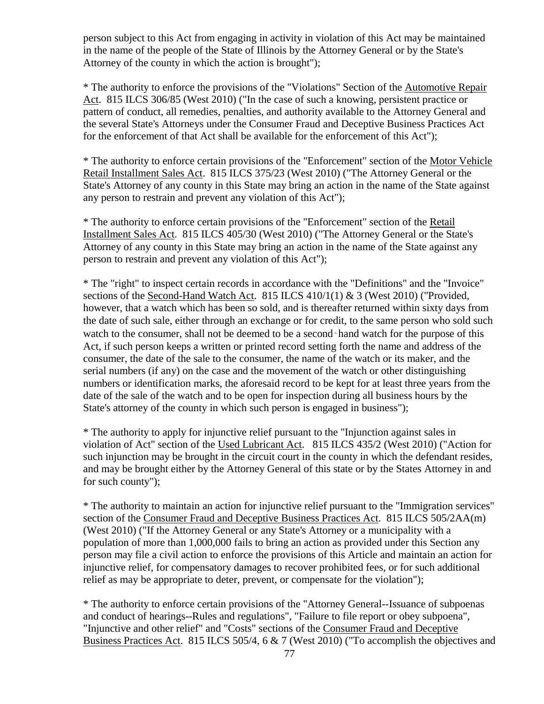person subject to this Act from engaging in activity in violation of this Act may be maintained in the name of the people of the State of Illinois by the Attorney General or by the State's Attorney of the county in which the action is brought");

\* The authority to enforce the provisions of the "Violations" Section of the Automotive Repair Act. 815 ILCS 306/85 (West 2010) ("In the case of such a knowing, persistent practice or pattern of conduct, all remedies, penalties, and authority available to the Attorney General and the several State's Attorneys under the Consumer Fraud and Deceptive Business Practices Act for the enforcement of that Act shall be available for the enforcement of this Act");

\* The authority to enforce certain provisions of the "Enforcement" section of the Motor Vehicle Retail Installment Sales Act. 815 ILCS 375/23 (West 2010) ("The Attorney General or the State's Attorney of any county in this State may bring an action in the name of the State against any person to restrain and prevent any violation of this Act");

\* The authority to enforce certain provisions of the "Enforcement" section of the Retail Installment Sales Act. 815 ILCS 405/30 (West 2010) ("The Attorney General or the State's Attorney of any county in this State may bring an action in the name of the State against any person to restrain and prevent any violation of this Act");

\* The "right" to inspect certain records in accordance with the "Definitions" and the "Invoice" sections of the Second-Hand Watch Act. 815 ILCS 410/1(1) & 3 (West 2010) ("Provided, however, that a watch which has been so sold, and is thereafter returned within sixty days from the date of such sale, either through an exchange or for credit, to the same person who sold such watch to the consumer, shall not be deemed to be a second-hand watch for the purpose of this Act, if such person keeps a written or printed record setting forth the name and address of the consumer, the date of the sale to the consumer, the name of the watch or its maker, and the serial numbers (if any) on the case and the movement of the watch or other distinguishing numbers or identification marks, the aforesaid record to be kept for at least three years from the date of the sale of the watch and to be open for inspection during all business hours by the State's attorney of the county in which such person is engaged in business");

\* The authority to apply for injunctive relief pursuant to the "Injunction against sales in violation of Act" section of the Used Lubricant Act. 815 ILCS 435/2 (West 2010) ("Action for such injunction may be brought in the circuit court in the county in which the defendant resides, and may be brought either by the Attorney General of this state or by the States Attorney in and for such county");

\* The authority to maintain an action for injunctive relief pursuant to the "Immigration services" section of the Consumer Fraud and Deceptive Business Practices Act. 815 ILCS 505/2AA(m) (West 2010) ("If the Attorney General or any State's Attorney or a municipality with a population of more than 1,000,000 fails to bring an action as provided under this Section any person may file a civil action to enforce the provisions of this Article and maintain an action for injunctive relief, for compensatory damages to recover prohibited fees, or for such additional relief as may be appropriate to deter, prevent, or compensate for the violation");

\* The authority to enforce certain provisions of the "Attorney General--Issuance of subpoenas and conduct of hearings--Rules and regulations", "Failure to file report or obey subpoena", "Injunctive and other relief" and "Costs" sections of the Consumer Fraud and Deceptive Business Practices Act. 815 ILCS 505/4, 6 & 7 (West 2010) ("To accomplish the objectives and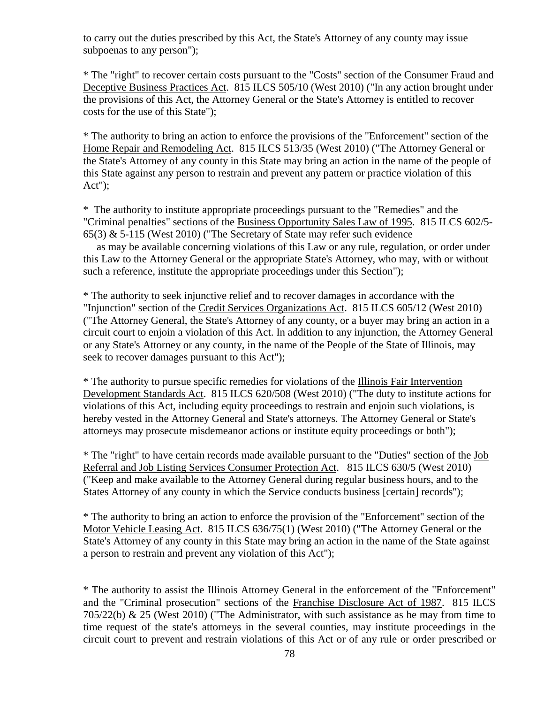to carry out the duties prescribed by this Act, the State's Attorney of any county may issue subpoenas to any person");

\* The "right" to recover certain costs pursuant to the "Costs" section of the Consumer Fraud and Deceptive Business Practices Act. 815 ILCS 505/10 (West 2010) ("In any action brought under the provisions of this Act, the Attorney General or the State's Attorney is entitled to recover costs for the use of this State");

\* The authority to bring an action to enforce the provisions of the "Enforcement" section of the Home Repair and Remodeling Act. 815 ILCS 513/35 (West 2010) ("The Attorney General or the State's Attorney of any county in this State may bring an action in the name of the people of this State against any person to restrain and prevent any pattern or practice violation of this Act");

\* The authority to institute appropriate proceedings pursuant to the "Remedies" and the "Criminal penalties" sections of the Business Opportunity Sales Law of 1995. 815 ILCS 602/5- 65(3) & 5-115 (West 2010) ("The Secretary of State may refer such evidence

 as may be available concerning violations of this Law or any rule, regulation, or order under this Law to the Attorney General or the appropriate State's Attorney, who may, with or without such a reference, institute the appropriate proceedings under this Section");

\* The authority to seek injunctive relief and to recover damages in accordance with the "Injunction" section of the Credit Services Organizations Act. 815 ILCS 605/12 (West 2010) ("The Attorney General, the State's Attorney of any county, or a buyer may bring an action in a circuit court to enjoin a violation of this Act. In addition to any injunction, the Attorney General or any State's Attorney or any county, in the name of the People of the State of Illinois, may seek to recover damages pursuant to this Act");

\* The authority to pursue specific remedies for violations of the Illinois Fair Intervention Development Standards Act. 815 ILCS 620/508 (West 2010) ("The duty to institute actions for violations of this Act, including equity proceedings to restrain and enjoin such violations, is hereby vested in the Attorney General and State's attorneys. The Attorney General or State's attorneys may prosecute misdemeanor actions or institute equity proceedings or both");

\* The "right" to have certain records made available pursuant to the "Duties" section of the Job Referral and Job Listing Services Consumer Protection Act. 815 ILCS 630/5 (West 2010) ("Keep and make available to the Attorney General during regular business hours, and to the States Attorney of any county in which the Service conducts business [certain] records");

\* The authority to bring an action to enforce the provision of the "Enforcement" section of the Motor Vehicle Leasing Act. 815 ILCS 636/75(1) (West 2010) ("The Attorney General or the State's Attorney of any county in this State may bring an action in the name of the State against a person to restrain and prevent any violation of this Act");

\* The authority to assist the Illinois Attorney General in the enforcement of the "Enforcement" and the "Criminal prosecution" sections of the Franchise Disclosure Act of 1987. 815 ILCS 705/22(b) & 25 (West 2010) ("The Administrator, with such assistance as he may from time to time request of the state's attorneys in the several counties, may institute proceedings in the circuit court to prevent and restrain violations of this Act or of any rule or order prescribed or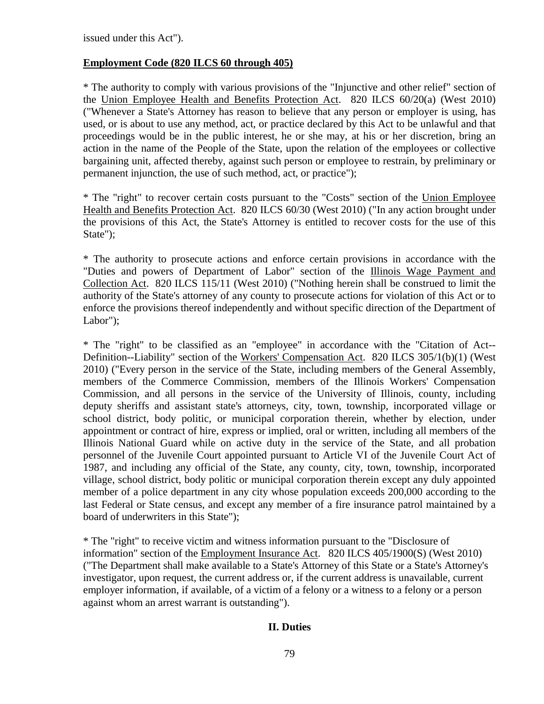issued under this Act").

### **Employment Code (820 ILCS 60 through 405)**

\* The authority to comply with various provisions of the "Injunctive and other relief" section of the Union Employee Health and Benefits Protection Act. 820 ILCS 60/20(a) (West 2010) ("Whenever a State's Attorney has reason to believe that any person or employer is using, has used, or is about to use any method, act, or practice declared by this Act to be unlawful and that proceedings would be in the public interest, he or she may, at his or her discretion, bring an action in the name of the People of the State, upon the relation of the employees or collective bargaining unit, affected thereby, against such person or employee to restrain, by preliminary or permanent injunction, the use of such method, act, or practice");

\* The "right" to recover certain costs pursuant to the "Costs" section of the Union Employee Health and Benefits Protection Act. 820 ILCS 60/30 (West 2010) ("In any action brought under the provisions of this Act, the State's Attorney is entitled to recover costs for the use of this State");

\* The authority to prosecute actions and enforce certain provisions in accordance with the "Duties and powers of Department of Labor" section of the Illinois Wage Payment and Collection Act. 820 ILCS 115/11 (West 2010) ("Nothing herein shall be construed to limit the authority of the State's attorney of any county to prosecute actions for violation of this Act or to enforce the provisions thereof independently and without specific direction of the Department of Labor");

\* The "right" to be classified as an "employee" in accordance with the "Citation of Act-- Definition--Liability" section of the Workers' Compensation Act. 820 ILCS 305/1(b)(1) (West 2010) ("Every person in the service of the State, including members of the General Assembly, members of the Commerce Commission, members of the Illinois Workers' Compensation Commission, and all persons in the service of the University of Illinois, county, including deputy sheriffs and assistant state's attorneys, city, town, township, incorporated village or school district, body politic, or municipal corporation therein, whether by election, under appointment or contract of hire, express or implied, oral or written, including all members of the Illinois National Guard while on active duty in the service of the State, and all probation personnel of the Juvenile Court appointed pursuant to Article VI of the Juvenile Court Act of 1987, and including any official of the State, any county, city, town, township, incorporated village, school district, body politic or municipal corporation therein except any duly appointed member of a police department in any city whose population exceeds 200,000 according to the last Federal or State census, and except any member of a fire insurance patrol maintained by a board of underwriters in this State");

\* The "right" to receive victim and witness information pursuant to the "Disclosure of information" section of the Employment Insurance Act. 820 ILCS 405/1900(S) (West 2010) ("The Department shall make available to a State's Attorney of this State or a State's Attorney's investigator, upon request, the current address or, if the current address is unavailable, current employer information, if available, of a victim of a felony or a witness to a felony or a person against whom an arrest warrant is outstanding").

### **II. Duties**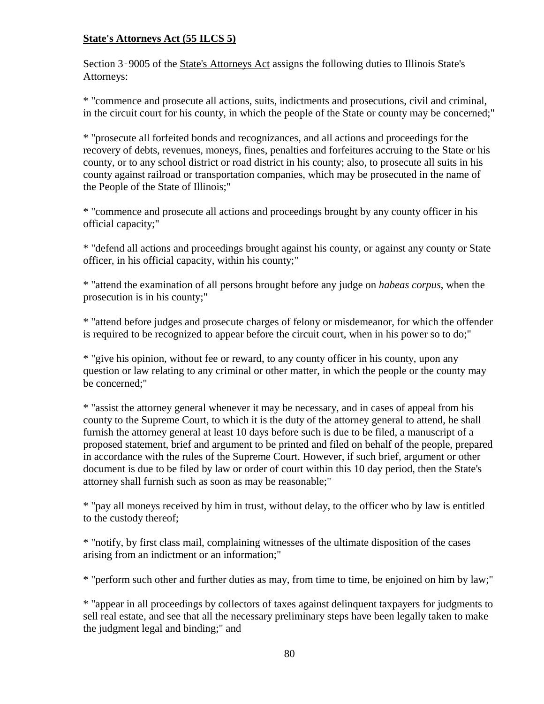# **State's Attorneys Act (55 ILCS 5)**

Section 3‑9005 of the State's Attorneys Act assigns the following duties to Illinois State's Attorneys:

\* "commence and prosecute all actions, suits, indictments and prosecutions, civil and criminal, in the circuit court for his county, in which the people of the State or county may be concerned;"

\* "prosecute all forfeited bonds and recognizances, and all actions and proceedings for the recovery of debts, revenues, moneys, fines, penalties and forfeitures accruing to the State or his county, or to any school district or road district in his county; also, to prosecute all suits in his county against railroad or transportation companies, which may be prosecuted in the name of the People of the State of Illinois;"

\* "commence and prosecute all actions and proceedings brought by any county officer in his official capacity;"

\* "defend all actions and proceedings brought against his county, or against any county or State officer, in his official capacity, within his county;"

\* "attend the examination of all persons brought before any judge on *habeas corpus*, when the prosecution is in his county;"

\* "attend before judges and prosecute charges of felony or misdemeanor, for which the offender is required to be recognized to appear before the circuit court, when in his power so to do;"

\* "give his opinion, without fee or reward, to any county officer in his county, upon any question or law relating to any criminal or other matter, in which the people or the county may be concerned;"

\* "assist the attorney general whenever it may be necessary, and in cases of appeal from his county to the Supreme Court, to which it is the duty of the attorney general to attend, he shall furnish the attorney general at least 10 days before such is due to be filed, a manuscript of a proposed statement, brief and argument to be printed and filed on behalf of the people, prepared in accordance with the rules of the Supreme Court. However, if such brief, argument or other document is due to be filed by law or order of court within this 10 day period, then the State's attorney shall furnish such as soon as may be reasonable;"

\* "pay all moneys received by him in trust, without delay, to the officer who by law is entitled to the custody thereof;

\* "notify, by first class mail, complaining witnesses of the ultimate disposition of the cases arising from an indictment or an information;"

\* "perform such other and further duties as may, from time to time, be enjoined on him by law;"

\* "appear in all proceedings by collectors of taxes against delinquent taxpayers for judgments to sell real estate, and see that all the necessary preliminary steps have been legally taken to make the judgment legal and binding;" and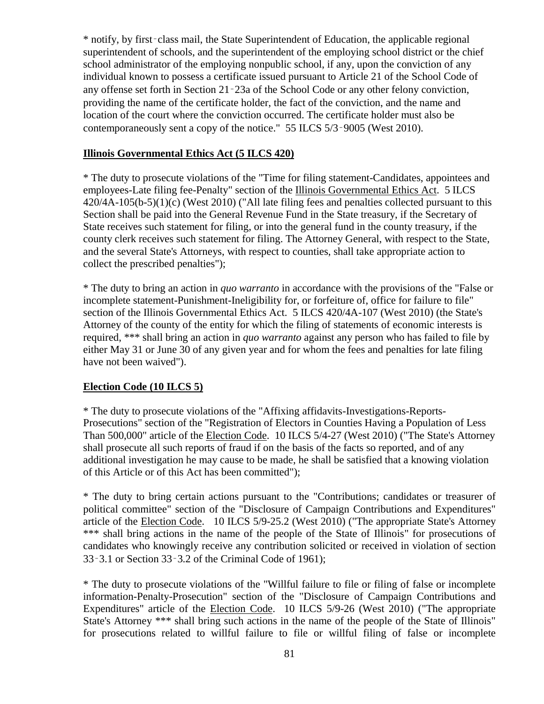\* notify, by first‑class mail, the State Superintendent of Education, the applicable regional superintendent of schools, and the superintendent of the employing school district or the chief school administrator of the employing nonpublic school, if any, upon the conviction of any individual known to possess a certificate issued pursuant to Article 21 of the School Code of any offense set forth in Section 21‑23a of the School Code or any other felony conviction, providing the name of the certificate holder, the fact of the conviction, and the name and location of the court where the conviction occurred. The certificate holder must also be contemporaneously sent a copy of the notice." 55 ILCS 5/3‑9005 (West 2010).

#### **Illinois Governmental Ethics Act (5 ILCS 420)**

\* The duty to prosecute violations of the "Time for filing statement-Candidates, appointees and employees-Late filing fee-Penalty" section of the Illinois Governmental Ethics Act. 5 ILCS 420/4A-105(b-5)(1)(c) (West 2010) ("All late filing fees and penalties collected pursuant to this Section shall be paid into the General Revenue Fund in the State treasury, if the Secretary of State receives such statement for filing, or into the general fund in the county treasury, if the county clerk receives such statement for filing. The Attorney General, with respect to the State, and the several State's Attorneys, with respect to counties, shall take appropriate action to collect the prescribed penalties");

\* The duty to bring an action in *quo warranto* in accordance with the provisions of the "False or incomplete statement-Punishment-Ineligibility for, or forfeiture of, office for failure to file" section of the Illinois Governmental Ethics Act. 5 ILCS 420/4A-107 (West 2010) (the State's Attorney of the county of the entity for which the filing of statements of economic interests is required, \*\*\* shall bring an action in *quo warranto* against any person who has failed to file by either May 31 or June 30 of any given year and for whom the fees and penalties for late filing have not been waived").

#### **Election Code (10 ILCS 5)**

\* The duty to prosecute violations of the "Affixing affidavits-Investigations-Reports-Prosecutions" section of the "Registration of Electors in Counties Having a Population of Less Than 500,000" article of the Election Code. 10 ILCS 5/4-27 (West 2010) ("The State's Attorney shall prosecute all such reports of fraud if on the basis of the facts so reported, and of any additional investigation he may cause to be made, he shall be satisfied that a knowing violation of this Article or of this Act has been committed");

\* The duty to bring certain actions pursuant to the "Contributions; candidates or treasurer of political committee" section of the "Disclosure of Campaign Contributions and Expenditures" article of the Election Code. 10 ILCS 5/9-25.2 (West 2010) ("The appropriate State's Attorney \*\*\* shall bring actions in the name of the people of the State of Illinois" for prosecutions of candidates who knowingly receive any contribution solicited or received in violation of section 33‑3.1 or Section 33‑3.2 of the Criminal Code of 1961);

\* The duty to prosecute violations of the "Willful failure to file or filing of false or incomplete information-Penalty-Prosecution" section of the "Disclosure of Campaign Contributions and Expenditures" article of the Election Code. 10 ILCS 5/9-26 (West 2010) ("The appropriate State's Attorney \*\*\* shall bring such actions in the name of the people of the State of Illinois" for prosecutions related to willful failure to file or willful filing of false or incomplete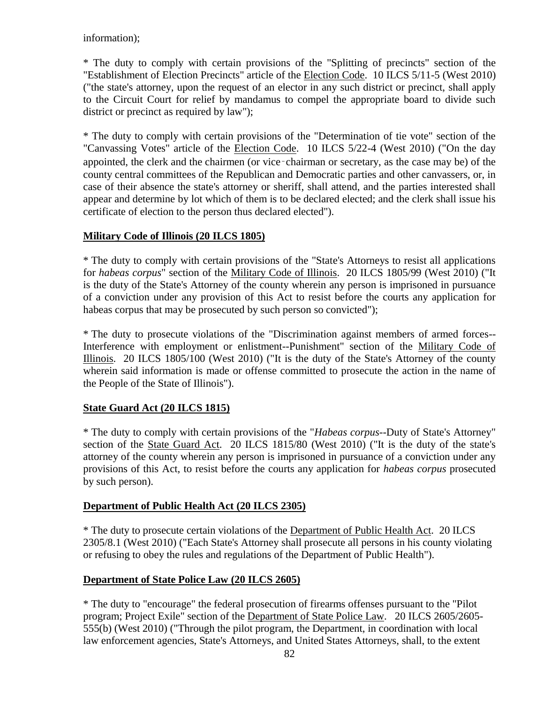information);

\* The duty to comply with certain provisions of the "Splitting of precincts" section of the "Establishment of Election Precincts" article of the Election Code. 10 ILCS 5/11-5 (West 2010) ("the state's attorney, upon the request of an elector in any such district or precinct, shall apply to the Circuit Court for relief by mandamus to compel the appropriate board to divide such district or precinct as required by law");

\* The duty to comply with certain provisions of the "Determination of tie vote" section of the "Canvassing Votes" article of the Election Code. 10 ILCS 5/22-4 (West 2010) ("On the day appointed, the clerk and the chairmen (or vice‑chairman or secretary, as the case may be) of the county central committees of the Republican and Democratic parties and other canvassers, or, in case of their absence the state's attorney or sheriff, shall attend, and the parties interested shall appear and determine by lot which of them is to be declared elected; and the clerk shall issue his certificate of election to the person thus declared elected").

# **Military Code of Illinois (20 ILCS 1805)**

\* The duty to comply with certain provisions of the "State's Attorneys to resist all applications for *habeas corpus*" section of the Military Code of Illinois. 20 ILCS 1805/99 (West 2010) ("It is the duty of the State's Attorney of the county wherein any person is imprisoned in pursuance of a conviction under any provision of this Act to resist before the courts any application for habeas corpus that may be prosecuted by such person so convicted");

\* The duty to prosecute violations of the "Discrimination against members of armed forces-- Interference with employment or enlistment--Punishment" section of the Military Code of Illinois. 20 ILCS 1805/100 (West 2010) ("It is the duty of the State's Attorney of the county wherein said information is made or offense committed to prosecute the action in the name of the People of the State of Illinois").

# **State Guard Act (20 ILCS 1815)**

\* The duty to comply with certain provisions of the "*Habeas corpus*--Duty of State's Attorney" section of the State Guard Act. 20 ILCS 1815/80 (West 2010) ("It is the duty of the state's attorney of the county wherein any person is imprisoned in pursuance of a conviction under any provisions of this Act, to resist before the courts any application for *habeas corpus* prosecuted by such person).

## **Department of Public Health Act (20 ILCS 2305)**

\* The duty to prosecute certain violations of the Department of Public Health Act. 20 ILCS 2305/8.1 (West 2010) ("Each State's Attorney shall prosecute all persons in his county violating or refusing to obey the rules and regulations of the Department of Public Health").

## **Department of State Police Law (20 ILCS 2605)**

\* The duty to "encourage" the federal prosecution of firearms offenses pursuant to the "Pilot program; Project Exile" section of the Department of State Police Law. 20 ILCS 2605/2605- 555(b) (West 2010) ("Through the pilot program, the Department, in coordination with local law enforcement agencies, State's Attorneys, and United States Attorneys, shall, to the extent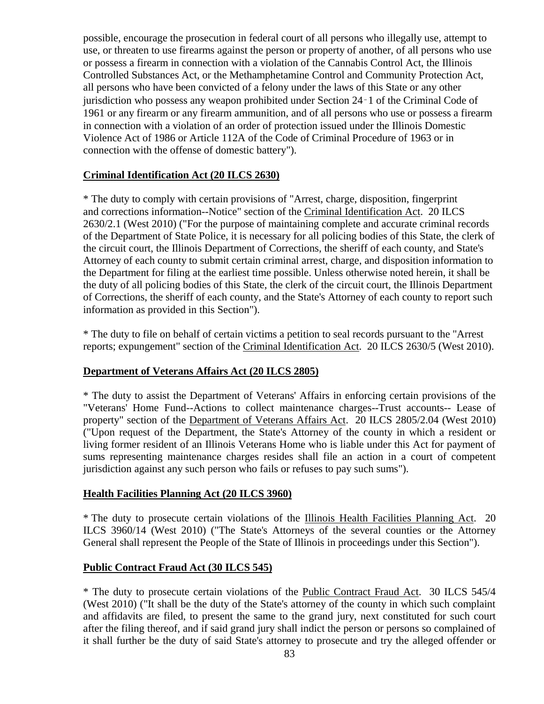possible, encourage the prosecution in federal court of all persons who illegally use, attempt to use, or threaten to use firearms against the person or property of another, of all persons who use or possess a firearm in connection with a violation of the Cannabis Control Act, the Illinois Controlled Substances Act, or the Methamphetamine Control and Community Protection Act, all persons who have been convicted of a felony under the laws of this State or any other jurisdiction who possess any weapon prohibited under Section 24‑1 of the Criminal Code of 1961 or any firearm or any firearm ammunition, and of all persons who use or possess a firearm in connection with a violation of an order of protection issued under the Illinois Domestic Violence Act of 1986 or Article 112A of the Code of Criminal Procedure of 1963 or in connection with the offense of domestic battery").

### **Criminal Identification Act (20 ILCS 2630)**

\* The duty to comply with certain provisions of "Arrest, charge, disposition, fingerprint and corrections information--Notice" section of the Criminal Identification Act. 20 ILCS 2630/2.1 (West 2010) ("For the purpose of maintaining complete and accurate criminal records of the Department of State Police, it is necessary for all policing bodies of this State, the clerk of the circuit court, the Illinois Department of Corrections, the sheriff of each county, and State's Attorney of each county to submit certain criminal arrest, charge, and disposition information to the Department for filing at the earliest time possible. Unless otherwise noted herein, it shall be the duty of all policing bodies of this State, the clerk of the circuit court, the Illinois Department of Corrections, the sheriff of each county, and the State's Attorney of each county to report such information as provided in this Section").

\* The duty to file on behalf of certain victims a petition to seal records pursuant to the "Arrest reports; expungement" section of the Criminal Identification Act. 20 ILCS 2630/5 (West 2010).

## **Department of Veterans Affairs Act (20 ILCS 2805)**

\* The duty to assist the Department of Veterans' Affairs in enforcing certain provisions of the "Veterans' Home Fund--Actions to collect maintenance charges--Trust accounts-- Lease of property" section of the Department of Veterans Affairs Act. 20 ILCS 2805/2.04 (West 2010) ("Upon request of the Department, the State's Attorney of the county in which a resident or living former resident of an Illinois Veterans Home who is liable under this Act for payment of sums representing maintenance charges resides shall file an action in a court of competent jurisdiction against any such person who fails or refuses to pay such sums").

### **Health Facilities Planning Act (20 ILCS 3960)**

\* The duty to prosecute certain violations of the Illinois Health Facilities Planning Act. 20 ILCS 3960/14 (West 2010) ("The State's Attorneys of the several counties or the Attorney General shall represent the People of the State of Illinois in proceedings under this Section").

### **Public Contract Fraud Act (30 ILCS 545)**

\* The duty to prosecute certain violations of the Public Contract Fraud Act. 30 ILCS 545/4 (West 2010) ("It shall be the duty of the State's attorney of the county in which such complaint and affidavits are filed, to present the same to the grand jury, next constituted for such court after the filing thereof, and if said grand jury shall indict the person or persons so complained of it shall further be the duty of said State's attorney to prosecute and try the alleged offender or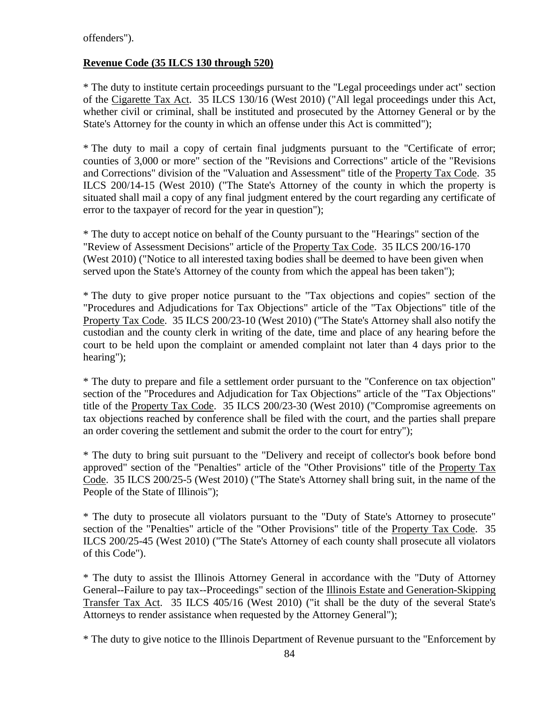offenders").

# **Revenue Code (35 ILCS 130 through 520)**

\* The duty to institute certain proceedings pursuant to the "Legal proceedings under act" section of the Cigarette Tax Act. 35 ILCS 130/16 (West 2010) ("All legal proceedings under this Act, whether civil or criminal, shall be instituted and prosecuted by the Attorney General or by the State's Attorney for the county in which an offense under this Act is committed");

\* The duty to mail a copy of certain final judgments pursuant to the "Certificate of error; counties of 3,000 or more" section of the "Revisions and Corrections" article of the "Revisions and Corrections" division of the "Valuation and Assessment" title of the Property Tax Code. 35 ILCS 200/14-15 (West 2010) ("The State's Attorney of the county in which the property is situated shall mail a copy of any final judgment entered by the court regarding any certificate of error to the taxpayer of record for the year in question");

\* The duty to accept notice on behalf of the County pursuant to the "Hearings" section of the "Review of Assessment Decisions" article of the Property Tax Code. 35 ILCS 200/16-170 (West 2010) ("Notice to all interested taxing bodies shall be deemed to have been given when served upon the State's Attorney of the county from which the appeal has been taken");

\* The duty to give proper notice pursuant to the "Tax objections and copies" section of the "Procedures and Adjudications for Tax Objections" article of the "Tax Objections" title of the Property Tax Code. 35 ILCS 200/23-10 (West 2010) ("The State's Attorney shall also notify the custodian and the county clerk in writing of the date, time and place of any hearing before the court to be held upon the complaint or amended complaint not later than 4 days prior to the hearing");

\* The duty to prepare and file a settlement order pursuant to the "Conference on tax objection" section of the "Procedures and Adjudication for Tax Objections" article of the "Tax Objections" title of the Property Tax Code. 35 ILCS 200/23-30 (West 2010) ("Compromise agreements on tax objections reached by conference shall be filed with the court, and the parties shall prepare an order covering the settlement and submit the order to the court for entry");

\* The duty to bring suit pursuant to the "Delivery and receipt of collector's book before bond approved" section of the "Penalties" article of the "Other Provisions" title of the Property Tax Code. 35 ILCS 200/25-5 (West 2010) ("The State's Attorney shall bring suit, in the name of the People of the State of Illinois");

\* The duty to prosecute all violators pursuant to the "Duty of State's Attorney to prosecute" section of the "Penalties" article of the "Other Provisions" title of the Property Tax Code. 35 ILCS 200/25-45 (West 2010) ("The State's Attorney of each county shall prosecute all violators of this Code").

\* The duty to assist the Illinois Attorney General in accordance with the "Duty of Attorney General--Failure to pay tax--Proceedings" section of the Illinois Estate and Generation-Skipping Transfer Tax Act. 35 ILCS 405/16 (West 2010) ("it shall be the duty of the several State's Attorneys to render assistance when requested by the Attorney General");

\* The duty to give notice to the Illinois Department of Revenue pursuant to the "Enforcement by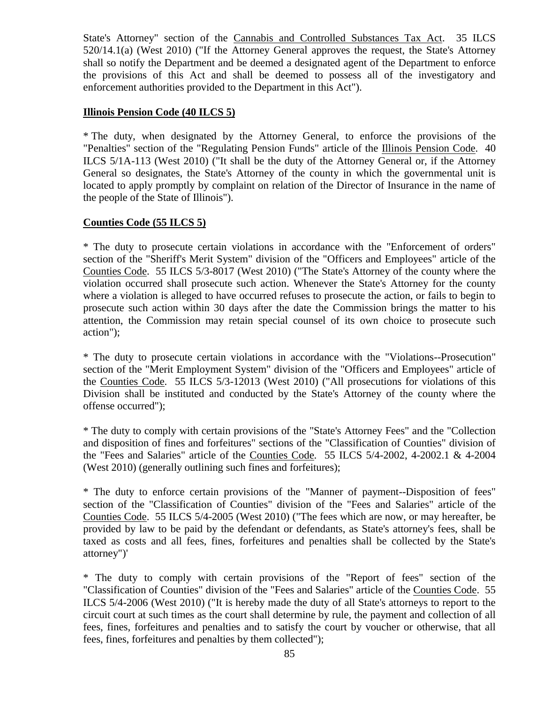State's Attorney" section of the Cannabis and Controlled Substances Tax Act. 35 ILCS 520/14.1(a) (West 2010) ("If the Attorney General approves the request, the State's Attorney shall so notify the Department and be deemed a designated agent of the Department to enforce the provisions of this Act and shall be deemed to possess all of the investigatory and enforcement authorities provided to the Department in this Act").

### **Illinois Pension Code (40 ILCS 5)**

\* The duty, when designated by the Attorney General, to enforce the provisions of the "Penalties" section of the "Regulating Pension Funds" article of the Illinois Pension Code. 40 ILCS 5/1A-113 (West 2010) ("It shall be the duty of the Attorney General or, if the Attorney General so designates, the State's Attorney of the county in which the governmental unit is located to apply promptly by complaint on relation of the Director of Insurance in the name of the people of the State of Illinois").

### **Counties Code (55 ILCS 5)**

\* The duty to prosecute certain violations in accordance with the "Enforcement of orders" section of the "Sheriff's Merit System" division of the "Officers and Employees" article of the Counties Code. 55 ILCS 5/3-8017 (West 2010) ("The State's Attorney of the county where the violation occurred shall prosecute such action. Whenever the State's Attorney for the county where a violation is alleged to have occurred refuses to prosecute the action, or fails to begin to prosecute such action within 30 days after the date the Commission brings the matter to his attention, the Commission may retain special counsel of its own choice to prosecute such action");

\* The duty to prosecute certain violations in accordance with the "Violations--Prosecution" section of the "Merit Employment System" division of the "Officers and Employees" article of the Counties Code. 55 ILCS 5/3-12013 (West 2010) ("All prosecutions for violations of this Division shall be instituted and conducted by the State's Attorney of the county where the offense occurred");

\* The duty to comply with certain provisions of the "State's Attorney Fees" and the "Collection and disposition of fines and forfeitures" sections of the "Classification of Counties" division of the "Fees and Salaries" article of the Counties Code. 55 ILCS 5/4-2002, 4-2002.1 & 4-2004 (West 2010) (generally outlining such fines and forfeitures);

\* The duty to enforce certain provisions of the "Manner of payment--Disposition of fees" section of the "Classification of Counties" division of the "Fees and Salaries" article of the Counties Code. 55 ILCS 5/4-2005 (West 2010) ("The fees which are now, or may hereafter, be provided by law to be paid by the defendant or defendants, as State's attorney's fees, shall be taxed as costs and all fees, fines, forfeitures and penalties shall be collected by the State's attorney")'

\* The duty to comply with certain provisions of the "Report of fees" section of the "Classification of Counties" division of the "Fees and Salaries" article of the Counties Code. 55 ILCS 5/4-2006 (West 2010) ("It is hereby made the duty of all State's attorneys to report to the circuit court at such times as the court shall determine by rule, the payment and collection of all fees, fines, forfeitures and penalties and to satisfy the court by voucher or otherwise, that all fees, fines, forfeitures and penalties by them collected");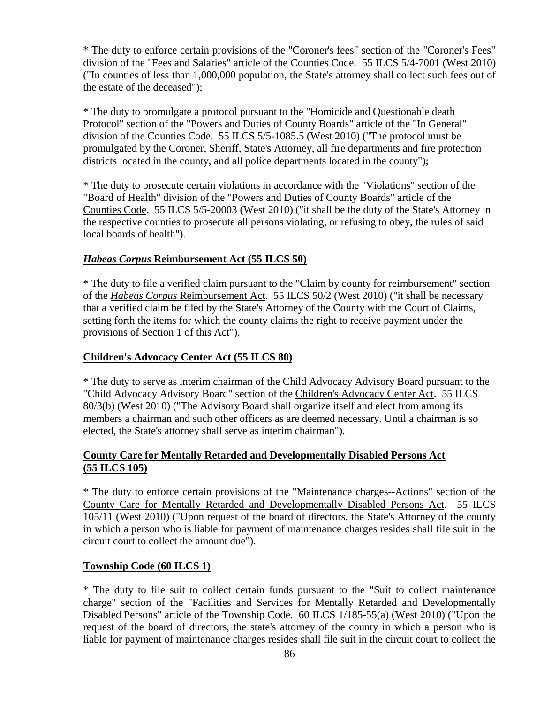\* The duty to enforce certain provisions of the "Coroner's fees" section of the "Coroner's Fees" division of the "Fees and Salaries" article of the Counties Code. 55 ILCS 5/4-7001 (West 2010) ("In counties of less than 1,000,000 population, the State's attorney shall collect such fees out of the estate of the deceased");

\* The duty to promulgate a protocol pursuant to the "Homicide and Questionable death Protocol" section of the "Powers and Duties of County Boards" article of the "In General" division of the Counties Code. 55 ILCS 5/5-1085.5 (West 2010) ("The protocol must be promulgated by the Coroner, Sheriff, State's Attorney, all fire departments and fire protection districts located in the county, and all police departments located in the county");

\* The duty to prosecute certain violations in accordance with the "Violations" section of the "Board of Health" division of the "Powers and Duties of County Boards" article of the Counties Code. 55 ILCS 5/5-20003 (West 2010) ("it shall be the duty of the State's Attorney in the respective counties to prosecute all persons violating, or refusing to obey, the rules of said local boards of health").

## *Habeas Corpus* **Reimbursement Act (55 ILCS 50)**

\* The duty to file a verified claim pursuant to the "Claim by county for reimbursement" section of the *Habeas Corpus* Reimbursement Act. 55 ILCS 50/2 (West 2010) ("it shall be necessary that a verified claim be filed by the State's Attorney of the County with the Court of Claims, setting forth the items for which the county claims the right to receive payment under the provisions of Section 1 of this Act").

### **Children's Advocacy Center Act (55 ILCS 80)**

\* The duty to serve as interim chairman of the Child Advocacy Advisory Board pursuant to the "Child Advocacy Advisory Board" section of the Children's Advocacy Center Act. 55 ILCS 80/3(b) (West 2010) ("The Advisory Board shall organize itself and elect from among its members a chairman and such other officers as are deemed necessary. Until a chairman is so elected, the State's attorney shall serve as interim chairman").

## **County Care for Mentally Retarded and Developmentally Disabled Persons Act (55 ILCS 105)**

\* The duty to enforce certain provisions of the "Maintenance charges--Actions" section of the County Care for Mentally Retarded and Developmentally Disabled Persons Act. 55 ILCS 105/11 (West 2010) ("Upon request of the board of directors, the State's Attorney of the county in which a person who is liable for payment of maintenance charges resides shall file suit in the circuit court to collect the amount due").

### **Township Code (60 ILCS 1)**

\* The duty to file suit to collect certain funds pursuant to the "Suit to collect maintenance charge" section of the "Facilities and Services for Mentally Retarded and Developmentally Disabled Persons" article of the Township Code. 60 ILCS 1/185-55(a) (West 2010) ("Upon the request of the board of directors, the state's attorney of the county in which a person who is liable for payment of maintenance charges resides shall file suit in the circuit court to collect the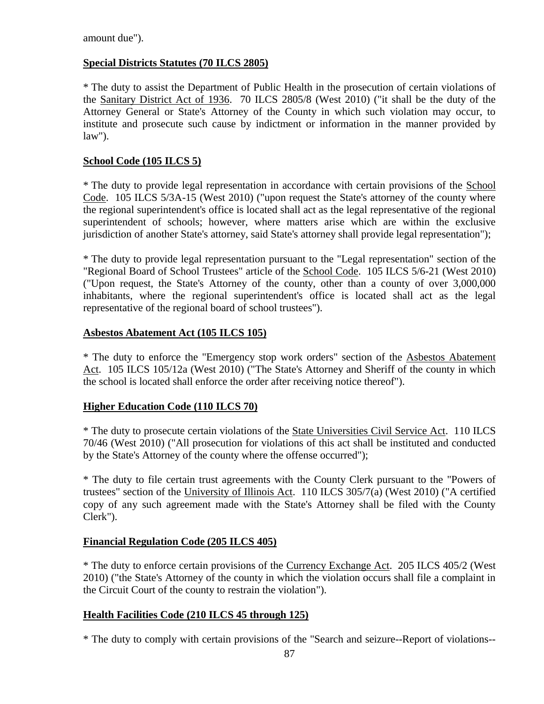amount due").

## **Special Districts Statutes (70 ILCS 2805)**

\* The duty to assist the Department of Public Health in the prosecution of certain violations of the Sanitary District Act of 1936. 70 ILCS 2805/8 (West 2010) ("it shall be the duty of the Attorney General or State's Attorney of the County in which such violation may occur, to institute and prosecute such cause by indictment or information in the manner provided by law").

## **School Code (105 ILCS 5)**

\* The duty to provide legal representation in accordance with certain provisions of the School Code. 105 ILCS 5/3A-15 (West 2010) ("upon request the State's attorney of the county where the regional superintendent's office is located shall act as the legal representative of the regional superintendent of schools; however, where matters arise which are within the exclusive jurisdiction of another State's attorney, said State's attorney shall provide legal representation");

\* The duty to provide legal representation pursuant to the "Legal representation" section of the "Regional Board of School Trustees" article of the School Code. 105 ILCS 5/6-21 (West 2010) ("Upon request, the State's Attorney of the county, other than a county of over 3,000,000 inhabitants, where the regional superintendent's office is located shall act as the legal representative of the regional board of school trustees").

### **Asbestos Abatement Act (105 ILCS 105)**

\* The duty to enforce the "Emergency stop work orders" section of the Asbestos Abatement Act. 105 ILCS 105/12a (West 2010) ("The State's Attorney and Sheriff of the county in which the school is located shall enforce the order after receiving notice thereof").

### **Higher Education Code (110 ILCS 70)**

\* The duty to prosecute certain violations of the State Universities Civil Service Act. 110 ILCS 70/46 (West 2010) ("All prosecution for violations of this act shall be instituted and conducted by the State's Attorney of the county where the offense occurred");

\* The duty to file certain trust agreements with the County Clerk pursuant to the "Powers of trustees" section of the University of Illinois Act. 110 ILCS 305/7(a) (West 2010) ("A certified copy of any such agreement made with the State's Attorney shall be filed with the County Clerk").

### **Financial Regulation Code (205 ILCS 405)**

\* The duty to enforce certain provisions of the Currency Exchange Act. 205 ILCS 405/2 (West 2010) ("the State's Attorney of the county in which the violation occurs shall file a complaint in the Circuit Court of the county to restrain the violation").

### **Health Facilities Code (210 ILCS 45 through 125)**

\* The duty to comply with certain provisions of the "Search and seizure--Report of violations--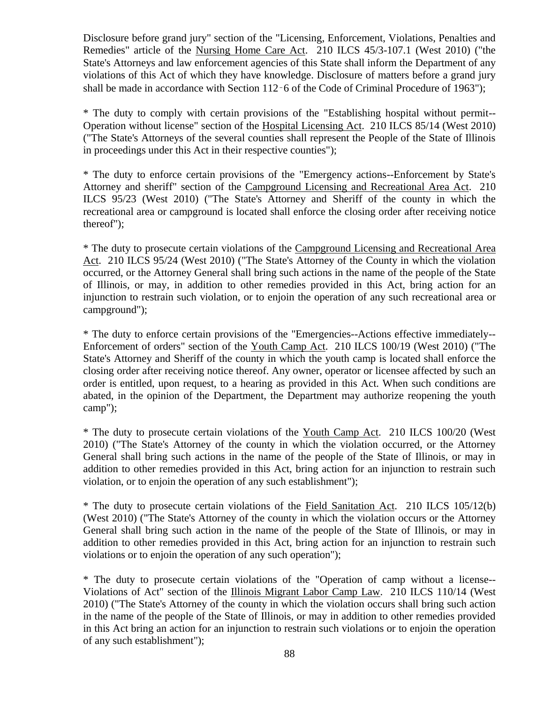Disclosure before grand jury" section of the "Licensing, Enforcement, Violations, Penalties and Remedies" article of the Nursing Home Care Act. 210 ILCS 45/3-107.1 (West 2010) ("the State's Attorneys and law enforcement agencies of this State shall inform the Department of any violations of this Act of which they have knowledge. Disclosure of matters before a grand jury shall be made in accordance with Section 112–6 of the Code of Criminal Procedure of 1963");

\* The duty to comply with certain provisions of the "Establishing hospital without permit-- Operation without license" section of the Hospital Licensing Act. 210 ILCS 85/14 (West 2010) ("The State's Attorneys of the several counties shall represent the People of the State of Illinois in proceedings under this Act in their respective counties");

\* The duty to enforce certain provisions of the "Emergency actions--Enforcement by State's Attorney and sheriff" section of the Campground Licensing and Recreational Area Act. 210 ILCS 95/23 (West 2010) ("The State's Attorney and Sheriff of the county in which the recreational area or campground is located shall enforce the closing order after receiving notice thereof");

\* The duty to prosecute certain violations of the Campground Licensing and Recreational Area Act. 210 ILCS 95/24 (West 2010) ("The State's Attorney of the County in which the violation occurred, or the Attorney General shall bring such actions in the name of the people of the State of Illinois, or may, in addition to other remedies provided in this Act, bring action for an injunction to restrain such violation, or to enjoin the operation of any such recreational area or campground");

\* The duty to enforce certain provisions of the "Emergencies--Actions effective immediately-- Enforcement of orders" section of the Youth Camp Act. 210 ILCS 100/19 (West 2010) ("The State's Attorney and Sheriff of the county in which the youth camp is located shall enforce the closing order after receiving notice thereof. Any owner, operator or licensee affected by such an order is entitled, upon request, to a hearing as provided in this Act. When such conditions are abated, in the opinion of the Department, the Department may authorize reopening the youth camp");

\* The duty to prosecute certain violations of the Youth Camp Act. 210 ILCS 100/20 (West 2010) ("The State's Attorney of the county in which the violation occurred, or the Attorney General shall bring such actions in the name of the people of the State of Illinois, or may in addition to other remedies provided in this Act, bring action for an injunction to restrain such violation, or to enjoin the operation of any such establishment");

\* The duty to prosecute certain violations of the Field Sanitation Act. 210 ILCS 105/12(b) (West 2010) ("The State's Attorney of the county in which the violation occurs or the Attorney General shall bring such action in the name of the people of the State of Illinois, or may in addition to other remedies provided in this Act, bring action for an injunction to restrain such violations or to enjoin the operation of any such operation");

\* The duty to prosecute certain violations of the "Operation of camp without a license-- Violations of Act" section of the Illinois Migrant Labor Camp Law. 210 ILCS 110/14 (West 2010) ("The State's Attorney of the county in which the violation occurs shall bring such action in the name of the people of the State of Illinois, or may in addition to other remedies provided in this Act bring an action for an injunction to restrain such violations or to enjoin the operation of any such establishment");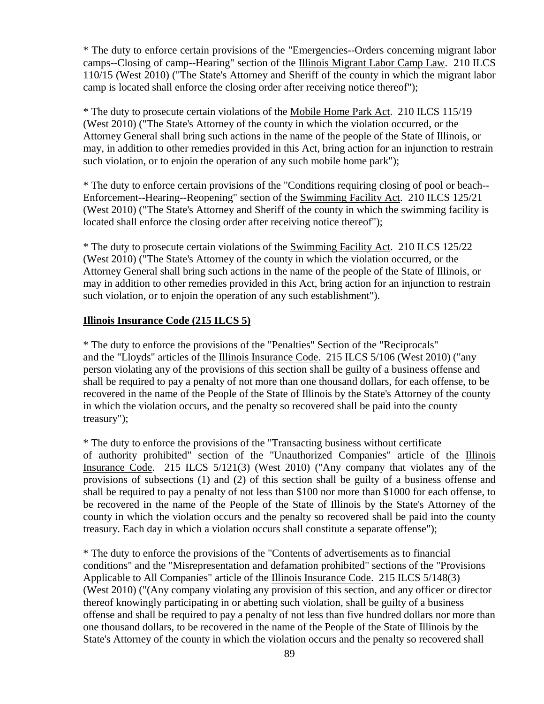\* The duty to enforce certain provisions of the "Emergencies--Orders concerning migrant labor camps--Closing of camp--Hearing" section of the Illinois Migrant Labor Camp Law. 210 ILCS 110/15 (West 2010) ("The State's Attorney and Sheriff of the county in which the migrant labor camp is located shall enforce the closing order after receiving notice thereof");

\* The duty to prosecute certain violations of the Mobile Home Park Act. 210 ILCS 115/19 (West 2010) ("The State's Attorney of the county in which the violation occurred, or the Attorney General shall bring such actions in the name of the people of the State of Illinois, or may, in addition to other remedies provided in this Act, bring action for an injunction to restrain such violation, or to enjoin the operation of any such mobile home park");

\* The duty to enforce certain provisions of the "Conditions requiring closing of pool or beach-- Enforcement--Hearing--Reopening" section of the Swimming Facility Act. 210 ILCS 125/21 (West 2010) ("The State's Attorney and Sheriff of the county in which the swimming facility is located shall enforce the closing order after receiving notice thereof");

\* The duty to prosecute certain violations of the Swimming Facility Act. 210 ILCS 125/22 (West 2010) ("The State's Attorney of the county in which the violation occurred, or the Attorney General shall bring such actions in the name of the people of the State of Illinois, or may in addition to other remedies provided in this Act, bring action for an injunction to restrain such violation, or to enjoin the operation of any such establishment").

### **Illinois Insurance Code (215 ILCS 5)**

\* The duty to enforce the provisions of the "Penalties" Section of the "Reciprocals" and the "Lloyds" articles of the Illinois Insurance Code. 215 ILCS 5/106 (West 2010) ("any person violating any of the provisions of this section shall be guilty of a business offense and shall be required to pay a penalty of not more than one thousand dollars, for each offense, to be recovered in the name of the People of the State of Illinois by the State's Attorney of the county in which the violation occurs, and the penalty so recovered shall be paid into the county treasury");

\* The duty to enforce the provisions of the "Transacting business without certificate of authority prohibited" section of the "Unauthorized Companies" article of the Illinois Insurance Code. 215 ILCS 5/121(3) (West 2010) ("Any company that violates any of the provisions of subsections (1) and (2) of this section shall be guilty of a business offense and shall be required to pay a penalty of not less than \$100 nor more than \$1000 for each offense, to be recovered in the name of the People of the State of Illinois by the State's Attorney of the county in which the violation occurs and the penalty so recovered shall be paid into the county treasury. Each day in which a violation occurs shall constitute a separate offense");

\* The duty to enforce the provisions of the "Contents of advertisements as to financial conditions" and the "Misrepresentation and defamation prohibited" sections of the "Provisions Applicable to All Companies" article of the Illinois Insurance Code. 215 ILCS 5/148(3) (West 2010) ("(Any company violating any provision of this section, and any officer or director thereof knowingly participating in or abetting such violation, shall be guilty of a business offense and shall be required to pay a penalty of not less than five hundred dollars nor more than one thousand dollars, to be recovered in the name of the People of the State of Illinois by the State's Attorney of the county in which the violation occurs and the penalty so recovered shall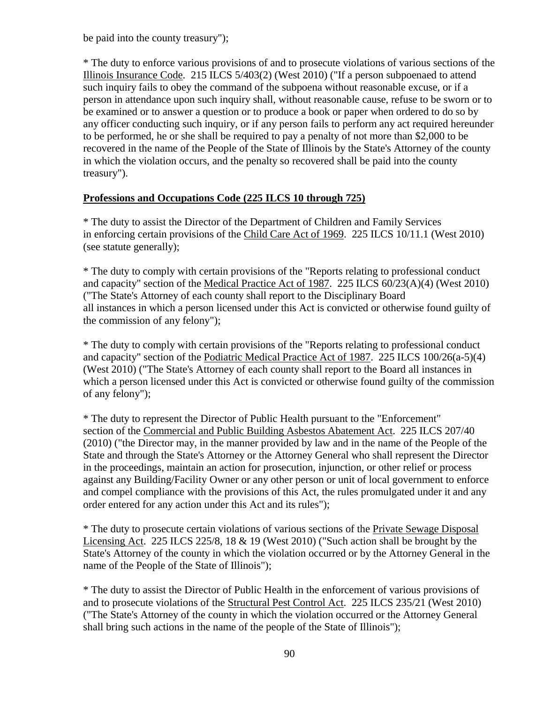be paid into the county treasury");

\* The duty to enforce various provisions of and to prosecute violations of various sections of the Illinois Insurance Code. 215 ILCS 5/403(2) (West 2010) ("If a person subpoenaed to attend such inquiry fails to obey the command of the subpoena without reasonable excuse, or if a person in attendance upon such inquiry shall, without reasonable cause, refuse to be sworn or to be examined or to answer a question or to produce a book or paper when ordered to do so by any officer conducting such inquiry, or if any person fails to perform any act required hereunder to be performed, he or she shall be required to pay a penalty of not more than \$2,000 to be recovered in the name of the People of the State of Illinois by the State's Attorney of the county in which the violation occurs, and the penalty so recovered shall be paid into the county treasury").

## **Professions and Occupations Code (225 ILCS 10 through 725)**

\* The duty to assist the Director of the Department of Children and Family Services in enforcing certain provisions of the Child Care Act of 1969. 225 ILCS 10/11.1 (West 2010) (see statute generally);

\* The duty to comply with certain provisions of the "Reports relating to professional conduct and capacity" section of the Medical Practice Act of 1987. 225 ILCS 60/23(A)(4) (West 2010) ("The State's Attorney of each county shall report to the Disciplinary Board all instances in which a person licensed under this Act is convicted or otherwise found guilty of the commission of any felony");

\* The duty to comply with certain provisions of the "Reports relating to professional conduct and capacity" section of the Podiatric Medical Practice Act of 1987. 225 ILCS 100/26(a-5)(4) (West 2010) ("The State's Attorney of each county shall report to the Board all instances in which a person licensed under this Act is convicted or otherwise found guilty of the commission of any felony");

\* The duty to represent the Director of Public Health pursuant to the "Enforcement" section of the Commercial and Public Building Asbestos Abatement Act. 225 ILCS 207/40 (2010) ("the Director may, in the manner provided by law and in the name of the People of the State and through the State's Attorney or the Attorney General who shall represent the Director in the proceedings, maintain an action for prosecution, injunction, or other relief or process against any Building/Facility Owner or any other person or unit of local government to enforce and compel compliance with the provisions of this Act, the rules promulgated under it and any order entered for any action under this Act and its rules");

\* The duty to prosecute certain violations of various sections of the Private Sewage Disposal Licensing Act. 225 ILCS 225/8, 18 & 19 (West 2010) ("Such action shall be brought by the State's Attorney of the county in which the violation occurred or by the Attorney General in the name of the People of the State of Illinois");

\* The duty to assist the Director of Public Health in the enforcement of various provisions of and to prosecute violations of the Structural Pest Control Act. 225 ILCS 235/21 (West 2010) ("The State's Attorney of the county in which the violation occurred or the Attorney General shall bring such actions in the name of the people of the State of Illinois");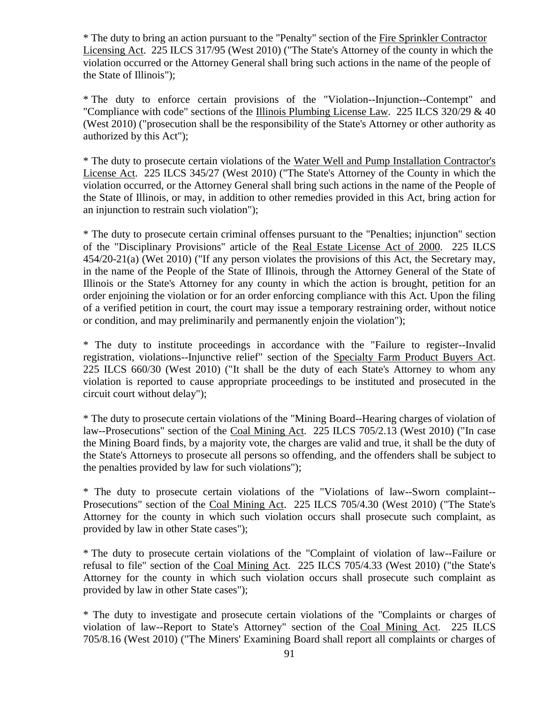\* The duty to bring an action pursuant to the "Penalty" section of the Fire Sprinkler Contractor Licensing Act. 225 ILCS 317/95 (West 2010) ("The State's Attorney of the county in which the violation occurred or the Attorney General shall bring such actions in the name of the people of the State of Illinois");

\* The duty to enforce certain provisions of the "Violation--Injunction--Contempt" and "Compliance with code" sections of the Illinois Plumbing License Law. 225 ILCS 320/29 & 40 (West 2010) ("prosecution shall be the responsibility of the State's Attorney or other authority as authorized by this Act");

\* The duty to prosecute certain violations of the Water Well and Pump Installation Contractor's License Act. 225 ILCS 345/27 (West 2010) ("The State's Attorney of the County in which the violation occurred, or the Attorney General shall bring such actions in the name of the People of the State of Illinois, or may, in addition to other remedies provided in this Act, bring action for an injunction to restrain such violation");

\* The duty to prosecute certain criminal offenses pursuant to the "Penalties; injunction" section of the "Disciplinary Provisions" article of the Real Estate License Act of 2000. 225 ILCS 454/20-21(a) (Wet 2010) ("If any person violates the provisions of this Act, the Secretary may, in the name of the People of the State of Illinois, through the Attorney General of the State of Illinois or the State's Attorney for any county in which the action is brought, petition for an order enjoining the violation or for an order enforcing compliance with this Act. Upon the filing of a verified petition in court, the court may issue a temporary restraining order, without notice or condition, and may preliminarily and permanently enjoin the violation");

\* The duty to institute proceedings in accordance with the "Failure to register--Invalid registration, violations--Injunctive relief" section of the Specialty Farm Product Buyers Act. 225 ILCS 660/30 (West 2010) ("It shall be the duty of each State's Attorney to whom any violation is reported to cause appropriate proceedings to be instituted and prosecuted in the circuit court without delay");

\* The duty to prosecute certain violations of the "Mining Board--Hearing charges of violation of law--Prosecutions" section of the Coal Mining Act. 225 ILCS 705/2.13 (West 2010) ("In case the Mining Board finds, by a majority vote, the charges are valid and true, it shall be the duty of the State's Attorneys to prosecute all persons so offending, and the offenders shall be subject to the penalties provided by law for such violations");

\* The duty to prosecute certain violations of the "Violations of law--Sworn complaint-- Prosecutions" section of the Coal Mining Act. 225 ILCS 705/4.30 (West 2010) ("The State's Attorney for the county in which such violation occurs shall prosecute such complaint, as provided by law in other State cases");

\* The duty to prosecute certain violations of the "Complaint of violation of law--Failure or refusal to file" section of the Coal Mining Act. 225 ILCS 705/4.33 (West 2010) ("the State's Attorney for the county in which such violation occurs shall prosecute such complaint as provided by law in other State cases");

\* The duty to investigate and prosecute certain violations of the "Complaints or charges of violation of law--Report to State's Attorney" section of the Coal Mining Act. 225 ILCS 705/8.16 (West 2010) ("The Miners' Examining Board shall report all complaints or charges of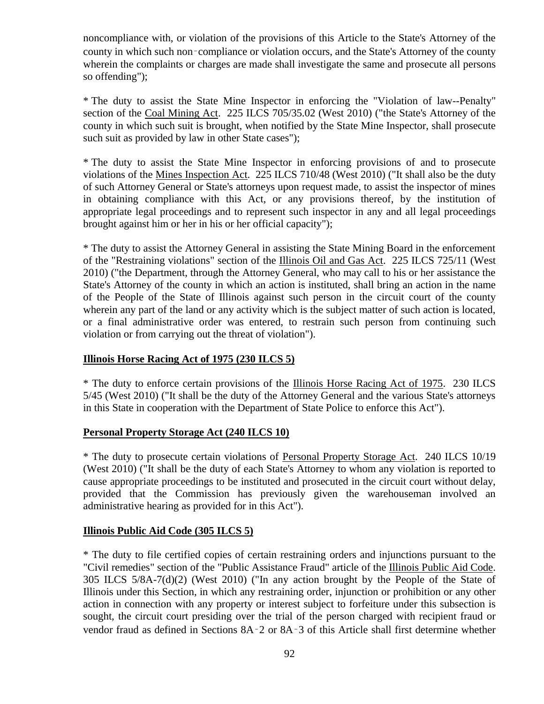noncompliance with, or violation of the provisions of this Article to the State's Attorney of the county in which such non‑compliance or violation occurs, and the State's Attorney of the county wherein the complaints or charges are made shall investigate the same and prosecute all persons so offending");

\* The duty to assist the State Mine Inspector in enforcing the "Violation of law--Penalty" section of the Coal Mining Act. 225 ILCS 705/35.02 (West 2010) ("the State's Attorney of the county in which such suit is brought, when notified by the State Mine Inspector, shall prosecute such suit as provided by law in other State cases");

\* The duty to assist the State Mine Inspector in enforcing provisions of and to prosecute violations of the Mines Inspection Act. 225 ILCS 710/48 (West 2010) ("It shall also be the duty of such Attorney General or State's attorneys upon request made, to assist the inspector of mines in obtaining compliance with this Act, or any provisions thereof, by the institution of appropriate legal proceedings and to represent such inspector in any and all legal proceedings brought against him or her in his or her official capacity");

\* The duty to assist the Attorney General in assisting the State Mining Board in the enforcement of the "Restraining violations" section of the Illinois Oil and Gas Act. 225 ILCS 725/11 (West 2010) ("the Department, through the Attorney General, who may call to his or her assistance the State's Attorney of the county in which an action is instituted, shall bring an action in the name of the People of the State of Illinois against such person in the circuit court of the county wherein any part of the land or any activity which is the subject matter of such action is located, or a final administrative order was entered, to restrain such person from continuing such violation or from carrying out the threat of violation").

### **Illinois Horse Racing Act of 1975 (230 ILCS 5)**

\* The duty to enforce certain provisions of the Illinois Horse Racing Act of 1975. 230 ILCS 5/45 (West 2010) ("It shall be the duty of the Attorney General and the various State's attorneys in this State in cooperation with the Department of State Police to enforce this Act").

### **Personal Property Storage Act (240 ILCS 10)**

\* The duty to prosecute certain violations of Personal Property Storage Act. 240 ILCS 10/19 (West 2010) ("It shall be the duty of each State's Attorney to whom any violation is reported to cause appropriate proceedings to be instituted and prosecuted in the circuit court without delay, provided that the Commission has previously given the warehouseman involved an administrative hearing as provided for in this Act").

### **Illinois Public Aid Code (305 ILCS 5)**

\* The duty to file certified copies of certain restraining orders and injunctions pursuant to the "Civil remedies" section of the "Public Assistance Fraud" article of the Illinois Public Aid Code. 305 ILCS 5/8A-7(d)(2) (West 2010) ("In any action brought by the People of the State of Illinois under this Section, in which any restraining order, injunction or prohibition or any other action in connection with any property or interest subject to forfeiture under this subsection is sought, the circuit court presiding over the trial of the person charged with recipient fraud or vendor fraud as defined in Sections 8A‑2 or 8A‑3 of this Article shall first determine whether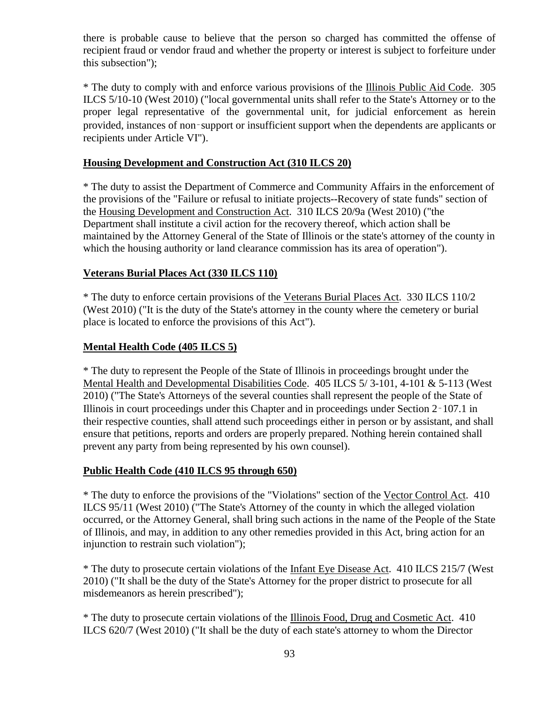there is probable cause to believe that the person so charged has committed the offense of recipient fraud or vendor fraud and whether the property or interest is subject to forfeiture under this subsection");

\* The duty to comply with and enforce various provisions of the Illinois Public Aid Code. 305 ILCS 5/10-10 (West 2010) ("local governmental units shall refer to the State's Attorney or to the proper legal representative of the governmental unit, for judicial enforcement as herein provided, instances of non‑support or insufficient support when the dependents are applicants or recipients under Article VI").

## **Housing Development and Construction Act (310 ILCS 20)**

\* The duty to assist the Department of Commerce and Community Affairs in the enforcement of the provisions of the "Failure or refusal to initiate projects--Recovery of state funds" section of the Housing Development and Construction Act. 310 ILCS 20/9a (West 2010) ("the Department shall institute a civil action for the recovery thereof, which action shall be maintained by the Attorney General of the State of Illinois or the state's attorney of the county in which the housing authority or land clearance commission has its area of operation").

### **Veterans Burial Places Act (330 ILCS 110)**

\* The duty to enforce certain provisions of the Veterans Burial Places Act. 330 ILCS 110/2 (West 2010) ("It is the duty of the State's attorney in the county where the cemetery or burial place is located to enforce the provisions of this Act").

### **Mental Health Code (405 ILCS 5)**

\* The duty to represent the People of the State of Illinois in proceedings brought under the Mental Health and Developmental Disabilities Code. 405 ILCS 5/ 3-101, 4-101 & 5-113 (West 2010) ("The State's Attorneys of the several counties shall represent the people of the State of Illinois in court proceedings under this Chapter and in proceedings under Section 2‑107.1 in their respective counties, shall attend such proceedings either in person or by assistant, and shall ensure that petitions, reports and orders are properly prepared. Nothing herein contained shall prevent any party from being represented by his own counsel).

### **Public Health Code (410 ILCS 95 through 650)**

\* The duty to enforce the provisions of the "Violations" section of the Vector Control Act. 410 ILCS 95/11 (West 2010) ("The State's Attorney of the county in which the alleged violation occurred, or the Attorney General, shall bring such actions in the name of the People of the State of Illinois, and may, in addition to any other remedies provided in this Act, bring action for an injunction to restrain such violation");

\* The duty to prosecute certain violations of the Infant Eye Disease Act. 410 ILCS 215/7 (West 2010) ("It shall be the duty of the State's Attorney for the proper district to prosecute for all misdemeanors as herein prescribed");

\* The duty to prosecute certain violations of the Illinois Food, Drug and Cosmetic Act. 410 ILCS 620/7 (West 2010) ("It shall be the duty of each state's attorney to whom the Director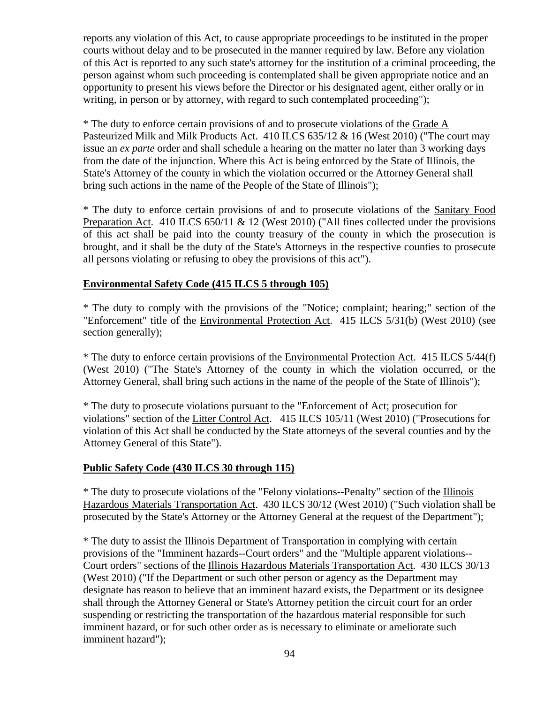reports any violation of this Act, to cause appropriate proceedings to be instituted in the proper courts without delay and to be prosecuted in the manner required by law. Before any violation of this Act is reported to any such state's attorney for the institution of a criminal proceeding, the person against whom such proceeding is contemplated shall be given appropriate notice and an opportunity to present his views before the Director or his designated agent, either orally or in writing, in person or by attorney, with regard to such contemplated proceeding");

\* The duty to enforce certain provisions of and to prosecute violations of the Grade A Pasteurized Milk and Milk Products Act. 410 ILCS 635/12 & 16 (West 2010) ("The court may issue an *ex parte* order and shall schedule a hearing on the matter no later than 3 working days from the date of the injunction. Where this Act is being enforced by the State of Illinois, the State's Attorney of the county in which the violation occurred or the Attorney General shall bring such actions in the name of the People of the State of Illinois");

\* The duty to enforce certain provisions of and to prosecute violations of the Sanitary Food Preparation Act. 410 ILCS 650/11 & 12 (West 2010) ("All fines collected under the provisions of this act shall be paid into the county treasury of the county in which the prosecution is brought, and it shall be the duty of the State's Attorneys in the respective counties to prosecute all persons violating or refusing to obey the provisions of this act").

### **Environmental Safety Code (415 ILCS 5 through 105)**

\* The duty to comply with the provisions of the "Notice; complaint; hearing;" section of the "Enforcement" title of the Environmental Protection Act. 415 ILCS 5/31(b) (West 2010) (see section generally);

\* The duty to enforce certain provisions of the Environmental Protection Act. 415 ILCS 5/44(f) (West 2010) ("The State's Attorney of the county in which the violation occurred, or the Attorney General, shall bring such actions in the name of the people of the State of Illinois");

\* The duty to prosecute violations pursuant to the "Enforcement of Act; prosecution for violations" section of the Litter Control Act. 415 ILCS 105/11 (West 2010) ("Prosecutions for violation of this Act shall be conducted by the State attorneys of the several counties and by the Attorney General of this State").

#### **Public Safety Code (430 ILCS 30 through 115)**

\* The duty to prosecute violations of the "Felony violations--Penalty" section of the Illinois Hazardous Materials Transportation Act. 430 ILCS 30/12 (West 2010) ("Such violation shall be prosecuted by the State's Attorney or the Attorney General at the request of the Department");

\* The duty to assist the Illinois Department of Transportation in complying with certain provisions of the "Imminent hazards--Court orders" and the "Multiple apparent violations-- Court orders" sections of the Illinois Hazardous Materials Transportation Act. 430 ILCS 30/13 (West 2010) ("If the Department or such other person or agency as the Department may designate has reason to believe that an imminent hazard exists, the Department or its designee shall through the Attorney General or State's Attorney petition the circuit court for an order suspending or restricting the transportation of the hazardous material responsible for such imminent hazard, or for such other order as is necessary to eliminate or ameliorate such imminent hazard");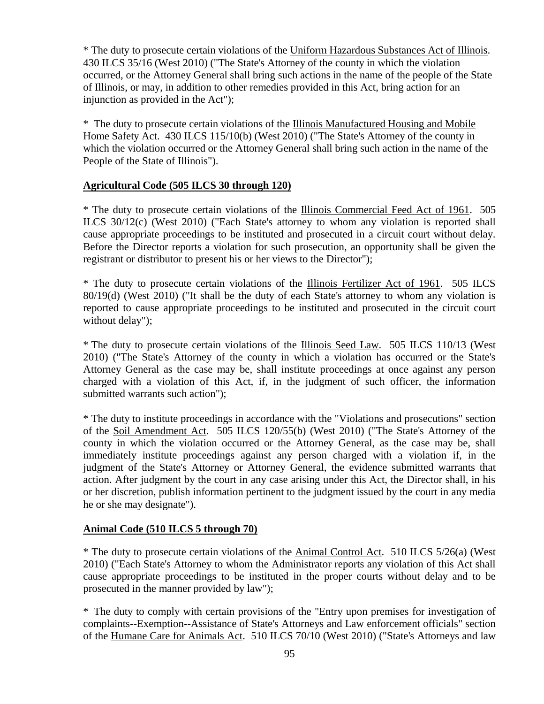\* The duty to prosecute certain violations of the Uniform Hazardous Substances Act of Illinois. 430 ILCS 35/16 (West 2010) ("The State's Attorney of the county in which the violation occurred, or the Attorney General shall bring such actions in the name of the people of the State of Illinois, or may, in addition to other remedies provided in this Act, bring action for an injunction as provided in the Act");

\* The duty to prosecute certain violations of the Illinois Manufactured Housing and Mobile Home Safety Act. 430 ILCS 115/10(b) (West 2010) ("The State's Attorney of the county in which the violation occurred or the Attorney General shall bring such action in the name of the People of the State of Illinois").

### **Agricultural Code (505 ILCS 30 through 120)**

\* The duty to prosecute certain violations of the Illinois Commercial Feed Act of 1961. 505 ILCS 30/12(c) (West 2010) ("Each State's attorney to whom any violation is reported shall cause appropriate proceedings to be instituted and prosecuted in a circuit court without delay. Before the Director reports a violation for such prosecution, an opportunity shall be given the registrant or distributor to present his or her views to the Director");

\* The duty to prosecute certain violations of the Illinois Fertilizer Act of 1961. 505 ILCS 80/19(d) (West 2010) ("It shall be the duty of each State's attorney to whom any violation is reported to cause appropriate proceedings to be instituted and prosecuted in the circuit court without delay");

\* The duty to prosecute certain violations of the Illinois Seed Law. 505 ILCS 110/13 (West 2010) ("The State's Attorney of the county in which a violation has occurred or the State's Attorney General as the case may be, shall institute proceedings at once against any person charged with a violation of this Act, if, in the judgment of such officer, the information submitted warrants such action");

\* The duty to institute proceedings in accordance with the "Violations and prosecutions" section of the Soil Amendment Act. 505 ILCS 120/55(b) (West 2010) ("The State's Attorney of the county in which the violation occurred or the Attorney General, as the case may be, shall immediately institute proceedings against any person charged with a violation if, in the judgment of the State's Attorney or Attorney General, the evidence submitted warrants that action. After judgment by the court in any case arising under this Act, the Director shall, in his or her discretion, publish information pertinent to the judgment issued by the court in any media he or she may designate").

### **Animal Code (510 ILCS 5 through 70)**

\* The duty to prosecute certain violations of the Animal Control Act. 510 ILCS 5/26(a) (West 2010) ("Each State's Attorney to whom the Administrator reports any violation of this Act shall cause appropriate proceedings to be instituted in the proper courts without delay and to be prosecuted in the manner provided by law");

\* The duty to comply with certain provisions of the "Entry upon premises for investigation of complaints--Exemption--Assistance of State's Attorneys and Law enforcement officials" section of the Humane Care for Animals Act. 510 ILCS 70/10 (West 2010) ("State's Attorneys and law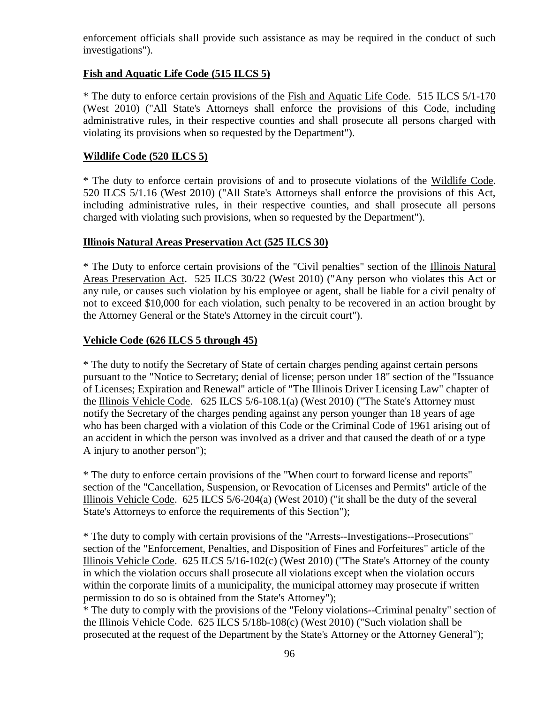enforcement officials shall provide such assistance as may be required in the conduct of such investigations").

## **Fish and Aquatic Life Code (515 ILCS 5)**

\* The duty to enforce certain provisions of the Fish and Aquatic Life Code. 515 ILCS 5/1-170 (West 2010) ("All State's Attorneys shall enforce the provisions of this Code, including administrative rules, in their respective counties and shall prosecute all persons charged with violating its provisions when so requested by the Department").

### **Wildlife Code (520 ILCS 5)**

\* The duty to enforce certain provisions of and to prosecute violations of the Wildlife Code. 520 ILCS 5/1.16 (West 2010) ("All State's Attorneys shall enforce the provisions of this Act, including administrative rules, in their respective counties, and shall prosecute all persons charged with violating such provisions, when so requested by the Department").

### **Illinois Natural Areas Preservation Act (525 ILCS 30)**

\* The Duty to enforce certain provisions of the "Civil penalties" section of the Illinois Natural Areas Preservation Act. 525 ILCS 30/22 (West 2010) ("Any person who violates this Act or any rule, or causes such violation by his employee or agent, shall be liable for a civil penalty of not to exceed \$10,000 for each violation, such penalty to be recovered in an action brought by the Attorney General or the State's Attorney in the circuit court").

### **Vehicle Code (626 ILCS 5 through 45)**

\* The duty to notify the Secretary of State of certain charges pending against certain persons pursuant to the "Notice to Secretary; denial of license; person under 18" section of the "Issuance of Licenses; Expiration and Renewal" article of "The Illinois Driver Licensing Law" chapter of the Illinois Vehicle Code. 625 ILCS 5/6-108.1(a) (West 2010) ("The State's Attorney must notify the Secretary of the charges pending against any person younger than 18 years of age who has been charged with a violation of this Code or the Criminal Code of 1961 arising out of an accident in which the person was involved as a driver and that caused the death of or a type A injury to another person");

\* The duty to enforce certain provisions of the "When court to forward license and reports" section of the "Cancellation, Suspension, or Revocation of Licenses and Permits" article of the Illinois Vehicle Code. 625 ILCS 5/6-204(a) (West 2010) ("it shall be the duty of the several State's Attorneys to enforce the requirements of this Section");

\* The duty to comply with certain provisions of the "Arrests--Investigations--Prosecutions" section of the "Enforcement, Penalties, and Disposition of Fines and Forfeitures" article of the Illinois Vehicle Code. 625 ILCS 5/16-102(c) (West 2010) ("The State's Attorney of the county in which the violation occurs shall prosecute all violations except when the violation occurs within the corporate limits of a municipality, the municipal attorney may prosecute if written permission to do so is obtained from the State's Attorney");

\* The duty to comply with the provisions of the "Felony violations--Criminal penalty" section of the Illinois Vehicle Code. 625 ILCS 5/18b-108(c) (West 2010) ("Such violation shall be prosecuted at the request of the Department by the State's Attorney or the Attorney General");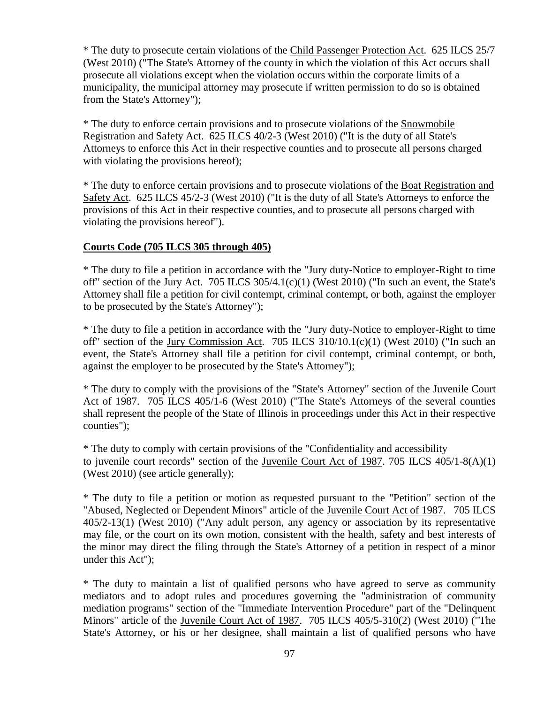\* The duty to prosecute certain violations of the Child Passenger Protection Act. 625 ILCS 25/7 (West 2010) ("The State's Attorney of the county in which the violation of this Act occurs shall prosecute all violations except when the violation occurs within the corporate limits of a municipality, the municipal attorney may prosecute if written permission to do so is obtained from the State's Attorney");

\* The duty to enforce certain provisions and to prosecute violations of the Snowmobile Registration and Safety Act. 625 ILCS 40/2-3 (West 2010) ("It is the duty of all State's Attorneys to enforce this Act in their respective counties and to prosecute all persons charged with violating the provisions hereof);

\* The duty to enforce certain provisions and to prosecute violations of the Boat Registration and Safety Act. 625 ILCS 45/2-3 (West 2010) ("It is the duty of all State's Attorneys to enforce the provisions of this Act in their respective counties, and to prosecute all persons charged with violating the provisions hereof").

### **Courts Code (705 ILCS 305 through 405)**

\* The duty to file a petition in accordance with the "Jury duty-Notice to employer-Right to time off" section of the Jury Act. 705 ILCS 305/4.1(c)(1) (West 2010) ("In such an event, the State's Attorney shall file a petition for civil contempt, criminal contempt, or both, against the employer to be prosecuted by the State's Attorney");

\* The duty to file a petition in accordance with the "Jury duty-Notice to employer-Right to time off" section of the Jury Commission Act. 705 ILCS 310/10.1(c)(1) (West 2010) ("In such an event, the State's Attorney shall file a petition for civil contempt, criminal contempt, or both, against the employer to be prosecuted by the State's Attorney");

\* The duty to comply with the provisions of the "State's Attorney" section of the Juvenile Court Act of 1987. 705 ILCS 405/1-6 (West 2010) ("The State's Attorneys of the several counties shall represent the people of the State of Illinois in proceedings under this Act in their respective counties");

\* The duty to comply with certain provisions of the "Confidentiality and accessibility to juvenile court records" section of the Juvenile Court Act of 1987. 705 ILCS 405/1-8(A)(1) (West 2010) (see article generally);

\* The duty to file a petition or motion as requested pursuant to the "Petition" section of the "Abused, Neglected or Dependent Minors" article of the Juvenile Court Act of 1987. 705 ILCS 405/2-13(1) (West 2010) ("Any adult person, any agency or association by its representative may file, or the court on its own motion, consistent with the health, safety and best interests of the minor may direct the filing through the State's Attorney of a petition in respect of a minor under this Act");

\* The duty to maintain a list of qualified persons who have agreed to serve as community mediators and to adopt rules and procedures governing the "administration of community mediation programs" section of the "Immediate Intervention Procedure" part of the "Delinquent Minors" article of the Juvenile Court Act of 1987. 705 ILCS 405/5-310(2) (West 2010) ("The State's Attorney, or his or her designee, shall maintain a list of qualified persons who have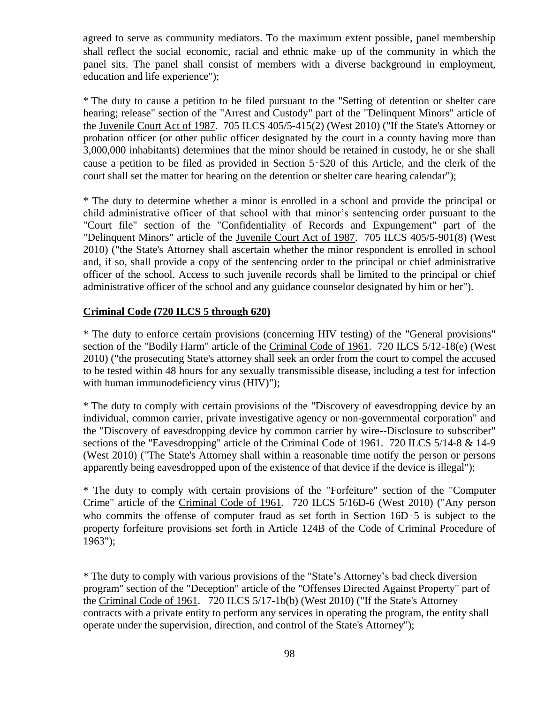agreed to serve as community mediators. To the maximum extent possible, panel membership shall reflect the social–economic, racial and ethnic make–up of the community in which the panel sits. The panel shall consist of members with a diverse background in employment, education and life experience");

\* The duty to cause a petition to be filed pursuant to the "Setting of detention or shelter care hearing; release" section of the "Arrest and Custody" part of the "Delinquent Minors" article of the Juvenile Court Act of 1987. 705 ILCS 405/5-415(2) (West 2010) ("If the State's Attorney or probation officer (or other public officer designated by the court in a county having more than 3,000,000 inhabitants) determines that the minor should be retained in custody, he or she shall cause a petition to be filed as provided in Section 5‑520 of this Article, and the clerk of the court shall set the matter for hearing on the detention or shelter care hearing calendar");

\* The duty to determine whether a minor is enrolled in a school and provide the principal or child administrative officer of that school with that minor's sentencing order pursuant to the "Court file" section of the "Confidentiality of Records and Expungement" part of the "Delinquent Minors" article of the Juvenile Court Act of 1987. 705 ILCS 405/5-901(8) (West 2010) ("the State's Attorney shall ascertain whether the minor respondent is enrolled in school and, if so, shall provide a copy of the sentencing order to the principal or chief administrative officer of the school. Access to such juvenile records shall be limited to the principal or chief administrative officer of the school and any guidance counselor designated by him or her").

### **Criminal Code (720 ILCS 5 through 620)**

\* The duty to enforce certain provisions (concerning HIV testing) of the "General provisions" section of the "Bodily Harm" article of the Criminal Code of 1961. 720 ILCS 5/12-18(e) (West 2010) ("the prosecuting State's attorney shall seek an order from the court to compel the accused to be tested within 48 hours for any sexually transmissible disease, including a test for infection with human immunodeficiency virus (HIV)");

\* The duty to comply with certain provisions of the "Discovery of eavesdropping device by an individual, common carrier, private investigative agency or non-governmental corporation" and the "Discovery of eavesdropping device by common carrier by wire--Disclosure to subscriber" sections of the "Eavesdropping" article of the Criminal Code of 1961. 720 ILCS 5/14-8 & 14-9 (West 2010) ("The State's Attorney shall within a reasonable time notify the person or persons apparently being eavesdropped upon of the existence of that device if the device is illegal");

\* The duty to comply with certain provisions of the "Forfeiture" section of the "Computer Crime" article of the Criminal Code of 1961. 720 ILCS 5/16D-6 (West 2010) ("Any person who commits the offense of computer fraud as set forth in Section 16D–5 is subject to the property forfeiture provisions set forth in Article 124B of the Code of Criminal Procedure of 1963");

\* The duty to comply with various provisions of the "State's Attorney's bad check diversion program" section of the "Deception" article of the "Offenses Directed Against Property" part of the Criminal Code of 1961. 720 ILCS 5/17-1b(b) (West 2010) ("If the State's Attorney contracts with a private entity to perform any services in operating the program, the entity shall operate under the supervision, direction, and control of the State's Attorney");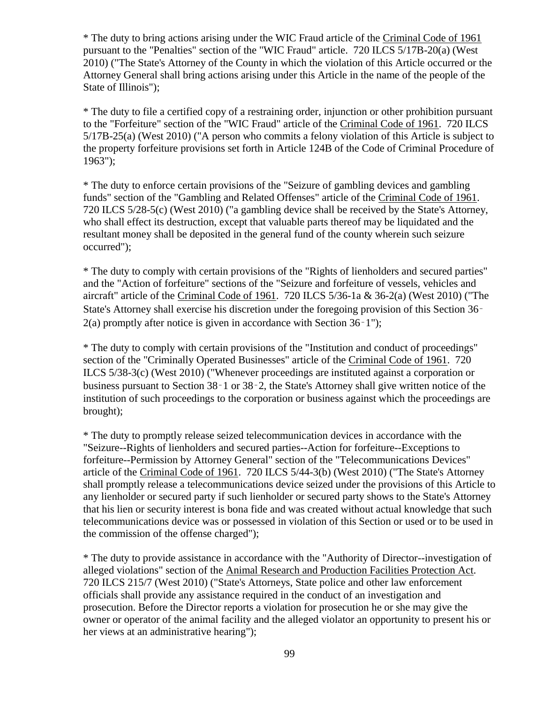\* The duty to bring actions arising under the WIC Fraud article of the Criminal Code of 1961 pursuant to the "Penalties" section of the "WIC Fraud" article. 720 ILCS 5/17B-20(a) (West 2010) ("The State's Attorney of the County in which the violation of this Article occurred or the Attorney General shall bring actions arising under this Article in the name of the people of the State of Illinois");

\* The duty to file a certified copy of a restraining order, injunction or other prohibition pursuant to the "Forfeiture" section of the "WIC Fraud" article of the Criminal Code of 1961. 720 ILCS 5/17B-25(a) (West 2010) ("A person who commits a felony violation of this Article is subject to the property forfeiture provisions set forth in Article 124B of the Code of Criminal Procedure of 1963");

\* The duty to enforce certain provisions of the "Seizure of gambling devices and gambling funds" section of the "Gambling and Related Offenses" article of the Criminal Code of 1961. 720 ILCS 5/28-5(c) (West 2010) ("a gambling device shall be received by the State's Attorney, who shall effect its destruction, except that valuable parts thereof may be liquidated and the resultant money shall be deposited in the general fund of the county wherein such seizure occurred");

\* The duty to comply with certain provisions of the "Rights of lienholders and secured parties" and the "Action of forfeiture" sections of the "Seizure and forfeiture of vessels, vehicles and aircraft" article of the Criminal Code of 1961. 720 ILCS 5/36-1a & 36-2(a) (West 2010) ("The State's Attorney shall exercise his discretion under the foregoing provision of this Section 36–  $2(a)$  promptly after notice is given in accordance with Section 36–1");

\* The duty to comply with certain provisions of the "Institution and conduct of proceedings" section of the "Criminally Operated Businesses" article of the Criminal Code of 1961. 720 ILCS 5/38-3(c) (West 2010) ("Whenever proceedings are instituted against a corporation or business pursuant to Section 38‑1 or 38‑2, the State's Attorney shall give written notice of the institution of such proceedings to the corporation or business against which the proceedings are brought);

\* The duty to promptly release seized telecommunication devices in accordance with the "Seizure--Rights of lienholders and secured parties--Action for forfeiture--Exceptions to forfeiture--Permission by Attorney General" section of the "Telecommunications Devices" article of the Criminal Code of 1961. 720 ILCS 5/44-3(b) (West 2010) ("The State's Attorney shall promptly release a telecommunications device seized under the provisions of this Article to any lienholder or secured party if such lienholder or secured party shows to the State's Attorney that his lien or security interest is bona fide and was created without actual knowledge that such telecommunications device was or possessed in violation of this Section or used or to be used in the commission of the offense charged");

\* The duty to provide assistance in accordance with the "Authority of Director--investigation of alleged violations" section of the Animal Research and Production Facilities Protection Act. 720 ILCS 215/7 (West 2010) ("State's Attorneys, State police and other law enforcement officials shall provide any assistance required in the conduct of an investigation and prosecution. Before the Director reports a violation for prosecution he or she may give the owner or operator of the animal facility and the alleged violator an opportunity to present his or her views at an administrative hearing");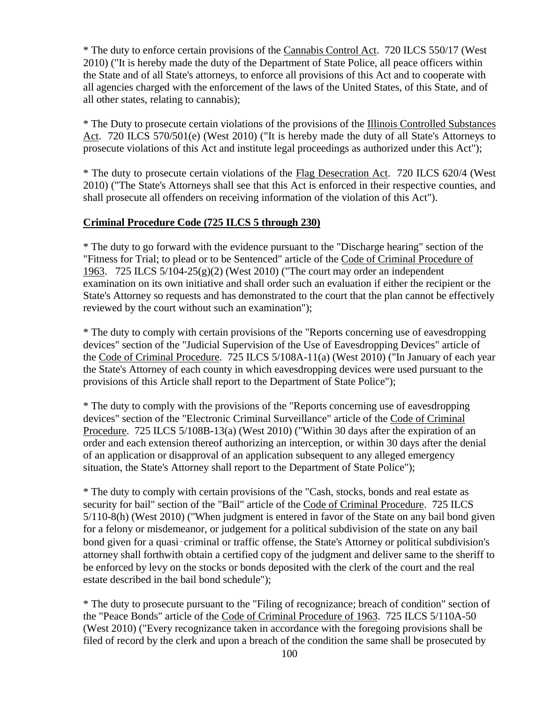\* The duty to enforce certain provisions of the Cannabis Control Act. 720 ILCS 550/17 (West 2010) ("It is hereby made the duty of the Department of State Police, all peace officers within the State and of all State's attorneys, to enforce all provisions of this Act and to cooperate with all agencies charged with the enforcement of the laws of the United States, of this State, and of all other states, relating to cannabis);

\* The Duty to prosecute certain violations of the provisions of the Illinois Controlled Substances Act. 720 ILCS 570/501(e) (West 2010) ("It is hereby made the duty of all State's Attorneys to prosecute violations of this Act and institute legal proceedings as authorized under this Act");

\* The duty to prosecute certain violations of the Flag Desecration Act. 720 ILCS 620/4 (West 2010) ("The State's Attorneys shall see that this Act is enforced in their respective counties, and shall prosecute all offenders on receiving information of the violation of this Act").

## **Criminal Procedure Code (725 ILCS 5 through 230)**

\* The duty to go forward with the evidence pursuant to the "Discharge hearing" section of the "Fitness for Trial; to plead or to be Sentenced" article of the Code of Criminal Procedure of 1963. 725 ILCS 5/104-25(g)(2) (West 2010) ("The court may order an independent examination on its own initiative and shall order such an evaluation if either the recipient or the State's Attorney so requests and has demonstrated to the court that the plan cannot be effectively reviewed by the court without such an examination");

\* The duty to comply with certain provisions of the "Reports concerning use of eavesdropping devices" section of the "Judicial Supervision of the Use of Eavesdropping Devices" article of the Code of Criminal Procedure. 725 ILCS 5/108A-11(a) (West 2010) ("In January of each year the State's Attorney of each county in which eavesdropping devices were used pursuant to the provisions of this Article shall report to the Department of State Police");

\* The duty to comply with the provisions of the "Reports concerning use of eavesdropping devices" section of the "Electronic Criminal Surveillance" article of the Code of Criminal Procedure. 725 ILCS 5/108B-13(a) (West 2010) ("Within 30 days after the expiration of an order and each extension thereof authorizing an interception, or within 30 days after the denial of an application or disapproval of an application subsequent to any alleged emergency situation, the State's Attorney shall report to the Department of State Police");

\* The duty to comply with certain provisions of the "Cash, stocks, bonds and real estate as security for bail" section of the "Bail" article of the Code of Criminal Procedure. 725 ILCS 5/110-8(h) (West 2010) ("When judgment is entered in favor of the State on any bail bond given for a felony or misdemeanor, or judgement for a political subdivision of the state on any bail bond given for a quasi-criminal or traffic offense, the State's Attorney or political subdivision's attorney shall forthwith obtain a certified copy of the judgment and deliver same to the sheriff to be enforced by levy on the stocks or bonds deposited with the clerk of the court and the real estate described in the bail bond schedule");

\* The duty to prosecute pursuant to the "Filing of recognizance; breach of condition" section of the "Peace Bonds" article of the Code of Criminal Procedure of 1963. 725 ILCS 5/110A-50 (West 2010) ("Every recognizance taken in accordance with the foregoing provisions shall be filed of record by the clerk and upon a breach of the condition the same shall be prosecuted by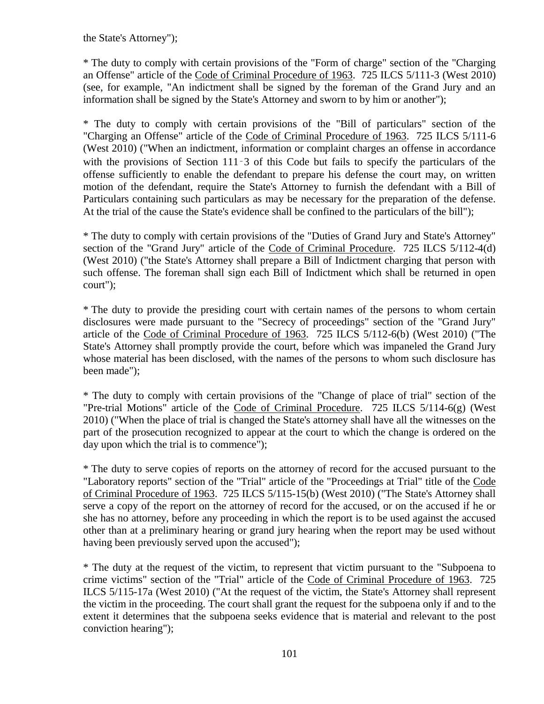the State's Attorney");

\* The duty to comply with certain provisions of the "Form of charge" section of the "Charging an Offense" article of the Code of Criminal Procedure of 1963. 725 ILCS 5/111-3 (West 2010) (see, for example, "An indictment shall be signed by the foreman of the Grand Jury and an information shall be signed by the State's Attorney and sworn to by him or another");

\* The duty to comply with certain provisions of the "Bill of particulars" section of the "Charging an Offense" article of the Code of Criminal Procedure of 1963. 725 ILCS 5/111-6 (West 2010) ("When an indictment, information or complaint charges an offense in accordance with the provisions of Section 111–3 of this Code but fails to specify the particulars of the offense sufficiently to enable the defendant to prepare his defense the court may, on written motion of the defendant, require the State's Attorney to furnish the defendant with a Bill of Particulars containing such particulars as may be necessary for the preparation of the defense. At the trial of the cause the State's evidence shall be confined to the particulars of the bill");

\* The duty to comply with certain provisions of the "Duties of Grand Jury and State's Attorney" section of the "Grand Jury" article of the Code of Criminal Procedure. 725 ILCS 5/112-4(d) (West 2010) ("the State's Attorney shall prepare a Bill of Indictment charging that person with such offense. The foreman shall sign each Bill of Indictment which shall be returned in open court");

\* The duty to provide the presiding court with certain names of the persons to whom certain disclosures were made pursuant to the "Secrecy of proceedings" section of the "Grand Jury" article of the Code of Criminal Procedure of 1963. 725 ILCS 5/112-6(b) (West 2010) ("The State's Attorney shall promptly provide the court, before which was impaneled the Grand Jury whose material has been disclosed, with the names of the persons to whom such disclosure has been made");

\* The duty to comply with certain provisions of the "Change of place of trial" section of the "Pre-trial Motions" article of the Code of Criminal Procedure. 725 ILCS 5/114-6(g) (West 2010) ("When the place of trial is changed the State's attorney shall have all the witnesses on the part of the prosecution recognized to appear at the court to which the change is ordered on the day upon which the trial is to commence");

\* The duty to serve copies of reports on the attorney of record for the accused pursuant to the "Laboratory reports" section of the "Trial" article of the "Proceedings at Trial" title of the Code of Criminal Procedure of 1963. 725 ILCS 5/115-15(b) (West 2010) ("The State's Attorney shall serve a copy of the report on the attorney of record for the accused, or on the accused if he or she has no attorney, before any proceeding in which the report is to be used against the accused other than at a preliminary hearing or grand jury hearing when the report may be used without having been previously served upon the accused");

\* The duty at the request of the victim, to represent that victim pursuant to the "Subpoena to crime victims" section of the "Trial" article of the Code of Criminal Procedure of 1963. 725 ILCS 5/115-17a (West 2010) ("At the request of the victim, the State's Attorney shall represent the victim in the proceeding. The court shall grant the request for the subpoena only if and to the extent it determines that the subpoena seeks evidence that is material and relevant to the post conviction hearing");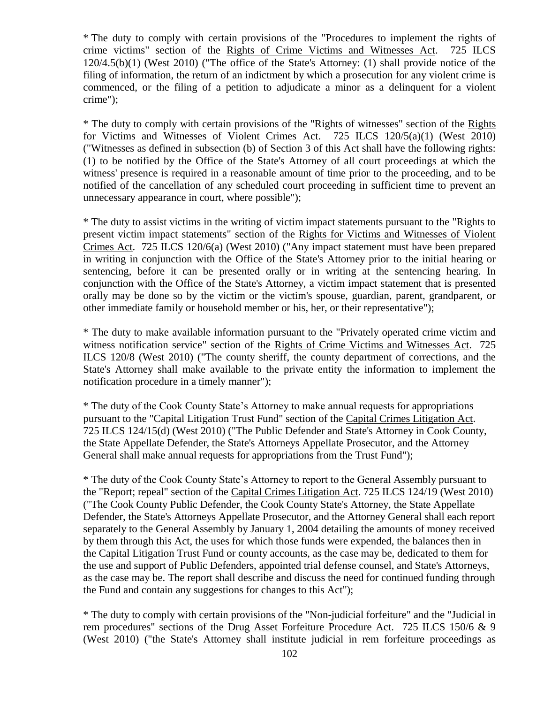\* The duty to comply with certain provisions of the "Procedures to implement the rights of crime victims" section of the Rights of Crime Victims and Witnesses Act. 725 ILCS 120/4.5(b)(1) (West 2010) ("The office of the State's Attorney: (1) shall provide notice of the filing of information, the return of an indictment by which a prosecution for any violent crime is commenced, or the filing of a petition to adjudicate a minor as a delinquent for a violent crime");

\* The duty to comply with certain provisions of the "Rights of witnesses" section of the Rights for Victims and Witnesses of Violent Crimes Act. 725 ILCS 120/5(a)(1) (West 2010) ("Witnesses as defined in subsection (b) of Section 3 of this Act shall have the following rights: (1) to be notified by the Office of the State's Attorney of all court proceedings at which the witness' presence is required in a reasonable amount of time prior to the proceeding, and to be notified of the cancellation of any scheduled court proceeding in sufficient time to prevent an unnecessary appearance in court, where possible");

\* The duty to assist victims in the writing of victim impact statements pursuant to the "Rights to present victim impact statements" section of the Rights for Victims and Witnesses of Violent Crimes Act. 725 ILCS 120/6(a) (West 2010) ("Any impact statement must have been prepared in writing in conjunction with the Office of the State's Attorney prior to the initial hearing or sentencing, before it can be presented orally or in writing at the sentencing hearing. In conjunction with the Office of the State's Attorney, a victim impact statement that is presented orally may be done so by the victim or the victim's spouse, guardian, parent, grandparent, or other immediate family or household member or his, her, or their representative");

\* The duty to make available information pursuant to the "Privately operated crime victim and witness notification service" section of the Rights of Crime Victims and Witnesses Act. 725 ILCS 120/8 (West 2010) ("The county sheriff, the county department of corrections, and the State's Attorney shall make available to the private entity the information to implement the notification procedure in a timely manner");

\* The duty of the Cook County State's Attorney to make annual requests for appropriations pursuant to the "Capital Litigation Trust Fund" section of the Capital Crimes Litigation Act. 725 ILCS 124/15(d) (West 2010) ("The Public Defender and State's Attorney in Cook County, the State Appellate Defender, the State's Attorneys Appellate Prosecutor, and the Attorney General shall make annual requests for appropriations from the Trust Fund");

\* The duty of the Cook County State's Attorney to report to the General Assembly pursuant to the "Report; repeal" section of the Capital Crimes Litigation Act. 725 ILCS 124/19 (West 2010) ("The Cook County Public Defender, the Cook County State's Attorney, the State Appellate Defender, the State's Attorneys Appellate Prosecutor, and the Attorney General shall each report separately to the General Assembly by January 1, 2004 detailing the amounts of money received by them through this Act, the uses for which those funds were expended, the balances then in the Capital Litigation Trust Fund or county accounts, as the case may be, dedicated to them for the use and support of Public Defenders, appointed trial defense counsel, and State's Attorneys, as the case may be. The report shall describe and discuss the need for continued funding through the Fund and contain any suggestions for changes to this Act");

\* The duty to comply with certain provisions of the "Non-judicial forfeiture" and the "Judicial in rem procedures" sections of the Drug Asset Forfeiture Procedure Act. 725 ILCS 150/6 & 9 (West 2010) ("the State's Attorney shall institute judicial in rem forfeiture proceedings as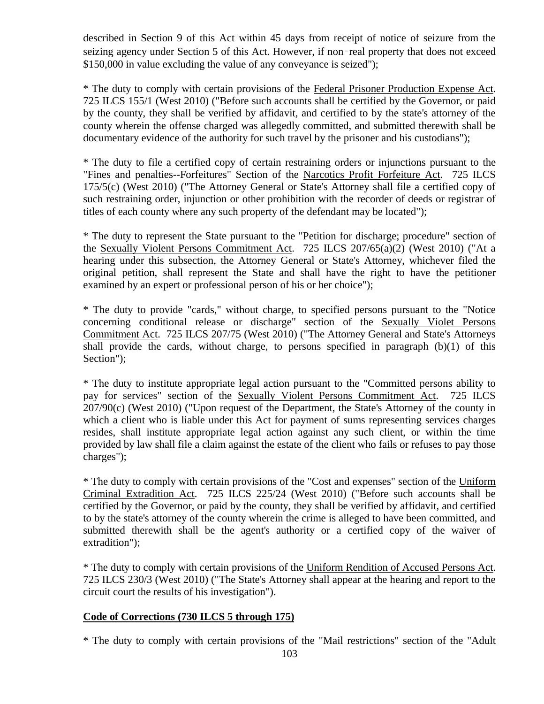described in Section 9 of this Act within 45 days from receipt of notice of seizure from the seizing agency under Section 5 of this Act. However, if non-real property that does not exceed \$150,000 in value excluding the value of any conveyance is seized");

\* The duty to comply with certain provisions of the Federal Prisoner Production Expense Act. 725 ILCS 155/1 (West 2010) ("Before such accounts shall be certified by the Governor, or paid by the county, they shall be verified by affidavit, and certified to by the state's attorney of the county wherein the offense charged was allegedly committed, and submitted therewith shall be documentary evidence of the authority for such travel by the prisoner and his custodians");

\* The duty to file a certified copy of certain restraining orders or injunctions pursuant to the "Fines and penalties--Forfeitures" Section of the Narcotics Profit Forfeiture Act. 725 ILCS 175/5(c) (West 2010) ("The Attorney General or State's Attorney shall file a certified copy of such restraining order, injunction or other prohibition with the recorder of deeds or registrar of titles of each county where any such property of the defendant may be located");

\* The duty to represent the State pursuant to the "Petition for discharge; procedure" section of the Sexually Violent Persons Commitment Act. 725 ILCS 207/65(a)(2) (West 2010) ("At a hearing under this subsection, the Attorney General or State's Attorney, whichever filed the original petition, shall represent the State and shall have the right to have the petitioner examined by an expert or professional person of his or her choice");

\* The duty to provide "cards," without charge, to specified persons pursuant to the "Notice concerning conditional release or discharge" section of the Sexually Violet Persons Commitment Act. 725 ILCS 207/75 (West 2010) ("The Attorney General and State's Attorneys shall provide the cards, without charge, to persons specified in paragraph (b)(1) of this Section");

\* The duty to institute appropriate legal action pursuant to the "Committed persons ability to pay for services" section of the Sexually Violent Persons Commitment Act. 725 ILCS 207/90(c) (West 2010) ("Upon request of the Department, the State's Attorney of the county in which a client who is liable under this Act for payment of sums representing services charges resides, shall institute appropriate legal action against any such client, or within the time provided by law shall file a claim against the estate of the client who fails or refuses to pay those charges");

\* The duty to comply with certain provisions of the "Cost and expenses" section of the Uniform Criminal Extradition Act. 725 ILCS 225/24 (West 2010) ("Before such accounts shall be certified by the Governor, or paid by the county, they shall be verified by affidavit, and certified to by the state's attorney of the county wherein the crime is alleged to have been committed, and submitted therewith shall be the agent's authority or a certified copy of the waiver of extradition");

\* The duty to comply with certain provisions of the Uniform Rendition of Accused Persons Act. 725 ILCS 230/3 (West 2010) ("The State's Attorney shall appear at the hearing and report to the circuit court the results of his investigation").

## **Code of Corrections (730 ILCS 5 through 175)**

\* The duty to comply with certain provisions of the "Mail restrictions" section of the "Adult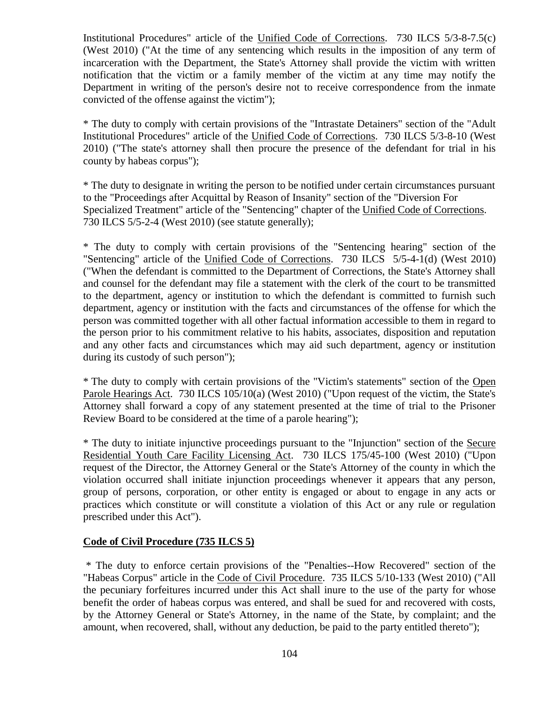Institutional Procedures" article of the Unified Code of Corrections. 730 ILCS 5/3-8-7.5(c) (West 2010) ("At the time of any sentencing which results in the imposition of any term of incarceration with the Department, the State's Attorney shall provide the victim with written notification that the victim or a family member of the victim at any time may notify the Department in writing of the person's desire not to receive correspondence from the inmate convicted of the offense against the victim");

\* The duty to comply with certain provisions of the "Intrastate Detainers" section of the "Adult Institutional Procedures" article of the Unified Code of Corrections. 730 ILCS 5/3-8-10 (West 2010) ("The state's attorney shall then procure the presence of the defendant for trial in his county by habeas corpus");

\* The duty to designate in writing the person to be notified under certain circumstances pursuant to the "Proceedings after Acquittal by Reason of Insanity" section of the "Diversion For Specialized Treatment" article of the "Sentencing" chapter of the Unified Code of Corrections. 730 ILCS 5/5-2-4 (West 2010) (see statute generally);

\* The duty to comply with certain provisions of the "Sentencing hearing" section of the "Sentencing" article of the Unified Code of Corrections. 730 ILCS 5/5-4-1(d) (West 2010) ("When the defendant is committed to the Department of Corrections, the State's Attorney shall and counsel for the defendant may file a statement with the clerk of the court to be transmitted to the department, agency or institution to which the defendant is committed to furnish such department, agency or institution with the facts and circumstances of the offense for which the person was committed together with all other factual information accessible to them in regard to the person prior to his commitment relative to his habits, associates, disposition and reputation and any other facts and circumstances which may aid such department, agency or institution during its custody of such person");

\* The duty to comply with certain provisions of the "Victim's statements" section of the Open Parole Hearings Act. 730 ILCS 105/10(a) (West 2010) ("Upon request of the victim, the State's Attorney shall forward a copy of any statement presented at the time of trial to the Prisoner Review Board to be considered at the time of a parole hearing");

\* The duty to initiate injunctive proceedings pursuant to the "Injunction" section of the Secure Residential Youth Care Facility Licensing Act. 730 ILCS 175/45-100 (West 2010) ("Upon request of the Director, the Attorney General or the State's Attorney of the county in which the violation occurred shall initiate injunction proceedings whenever it appears that any person, group of persons, corporation, or other entity is engaged or about to engage in any acts or practices which constitute or will constitute a violation of this Act or any rule or regulation prescribed under this Act").

#### **Code of Civil Procedure (735 ILCS 5)**

\* The duty to enforce certain provisions of the "Penalties--How Recovered" section of the "Habeas Corpus" article in the Code of Civil Procedure. 735 ILCS 5/10-133 (West 2010) ("All the pecuniary forfeitures incurred under this Act shall inure to the use of the party for whose benefit the order of habeas corpus was entered, and shall be sued for and recovered with costs, by the Attorney General or State's Attorney, in the name of the State, by complaint; and the amount, when recovered, shall, without any deduction, be paid to the party entitled thereto");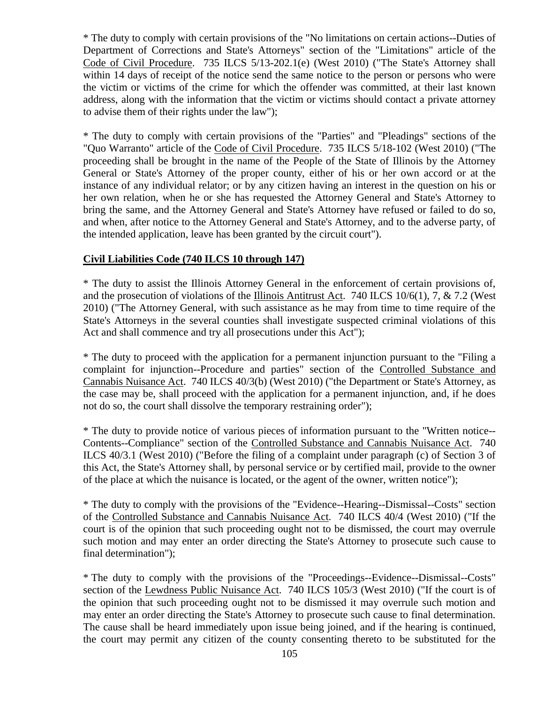\* The duty to comply with certain provisions of the "No limitations on certain actions--Duties of Department of Corrections and State's Attorneys" section of the "Limitations" article of the Code of Civil Procedure. 735 ILCS 5/13-202.1(e) (West 2010) ("The State's Attorney shall within 14 days of receipt of the notice send the same notice to the person or persons who were the victim or victims of the crime for which the offender was committed, at their last known address, along with the information that the victim or victims should contact a private attorney to advise them of their rights under the law");

\* The duty to comply with certain provisions of the "Parties" and "Pleadings" sections of the "Quo Warranto" article of the Code of Civil Procedure. 735 ILCS 5/18-102 (West 2010) ("The proceeding shall be brought in the name of the People of the State of Illinois by the Attorney General or State's Attorney of the proper county, either of his or her own accord or at the instance of any individual relator; or by any citizen having an interest in the question on his or her own relation, when he or she has requested the Attorney General and State's Attorney to bring the same, and the Attorney General and State's Attorney have refused or failed to do so, and when, after notice to the Attorney General and State's Attorney, and to the adverse party, of the intended application, leave has been granted by the circuit court").

#### **Civil Liabilities Code (740 ILCS 10 through 147)**

\* The duty to assist the Illinois Attorney General in the enforcement of certain provisions of, and the prosecution of violations of the Illinois Antitrust Act. 740 ILCS 10/6(1), 7, & 7.2 (West 2010) ("The Attorney General, with such assistance as he may from time to time require of the State's Attorneys in the several counties shall investigate suspected criminal violations of this Act and shall commence and try all prosecutions under this Act");

\* The duty to proceed with the application for a permanent injunction pursuant to the "Filing a complaint for injunction--Procedure and parties" section of the Controlled Substance and Cannabis Nuisance Act. 740 ILCS 40/3(b) (West 2010) ("the Department or State's Attorney, as the case may be, shall proceed with the application for a permanent injunction, and, if he does not do so, the court shall dissolve the temporary restraining order");

\* The duty to provide notice of various pieces of information pursuant to the "Written notice-- Contents--Compliance" section of the Controlled Substance and Cannabis Nuisance Act. 740 ILCS 40/3.1 (West 2010) ("Before the filing of a complaint under paragraph (c) of Section 3 of this Act, the State's Attorney shall, by personal service or by certified mail, provide to the owner of the place at which the nuisance is located, or the agent of the owner, written notice");

\* The duty to comply with the provisions of the "Evidence--Hearing--Dismissal--Costs" section of the Controlled Substance and Cannabis Nuisance Act. 740 ILCS 40/4 (West 2010) ("If the court is of the opinion that such proceeding ought not to be dismissed, the court may overrule such motion and may enter an order directing the State's Attorney to prosecute such cause to final determination");

\* The duty to comply with the provisions of the "Proceedings--Evidence--Dismissal--Costs" section of the Lewdness Public Nuisance Act. 740 ILCS 105/3 (West 2010) ("If the court is of the opinion that such proceeding ought not to be dismissed it may overrule such motion and may enter an order directing the State's Attorney to prosecute such cause to final determination. The cause shall be heard immediately upon issue being joined, and if the hearing is continued, the court may permit any citizen of the county consenting thereto to be substituted for the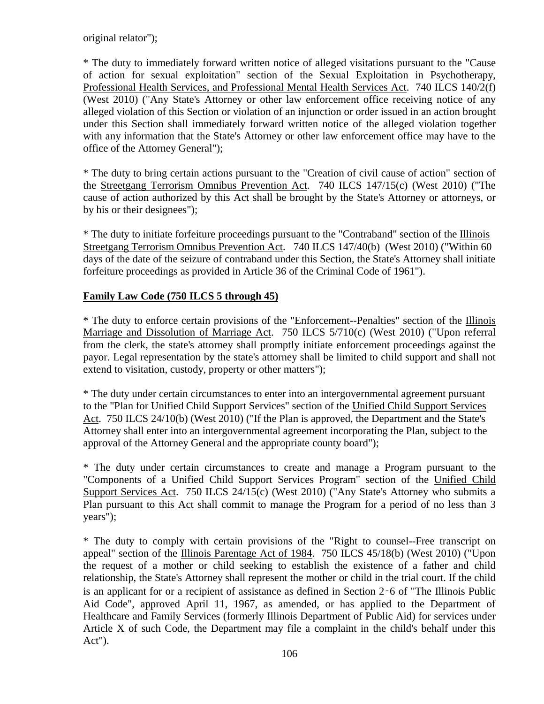original relator");

\* The duty to immediately forward written notice of alleged visitations pursuant to the "Cause of action for sexual exploitation" section of the Sexual Exploitation in Psychotherapy, Professional Health Services, and Professional Mental Health Services Act. 740 ILCS 140/2(f) (West 2010) ("Any State's Attorney or other law enforcement office receiving notice of any alleged violation of this Section or violation of an injunction or order issued in an action brought under this Section shall immediately forward written notice of the alleged violation together with any information that the State's Attorney or other law enforcement office may have to the office of the Attorney General");

\* The duty to bring certain actions pursuant to the "Creation of civil cause of action" section of the Streetgang Terrorism Omnibus Prevention Act. 740 ILCS 147/15(c) (West 2010) ("The cause of action authorized by this Act shall be brought by the State's Attorney or attorneys, or by his or their designees");

\* The duty to initiate forfeiture proceedings pursuant to the "Contraband" section of the Illinois Streetgang Terrorism Omnibus Prevention Act. 740 ILCS 147/40(b) (West 2010) ("Within 60 days of the date of the seizure of contraband under this Section, the State's Attorney shall initiate forfeiture proceedings as provided in Article 36 of the Criminal Code of 1961").

## **Family Law Code (750 ILCS 5 through 45)**

\* The duty to enforce certain provisions of the "Enforcement--Penalties" section of the Illinois Marriage and Dissolution of Marriage Act. 750 ILCS 5/710(c) (West 2010) ("Upon referral from the clerk, the state's attorney shall promptly initiate enforcement proceedings against the payor. Legal representation by the state's attorney shall be limited to child support and shall not extend to visitation, custody, property or other matters");

\* The duty under certain circumstances to enter into an intergovernmental agreement pursuant to the "Plan for Unified Child Support Services" section of the Unified Child Support Services Act. 750 ILCS 24/10(b) (West 2010) ("If the Plan is approved, the Department and the State's Attorney shall enter into an intergovernmental agreement incorporating the Plan, subject to the approval of the Attorney General and the appropriate county board");

\* The duty under certain circumstances to create and manage a Program pursuant to the "Components of a Unified Child Support Services Program" section of the Unified Child Support Services Act. 750 ILCS 24/15(c) (West 2010) ("Any State's Attorney who submits a Plan pursuant to this Act shall commit to manage the Program for a period of no less than 3 years");

\* The duty to comply with certain provisions of the "Right to counsel--Free transcript on appeal" section of the Illinois Parentage Act of 1984. 750 ILCS 45/18(b) (West 2010) ("Upon the request of a mother or child seeking to establish the existence of a father and child relationship, the State's Attorney shall represent the mother or child in the trial court. If the child is an applicant for or a recipient of assistance as defined in Section 2‑6 of "The Illinois Public Aid Code", approved April 11, 1967, as amended, or has applied to the Department of Healthcare and Family Services (formerly Illinois Department of Public Aid) for services under Article X of such Code, the Department may file a complaint in the child's behalf under this Act").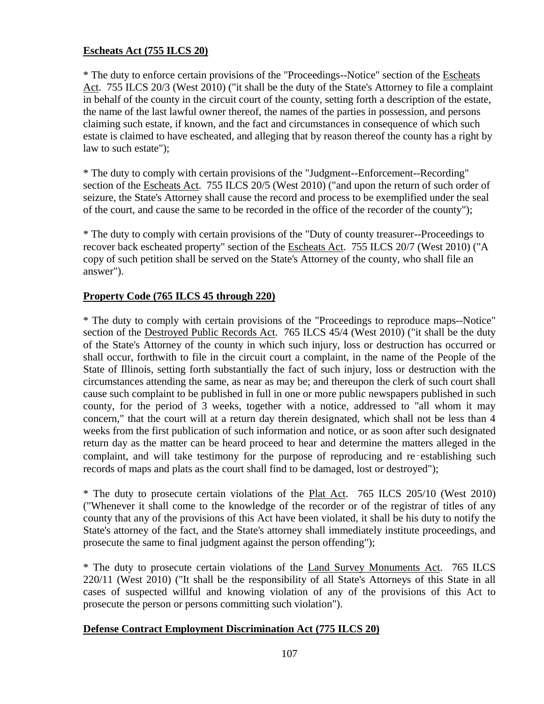#### **Escheats Act (755 ILCS 20)**

\* The duty to enforce certain provisions of the "Proceedings--Notice" section of the Escheats Act. 755 ILCS 20/3 (West 2010) ("it shall be the duty of the State's Attorney to file a complaint in behalf of the county in the circuit court of the county, setting forth a description of the estate, the name of the last lawful owner thereof, the names of the parties in possession, and persons claiming such estate, if known, and the fact and circumstances in consequence of which such estate is claimed to have escheated, and alleging that by reason thereof the county has a right by law to such estate");

\* The duty to comply with certain provisions of the "Judgment--Enforcement--Recording" section of the Escheats Act. 755 ILCS 20/5 (West 2010) ("and upon the return of such order of seizure, the State's Attorney shall cause the record and process to be exemplified under the seal of the court, and cause the same to be recorded in the office of the recorder of the county");

\* The duty to comply with certain provisions of the "Duty of county treasurer--Proceedings to recover back escheated property" section of the Escheats Act. 755 ILCS 20/7 (West 2010) ("A copy of such petition shall be served on the State's Attorney of the county, who shall file an answer").

### **Property Code (765 ILCS 45 through 220)**

\* The duty to comply with certain provisions of the "Proceedings to reproduce maps--Notice" section of the Destroyed Public Records Act. 765 ILCS 45/4 (West 2010) ("it shall be the duty of the State's Attorney of the county in which such injury, loss or destruction has occurred or shall occur, forthwith to file in the circuit court a complaint, in the name of the People of the State of Illinois, setting forth substantially the fact of such injury, loss or destruction with the circumstances attending the same, as near as may be; and thereupon the clerk of such court shall cause such complaint to be published in full in one or more public newspapers published in such county, for the period of 3 weeks, together with a notice, addressed to "all whom it may concern," that the court will at a return day therein designated, which shall not be less than 4 weeks from the first publication of such information and notice, or as soon after such designated return day as the matter can be heard proceed to hear and determine the matters alleged in the complaint, and will take testimony for the purpose of reproducing and re–establishing such records of maps and plats as the court shall find to be damaged, lost or destroyed");

\* The duty to prosecute certain violations of the Plat Act. 765 ILCS 205/10 (West 2010) ("Whenever it shall come to the knowledge of the recorder or of the registrar of titles of any county that any of the provisions of this Act have been violated, it shall be his duty to notify the State's attorney of the fact, and the State's attorney shall immediately institute proceedings, and prosecute the same to final judgment against the person offending");

\* The duty to prosecute certain violations of the Land Survey Monuments Act. 765 ILCS 220/11 (West 2010) ("It shall be the responsibility of all State's Attorneys of this State in all cases of suspected willful and knowing violation of any of the provisions of this Act to prosecute the person or persons committing such violation").

#### **Defense Contract Employment Discrimination Act (775 ILCS 20)**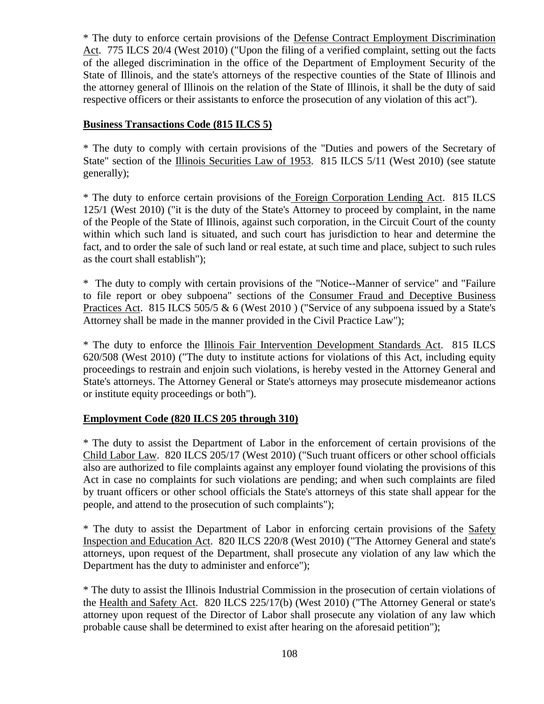\* The duty to enforce certain provisions of the Defense Contract Employment Discrimination Act. 775 ILCS 20/4 (West 2010) ("Upon the filing of a verified complaint, setting out the facts of the alleged discrimination in the office of the Department of Employment Security of the State of Illinois, and the state's attorneys of the respective counties of the State of Illinois and the attorney general of Illinois on the relation of the State of Illinois, it shall be the duty of said respective officers or their assistants to enforce the prosecution of any violation of this act").

### **Business Transactions Code (815 ILCS 5)**

\* The duty to comply with certain provisions of the "Duties and powers of the Secretary of State" section of the Illinois Securities Law of 1953. 815 ILCS 5/11 (West 2010) (see statute generally);

\* The duty to enforce certain provisions of the Foreign Corporation Lending Act. 815 ILCS 125/1 (West 2010) ("it is the duty of the State's Attorney to proceed by complaint, in the name of the People of the State of Illinois, against such corporation, in the Circuit Court of the county within which such land is situated, and such court has jurisdiction to hear and determine the fact, and to order the sale of such land or real estate, at such time and place, subject to such rules as the court shall establish");

\* The duty to comply with certain provisions of the "Notice--Manner of service" and "Failure to file report or obey subpoena" sections of the Consumer Fraud and Deceptive Business Practices Act. 815 ILCS 505/5 & 6 (West 2010) ("Service of any subpoena issued by a State's Attorney shall be made in the manner provided in the Civil Practice Law");

\* The duty to enforce the Illinois Fair Intervention Development Standards Act. 815 ILCS 620/508 (West 2010) ("The duty to institute actions for violations of this Act, including equity proceedings to restrain and enjoin such violations, is hereby vested in the Attorney General and State's attorneys. The Attorney General or State's attorneys may prosecute misdemeanor actions or institute equity proceedings or both").

### **Employment Code (820 ILCS 205 through 310)**

\* The duty to assist the Department of Labor in the enforcement of certain provisions of the Child Labor Law. 820 ILCS 205/17 (West 2010) ("Such truant officers or other school officials also are authorized to file complaints against any employer found violating the provisions of this Act in case no complaints for such violations are pending; and when such complaints are filed by truant officers or other school officials the State's attorneys of this state shall appear for the people, and attend to the prosecution of such complaints");

\* The duty to assist the Department of Labor in enforcing certain provisions of the Safety Inspection and Education Act. 820 ILCS 220/8 (West 2010) ("The Attorney General and state's attorneys, upon request of the Department, shall prosecute any violation of any law which the Department has the duty to administer and enforce");

\* The duty to assist the Illinois Industrial Commission in the prosecution of certain violations of the Health and Safety Act. 820 ILCS 225/17(b) (West 2010) ("The Attorney General or state's attorney upon request of the Director of Labor shall prosecute any violation of any law which probable cause shall be determined to exist after hearing on the aforesaid petition");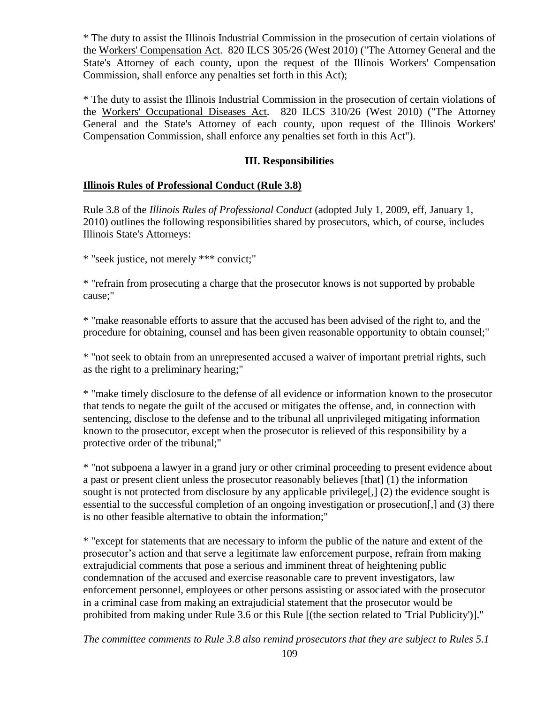\* The duty to assist the Illinois Industrial Commission in the prosecution of certain violations of the Workers' Compensation Act. 820 ILCS 305/26 (West 2010) ("The Attorney General and the State's Attorney of each county, upon the request of the Illinois Workers' Compensation Commission, shall enforce any penalties set forth in this Act);

\* The duty to assist the Illinois Industrial Commission in the prosecution of certain violations of the Workers' Occupational Diseases Act. 820 ILCS 310/26 (West 2010) ("The Attorney General and the State's Attorney of each county, upon request of the Illinois Workers' Compensation Commission, shall enforce any penalties set forth in this Act").

### **III. Responsibilities**

#### **Illinois Rules of Professional Conduct (Rule 3.8)**

Rule 3.8 of the *Illinois Rules of Professional Conduct* (adopted July 1, 2009, eff, January 1, 2010) outlines the following responsibilities shared by prosecutors, which, of course, includes Illinois State's Attorneys:

\* "seek justice, not merely \*\*\* convict;"

\* "refrain from prosecuting a charge that the prosecutor knows is not supported by probable cause;"

\* "make reasonable efforts to assure that the accused has been advised of the right to, and the procedure for obtaining, counsel and has been given reasonable opportunity to obtain counsel;"

\* "not seek to obtain from an unrepresented accused a waiver of important pretrial rights, such as the right to a preliminary hearing;"

\* "make timely disclosure to the defense of all evidence or information known to the prosecutor that tends to negate the guilt of the accused or mitigates the offense, and, in connection with sentencing, disclose to the defense and to the tribunal all unprivileged mitigating information known to the prosecutor, except when the prosecutor is relieved of this responsibility by a protective order of the tribunal;"

\* "not subpoena a lawyer in a grand jury or other criminal proceeding to present evidence about a past or present client unless the prosecutor reasonably believes [that] (1) the information sought is not protected from disclosure by any applicable privilege[,] (2) the evidence sought is essential to the successful completion of an ongoing investigation or prosecution[,] and (3) there is no other feasible alternative to obtain the information;"

\* "except for statements that are necessary to inform the public of the nature and extent of the prosecutor's action and that serve a legitimate law enforcement purpose, refrain from making extrajudicial comments that pose a serious and imminent threat of heightening public condemnation of the accused and exercise reasonable care to prevent investigators, law enforcement personnel, employees or other persons assisting or associated with the prosecutor in a criminal case from making an extrajudicial statement that the prosecutor would be prohibited from making under Rule 3.6 or this Rule [(the section related to 'Trial Publicity')]."

*The committee comments to Rule 3.8 also remind prosecutors that they are subject to Rules 5.1*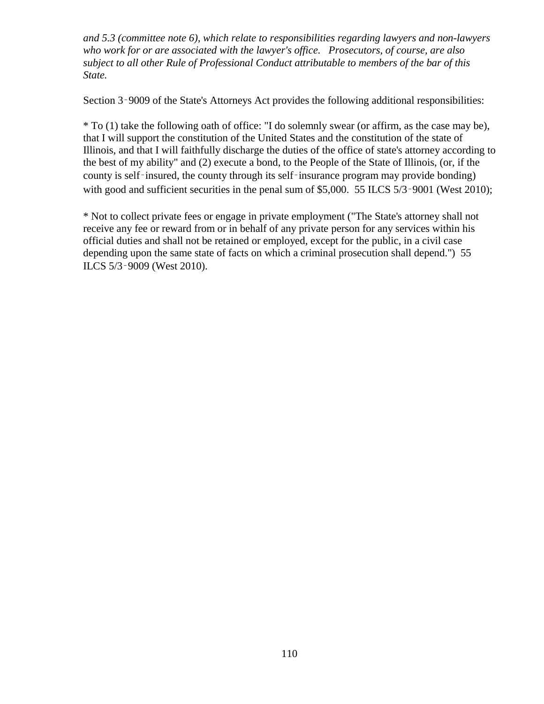*and 5.3 (committee note 6), which relate to responsibilities regarding lawyers and non-lawyers who work for or are associated with the lawyer's office. Prosecutors, of course, are also subject to all other Rule of Professional Conduct attributable to members of the bar of this State.*

Section 3–9009 of the State's Attorneys Act provides the following additional responsibilities:

\* To (1) take the following oath of office: "I do solemnly swear (or affirm, as the case may be), that I will support the constitution of the United States and the constitution of the state of Illinois, and that I will faithfully discharge the duties of the office of state's attorney according to the best of my ability" and (2) execute a bond, to the People of the State of Illinois, (or, if the county is self-insured, the county through its self-insurance program may provide bonding) with good and sufficient securities in the penal sum of \$5,000. 55 ILCS 5/3–9001 (West 2010);

\* Not to collect private fees or engage in private employment ("The State's attorney shall not receive any fee or reward from or in behalf of any private person for any services within his official duties and shall not be retained or employed, except for the public, in a civil case depending upon the same state of facts on which a criminal prosecution shall depend.") 55 ILCS 5/3‑9009 (West 2010).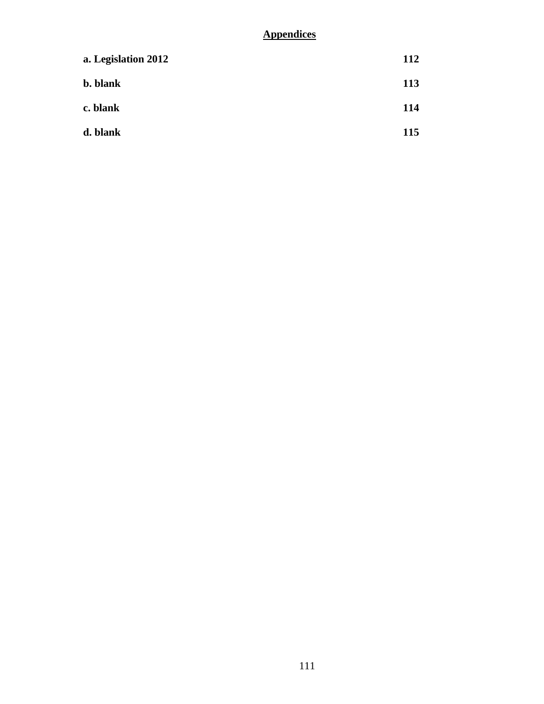# **Appendices**

| a. Legislation 2012 | 112        |
|---------------------|------------|
| <b>b.</b> blank     | 113        |
| c. blank            | <b>114</b> |
| d. blank            | <b>115</b> |